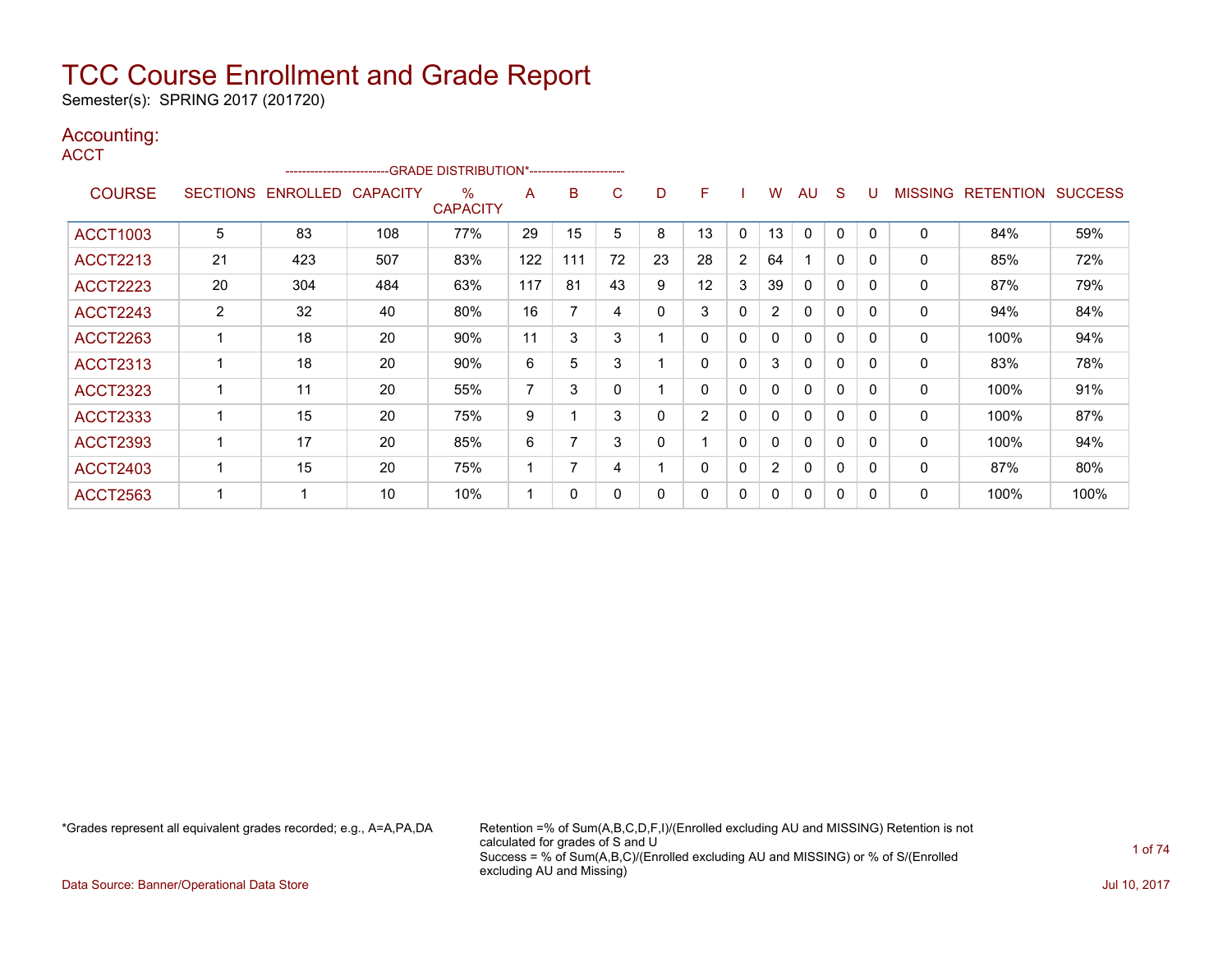Semester(s): SPRING 2017 (201720)

### Accounting:

| M.<br>٠ | ×<br>v |  |
|---------|--------|--|

|                 | -GRADE DISTRIBUTION*----------------------<br>------------------------ |                   |                 |                         |     |     |    |    |                |              |                |              |              |              |                |                  |                |
|-----------------|------------------------------------------------------------------------|-------------------|-----------------|-------------------------|-----|-----|----|----|----------------|--------------|----------------|--------------|--------------|--------------|----------------|------------------|----------------|
| <b>COURSE</b>   |                                                                        | SECTIONS ENROLLED | <b>CAPACITY</b> | $\%$<br><b>CAPACITY</b> | A   | B   | C. | D  | F.             |              | w              | AU           | S            | U            | <b>MISSING</b> | <b>RETENTION</b> | <b>SUCCESS</b> |
| <b>ACCT1003</b> | 5                                                                      | 83                | 108             | 77%                     | 29  | 15  | 5  | 8  | 13             | 0            | 13             | $\Omega$     | 0            | $\Omega$     | 0              | 84%              | 59%            |
| <b>ACCT2213</b> | 21                                                                     | 423               | 507             | 83%                     | 122 | 111 | 72 | 23 | 28             | 2            | 64             |              | $\mathbf{0}$ | $\Omega$     | 0              | 85%              | 72%            |
| <b>ACCT2223</b> | 20                                                                     | 304               | 484             | 63%                     | 117 | 81  | 43 | 9  | 12             | 3            | 39             | $\mathbf{0}$ | $\mathbf{0}$ | $\Omega$     | $\mathbf{0}$   | 87%              | 79%            |
| <b>ACCT2243</b> | 2                                                                      | 32                | 40              | 80%                     | 16  | 7   | 4  | 0  | 3              | 0            | $\overline{2}$ | $\mathbf{0}$ | $\mathbf{0}$ | $\Omega$     | 0              | 94%              | 84%            |
| <b>ACCT2263</b> |                                                                        | 18                | 20              | 90%                     | 11  | 3   | 3  |    | 0              | 0            | 0              | $\mathbf{0}$ | 0            | $\mathbf{0}$ | 0              | 100%             | 94%            |
| <b>ACCT2313</b> |                                                                        | 18                | 20              | 90%                     | 6   | 5   | 3  |    | 0              | $\mathbf{0}$ | 3              | $\mathbf{0}$ | $\Omega$     |              | 0              | 83%              | 78%            |
| <b>ACCT2323</b> |                                                                        | 11                | 20              | 55%                     | 7   | 3   |    |    | 0              | 0            | 0              | $\mathbf{0}$ | 0            | <sup>0</sup> | 0              | 100%             | 91%            |
| <b>ACCT2333</b> |                                                                        | 15                | 20              | 75%                     | 9   |     | 3  | 0  | $\overline{2}$ | 0            | 0              | $\mathbf{0}$ | $\mathbf{0}$ | $\Omega$     | 0              | 100%             | 87%            |
| <b>ACCT2393</b> |                                                                        | 17                | 20              | 85%                     | 6   |     | 3  | 0  |                | 0            | $\mathbf{0}$   | $\mathbf{0}$ | $\Omega$     | $\Omega$     | $\mathbf{0}$   | 100%             | 94%            |
| <b>ACCT2403</b> |                                                                        | 15                | 20              | 75%                     |     | 7   | 4  |    | 0              | $\mathbf{0}$ | $\overline{2}$ | $\mathbf{0}$ | $\mathbf{0}$ | $\Omega$     | 0              | 87%              | 80%            |
| <b>ACCT2563</b> |                                                                        |                   | 10              | 10%                     |     | 0   |    | 0  | 0              | 0            | 0              | 0            | 0            | $\Omega$     | 0              | 100%             | 100%           |

\*Grades represent all equivalent grades recorded; e.g., A=A,PA,DA Retention =% of Sum(A,B,C,D,F,I)/(Enrolled excluding AU and MISSING) Retention is not calculated for grades of S and U Success = % of Sum(A,B,C)/(Enrolled excluding AU and MISSING) or % of S/(Enrolled excluding AU and Missing)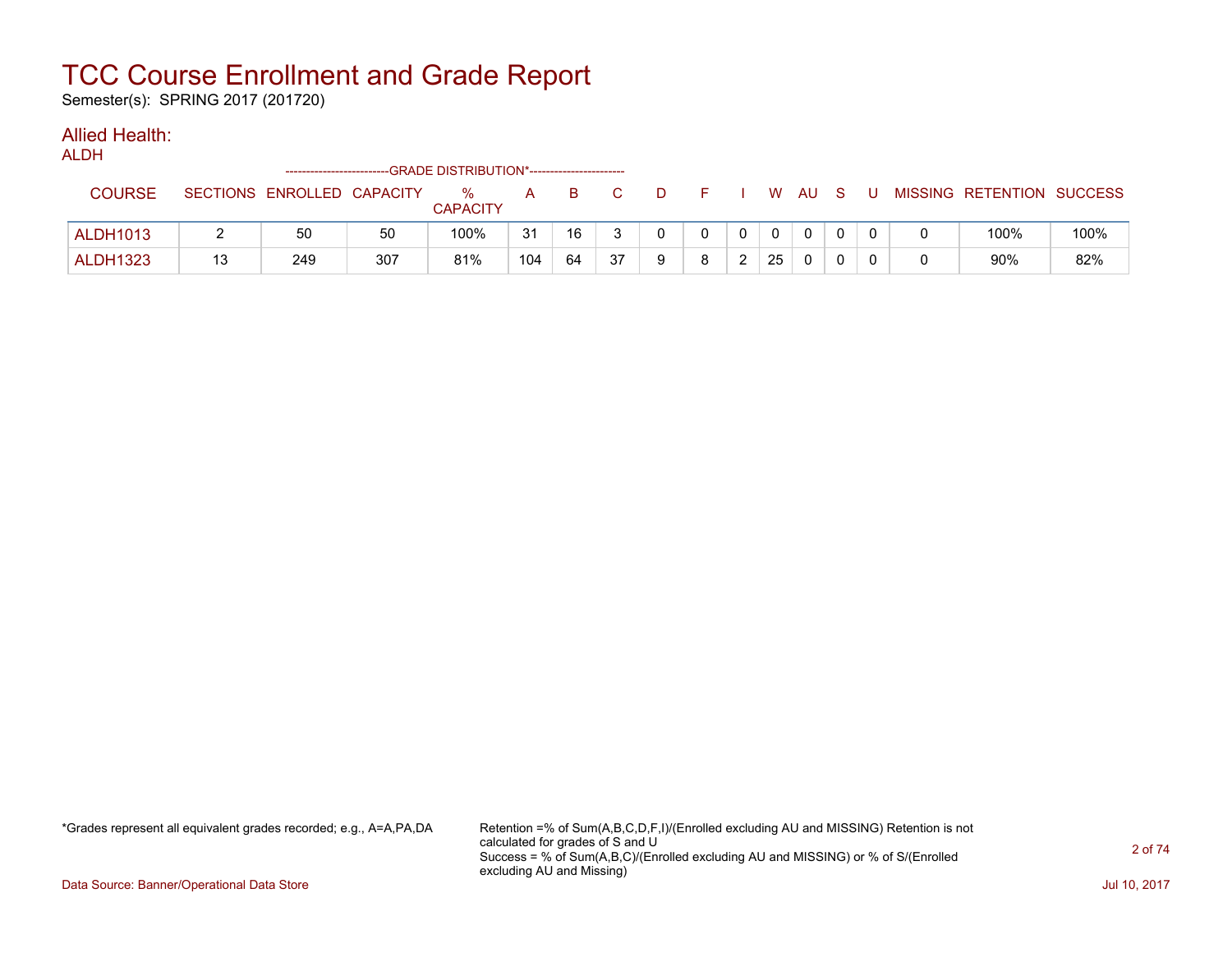Semester(s): SPRING 2017 (201720)

### Allied Health:

ALDH

|                 |    | ------------------------   |     | --GRADE DISTRIBUTION*----------------------- |     |    |    |   |   |    |              |   |   |                           |      |
|-----------------|----|----------------------------|-----|----------------------------------------------|-----|----|----|---|---|----|--------------|---|---|---------------------------|------|
| <b>COURSE</b>   |    | SECTIONS ENROLLED CAPACITY |     | %<br><b>CAPACITY</b>                         | A   | B. |    |   |   | W  | AU.          | S | U | MISSING RETENTION SUCCESS |      |
| <b>ALDH1013</b> |    | 50                         | 50  | 100%                                         | 31  | 16 |    |   |   |    | $\mathbf{0}$ |   |   | 100%                      | 100% |
| <b>ALDH1323</b> | 13 | 249                        | 307 | 81%                                          | 104 | 64 | 37 | o | ົ | 25 | 0            |   |   | $90\%$                    | 82%  |

\*Grades represent all equivalent grades recorded; e.g., A=A,PA,DA Retention =% of Sum(A,B,C,D,F,I)/(Enrolled excluding AU and MISSING) Retention is not calculated for grades of S and U Success = % of Sum(A,B,C)/(Enrolled excluding AU and MISSING) or % of S/(Enrolled excluding AU and Missing)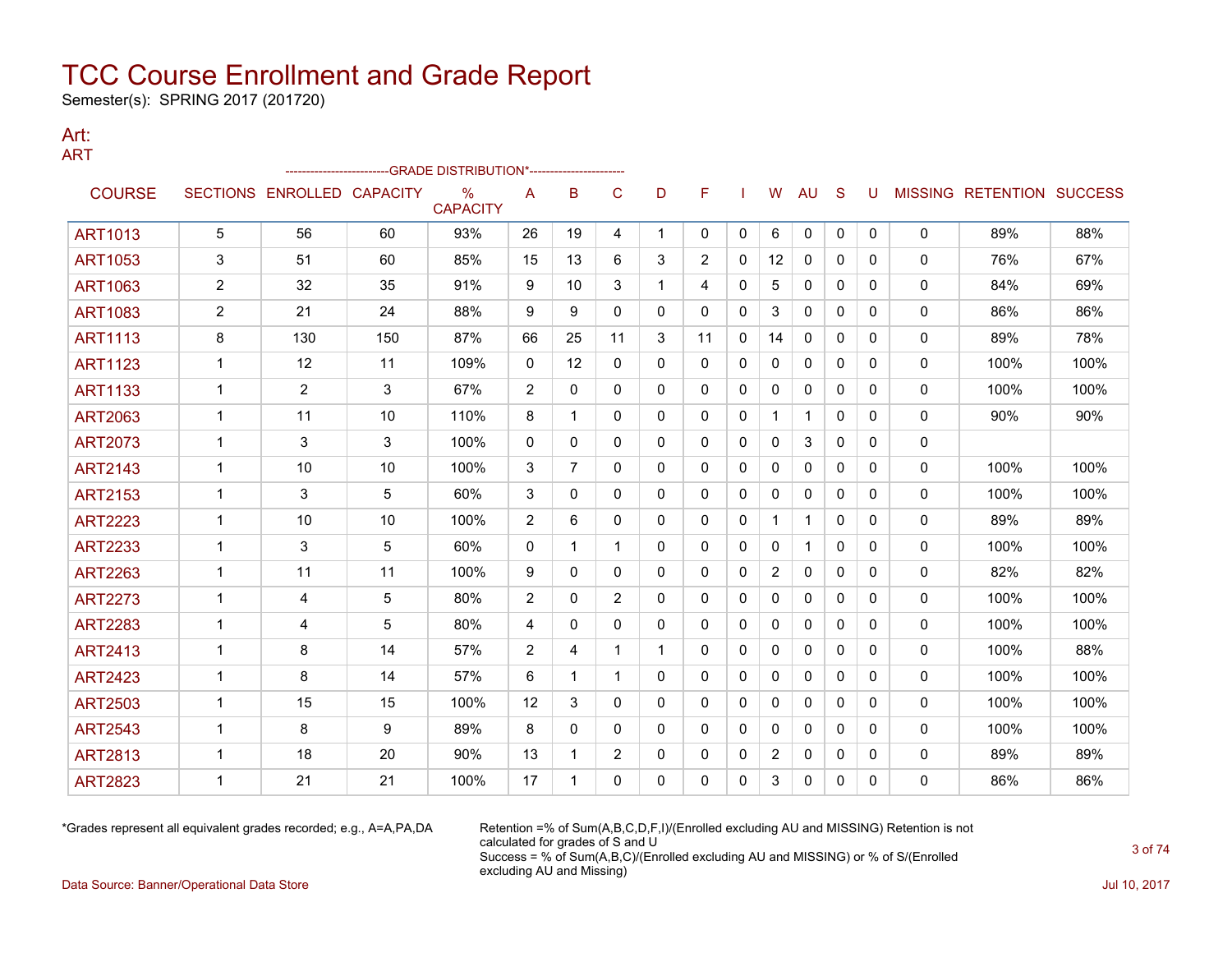Semester(s): SPRING 2017 (201720)

#### Art: ART

| .              |                |                            |     | -GRADE DISTRIBUTION*------------------ |              |              |                |              |                |              |                |              |              |              |              |                           |      |
|----------------|----------------|----------------------------|-----|----------------------------------------|--------------|--------------|----------------|--------------|----------------|--------------|----------------|--------------|--------------|--------------|--------------|---------------------------|------|
| <b>COURSE</b>  |                | SECTIONS ENROLLED CAPACITY |     | $\frac{0}{0}$<br><b>CAPACITY</b>       | A            | в            | $\mathsf{C}$   | D            | F              |              | W              | <b>AU</b>    | <sub>S</sub> | U            |              | MISSING RETENTION SUCCESS |      |
| <b>ART1013</b> | 5              | 56                         | 60  | 93%                                    | 26           | 19           | 4              | $\mathbf{1}$ | 0              | 0            | 6              | 0            | 0            | 0            | $\mathbf{0}$ | 89%                       | 88%  |
| <b>ART1053</b> | 3              | 51                         | 60  | 85%                                    | 15           | 13           | 6              | 3            | $\overline{2}$ | $\mathbf{0}$ | 12             | $\mathbf{0}$ | $\Omega$     | 0            | 0            | 76%                       | 67%  |
| <b>ART1063</b> | $\overline{2}$ | 32                         | 35  | 91%                                    | 9            | 10           | 3              | 1            | 4              | 0            | 5              | 0            | 0            | 0            | 0            | 84%                       | 69%  |
| <b>ART1083</b> | 2              | 21                         | 24  | 88%                                    | 9            | 9            | $\Omega$       | 0            | 0              | $\Omega$     | 3              | $\mathbf{0}$ | $\Omega$     | $\Omega$     | $\mathbf{0}$ | 86%                       | 86%  |
| <b>ART1113</b> | 8              | 130                        | 150 | 87%                                    | 66           | 25           | 11             | 3            | 11             | 0            | 14             | 0            | 0            | $\mathbf{0}$ | 0            | 89%                       | 78%  |
| <b>ART1123</b> | 1              | 12                         | 11  | 109%                                   | $\mathbf{0}$ | 12           | 0              | 0            | 0              | $\Omega$     | 0              | $\mathbf{0}$ | $\Omega$     | 0            | 0            | 100%                      | 100% |
| <b>ART1133</b> | $\mathbf{1}$   | $\overline{2}$             | 3   | 67%                                    | 2            | $\mathbf{0}$ | $\mathbf{0}$   | 0            | 0              | $\mathbf{0}$ | $\mathbf{0}$   | $\mathbf{0}$ | $\mathbf{0}$ | 0            | $\mathbf{0}$ | 100%                      | 100% |
| <b>ART2063</b> | 1              | 11                         | 10  | 110%                                   | 8            | 1            | 0              | 0            | 0              | 0            | $\mathbf{1}$   | $\mathbf 1$  | 0            | 0            | $\mathbf{0}$ | 90%                       | 90%  |
| <b>ART2073</b> | 1              | 3                          | 3   | 100%                                   | $\mathbf{0}$ | 0            | 0              | 0            | 0              | 0            | 0              | 3            | $\mathbf{0}$ | 0            | 0            |                           |      |
| <b>ART2143</b> | $\mathbf 1$    | 10                         | 10  | 100%                                   | 3            | 7            | 0              | 0            | 0              | 0            | $\Omega$       | 0            | $\mathbf{0}$ | 0            | $\mathbf{0}$ | 100%                      | 100% |
| <b>ART2153</b> | 1              | 3                          | 5   | 60%                                    | 3            | 0            | 0              | 0            | 0              | 0            | 0              | 0            | 0            | 0            | 0            | 100%                      | 100% |
| <b>ART2223</b> | $\mathbf{1}$   | 10                         | 10  | 100%                                   | 2            | 6            | 0              | 0            | 0              | 0            | $\mathbf{1}$   | $\mathbf 1$  | $\mathbf{0}$ | 0            | 0            | 89%                       | 89%  |
| <b>ART2233</b> | $\mathbf{1}$   | 3                          | 5   | 60%                                    | $\mathbf{0}$ | 1            | $\mathbf 1$    | 0            | 0              | $\mathbf{0}$ | 0              | $\mathbf{1}$ | $\mathbf{0}$ | 0            | $\mathbf 0$  | 100%                      | 100% |
| <b>ART2263</b> | $\mathbf{1}$   | 11                         | 11  | 100%                                   | 9            | 0            | $\mathbf{0}$   | 0            | 0              | 0            | $\overline{2}$ | 0            | 0            | 0            | 0            | 82%                       | 82%  |
| <b>ART2273</b> | $\mathbf{1}$   | 4                          | 5   | 80%                                    | 2            | 0            | $\overline{2}$ | 0            | 0              | $\Omega$     | $\mathbf{0}$   | $\mathbf{0}$ | $\Omega$     | $\Omega$     | $\mathbf 0$  | 100%                      | 100% |
| <b>ART2283</b> | $\mathbf{1}$   | 4                          | 5   | 80%                                    | 4            | 0            | 0              | 0            | 0              | 0            | 0              | 0            | $\mathbf{0}$ | $\mathbf{0}$ | 0            | 100%                      | 100% |
| <b>ART2413</b> | $\mathbf{1}$   | 8                          | 14  | 57%                                    | 2            | 4            | $\mathbf 1$    | $\mathbf 1$  | 0              | $\mathbf{0}$ | $\mathbf{0}$   | $\mathbf{0}$ | $\Omega$     | $\Omega$     | 0            | 100%                      | 88%  |
| <b>ART2423</b> | $\mathbf 1$    | 8                          | 14  | 57%                                    | 6            | 1            | 1              | 0            | 0              | $\Omega$     | $\mathbf{0}$   | $\Omega$     | $\Omega$     | $\Omega$     | 0            | 100%                      | 100% |
| <b>ART2503</b> | $\mathbf{1}$   | 15                         | 15  | 100%                                   | 12           | 3            | $\mathbf{0}$   | 0            | 0              | $\mathbf{0}$ | $\mathbf{0}$   | $\mathbf{0}$ | $\mathbf{0}$ | 0            | 0            | 100%                      | 100% |
| <b>ART2543</b> | 1              | 8                          | 9   | 89%                                    | 8            | 0            | $\Omega$       | 0            | $\Omega$       | $\Omega$     | 0              | $\Omega$     | $\Omega$     | 0            | $\mathbf{0}$ | 100%                      | 100% |
| <b>ART2813</b> | $\mathbf 1$    | 18                         | 20  | 90%                                    | 13           | 1            | $\overline{2}$ | 0            | 0              | 0            | 2              | 0            | $\mathbf{0}$ | 0            | 0            | 89%                       | 89%  |
| <b>ART2823</b> | 1              | 21                         | 21  | 100%                                   | 17           | 1            | 0              | 0            | 0              | 0            | 3              | 0            | 0            | 0            | 0            | 86%                       | 86%  |

\*Grades represent all equivalent grades recorded; e.g., A=A,PA,DA Retention =% of Sum(A,B,C,D,F,I)/(Enrolled excluding AU and MISSING) Retention is not calculated for grades of S and U Success = % of Sum(A,B,C)/(Enrolled excluding AU and MISSING) or % of S/(Enrolled excluding AU and Missing)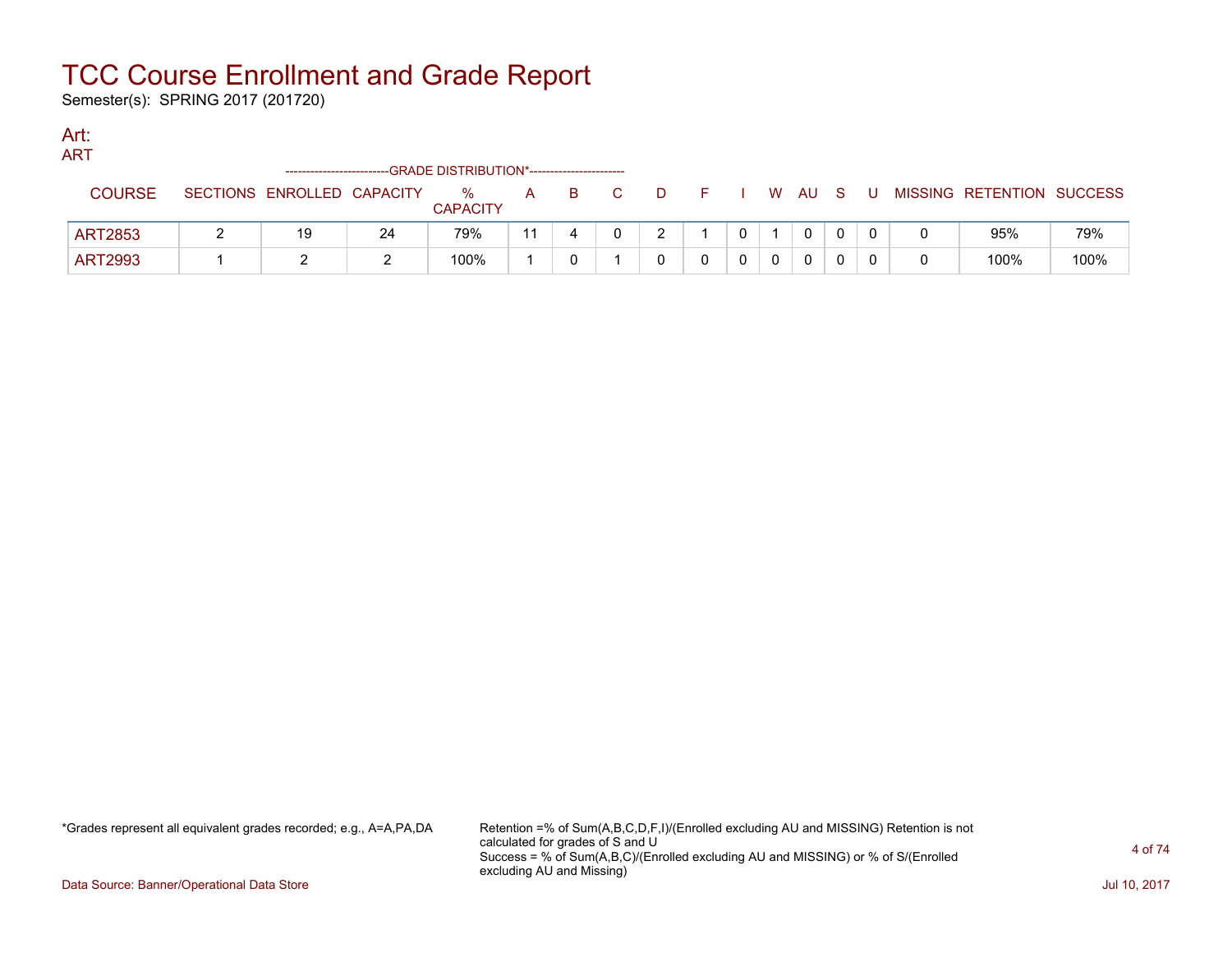Semester(s): SPRING 2017 (201720)

#### Art: **ADT**

| AIN I          |                            |    | ------------------------GRADE DISTRIBUTION*----------------------- |    |          |    |         |  |              |     |                           |      |
|----------------|----------------------------|----|--------------------------------------------------------------------|----|----------|----|---------|--|--------------|-----|---------------------------|------|
| <b>COURSE</b>  | SECTIONS ENROLLED CAPACITY |    | $\%$<br><b>CAPACITY</b>                                            | A  | <b>B</b> | C. | DFIWAUS |  |              | . U | MISSING RETENTION SUCCESS |      |
| <b>ART2853</b> | 19                         | 24 | 79%                                                                | 11 |          |    |         |  | $\Omega$     |     | 95%                       | 79%  |
| <b>ART2993</b> |                            |    | 100%                                                               |    |          |    |         |  | $\mathbf{0}$ |     | 100%                      | 100% |

\*Grades represent all equivalent grades recorded; e.g., A=A,PA,DA Retention =% of Sum(A,B,C,D,F,I)/(Enrolled excluding AU and MISSING) Retention is not calculated for grades of S and U Success = % of Sum(A,B,C)/(Enrolled excluding AU and MISSING) or % of S/(Enrolled excluding AU and Missing)

Data Source: Banner/Operational Data Store **July 10, 2017 Contract Store July 10, 2017**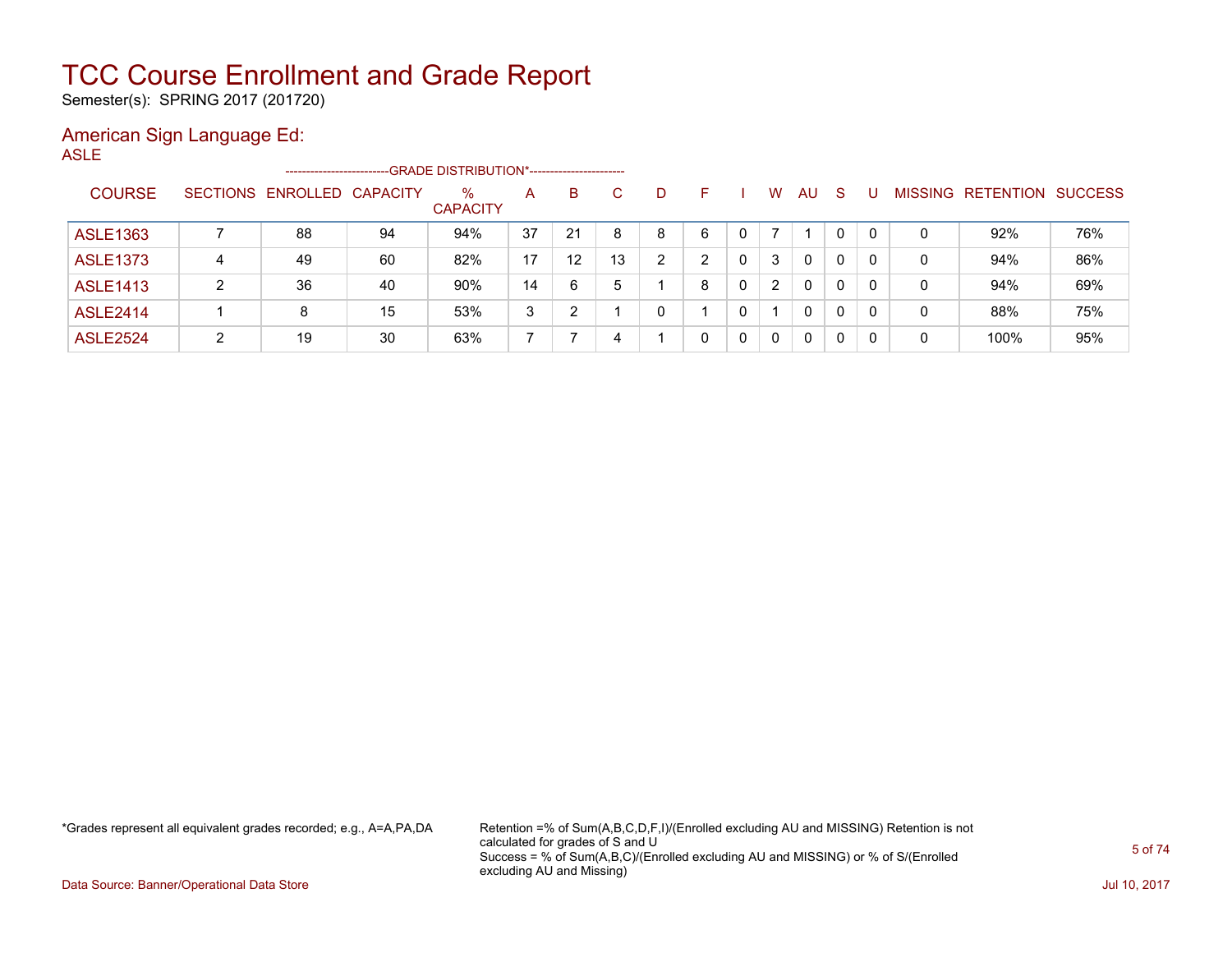Semester(s): SPRING 2017 (201720)

#### American Sign Language Ed: ASLE

| . |                 |                 | ----------------------- |                 | --GRADE DISTRIBUTION*----------------------- |    |                 |    |   |   |              |   |    |              |              |   |                                  |     |
|---|-----------------|-----------------|-------------------------|-----------------|----------------------------------------------|----|-----------------|----|---|---|--------------|---|----|--------------|--------------|---|----------------------------------|-----|
|   | <b>COURSE</b>   | <b>SECTIONS</b> | <b>ENROLLED</b>         | <b>CAPACITY</b> | $\%$<br><b>CAPACITY</b>                      | A  | в               | C  | D | н |              | W | AU | -S           | U            |   | <b>MISSING RETENTION SUCCESS</b> |     |
|   | <b>ASLE1363</b> |                 | 88                      | 94              | 94%                                          | 37 | 21              | 8  | 8 | 6 | $\mathbf 0$  |   |    |              | $\Omega$     | 0 | 92%                              | 76% |
|   | <b>ASLE1373</b> | 4               | 49                      | 60              | 82%                                          | 17 | 12 <sup>2</sup> | 13 | 2 | 2 | $\mathbf{0}$ | 3 | 0  | 0            | 0            | 0 | 94%                              | 86% |
|   | <b>ASLE1413</b> | າ               | 36                      | 40              | 90%                                          | 14 | 6               | 5  |   | 8 | $\mathbf{0}$ | 2 | 0  |              | $\mathbf{0}$ | 0 | 94%                              | 69% |
|   | <b>ASLE2414</b> |                 | 8                       | 15              | 53%                                          | 3  | $\mathcal{D}$   |    | 0 |   | 0            |   | 0  | $\Omega$     | 0            | 0 | 88%                              | 75% |
|   | <b>ASLE2524</b> | າ               | 19                      | 30              | 63%                                          |    |                 | 4  |   | 0 | $\mathbf{0}$ | 0 | 0  | $\mathbf{0}$ | 0            | 0 | 100%                             | 95% |

\*Grades represent all equivalent grades recorded; e.g., A=A,PA,DA Retention =% of Sum(A,B,C,D,F,I)/(Enrolled excluding AU and MISSING) Retention is not calculated for grades of S and U Success = % of Sum(A,B,C)/(Enrolled excluding AU and MISSING) or % of S/(Enrolled excluding AU and Missing)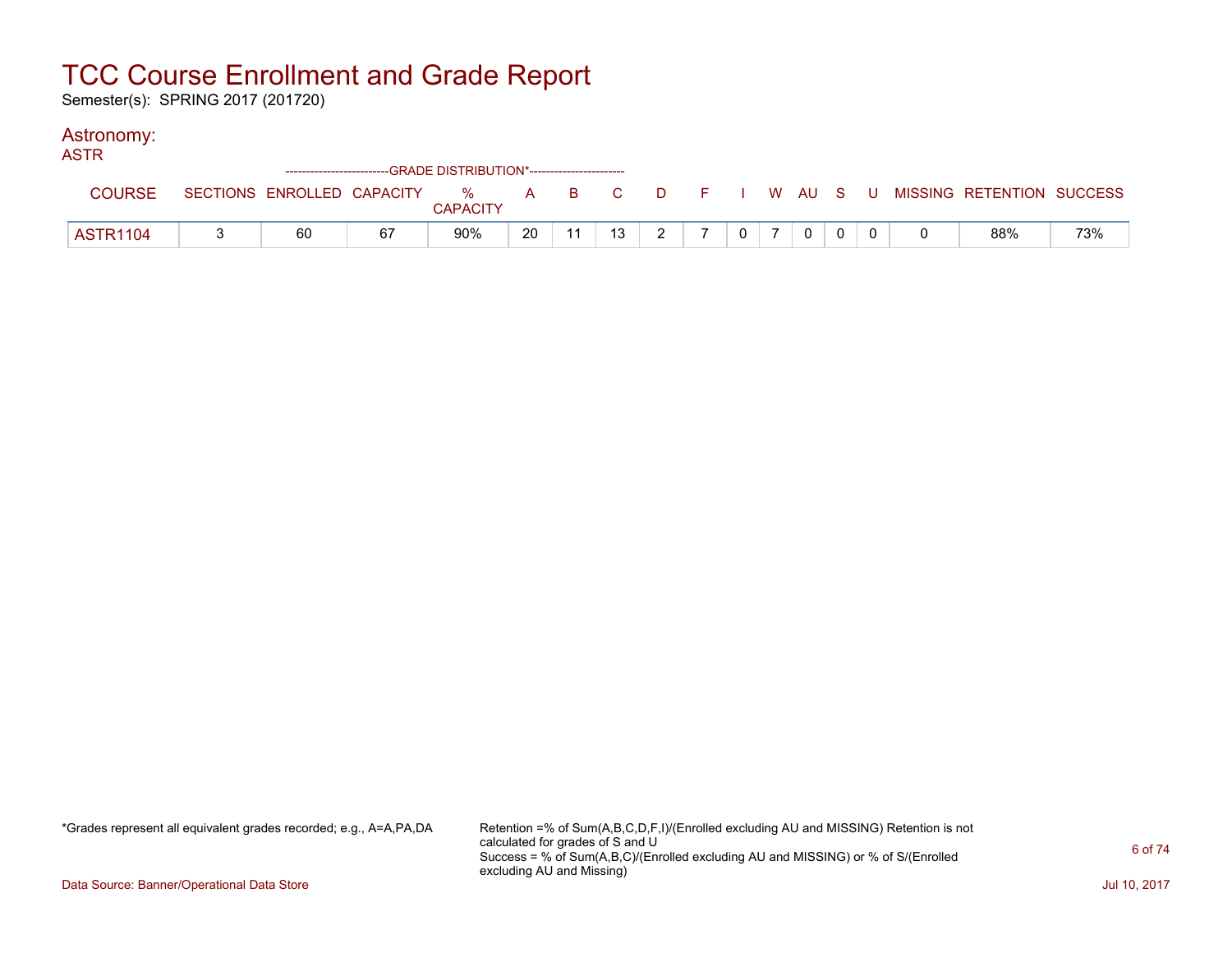Semester(s): SPRING 2017 (201720)

### Astronomy:

| <b>ASTR</b>     |    |    | --GRADE DISTRIBUTION*---------------------- |    |    |               |                |                |  |                                                                             |     |
|-----------------|----|----|---------------------------------------------|----|----|---------------|----------------|----------------|--|-----------------------------------------------------------------------------|-----|
|                 |    |    | <b>CAPACITY</b>                             |    |    |               |                |                |  | SECTIONS ENROLLED CAPACITY % A B C D F I W AU S U MISSING RETENTION SUCCESS |     |
| <b>ASTR1104</b> | 60 | 67 | 90%                                         | 20 | 13 | $\mathcal{D}$ | 0 <sup>1</sup> | $\overline{0}$ |  | 88%                                                                         | 73% |

\*Grades represent all equivalent grades recorded; e.g., A=A,PA,DA Retention =% of Sum(A,B,C,D,F,I)/(Enrolled excluding AU and MISSING) Retention is not calculated for grades of S and U Success = % of Sum(A,B,C)/(Enrolled excluding AU and MISSING) or % of S/(Enrolled excluding AU and Missing)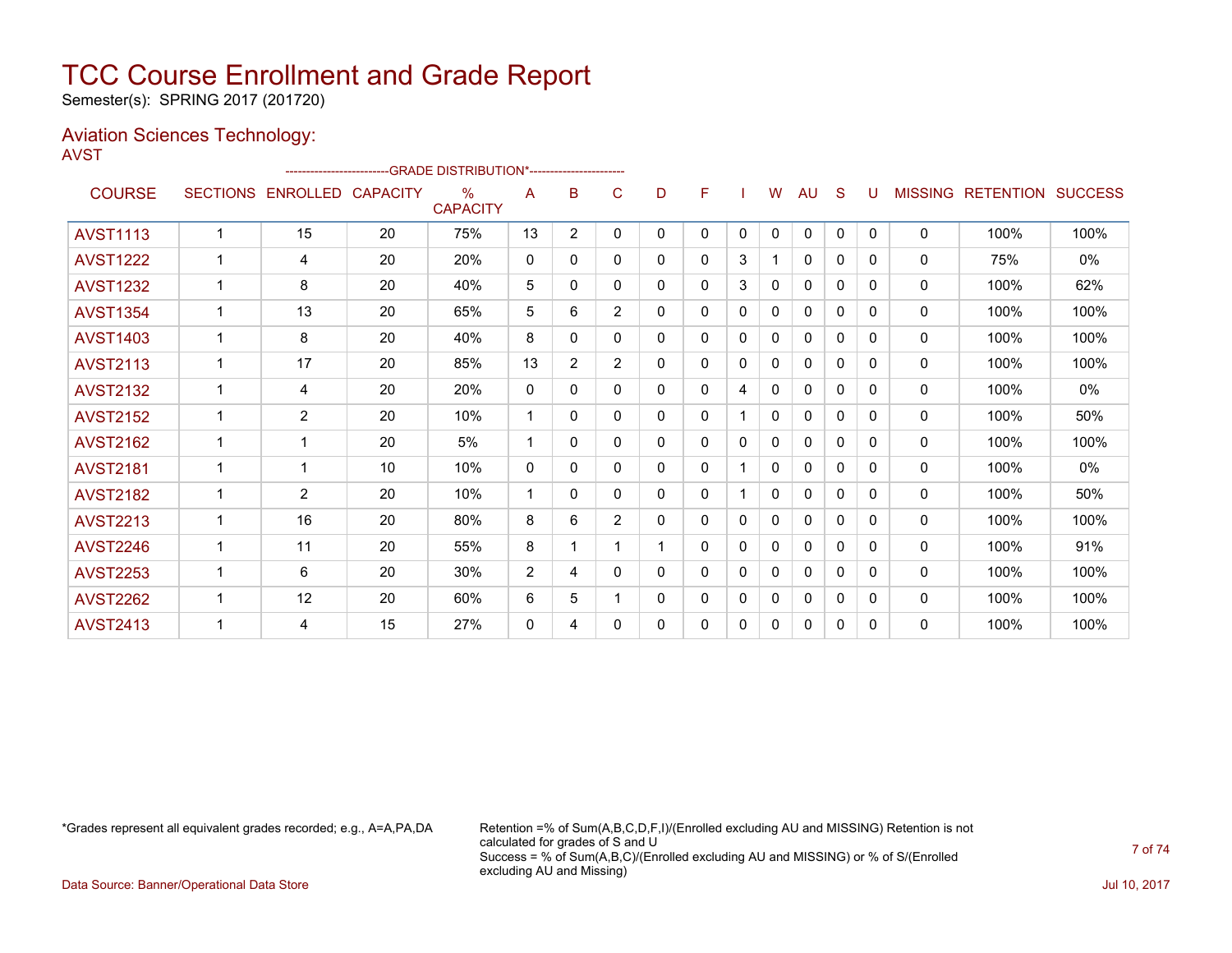Semester(s): SPRING 2017 (201720)

### Aviation Sciences Technology:

AVST

|                 |                 |                          | -------------------------GRADE DISTRIBUTION*----------------------- |                         |                |                |                |    |              |   |   |              |              |              |                |                  |                |
|-----------------|-----------------|--------------------------|---------------------------------------------------------------------|-------------------------|----------------|----------------|----------------|----|--------------|---|---|--------------|--------------|--------------|----------------|------------------|----------------|
| <b>COURSE</b>   | <b>SECTIONS</b> | <b>ENROLLED CAPACITY</b> |                                                                     | $\%$<br><b>CAPACITY</b> | A              | B              | C              | D  | F            |   | W | AU           | S            | U            | <b>MISSING</b> | <b>RETENTION</b> | <b>SUCCESS</b> |
| <b>AVST1113</b> | 4               | 15                       | 20                                                                  | 75%                     | 13             | $\overline{2}$ | 0              | 0  | $\mathbf{0}$ | 0 | 0 | 0            | $\mathbf{0}$ | $\mathbf{0}$ | $\mathbf{0}$   | 100%             | 100%           |
| <b>AVST1222</b> |                 | 4                        | 20                                                                  | 20%                     | $\mathbf{0}$   | 0              | 0              | 0  | 0            | 3 |   | $\mathbf{0}$ | 0            | 0            | $\mathbf{0}$   | 75%              | 0%             |
| <b>AVST1232</b> |                 | 8                        | 20                                                                  | 40%                     | 5              | 0              | 0              | 0  | 0            | 3 | 0 | 0            | $\Omega$     | $\Omega$     | $\mathbf{0}$   | 100%             | 62%            |
| <b>AVST1354</b> |                 | 13                       | 20                                                                  | 65%                     | 5              | 6              | $\overline{2}$ | 0  | $\mathbf{0}$ | 0 | 0 | $\mathbf{0}$ | 0            | $\Omega$     | $\mathbf{0}$   | 100%             | 100%           |
| <b>AVST1403</b> |                 | 8                        | 20                                                                  | 40%                     | 8              | $\Omega$       | 0              | 0  | $\Omega$     | 0 | 0 | $\Omega$     | 0            | 0            | $\mathbf{0}$   | 100%             | 100%           |
| <b>AVST2113</b> |                 | 17                       | 20                                                                  | 85%                     | 13             | $\overline{2}$ | $\overline{2}$ | 0  | $\Omega$     | 0 | 0 | $\Omega$     | $\Omega$     | 0            | $\mathbf{0}$   | 100%             | 100%           |
| <b>AVST2132</b> | 1               | 4                        | 20                                                                  | 20%                     | $\mathbf{0}$   | 0              | 0              | 0  | $\mathbf{0}$ | 4 | 0 | 0            | 0            | $\Omega$     | $\mathbf{0}$   | 100%             | 0%             |
| <b>AVST2152</b> |                 | $\overline{2}$           | 20                                                                  | 10%                     | 1              | 0              | 0              | 0  | 0            |   | 0 | $\mathbf{0}$ | 0            | 0            | $\mathbf{0}$   | 100%             | 50%            |
| <b>AVST2162</b> |                 |                          | 20                                                                  | 5%                      | 1              | 0              | 0              | 0  | $\mathbf{0}$ | 0 | 0 | $\mathbf{0}$ | $\Omega$     | $\Omega$     | $\mathbf{0}$   | 100%             | 100%           |
| <b>AVST2181</b> | 1               |                          | 10                                                                  | 10%                     | $\mathbf{0}$   | 0              | $\Omega$       | 0  | $\mathbf{0}$ |   | 0 | $\mathbf{0}$ | $\Omega$     | 0            | $\mathbf{0}$   | 100%             | 0%             |
| <b>AVST2182</b> |                 | $\overline{2}$           | 20                                                                  | 10%                     | 1              | 0              | $\Omega$       | 0  | $\Omega$     |   | 0 | $\mathbf{0}$ | $\Omega$     | $\Omega$     | 0              | 100%             | 50%            |
| <b>AVST2213</b> |                 | 16                       | 20                                                                  | 80%                     | 8              | 6              | $\overline{2}$ | 0  | 0            | 0 | 0 | $\mathbf{0}$ | 0            | 0            | $\mathbf{0}$   | 100%             | 100%           |
| <b>AVST2246</b> | 1               | 11                       | 20                                                                  | 55%                     | 8              |                |                | 1. | 0            | 0 | 0 | 0            | 0            | 0            | $\mathbf{0}$   | 100%             | 91%            |
| <b>AVST2253</b> | 4               | 6                        | 20                                                                  | 30%                     | $\overline{2}$ | 4              | 0              | 0  | 0            | 0 | 0 | $\mathbf{0}$ | 0            | $\Omega$     | $\mathbf{0}$   | 100%             | 100%           |
| <b>AVST2262</b> |                 | 12                       | 20                                                                  | 60%                     | 6              | 5              |                | 0  | $\mathbf{0}$ | 0 | 0 | $\mathbf{0}$ | 0            | 0            | $\mathbf{0}$   | 100%             | 100%           |
| <b>AVST2413</b> |                 | 4                        | 15                                                                  | 27%                     | 0              | 4              | 0              | 0  | 0            | 0 | 0 | 0            | 0            | 0            | 0              | 100%             | 100%           |

\*Grades represent all equivalent grades recorded; e.g., A=A,PA,DA Retention =% of Sum(A,B,C,D,F,I)/(Enrolled excluding AU and MISSING) Retention is not calculated for grades of S and U Success = % of Sum(A,B,C)/(Enrolled excluding AU and MISSING) or % of S/(Enrolled excluding AU and Missing)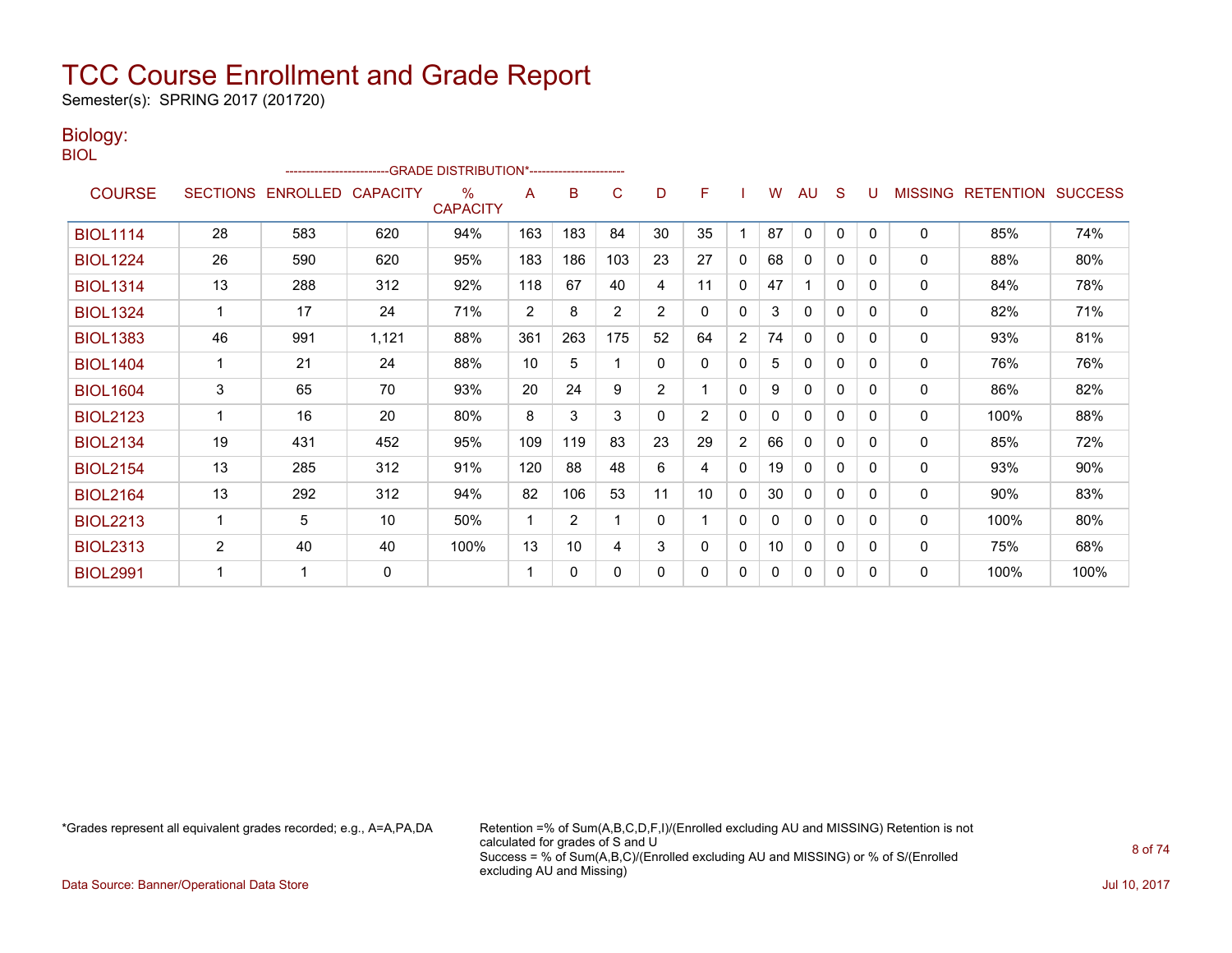Semester(s): SPRING 2017 (201720)

### Biology: BIOL

|                 | -GRADE DISTRIBUTION*---------------------- |                 |                 |                                  |                |                |                |                |                |                |    |              |              |              |                |                  |                |
|-----------------|--------------------------------------------|-----------------|-----------------|----------------------------------|----------------|----------------|----------------|----------------|----------------|----------------|----|--------------|--------------|--------------|----------------|------------------|----------------|
| <b>COURSE</b>   | <b>SECTIONS</b>                            | <b>ENROLLED</b> | <b>CAPACITY</b> | $\frac{0}{0}$<br><b>CAPACITY</b> | A              | B              | C              | D              | F              |                | W  | AU           | <sub>S</sub> | U            | <b>MISSING</b> | <b>RETENTION</b> | <b>SUCCESS</b> |
| <b>BIOL1114</b> | 28                                         | 583             | 620             | 94%                              | 163            | 183            | 84             | 30             | 35             |                | 87 | $\mathbf{0}$ | 0            | $\mathbf{0}$ | $\Omega$       | 85%              | 74%            |
| <b>BIOL1224</b> | 26                                         | 590             | 620             | 95%                              | 183            | 186            | 103            | 23             | 27             | 0              | 68 | $\mathbf{0}$ | 0            | $\Omega$     | 0              | 88%              | 80%            |
| <b>BIOL1314</b> | 13                                         | 288             | 312             | 92%                              | 118            | 67             | 40             | 4              | 11             | 0              | 47 |              | 0            | 0            | 0              | 84%              | 78%            |
| <b>BIOL1324</b> | $\mathbf{1}$                               | 17              | 24              | 71%                              | $\overline{2}$ | 8              | $\overline{2}$ | $\overline{2}$ | 0              | 0              | 3  | $\mathbf{0}$ | 0            | $\Omega$     | 0              | 82%              | 71%            |
| <b>BIOL1383</b> | 46                                         | 991             | 1,121           | 88%                              | 361            | 263            | 175            | 52             | 64             | 2              | 74 | $\mathbf{0}$ | 0            | $\Omega$     | $\mathbf{0}$   | 93%              | 81%            |
| <b>BIOL1404</b> |                                            | 21              | 24              | 88%                              | 10             | 5              |                | 0              | 0              | 0              | 5  | $\mathbf{0}$ | 0            | $\mathbf{0}$ | $\Omega$       | 76%              | 76%            |
| <b>BIOL1604</b> | 3                                          | 65              | 70              | 93%                              | 20             | 24             | 9              | $\overline{2}$ | $\mathbf 1$    | $\mathbf{0}$   | 9  | $\mathbf{0}$ | 0            | $\Omega$     | $\mathbf{0}$   | 86%              | 82%            |
| <b>BIOL2123</b> | 1                                          | 16              | 20              | 80%                              | 8              | 3              | 3              | 0              | $\overline{2}$ | 0              | 0  | 0            | 0            | 0            | $\mathbf{0}$   | 100%             | 88%            |
| <b>BIOL2134</b> | 19                                         | 431             | 452             | 95%                              | 109            | 119            | 83             | 23             | 29             | $\overline{2}$ | 66 | $\mathbf{0}$ | 0            | 0            | $\mathbf{0}$   | 85%              | 72%            |
| <b>BIOL2154</b> | 13                                         | 285             | 312             | 91%                              | 120            | 88             | 48             | 6              | 4              | 0              | 19 | $\mathbf{0}$ | 0            | $\Omega$     | $\mathbf{0}$   | 93%              | 90%            |
| <b>BIOL2164</b> | 13                                         | 292             | 312             | 94%                              | 82             | 106            | 53             | 11             | 10             | 0              | 30 | $\mathbf{0}$ | 0            | $\Omega$     | $\mathbf{0}$   | 90%              | 83%            |
| <b>BIOL2213</b> |                                            | 5               | 10              | 50%                              | 1              | $\overline{2}$ |                | 0              | 1              | 0              | 0  | $\mathbf{0}$ | 0            | $\Omega$     | $\mathbf{0}$   | 100%             | 80%            |
| <b>BIOL2313</b> | $\overline{2}$                             | 40              | 40              | 100%                             | 13             | 10             | 4              | 3              | 0              | 0              | 10 | 0            | 0            | 0            | 0              | 75%              | 68%            |
| <b>BIOL2991</b> |                                            |                 | 0               |                                  | 1              | $\mathbf{0}$   | 0              | 0              | 0              | 0              | 0  | $\mathbf{0}$ | $\Omega$     | $\Omega$     | $\mathbf{0}$   | 100%             | 100%           |

\*Grades represent all equivalent grades recorded; e.g., A=A,PA,DA Retention =% of Sum(A,B,C,D,F,I)/(Enrolled excluding AU and MISSING) Retention is not calculated for grades of S and U Success = % of Sum(A,B,C)/(Enrolled excluding AU and MISSING) or % of S/(Enrolled excluding AU and Missing)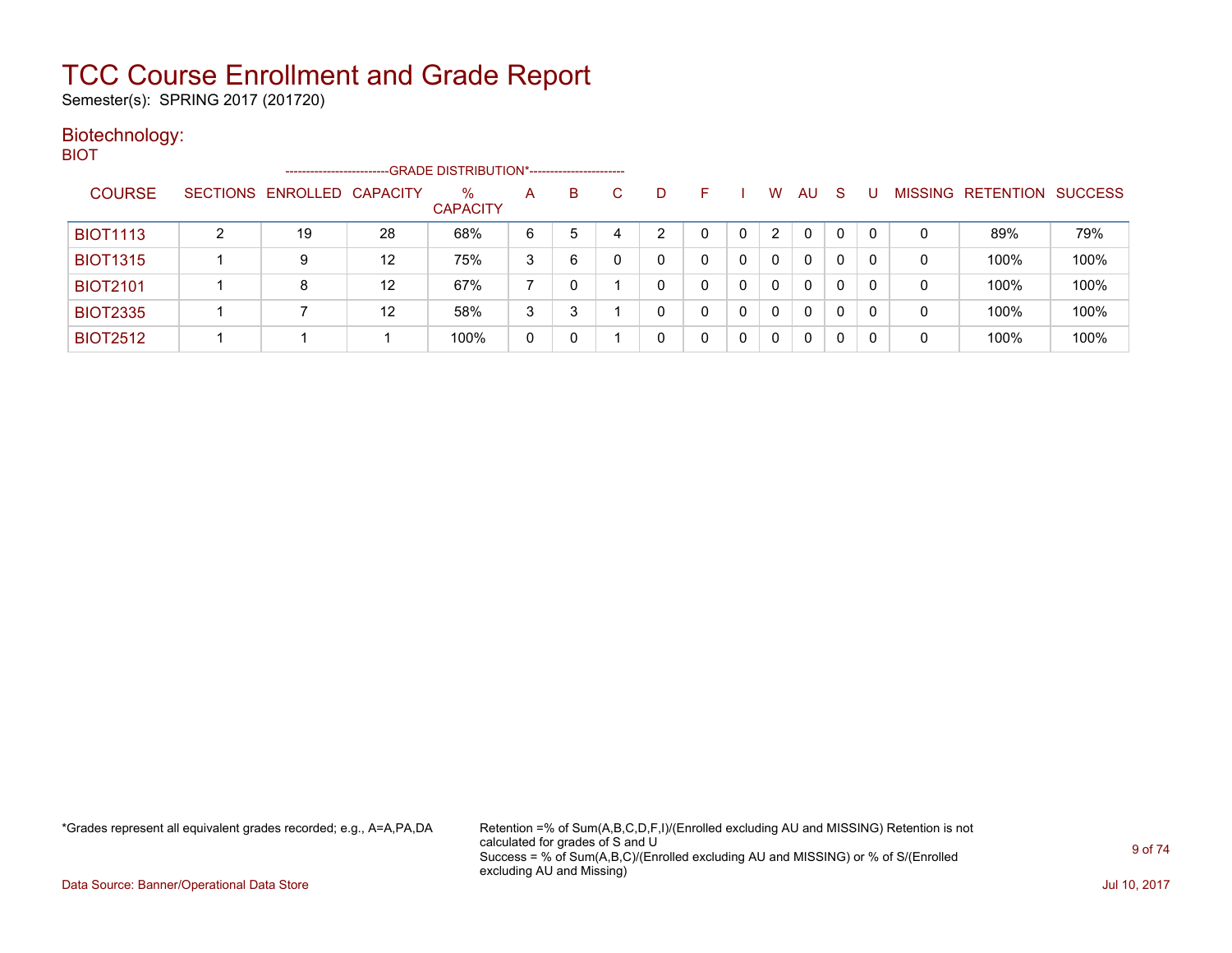Semester(s): SPRING 2017 (201720)

#### Biotechnology: **BIOT**

| - -             | ----------------------     |                   | -GRADE DISTRIBUTION*----------------------- |   |   |   |    |   |                      |              |   |   |                |                          |      |
|-----------------|----------------------------|-------------------|---------------------------------------------|---|---|---|----|---|----------------------|--------------|---|---|----------------|--------------------------|------|
| <b>COURSE</b>   | SECTIONS ENROLLED CAPACITY |                   | $\%$<br><b>CAPACITY</b>                     | A | B |   | D. | F | W                    | AU           | S |   | <b>MISSING</b> | <b>RETENTION SUCCESS</b> |      |
| <b>BIOT1113</b> | 19                         | 28                | 68%                                         | 6 | 5 | 4 | ⌒  | 0 | $\mathbf{2}^{\circ}$ | 0            | 0 |   | 0              | 89%                      | 79%  |
| <b>BIOT1315</b> | 9                          | $12 \overline{ }$ | 75%                                         | 3 | 6 |   |    | 0 | $\mathbf{0}$         | $\Omega$     | 0 |   | 0              | 100%                     | 100% |
| <b>BIOT2101</b> | 8                          | $12 \overline{ }$ | 67%                                         |   |   |   |    | 0 | 0                    | $\Omega$     | 0 | 0 | 0              | 100%                     | 100% |
| <b>BIOT2335</b> |                            | $12 \overline{ }$ | 58%                                         | 3 | 3 |   |    | 0 | 0                    | $\mathbf{0}$ | 0 | 0 | 0              | 100%                     | 100% |
| <b>BIOT2512</b> |                            |                   | 100%                                        | 0 | 0 |   |    | 0 | 0                    | $\Omega$     | 0 |   | 0              | 100%                     | 100% |

\*Grades represent all equivalent grades recorded; e.g., A=A,PA,DA Retention =% of Sum(A,B,C,D,F,I)/(Enrolled excluding AU and MISSING) Retention is not calculated for grades of S and U Success = % of Sum(A,B,C)/(Enrolled excluding AU and MISSING) or % of S/(Enrolled excluding AU and Missing)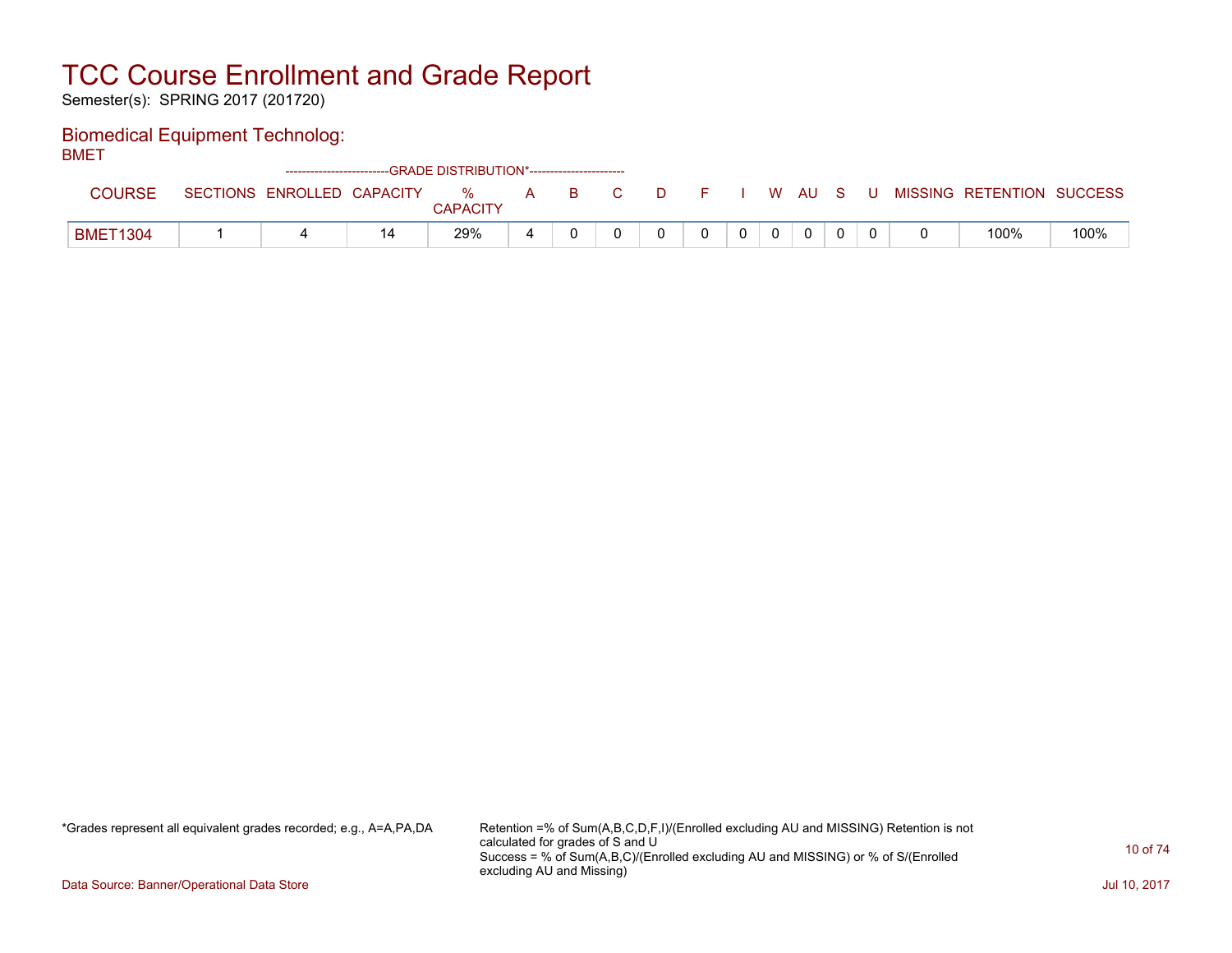Semester(s): SPRING 2017 (201720)

### Biomedical Equipment Technolog:

BMET

|                 |                            | ------------------------GRADE DISTRIBUTION*----------------------- |               |   |    |  |  |          |    |   |   |                           |      |
|-----------------|----------------------------|--------------------------------------------------------------------|---------------|---|----|--|--|----------|----|---|---|---------------------------|------|
| <b>COURSE</b>   | SECTIONS ENROLLED CAPACITY |                                                                    | %<br>CAPACITY | A | B. |  |  | W        | AU | s | U | MISSING RETENTION SUCCESS |      |
| <b>BMET1304</b> |                            | 14                                                                 | 29%           |   |    |  |  | $\Omega$ | 0  |   |   | 100%                      | 100% |

\*Grades represent all equivalent grades recorded; e.g., A=A,PA,DA Retention =% of Sum(A,B,C,D,F,I)/(Enrolled excluding AU and MISSING) Retention is not calculated for grades of S and U Success = % of Sum(A,B,C)/(Enrolled excluding AU and MISSING) or % of S/(Enrolled excluding AU and Missing)

Data Source: Banner/Operational Data Store Jul 10, 2017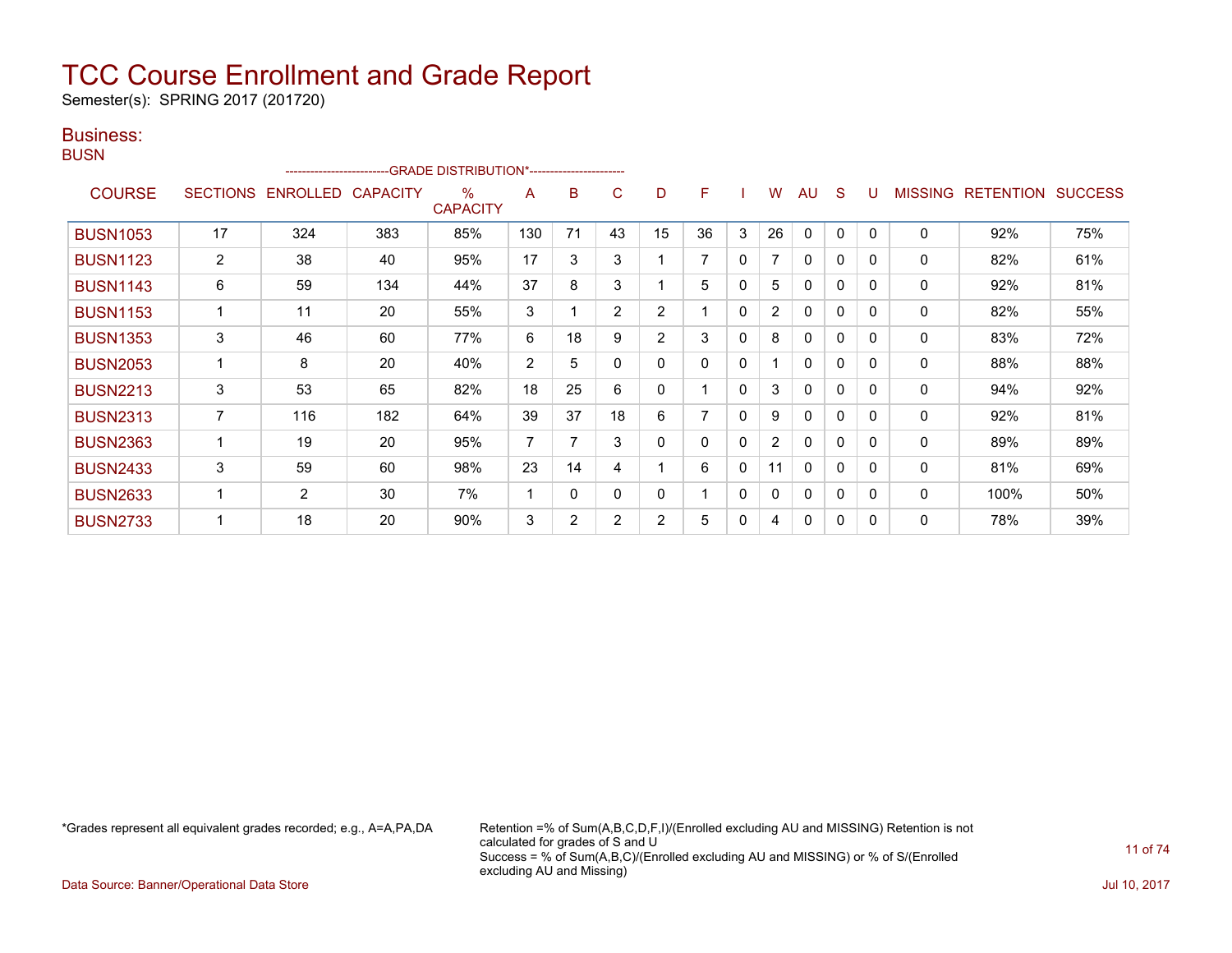Semester(s): SPRING 2017 (201720)

### Business: **BUSN**

|                 |                 | ------------------------ |     | --GRADE DISTRIBUTION*------------------------ |                |          |              |                |    |              |                |              |              |          |                |                  |                |
|-----------------|-----------------|--------------------------|-----|-----------------------------------------------|----------------|----------|--------------|----------------|----|--------------|----------------|--------------|--------------|----------|----------------|------------------|----------------|
| <b>COURSE</b>   | <b>SECTIONS</b> | ENROLLED CAPACITY        |     | %<br><b>CAPACITY</b>                          | A              | B        | C            | D              | F  |              | W              | AU           | <sub>S</sub> | U        | <b>MISSING</b> | <b>RETENTION</b> | <b>SUCCESS</b> |
| <b>BUSN1053</b> | 17              | 324                      | 383 | 85%                                           | 130            | 71       | 43           | 15             | 36 | 3            | 26             | $\mathbf{0}$ | $\mathbf{0}$ | $\Omega$ | $\mathbf{0}$   | 92%              | 75%            |
| <b>BUSN1123</b> | 2               | 38                       | 40  | 95%                                           | 17             | 3        | 3            |                |    | $\mathbf{0}$ |                | $\mathbf{0}$ | $\mathbf{0}$ | $\Omega$ | 0              | 82%              | 61%            |
| <b>BUSN1143</b> | 6               | 59                       | 134 | 44%                                           | 37             | 8        | 3            |                | 5  | $\mathbf{0}$ | 5              | $\mathbf{0}$ | $\mathbf{0}$ | 0        | 0              | 92%              | 81%            |
| <b>BUSN1153</b> | $\overline{1}$  | 11                       | 20  | 55%                                           | 3              |          | 2            | $\overline{2}$ |    | $\mathbf{0}$ | $\overline{2}$ | $\mathbf{0}$ | $\mathbf{0}$ | 0        | 0              | 82%              | 55%            |
| <b>BUSN1353</b> | 3               | 46                       | 60  | 77%                                           | 6              | 18       | 9            | $\overline{2}$ | 3  | $\mathbf{0}$ | 8              | $\mathbf{0}$ | $\mathbf{0}$ | $\Omega$ | 0              | 83%              | 72%            |
| <b>BUSN2053</b> | $\overline{1}$  | 8                        | 20  | 40%                                           | $\overline{2}$ | 5        | $\mathbf{0}$ | $\Omega$       | 0  | $\mathbf{0}$ |                | $\Omega$     | $\mathbf{0}$ | $\Omega$ | $\mathbf{0}$   | 88%              | 88%            |
| <b>BUSN2213</b> | 3               | 53                       | 65  | 82%                                           | 18             | 25       | 6            | 0              |    | $\Omega$     | 3              | $\Omega$     | $\mathbf{0}$ | 0        | $\mathbf 0$    | 94%              | 92%            |
| <b>BUSN2313</b> | $\overline{7}$  | 116                      | 182 | 64%                                           | 39             | 37       | 18           | 6              |    | $\Omega$     | 9              | 0            | $\mathbf{0}$ | $\Omega$ | 0              | 92%              | 81%            |
| <b>BUSN2363</b> | 1               | 19                       | 20  | 95%                                           | $\overline{7}$ | 7        | 3            | 0              | 0  | $\Omega$     | $\overline{2}$ | 0            | $\mathbf{0}$ | $\Omega$ | $\mathbf 0$    | 89%              | 89%            |
| <b>BUSN2433</b> | 3               | 59                       | 60  | 98%                                           | 23             | 14       | 4            |                | 6  | $\mathbf{0}$ | 11             | $\mathbf{0}$ | $\mathbf{0}$ | 0        | 0              | 81%              | 69%            |
| <b>BUSN2633</b> | 1               | $\overline{2}$           | 30  | 7%                                            | 1              | $\Omega$ | 0            | $\Omega$       |    | $\Omega$     | 0              | 0            | $\mathbf{0}$ | $\Omega$ | 0              | 100%             | 50%            |
| <b>BUSN2733</b> |                 | 18                       | 20  | 90%                                           | 3              | 2        | 2            | $\overline{2}$ | 5  | 0            | 4              | 0            | 0            | 0        | 0              | 78%              | 39%            |

\*Grades represent all equivalent grades recorded; e.g., A=A,PA,DA Retention =% of Sum(A,B,C,D,F,I)/(Enrolled excluding AU and MISSING) Retention is not calculated for grades of S and U Success = % of Sum(A,B,C)/(Enrolled excluding AU and MISSING) or % of S/(Enrolled excluding AU and Missing)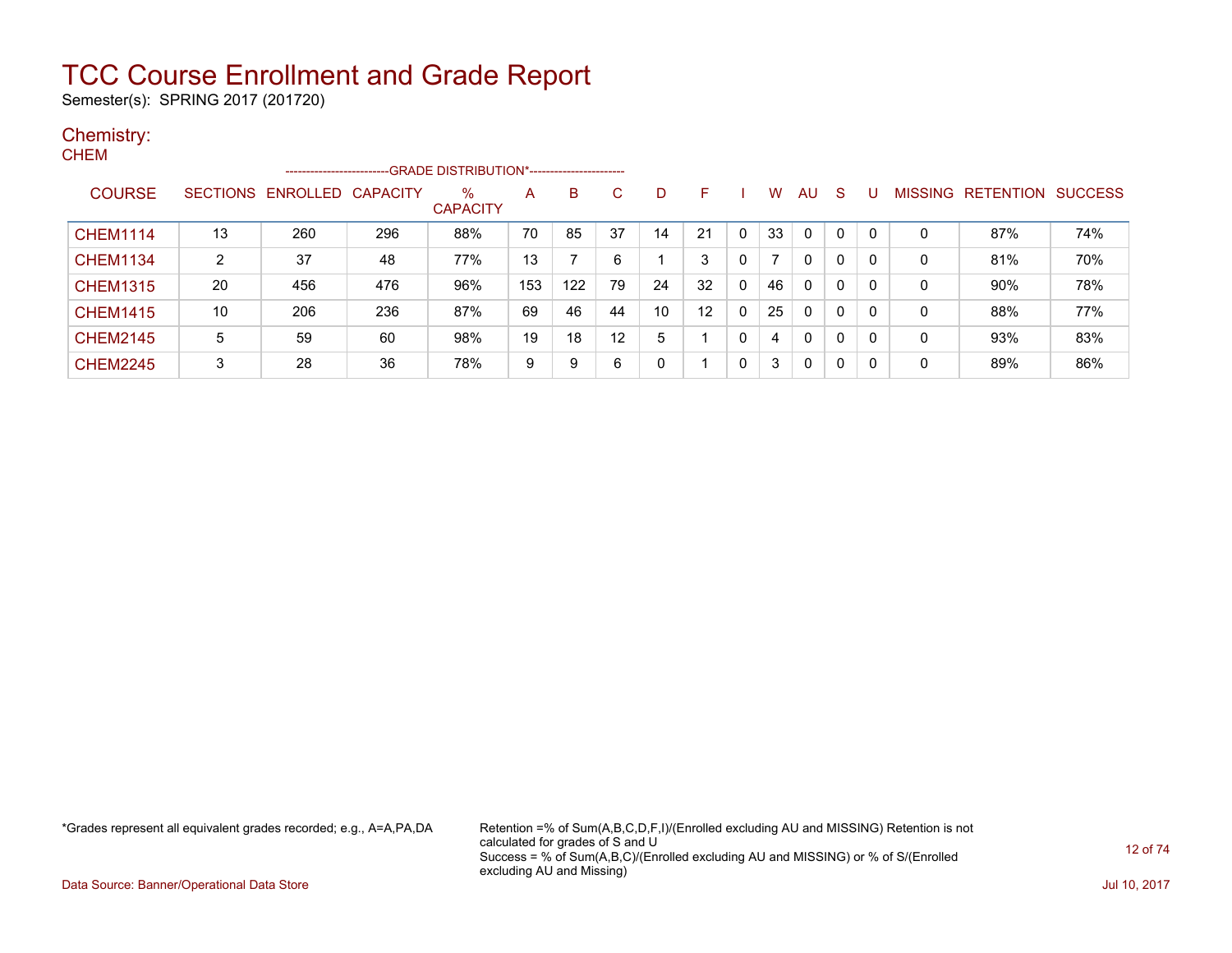Semester(s): SPRING 2017 (201720)

### Chemistry:

| <b>CHEM</b>     |                 |                         |     |                         |     |     |                   |                 |                   |              |                |              |              |          |   |                   |                |
|-----------------|-----------------|-------------------------|-----|-------------------------|-----|-----|-------------------|-----------------|-------------------|--------------|----------------|--------------|--------------|----------|---|-------------------|----------------|
|                 |                 | ----------------------- |     |                         |     |     |                   |                 |                   |              |                |              |              |          |   |                   |                |
| <b>COURSE</b>   | <b>SECTIONS</b> | ENROLLED CAPACITY       |     | $\%$<br><b>CAPACITY</b> | A   | B   | C                 | D               | F                 |              | W              | <b>AU</b>    | -S           | U        |   | MISSING RETENTION | <b>SUCCESS</b> |
| <b>CHEM1114</b> | 13              | 260                     | 296 | 88%                     | 70  | 85  | 37                | 14              | 21                | 0            | 33             | $\Omega$     | $\Omega$     | $\Omega$ | 0 | 87%               | 74%            |
| <b>CHEM1134</b> | 2               | 37                      | 48  | 77%                     | 13  |     | 6                 |                 | 3                 | 0            | $\overline{ }$ | $\mathbf{0}$ | 0            | $\Omega$ | 0 | 81%               | 70%            |
| <b>CHEM1315</b> | 20              | 456                     | 476 | 96%                     | 153 | 122 | 79                | 24              | 32                | $\mathbf{0}$ | 46             | $\mathbf{0}$ | $\Omega$     | $\Omega$ | 0 | 90%               | 78%            |
| <b>CHEM1415</b> | 10              | 206                     | 236 | 87%                     | 69  | 46  | 44                | 10 <sup>1</sup> | $12 \overline{ }$ | 0            | 25             | $\mathbf{0}$ | $\mathbf{0}$ | $\Omega$ | 0 | 88%               | 77%            |
| <b>CHEM2145</b> | 5               | 59                      | 60  | 98%                     | 19  | 18  | $12 \overline{ }$ | 5               |                   | 0            | 4              | $\mathbf{0}$ | 0            | $\Omega$ | 0 | 93%               | 83%            |
| <b>CHEM2245</b> | 3               | 28                      | 36  | 78%                     | 9   | 9   | 6                 | 0               |                   | 0            | 3              | $\Omega$     | 0            | $\Omega$ | 0 | 89%               | 86%            |

\*Grades represent all equivalent grades recorded; e.g., A=A,PA,DA Retention =% of Sum(A,B,C,D,F,I)/(Enrolled excluding AU and MISSING) Retention is not calculated for grades of S and U Success = % of Sum(A,B,C)/(Enrolled excluding AU and MISSING) or % of S/(Enrolled excluding AU and Missing)

Data Source: Banner/Operational Data Store Jul 10, 2017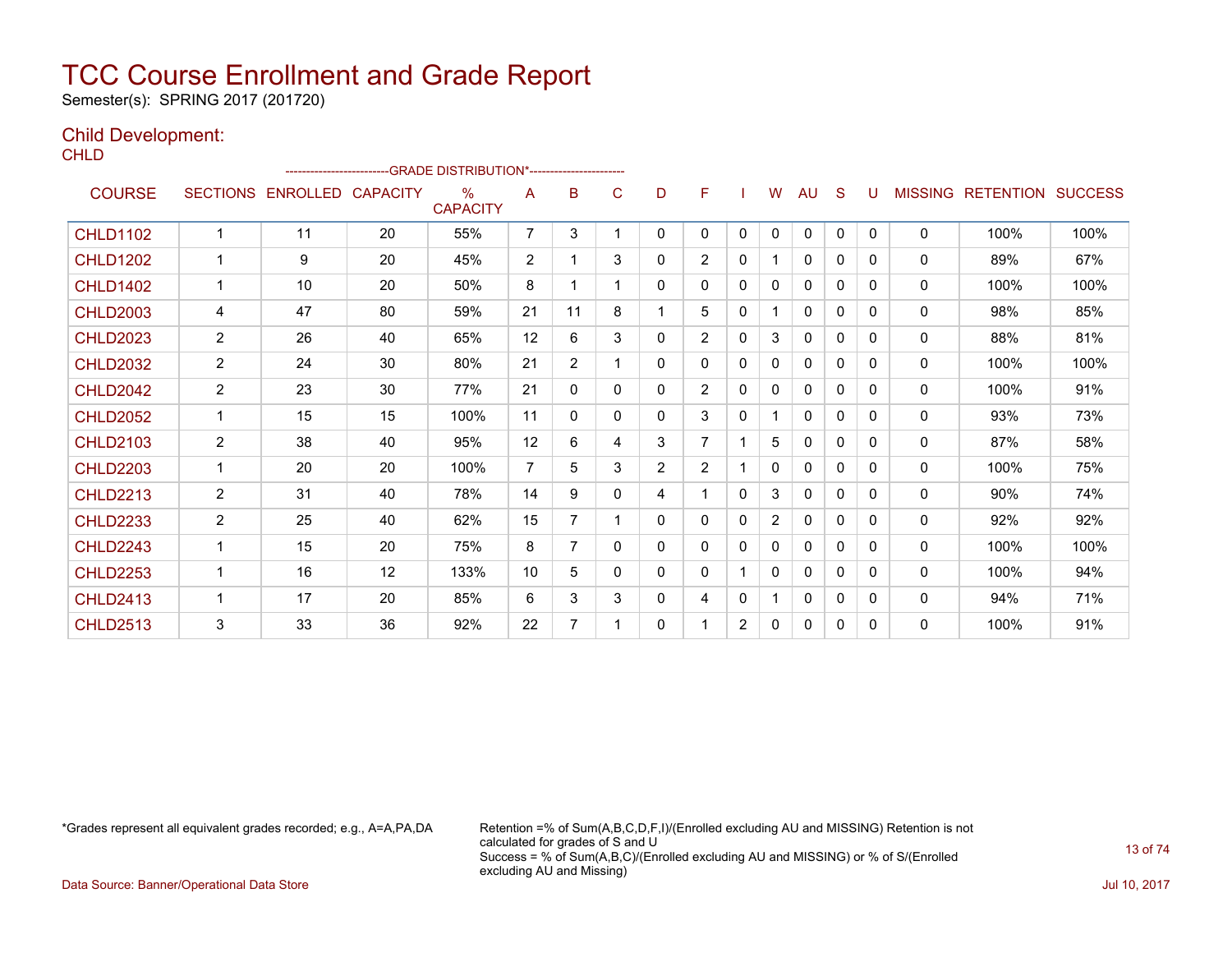Semester(s): SPRING 2017 (201720)

### Child Development:

**CHLD** 

|                 |                 |                   |    | -GRADE DISTRIBUTION*----------------------- |                |                |   |                |                |              |                |              |              |              |                |                          |      |
|-----------------|-----------------|-------------------|----|---------------------------------------------|----------------|----------------|---|----------------|----------------|--------------|----------------|--------------|--------------|--------------|----------------|--------------------------|------|
| <b>COURSE</b>   | <b>SECTIONS</b> | ENROLLED CAPACITY |    | $\%$<br><b>CAPACITY</b>                     | A              | B              | C | D              | F              |              | W              | AU           | S            | U            | <b>MISSING</b> | <b>RETENTION SUCCESS</b> |      |
| <b>CHLD1102</b> | $\mathbf{1}$    | 11                | 20 | 55%                                         | $\overline{7}$ | 3              |   | 0              | $\Omega$       | $\mathbf{0}$ | $\Omega$       | $\mathbf{0}$ | $\mathbf{0}$ | $\mathbf{0}$ | $\mathbf{0}$   | 100%                     | 100% |
| <b>CHLD1202</b> | 1               | 9                 | 20 | 45%                                         | $\overline{2}$ |                | 3 | 0              | $\overline{2}$ | 0            |                | $\mathbf{0}$ | 0            | 0            | $\mathbf{0}$   | 89%                      | 67%  |
| <b>CHLD1402</b> | $\mathbf{1}$    | 10                | 20 | 50%                                         | 8              |                |   | 0              | $\mathbf{0}$   | 0            | 0              | $\mathbf{0}$ | $\Omega$     | 0            | $\mathbf{0}$   | 100%                     | 100% |
| <b>CHLD2003</b> | 4               | 47                | 80 | 59%                                         | 21             | 11             | 8 | 1.             | 5              | 0            |                | $\mathbf{0}$ | 0            | 0            | $\mathbf{0}$   | 98%                      | 85%  |
| <b>CHLD2023</b> | 2               | 26                | 40 | 65%                                         | 12             | 6              | 3 | 0              | $\overline{2}$ | 0            | 3              | $\Omega$     | 0            | 0            | 0              | 88%                      | 81%  |
| <b>CHLD2032</b> | $\overline{2}$  | 24                | 30 | 80%                                         | 21             | $\overline{2}$ |   | 0              | $\mathbf{0}$   | 0            | 0              | 0            | 0            | 0            | 0              | 100%                     | 100% |
| <b>CHLD2042</b> | $\overline{2}$  | 23                | 30 | 77%                                         | 21             | 0              | 0 | 0              | $\overline{2}$ | 0            | $\mathbf{0}$   | 0            | 0            | 0            | 0              | 100%                     | 91%  |
| <b>CHLD2052</b> | $\mathbf{1}$    | 15                | 15 | 100%                                        | 11             | 0              | 0 | 0              | 3              | 0            |                | 0            | $\mathbf{0}$ | 0            | 0              | 93%                      | 73%  |
| <b>CHLD2103</b> | $\overline{2}$  | 38                | 40 | 95%                                         | 12             | 6              | 4 | 3              | $\overline{7}$ |              | 5              | $\mathbf{0}$ | $\Omega$     | $\Omega$     | $\mathbf{0}$   | 87%                      | 58%  |
| <b>CHLD2203</b> | $\mathbf{1}$    | 20                | 20 | 100%                                        | $\overline{7}$ | 5.             | 3 | $\overline{2}$ | 2              |              | 0              | $\mathbf{0}$ | $\Omega$     | 0            | $\mathbf{0}$   | 100%                     | 75%  |
| <b>CHLD2213</b> | $\overline{2}$  | 31                | 40 | 78%                                         | 14             | 9              | 0 | 4              |                | 0            | 3              | $\mathbf{0}$ | 0            | 0            | 0              | 90%                      | 74%  |
| <b>CHLD2233</b> | $\overline{2}$  | 25                | 40 | 62%                                         | 15             | 7              |   | 0              | $\mathbf{0}$   | 0            | $\overline{2}$ | $\mathbf{0}$ | 0            | 0            | $\mathbf{0}$   | 92%                      | 92%  |
| <b>CHLD2243</b> | 1               | 15                | 20 | 75%                                         | 8              | 7              | 0 | 0              | 0              | 0            | 0              | 0            | 0            | 0            | $\mathbf{0}$   | 100%                     | 100% |
| <b>CHLD2253</b> | 1               | 16                | 12 | 133%                                        | 10             | 5              | 0 | 0              | $\mathbf{0}$   |              | 0              | 0            | 0            | 0            | 0              | 100%                     | 94%  |
| <b>CHLD2413</b> | $\mathbf 1$     | 17                | 20 | 85%                                         | 6              | 3              | 3 | 0              | 4              | 0            |                | $\mathbf{0}$ | 0            | 0            | $\mathbf{0}$   | 94%                      | 71%  |
| <b>CHLD2513</b> | 3               | 33                | 36 | 92%                                         | 22             | 7              |   | 0              | 1              | 2            | 0              | $\mathbf{0}$ | 0            | 0            | $\mathbf{0}$   | 100%                     | 91%  |

\*Grades represent all equivalent grades recorded; e.g., A=A,PA,DA Retention =% of Sum(A,B,C,D,F,I)/(Enrolled excluding AU and MISSING) Retention is not calculated for grades of S and U Success = % of Sum(A,B,C)/(Enrolled excluding AU and MISSING) or % of S/(Enrolled excluding AU and Missing)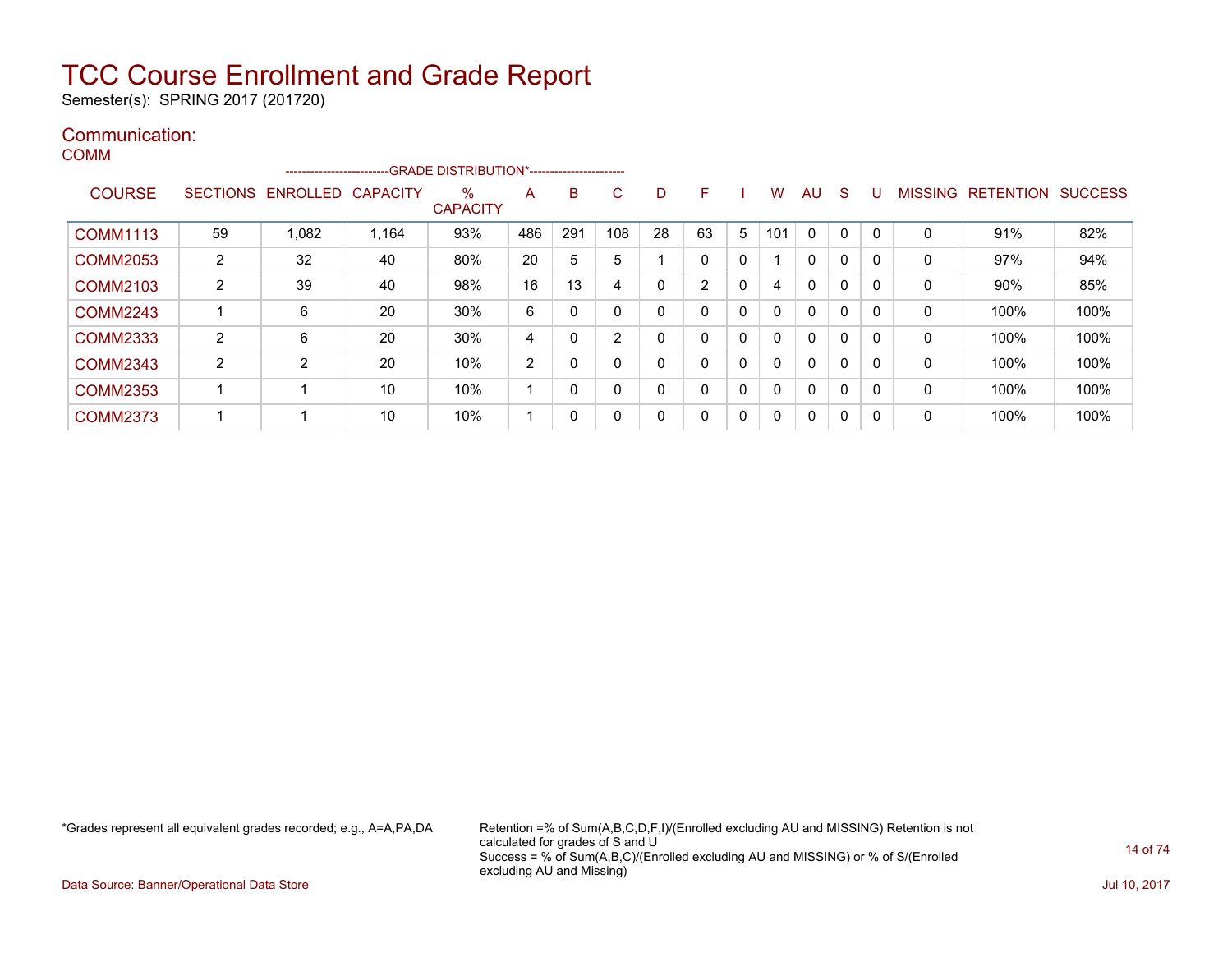Semester(s): SPRING 2017 (201720)

#### Communication: **COMM**

|                 |                 | ------------------------ |                 | -GRADE DISTRIBUTION*----------------------- |     |          |                |    |    |              |     |              |   |          |                |                  |                |
|-----------------|-----------------|--------------------------|-----------------|---------------------------------------------|-----|----------|----------------|----|----|--------------|-----|--------------|---|----------|----------------|------------------|----------------|
| <b>COURSE</b>   | <b>SECTIONS</b> | ENROLLED                 | <b>CAPACITY</b> | $\%$<br><b>CAPACITY</b>                     | A   | в        | C              | D  | F  |              | w   | AU           | S |          | <b>MISSING</b> | <b>RETENTION</b> | <b>SUCCESS</b> |
| <b>COMM1113</b> | 59              | 1.082                    | 1,164           | 93%                                         | 486 | 291      | 108            | 28 | 63 | 5            | 101 | $\mathbf{0}$ | 0 | $\Omega$ | $\mathbf 0$    | 91%              | 82%            |
| COMM2053        | 2               | 32                       | 40              | 80%                                         | 20  | 5        | 5              |    | 0  | 0            |     | 0            | 0 |          | 0              | 97%              | 94%            |
| <b>COMM2103</b> | $\overline{2}$  | 39                       | 40              | 98%                                         | 16  | 13       | 4              | 0  | 2  | $\mathbf{0}$ | 4   | $\Omega$     | 0 | 0        | $\mathbf 0$    | 90%              | 85%            |
| <b>COMM2243</b> |                 | 6                        | 20              | 30%                                         | 6   | $\Omega$ | $\mathbf 0$    | 0  | 0  | 0            |     | $\Omega$     | 0 |          | $\mathbf 0$    | 100%             | 100%           |
| COMM2333        | 2               | 6                        | 20              | 30%                                         | 4   |          | $\overline{2}$ | 0  | 0  | 0            |     | $\Omega$     | 0 |          | 0              | 100%             | 100%           |
| <b>COMM2343</b> | 2               | 2                        | 20              | 10%                                         | 2   | 0        | $\mathbf 0$    | 0  | 0  | $\mathbf{0}$ |     | $\Omega$     | 0 |          | $\mathbf 0$    | 100%             | 100%           |
| <b>COMM2353</b> |                 |                          | 10              | 10%                                         |     | 0        | 0              | 0  | 0  | 0            |     | $\Omega$     | 0 |          | 0              | 100%             | 100%           |
| <b>COMM2373</b> |                 |                          | 10              | 10%                                         |     | 0        | 0              | 0  | 0  | 0            |     | 0            | 0 | 0        | $\mathbf 0$    | 100%             | 100%           |

\*Grades represent all equivalent grades recorded; e.g., A=A,PA,DA Retention =% of Sum(A,B,C,D,F,I)/(Enrolled excluding AU and MISSING) Retention is not calculated for grades of S and U Success = % of Sum(A,B,C)/(Enrolled excluding AU and MISSING) or % of S/(Enrolled excluding AU and Missing)

Data Source: Banner/Operational Data Store Jul 10, 2017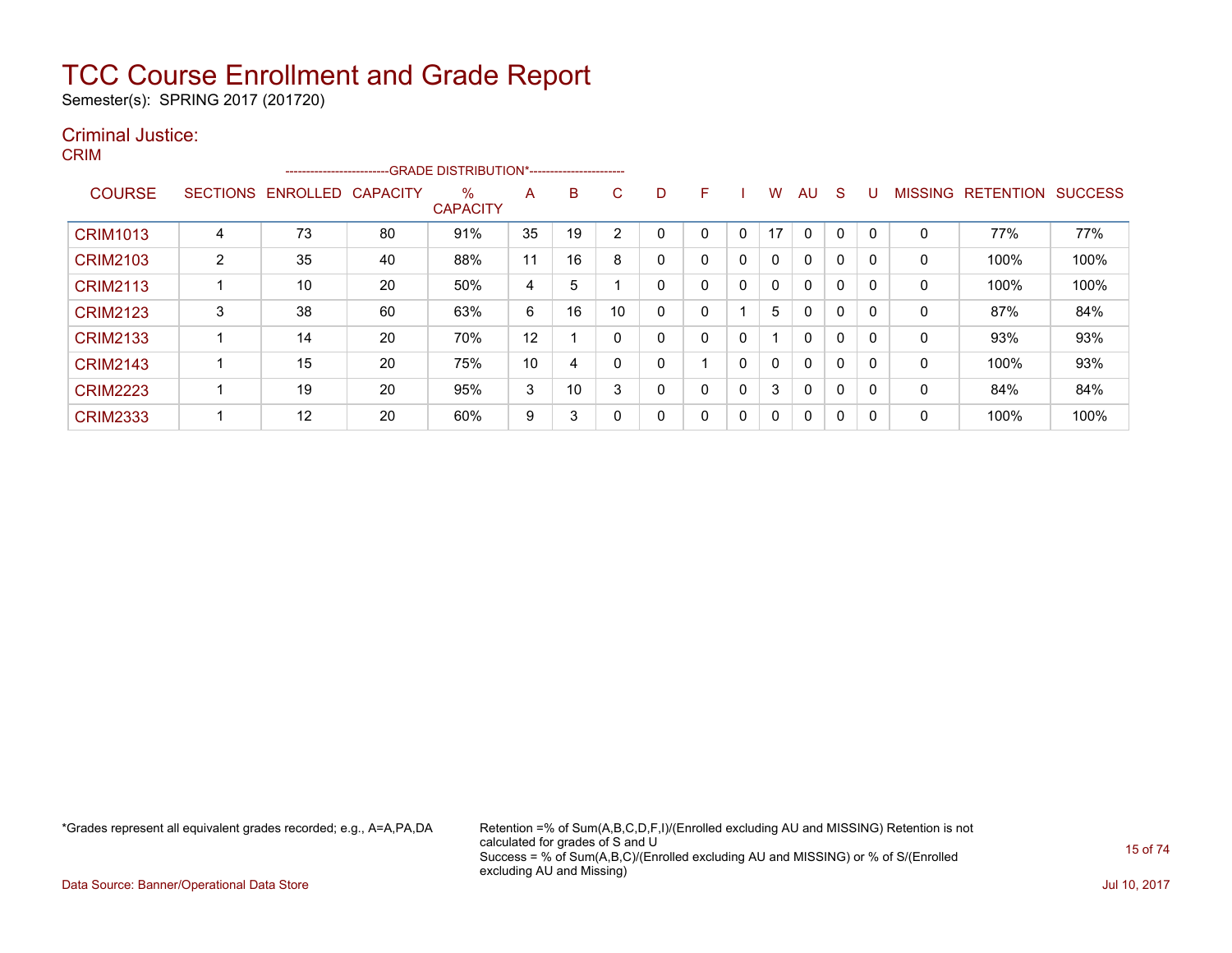Semester(s): SPRING 2017 (201720)

### Criminal Justice: CRIM

|                 |                 |                   | -------------------------GRADE DISTRIBUTION*----------------------- |                         |    |    |    |              |    |   |    |    |              |    |   |                   |                |
|-----------------|-----------------|-------------------|---------------------------------------------------------------------|-------------------------|----|----|----|--------------|----|---|----|----|--------------|----|---|-------------------|----------------|
| <b>COURSE</b>   | <b>SECTIONS</b> | ENROLLED CAPACITY |                                                                     | $\%$<br><b>CAPACITY</b> | A  | B  | C. | D            | F. |   | W  | AU | S.           | IJ |   | MISSING RETENTION | <b>SUCCESS</b> |
| <b>CRIM1013</b> | 4               | 73                | 80                                                                  | 91%                     | 35 | 19 | 2  |              |    | 0 | 17 | 0  |              | 0  | 0 | 77%               | 77%            |
| <b>CRIM2103</b> | 2               | 35                | 40                                                                  | 88%                     | 11 | 16 | 8  | 0            | 0  | 0 | 0  | 0  | $\mathbf{0}$ | 0  | 0 | 100%              | 100%           |
| <b>CRIM2113</b> |                 | 10                | 20                                                                  | 50%                     | 4  | 5  |    | $\mathbf{0}$ | 0  | 0 | 0  | 0  | $\mathbf{0}$ | 0  | 0 | 100%              | 100%           |
| <b>CRIM2123</b> | 3               | 38                | 60                                                                  | 63%                     | 6  | 16 | 10 | 0            |    |   | 5  | 0  | $\mathbf 0$  | 0  | 0 | 87%               | 84%            |
| <b>CRIM2133</b> |                 | 14                | 20                                                                  | 70%                     | 12 |    | 0  | 0            | 0  | 0 |    | 0  | $\Omega$     | 0  | 0 | 93%               | 93%            |
| <b>CRIM2143</b> |                 | 15                | 20                                                                  | 75%                     | 10 | 4  | 0  | 0            |    | 0 | 0  | 0  | $\Omega$     | 0  | 0 | 100%              | 93%            |
| <b>CRIM2223</b> |                 | 19                | 20                                                                  | 95%                     | 3  | 10 | 3  | $\mathbf{0}$ |    | 0 | 3  | 0  | $\mathbf{0}$ | 0  | 0 | 84%               | 84%            |
| <b>CRIM2333</b> |                 | 12                | 20                                                                  | 60%                     | 9  | 3  | 0  | 0            | 0  | 0 | 0  | 0  | $\mathbf{0}$ | 0  | 0 | 100%              | 100%           |

\*Grades represent all equivalent grades recorded; e.g., A=A,PA,DA Retention =% of Sum(A,B,C,D,F,I)/(Enrolled excluding AU and MISSING) Retention is not calculated for grades of S and U Success = % of Sum(A,B,C)/(Enrolled excluding AU and MISSING) or % of S/(Enrolled excluding AU and Missing)

Data Source: Banner/Operational Data Store Jul 10, 2017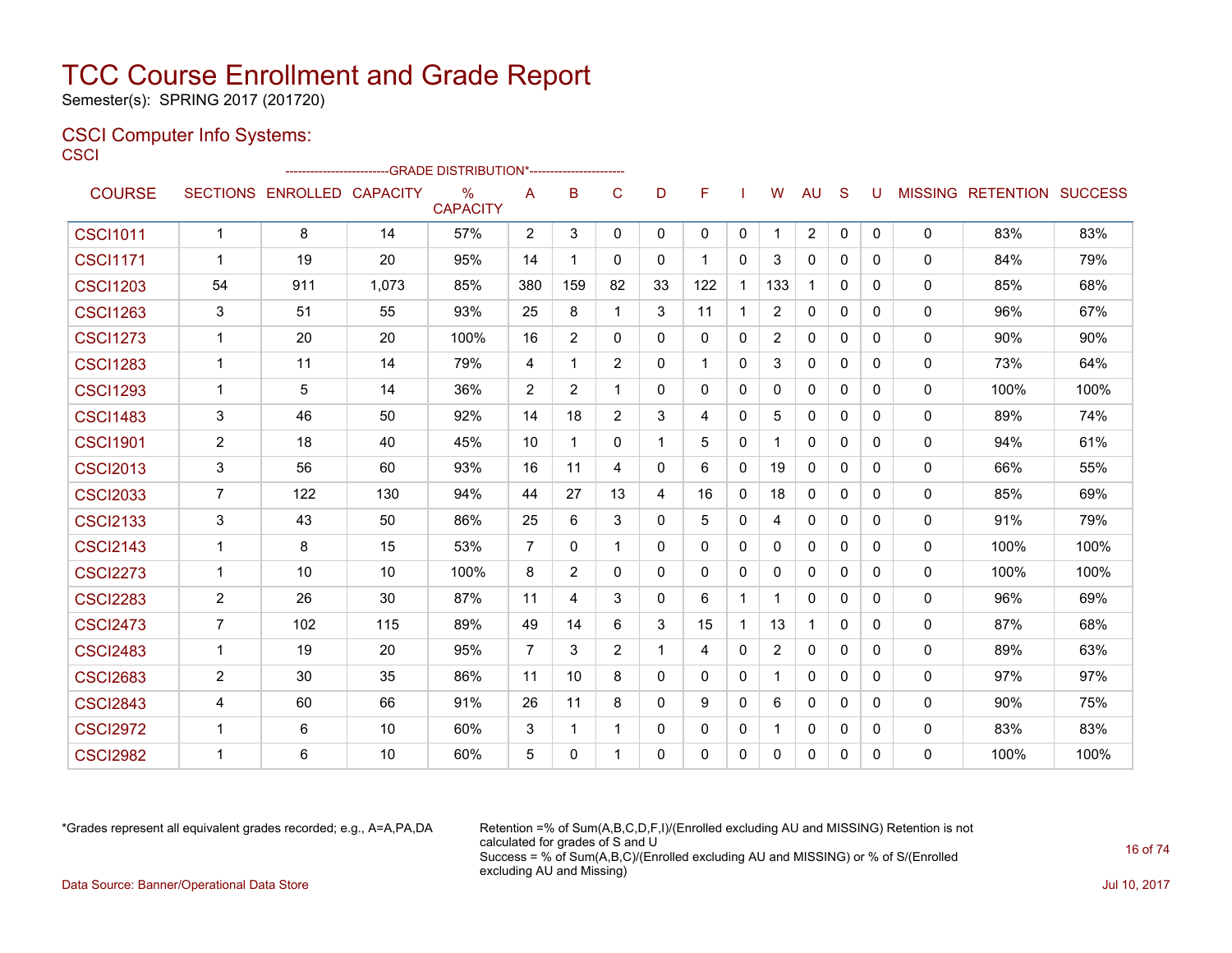Semester(s): SPRING 2017 (201720)

### CSCI Computer Info Systems:

**CSCI** 

|                 |                |                            | ------------------------GRADE                DISTRIBUTION*---------------------- |                         |                |                |                |              |              |                |                       |              |              |          |              |                           |      |
|-----------------|----------------|----------------------------|----------------------------------------------------------------------------------|-------------------------|----------------|----------------|----------------|--------------|--------------|----------------|-----------------------|--------------|--------------|----------|--------------|---------------------------|------|
| <b>COURSE</b>   |                | SECTIONS ENROLLED CAPACITY |                                                                                  | $\%$<br><b>CAPACITY</b> | A              | B              | $\mathsf{C}$   | D            | F            |                | W                     | <b>AU</b>    | <sub>S</sub> | U        |              | MISSING RETENTION SUCCESS |      |
| <b>CSCI1011</b> | $\mathbf{1}$   | 8                          | 14                                                                               | 57%                     | $\overline{2}$ | 3              | 0              | $\Omega$     | 0            | $\mathbf 0$    | 1                     | 2            | $\mathbf 0$  | 0        | 0            | 83%                       | 83%  |
| <b>CSCI1171</b> | $\mathbf{1}$   | 19                         | 20                                                                               | 95%                     | 14             | 1              | $\Omega$       | $\Omega$     |              | $\Omega$       | 3                     | $\mathbf{0}$ | $\Omega$     | 0        | $\mathbf{0}$ | 84%                       | 79%  |
| <b>CSCI1203</b> | 54             | 911                        | 1,073                                                                            | 85%                     | 380            | 159            | 82             | 33           | 122          | -1             | 133                   | $\mathbf{1}$ | $\mathbf{0}$ | 0        | 0            | 85%                       | 68%  |
| <b>CSCI1263</b> | 3              | 51                         | 55                                                                               | 93%                     | 25             | 8              | $\mathbf 1$    | 3            | 11           | $\overline{1}$ | 2                     | $\Omega$     | $\Omega$     | 0        | $\mathbf{0}$ | 96%                       | 67%  |
| <b>CSCI1273</b> |                | 20                         | 20                                                                               | 100%                    | 16             | $\overline{2}$ | 0              | 0            | $\mathbf{0}$ | $\mathbf{0}$   | $\overline{2}$        | 0            | $\Omega$     | 0        | 0            | 90%                       | 90%  |
| <b>CSCI1283</b> | $\mathbf{1}$   | 11                         | 14                                                                               | 79%                     | 4              | $\mathbf{1}$   | $\overline{2}$ | $\mathbf{0}$ | 1            | $\mathbf{0}$   | 3                     | $\mathbf 0$  | 0            | 0        | 0            | 73%                       | 64%  |
| <b>CSCI1293</b> | $\mathbf{1}$   | 5                          | 14                                                                               | 36%                     | $\overline{2}$ | $\overline{2}$ | $\mathbf 1$    | 0            | $\mathbf{0}$ | $\Omega$       | 0                     | $\mathbf{0}$ | $\Omega$     | 0        | $\mathbf{0}$ | 100%                      | 100% |
| <b>CSCI1483</b> | 3              | 46                         | 50                                                                               | 92%                     | 14             | 18             | $\overline{2}$ | 3            | 4            | $\mathbf{0}$   | 5                     | $\mathbf{0}$ | $\Omega$     | 0        | 0            | 89%                       | 74%  |
| <b>CSCI1901</b> | $\overline{2}$ | 18                         | 40                                                                               | 45%                     | 10             | 1              | 0              | 1            | 5            | $\mathbf{0}$   |                       | $\Omega$     | $\Omega$     | 0        | $\mathbf{0}$ | 94%                       | 61%  |
| <b>CSCI2013</b> | 3              | 56                         | 60                                                                               | 93%                     | 16             | 11             | 4              | $\Omega$     | 6            | $\mathbf{0}$   | 19                    | $\mathbf{0}$ | $\Omega$     | 0        | 0            | 66%                       | 55%  |
| <b>CSCI2033</b> | $\overline{7}$ | 122                        | 130                                                                              | 94%                     | 44             | 27             | 13             | 4            | 16           | $\mathbf{0}$   | 18                    | $\mathbf{0}$ | $\mathbf{0}$ | 0        | $\Omega$     | 85%                       | 69%  |
| <b>CSCI2133</b> | 3              | 43                         | 50                                                                               | 86%                     | 25             | 6              | 3              | $\Omega$     | 5            | $\mathbf{0}$   | 4                     | $\mathbf{0}$ | $\Omega$     | 0        | 0            | 91%                       | 79%  |
| <b>CSCI2143</b> | $\mathbf 1$    | 8                          | 15                                                                               | 53%                     | 7              | $\mathbf{0}$   | $\mathbf 1$    | 0            | $\Omega$     | $\mathbf{0}$   | 0                     | $\Omega$     | $\Omega$     | 0        | $\mathbf{0}$ | 100%                      | 100% |
| <b>CSCI2273</b> | $\mathbf{1}$   | 10                         | 10                                                                               | 100%                    | 8              | $\overline{2}$ | $\Omega$       | $\Omega$     | 0            | $\mathbf{0}$   | 0                     | $\mathbf{0}$ | $\Omega$     | 0        | $\mathbf{0}$ | 100%                      | 100% |
| <b>CSCI2283</b> | $\overline{2}$ | 26                         | 30                                                                               | 87%                     | 11             | 4              | 3              | 0            | 6            | $\overline{1}$ |                       | $\mathbf{0}$ | $\Omega$     | 0        | 0            | 96%                       | 69%  |
| <b>CSCI2473</b> | $\overline{7}$ | 102                        | 115                                                                              | 89%                     | 49             | 14             | 6              | 3            | 15           | $\overline{1}$ | 13                    | $\mathbf 1$  | $\Omega$     | 0        | 0            | 87%                       | 68%  |
| <b>CSCI2483</b> | $\mathbf{1}$   | 19                         | 20                                                                               | 95%                     | 7              | 3              | 2              | 1            | 4            | $\mathbf{0}$   | $\mathbf{2}^{\prime}$ | 0            | $\Omega$     | 0        | 0            | 89%                       | 63%  |
| <b>CSCI2683</b> | $\overline{2}$ | 30                         | 35                                                                               | 86%                     | 11             | 10             | 8              | $\Omega$     | $\Omega$     | $\mathbf{0}$   |                       | $\mathbf{0}$ | $\Omega$     | $\Omega$ | $\Omega$     | 97%                       | 97%  |
| <b>CSCI2843</b> | 4              | 60                         | 66                                                                               | 91%                     | 26             | 11             | 8              | 0            | 9            | $\mathbf{0}$   | 6                     | $\Omega$     | $\Omega$     | 0        | 0            | 90%                       | 75%  |
| <b>CSCI2972</b> | $\mathbf{1}$   | 6                          | 10                                                                               | 60%                     | 3              | $\mathbf{1}$   | $\mathbf 1$    | $\mathbf{0}$ | $\Omega$     | 0              |                       | $\mathbf{0}$ | $\Omega$     | 0        | 0            | 83%                       | 83%  |
| <b>CSCI2982</b> |                | 6                          | 10                                                                               | 60%                     | 5              | $\Omega$       | $\mathbf 1$    | 0            | $\Omega$     | $\mathbf{0}$   | 0                     | 0            | 0            | 0        | 0            | 100%                      | 100% |

\*Grades represent all equivalent grades recorded; e.g., A=A,PA,DA Retention =% of Sum(A,B,C,D,F,I)/(Enrolled excluding AU and MISSING) Retention is not calculated for grades of S and U Success = % of Sum(A,B,C)/(Enrolled excluding AU and MISSING) or % of S/(Enrolled excluding AU and Missing) Data Source: Banner/Operational Data Store Jul 10, 2017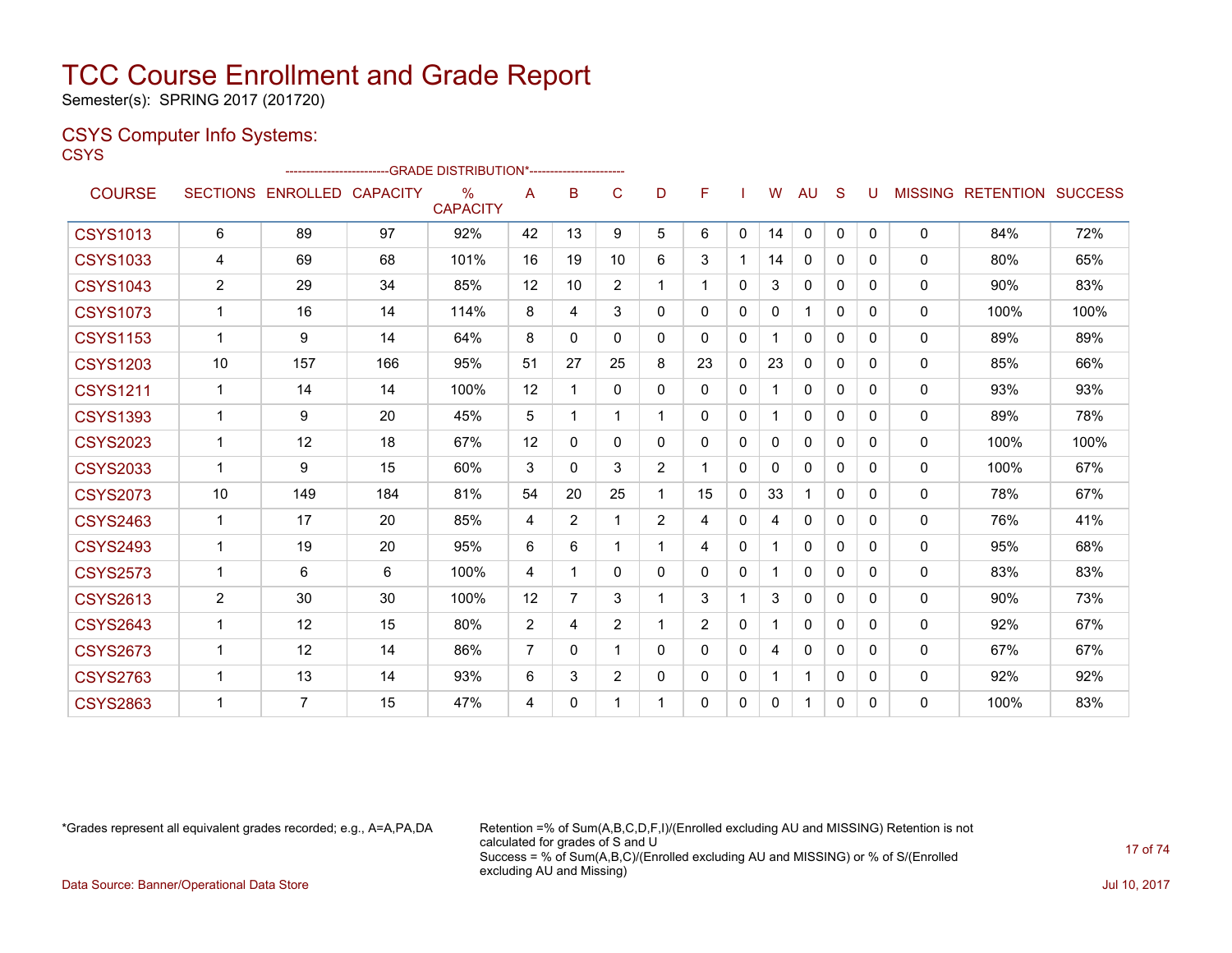Semester(s): SPRING 2017 (201720)

### CSYS Computer Info Systems:

**CSYS** 

|                 |                |                            |     | ------------------------GRADE                DISTRIBUTION*---------------------- |                |                |                |                |                |          |              |              |              |          |              |                           |      |
|-----------------|----------------|----------------------------|-----|----------------------------------------------------------------------------------|----------------|----------------|----------------|----------------|----------------|----------|--------------|--------------|--------------|----------|--------------|---------------------------|------|
| <b>COURSE</b>   |                | SECTIONS ENROLLED CAPACITY |     | $\%$<br><b>CAPACITY</b>                                                          | A              | B              | C              | D              | F              |          | W            | AU           | <sub>S</sub> | U        |              | MISSING RETENTION SUCCESS |      |
| <b>CSYS1013</b> | 6              | 89                         | 97  | 92%                                                                              | 42             | 13             | 9              | 5              | 6              | 0        | 14           | $\Omega$     | $\mathbf{0}$ | $\Omega$ | $\mathbf{0}$ | 84%                       | 72%  |
| <b>CSYS1033</b> | 4              | 69                         | 68  | 101%                                                                             | 16             | 19             | 10             | 6              | 3              |          | 14           | $\mathbf{0}$ | 0            | 0        | $\mathbf{0}$ | 80%                       | 65%  |
| <b>CSYS1043</b> | $\overline{2}$ | 29                         | 34  | 85%                                                                              | 12             | 10             | $\overline{2}$ | 1              | 1              | 0        | 3            | $\mathbf{0}$ | $\Omega$     | 0        | $\mathbf{0}$ | $90\%$                    | 83%  |
| <b>CSYS1073</b> | $\mathbf{1}$   | 16                         | 14  | 114%                                                                             | 8              | 4              | 3              | 0              | $\Omega$       | 0        | $\mathbf{0}$ | 1            | $\Omega$     | 0        | $\mathbf{0}$ | 100%                      | 100% |
| <b>CSYS1153</b> | $\mathbf 1$    | 9                          | 14  | 64%                                                                              | 8              | 0              | $\Omega$       | 0              | $\Omega$       | 0        |              | $\mathbf{0}$ | $\Omega$     | 0        | 0            | 89%                       | 89%  |
| <b>CSYS1203</b> | 10             | 157                        | 166 | 95%                                                                              | 51             | 27             | 25             | 8              | 23             | 0        | 23           | $\mathbf{0}$ | $\Omega$     | 0        | $\mathbf{0}$ | 85%                       | 66%  |
| <b>CSYS1211</b> | $\mathbf{1}$   | 14                         | 14  | 100%                                                                             | 12             |                | 0              | 0              | 0              | 0        | 1            | $\Omega$     | $\Omega$     | 0        | 0            | 93%                       | 93%  |
| <b>CSYS1393</b> | 1              | 9                          | 20  | 45%                                                                              | 5              |                |                | $\mathbf{1}$   | $\mathbf{0}$   | $\Omega$ |              | $\mathbf{0}$ | $\Omega$     | 0        | $\mathbf{0}$ | 89%                       | 78%  |
| <b>CSYS2023</b> | $\mathbf{1}$   | 12                         | 18  | 67%                                                                              | 12             | 0              | $\Omega$       | 0              | $\mathbf{0}$   | 0        | 0            | $\mathbf{0}$ | 0            | 0        | $\mathbf{0}$ | 100%                      | 100% |
| <b>CSYS2033</b> | $\mathbf{1}$   | 9                          | 15  | 60%                                                                              | 3              | $\Omega$       | 3              | $\overline{2}$ | 1              | 0        | 0            | $\mathbf{0}$ | $\Omega$     | 0        | $\mathbf{0}$ | 100%                      | 67%  |
| <b>CSYS2073</b> | 10             | 149                        | 184 | 81%                                                                              | 54             | 20             | 25             | 1              | 15             | 0        | 33           | 1            | $\Omega$     | 0        | 0            | 78%                       | 67%  |
| <b>CSYS2463</b> | $\mathbf{1}$   | 17                         | 20  | 85%                                                                              | 4              | $\overline{2}$ |                | $\overline{2}$ | 4              | 0        | 4            | $\mathbf{0}$ | $\Omega$     | 0        | $\mathbf{0}$ | 76%                       | 41%  |
| <b>CSYS2493</b> | $\mathbf{1}$   | 19                         | 20  | 95%                                                                              | 6              | 6              | 1              | $\mathbf{1}$   | 4              | 0        | 1.           | $\mathbf{0}$ | $\Omega$     | 0        | $\mathbf{0}$ | 95%                       | 68%  |
| <b>CSYS2573</b> | $\mathbf 1$    | 6                          | 6   | 100%                                                                             | 4              |                | 0              | 0              | 0              | 0        | 1.           | $\Omega$     | 0            | 0        | $\mathbf{0}$ | 83%                       | 83%  |
| <b>CSYS2613</b> | $\overline{2}$ | 30                         | 30  | 100%                                                                             | 12             | $\overline{7}$ | 3              | 1              | 3              |          | 3            | $\mathbf{0}$ | $\Omega$     | 0        | $\mathbf{0}$ | 90%                       | 73%  |
| <b>CSYS2643</b> | $\mathbf{1}$   | 12                         | 15  | 80%                                                                              | $\overline{2}$ | 4              | 2              | $\mathbf 1$    | $\overline{2}$ | 0        | 1            | $\mathbf{0}$ | 0            | 0        | $\mathbf{0}$ | 92%                       | 67%  |
| <b>CSYS2673</b> | 1              | 12                         | 14  | 86%                                                                              | 7              | 0              |                | 0              | 0              | 0        | 4            | $\mathbf{0}$ | $\Omega$     | 0        | $\mathbf{0}$ | 67%                       | 67%  |
| <b>CSYS2763</b> | 1              | 13                         | 14  | 93%                                                                              | 6              | 3              | $\overline{2}$ | 0              | $\mathbf{0}$   | 0        | $\mathbf 1$  | $\mathbf{1}$ | $\Omega$     | 0        | 0            | 92%                       | 92%  |
| <b>CSYS2863</b> | 1              | 7                          | 15  | 47%                                                                              | 4              | 0              |                | 1              | $\mathbf{0}$   | 0        | 0            | 1            | 0            | $\Omega$ | $\mathbf{0}$ | 100%                      | 83%  |

\*Grades represent all equivalent grades recorded; e.g., A=A,PA,DA Retention =% of Sum(A,B,C,D,F,I)/(Enrolled excluding AU and MISSING) Retention is not calculated for grades of S and U Success = % of Sum(A,B,C)/(Enrolled excluding AU and MISSING) or % of S/(Enrolled excluding AU and Missing)

Data Source: Banner/Operational Data Store Jul 10, 2017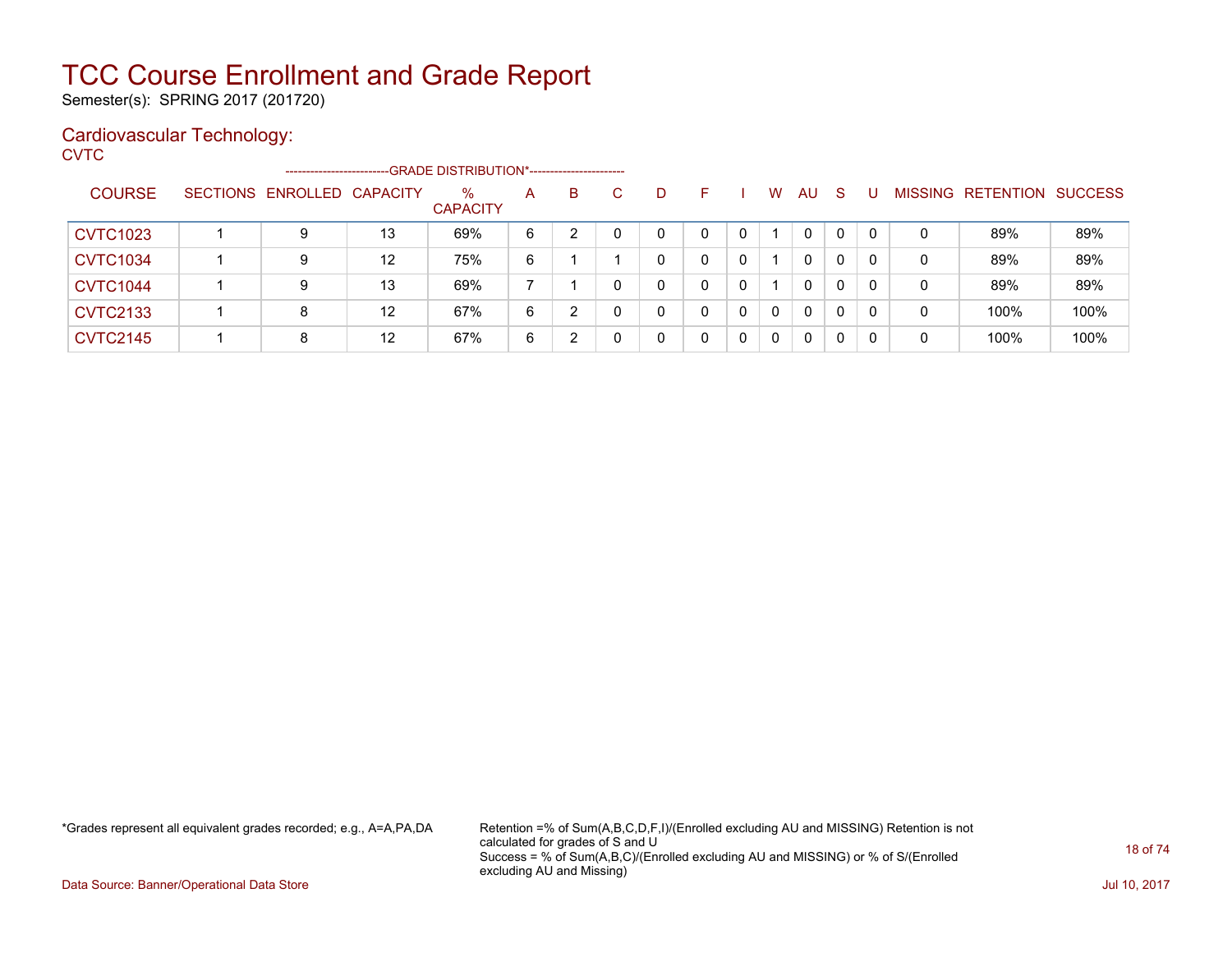Semester(s): SPRING 2017 (201720)

### Cardiovascular Technology:

**CVTC** 

|                 | -----------------------    |    | -- GRADE DISTRIBUTION*------------------------- |   |   |   |   |   |   |          |    |              |    |   |                           |      |
|-----------------|----------------------------|----|-------------------------------------------------|---|---|---|---|---|---|----------|----|--------------|----|---|---------------------------|------|
| <b>COURSE</b>   | SECTIONS ENROLLED CAPACITY |    | %<br><b>CAPACITY</b>                            | A | B | C | D | F |   | W        | AU | <sub>S</sub> |    |   | MISSING RETENTION SUCCESS |      |
| <b>CVTC1023</b> | 9                          | 13 | 69%                                             | 6 |   |   | 0 | 0 |   |          | 0  | 0            | 0  | 0 | 89%                       | 89%  |
| <b>CVTC1034</b> | 9                          | 12 | 75%                                             | 6 |   |   | 0 |   | 0 |          | 0  | 0            |    | 0 | 89%                       | 89%  |
| <b>CVTC1044</b> | 9                          | 13 | 69%                                             |   |   |   | 0 |   | 0 |          | 0  | 0            | -0 | 0 | 89%                       | 89%  |
| <b>CVTC2133</b> | 8                          | 12 | 67%                                             | 6 | າ |   | 0 | 0 | 0 | $\Omega$ | 0  | 0            | -0 | 0 | 100%                      | 100% |
| <b>CVTC2145</b> | 8                          | 12 | 67%                                             | 6 | 2 |   | 0 | 0 | 0 | $\Omega$ | 0  | 0            | -0 | 0 | 100%                      | 100% |

\*Grades represent all equivalent grades recorded; e.g., A=A,PA,DA Retention =% of Sum(A,B,C,D,F,I)/(Enrolled excluding AU and MISSING) Retention is not calculated for grades of S and U Success = % of Sum(A,B,C)/(Enrolled excluding AU and MISSING) or % of S/(Enrolled excluding AU and Missing)

Data Source: Banner/Operational Data Store Jul 10, 2017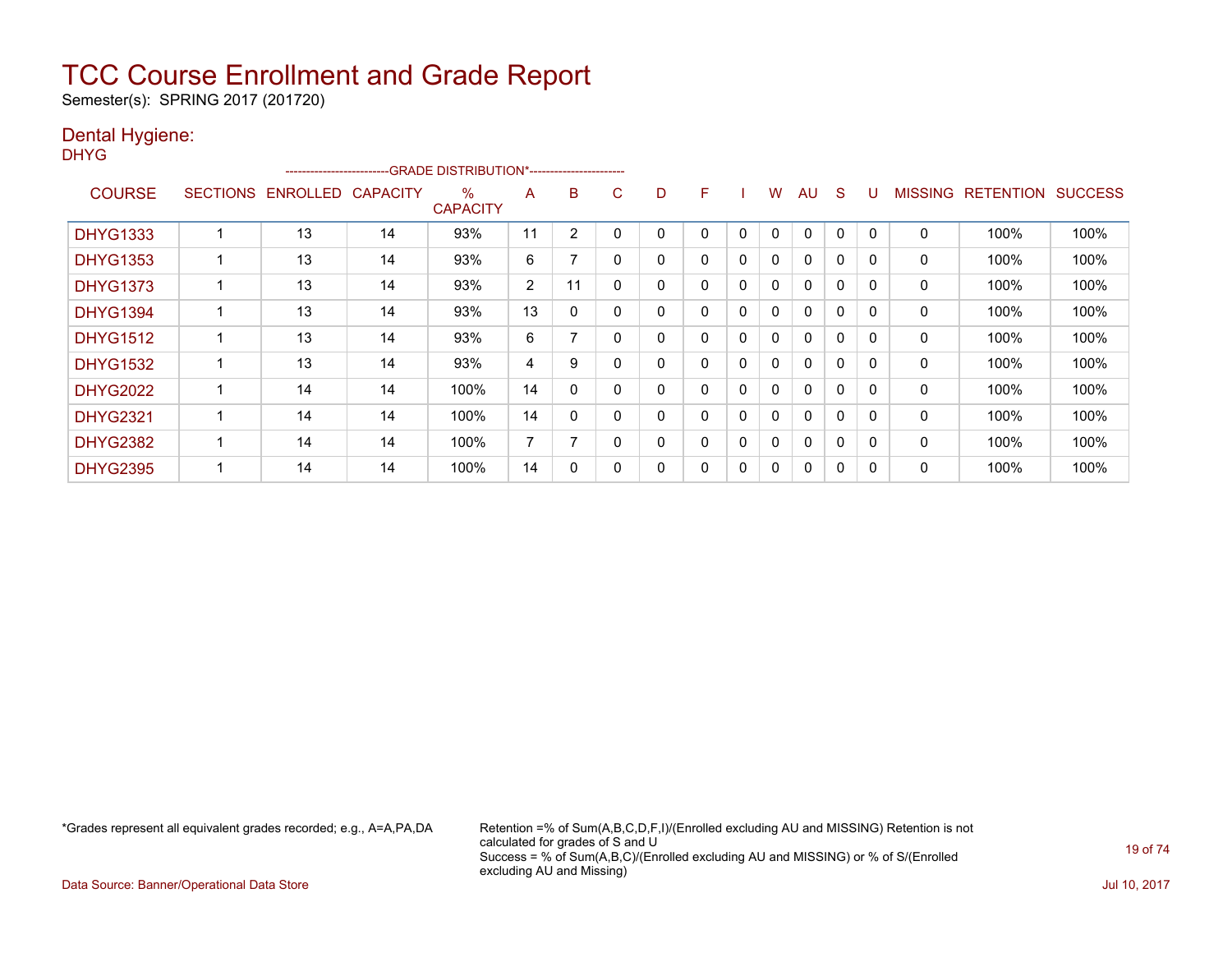Semester(s): SPRING 2017 (201720)

### Dental Hygiene:

| v |
|---|
|---|

|                 |                 | ------------------------ |                 | -GRADE DISTRIBUTION*----------------------- |                |          |   |   |   |              |              |              |              |          |                |                  |                |
|-----------------|-----------------|--------------------------|-----------------|---------------------------------------------|----------------|----------|---|---|---|--------------|--------------|--------------|--------------|----------|----------------|------------------|----------------|
| <b>COURSE</b>   | <b>SECTIONS</b> | <b>ENROLLED</b>          | <b>CAPACITY</b> | $\%$<br><b>CAPACITY</b>                     | A              | B        | С | D | F |              | W            | AU           | <sub>S</sub> |          | <b>MISSING</b> | <b>RETENTION</b> | <b>SUCCESS</b> |
| <b>DHYG1333</b> |                 | 13                       | 14              | 93%                                         | 11             | 2        |   |   | 0 | 0            | $\mathbf{0}$ | $\Omega$     | 0            |          | 0              | 100%             | 100%           |
| <b>DHYG1353</b> |                 | 13                       | 14              | 93%                                         | 6              |          |   | 0 | 0 | 0            | 0            | $\mathbf{0}$ | $\Omega$     | $\Omega$ | 0              | 100%             | 100%           |
| <b>DHYG1373</b> |                 | 13                       | 14              | 93%                                         | $\overline{2}$ | 11       |   | 0 | 0 | 0            | $\mathbf{0}$ | $\mathbf{0}$ | $\Omega$     |          | 0              | 100%             | 100%           |
| <b>DHYG1394</b> |                 | 13                       | 14              | 93%                                         | 13             | $\Omega$ |   | 0 | 0 | $\mathbf{0}$ | $\mathbf{0}$ | $\mathbf{0}$ | $\mathbf{0}$ | $\Omega$ | 0              | 100%             | 100%           |
| <b>DHYG1512</b> |                 | 13                       | 14              | 93%                                         | 6              | 7        |   | 0 | 0 | 0            | 0            | $\mathbf{0}$ | $\Omega$     | $\Omega$ | 0              | 100%             | 100%           |
| <b>DHYG1532</b> |                 | 13                       | 14              | 93%                                         | 4              | 9        |   | 0 | 0 | $\mathbf{0}$ | $\mathbf{0}$ | $\Omega$     | $\mathbf{0}$ | $\Omega$ | $\Omega$       | 100%             | 100%           |
| <b>DHYG2022</b> |                 | 14                       | 14              | 100%                                        | 14             | 0        |   | 0 | 0 | $\mathbf{0}$ | $\mathbf{0}$ | $\mathbf{0}$ | $\mathbf{0}$ |          | 0              | 100%             | 100%           |
| <b>DHYG2321</b> |                 | 14                       | 14              | 100%                                        | 14             | 0        |   | 0 | 0 | 0            | 0            | $\mathbf{0}$ | 0            | $\Omega$ | 0              | 100%             | 100%           |
| <b>DHYG2382</b> |                 | 14                       | 14              | 100%                                        | $\overline{7}$ |          |   | 0 | 0 | 0            | 0            | $\mathbf{0}$ | 0            |          | 0              | 100%             | 100%           |
| <b>DHYG2395</b> |                 | 14                       | 14              | 100%                                        | 14             | 0        |   | 0 | 0 | 0            | 0            | $\mathbf{0}$ | 0            | $\Omega$ | 0              | 100%             | 100%           |

\*Grades represent all equivalent grades recorded; e.g., A=A,PA,DA Retention =% of Sum(A,B,C,D,F,I)/(Enrolled excluding AU and MISSING) Retention is not calculated for grades of S and U Success = % of Sum(A,B,C)/(Enrolled excluding AU and MISSING) or % of S/(Enrolled excluding AU and Missing)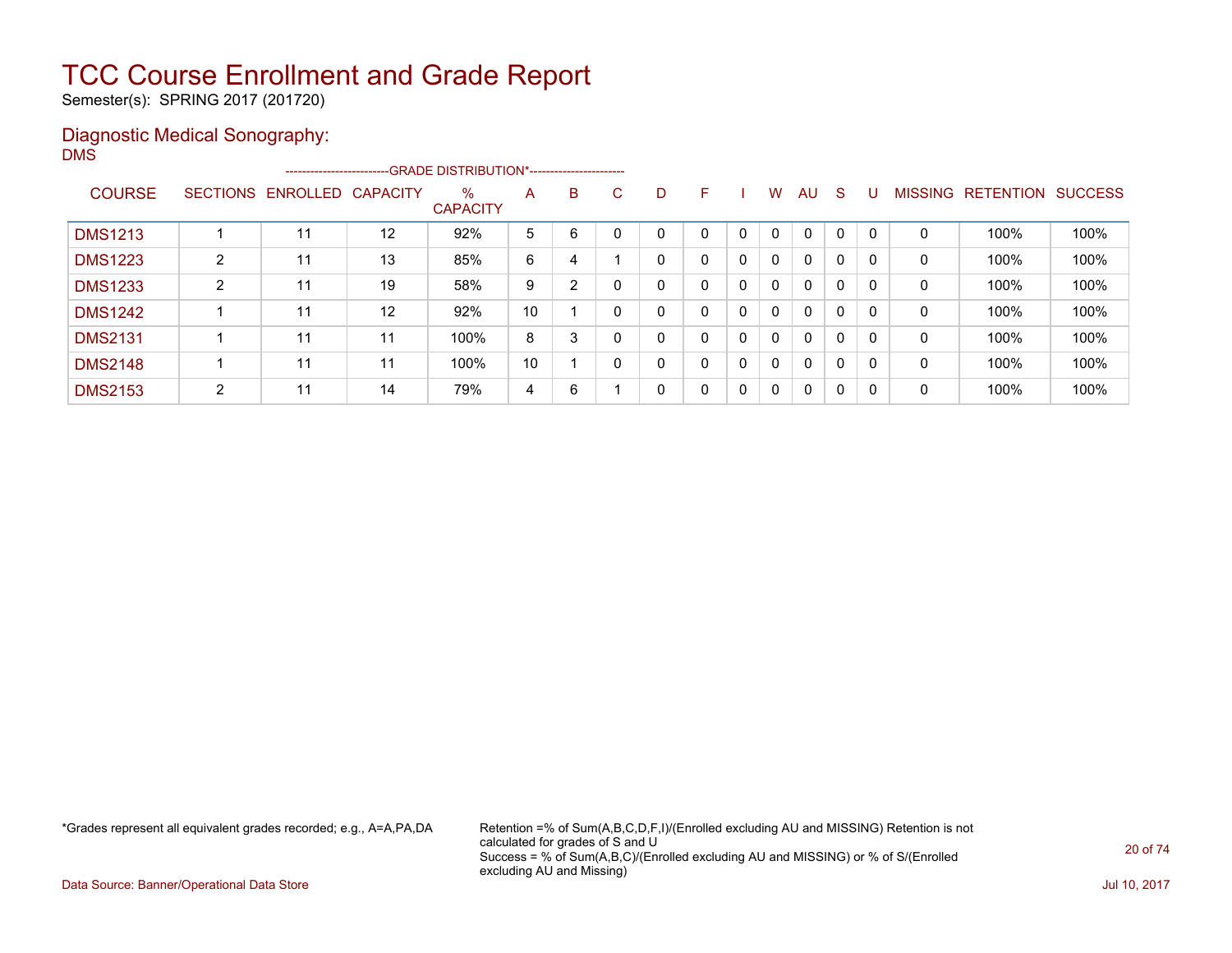Semester(s): SPRING 2017 (201720)

### Diagnostic Medical Sonography: DMS

|                |                 |          |                   | --------------------------GRADE DISTRIBUTION*----------------------- |    |   |    |   |   |   |              |              |   |          |                |                  |                |
|----------------|-----------------|----------|-------------------|----------------------------------------------------------------------|----|---|----|---|---|---|--------------|--------------|---|----------|----------------|------------------|----------------|
| <b>COURSE</b>  | <b>SECTIONS</b> | ENROLLED | <b>CAPACITY</b>   | $\frac{0}{0}$<br><b>CAPACITY</b>                                     | A  | B | C. | D | F |   | W            | AU.          | S | U        | <b>MISSING</b> | <b>RETENTION</b> | <b>SUCCESS</b> |
| <b>DMS1213</b> |                 | 11       | $12 \overline{ }$ | 92%                                                                  | 5  | 6 |    |   |   | 0 | $\mathbf{0}$ | $\mathbf{0}$ | 0 |          | 0              | 100%             | 100%           |
| <b>DMS1223</b> | $\overline{2}$  | 11       | 13                | 85%                                                                  | 6  | 4 |    |   | 0 | 0 | $\mathbf{0}$ | $\mathbf{0}$ | 0 |          | 0              | 100%             | 100%           |
| <b>DMS1233</b> | $\overline{2}$  | 11       | 19                | 58%                                                                  | 9  | 2 |    |   | 0 | 0 | 0            | $\mathbf{0}$ | 0 | $\Omega$ | 0              | 100%             | 100%           |
| <b>DMS1242</b> |                 | 11       | 12                | 92%                                                                  | 10 |   |    |   | 0 | 0 | 0            | $\mathbf{0}$ | 0 | $\Omega$ | 0              | 100%             | 100%           |
| <b>DMS2131</b> |                 | 11       | 11                | 100%                                                                 | 8  | 3 |    |   | 0 | 0 | 0            | $\mathbf{0}$ | 0 | $\Omega$ | 0              | 100%             | 100%           |
| <b>DMS2148</b> |                 | 11       | 11                | 100%                                                                 | 10 |   |    |   | 0 | 0 | $\Omega$     | $\mathbf{0}$ | 0 | $\Omega$ | $\mathbf 0$    | 100%             | 100%           |
| <b>DMS2153</b> | $\overline{2}$  | 11       | 14                | 79%                                                                  | 4  | 6 |    | ი | 0 | 0 | $\mathbf{0}$ | $\mathbf{0}$ | 0 | $\Omega$ | 0              | 100%             | 100%           |

\*Grades represent all equivalent grades recorded; e.g., A=A,PA,DA Retention =% of Sum(A,B,C,D,F,I)/(Enrolled excluding AU and MISSING) Retention is not calculated for grades of S and U Success = % of Sum(A,B,C)/(Enrolled excluding AU and MISSING) or % of S/(Enrolled excluding AU and Missing)

Data Source: Banner/Operational Data Store Jul 10, 2017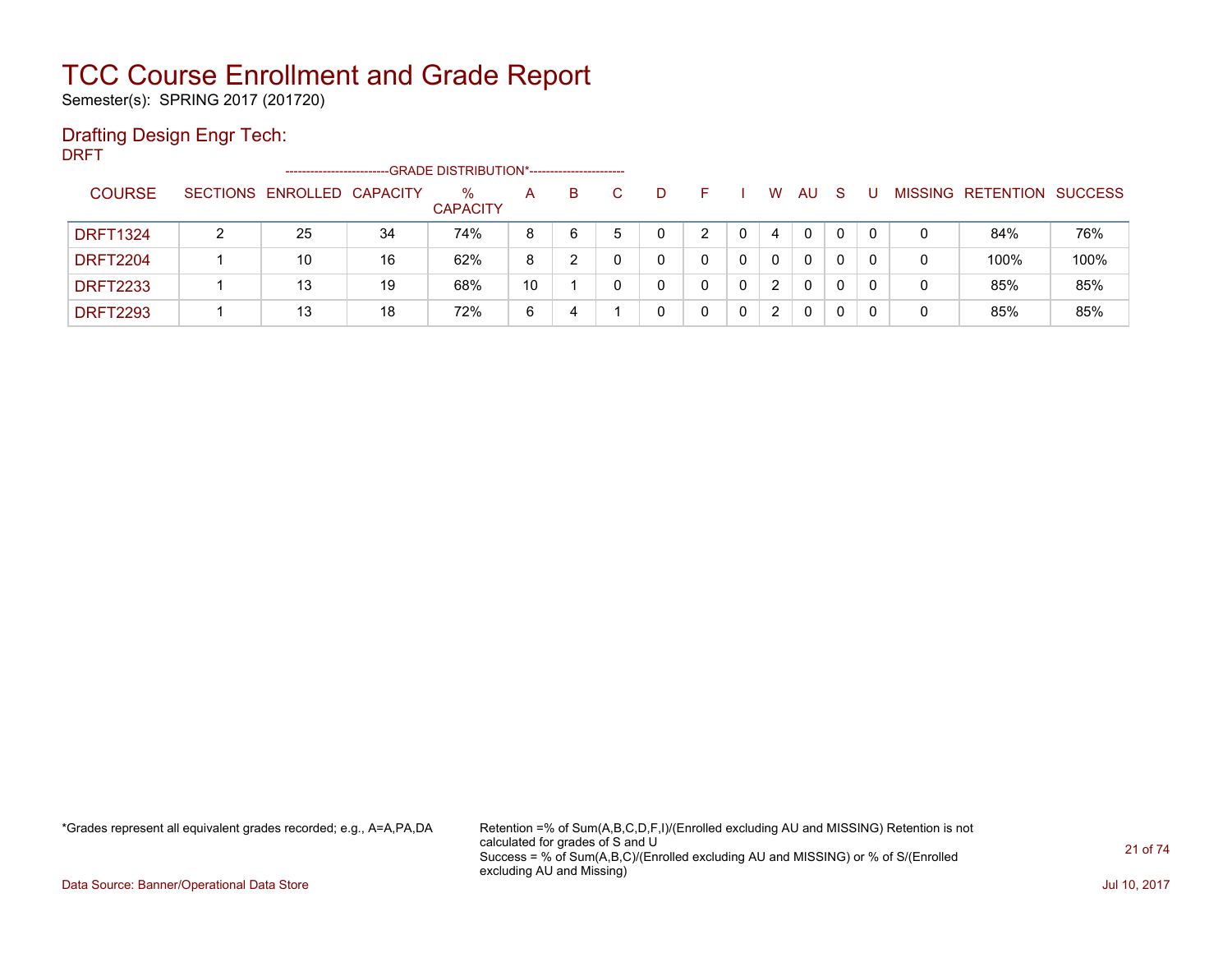Semester(s): SPRING 2017 (201720)

### Drafting Design Engr Tech:

DRFT

|                 |                 | ---------------------- |    | -- GRADE DISTRIBUTION*------------------------ |    |   |   |   |   |          |   |   |                          |                |
|-----------------|-----------------|------------------------|----|------------------------------------------------|----|---|---|---|---|----------|---|---|--------------------------|----------------|
| <b>COURSE</b>   | <b>SECTIONS</b> | ENROLLED CAPACITY      |    | %<br><b>CAPACITY</b>                           | A  | B | D |   | W | AU       | S |   | <b>MISSING RETENTION</b> | <b>SUCCESS</b> |
| <b>DRFT1324</b> |                 | 25                     | 34 | 74%                                            | 8  | 6 | 0 | 0 | 4 | 0        |   | 0 | 84%                      | 76%            |
| <b>DRFT2204</b> |                 | 10                     | 16 | 62%                                            | 8  |   |   |   | 0 | 0        |   | 0 | 100%                     | 100%           |
| <b>DRFT2233</b> |                 | 13                     | 19 | 68%                                            | 10 |   |   | 0 | 2 | $\Omega$ |   | 0 | 85%                      | 85%            |
| <b>DRFT2293</b> |                 | 13                     | 18 | 72%                                            | 6  | 4 |   |   | 2 | 0        |   | 0 | 85%                      | 85%            |

\*Grades represent all equivalent grades recorded; e.g., A=A,PA,DA Retention =% of Sum(A,B,C,D,F,I)/(Enrolled excluding AU and MISSING) Retention is not calculated for grades of S and U Success = % of Sum(A,B,C)/(Enrolled excluding AU and MISSING) or % of S/(Enrolled excluding AU and Missing)

Data Source: Banner/Operational Data Store Jul 10, 2017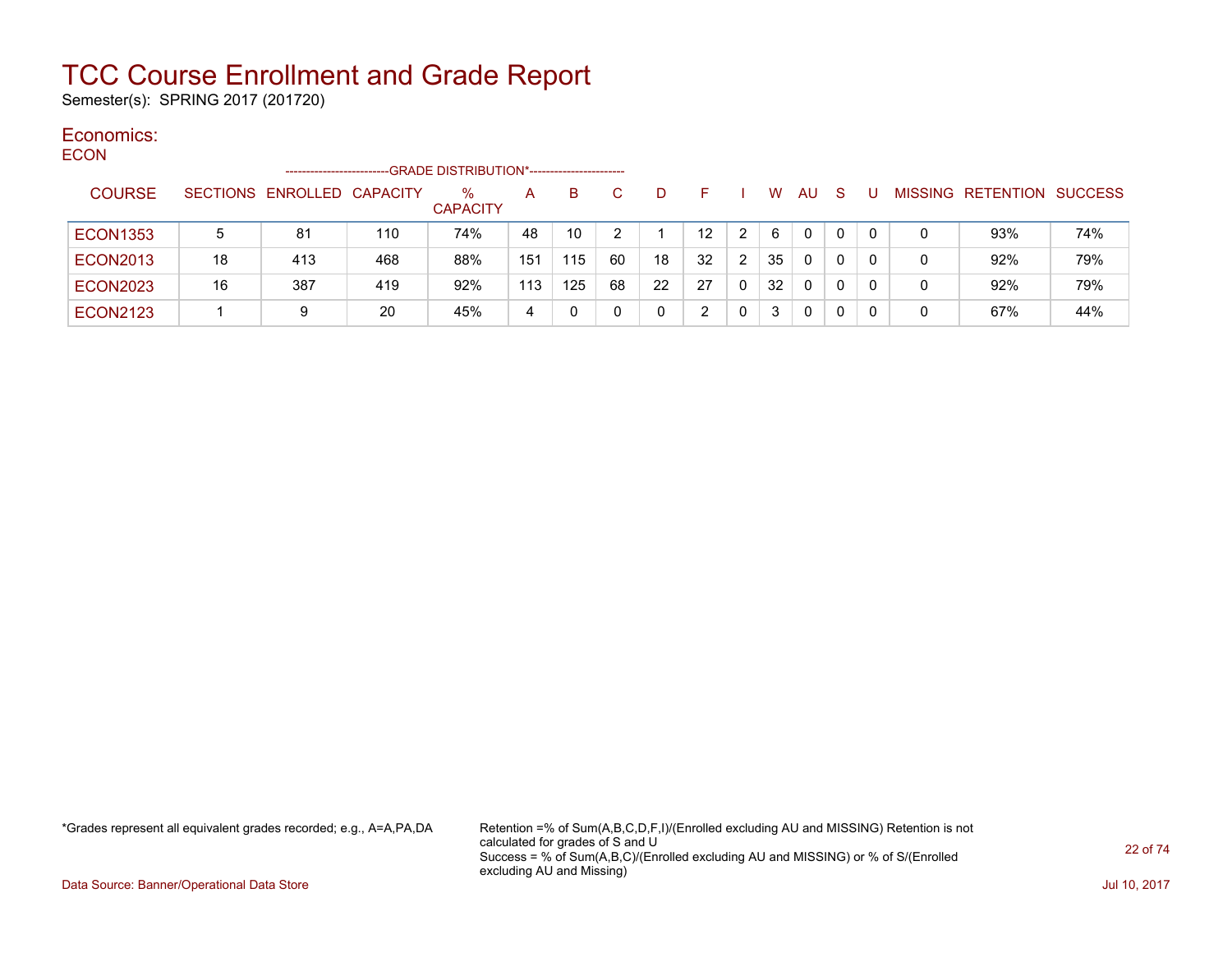Semester(s): SPRING 2017 (201720)

#### Economics: ECON

|                 |    | -----------------------    |     | -GRADE DISTRIBUTION*----------------------- |     |     |    |    |                   |                |    |              |              |          |                           |     |
|-----------------|----|----------------------------|-----|---------------------------------------------|-----|-----|----|----|-------------------|----------------|----|--------------|--------------|----------|---------------------------|-----|
| <b>COURSE</b>   |    | SECTIONS ENROLLED CAPACITY |     | ℅<br><b>CAPACITY</b>                        | A   | B.  |    | D  | E                 |                | W  | AU           | S            |          | MISSING RETENTION SUCCESS |     |
| <b>ECON1353</b> | 5  | 81                         | 110 | 74%                                         | 48  | 10  |    |    | $12 \overline{ }$ | 2              | 6  | $\mathbf{0}$ | $\mathbf{0}$ | $\Omega$ | 93%                       | 74% |
| <b>ECON2013</b> | 18 | 413                        | 468 | 88%                                         | 151 | 115 | 60 | 18 | 32                | $\overline{2}$ | 35 | 0            | 0            | 0        | 92%                       | 79% |
| <b>ECON2023</b> | 16 | 387                        | 419 | 92%                                         | 113 | 125 | 68 | 22 | 27                |                | 32 | 0            | 0            | 0        | 92%                       | 79% |
| <b>ECON2123</b> |    | 9                          | 20  | 45%                                         | 4   | 0   |    |    | າ                 |                | 3  | 0            | 0            | 0        | 67%                       | 44% |

\*Grades represent all equivalent grades recorded; e.g., A=A,PA,DA Retention =% of Sum(A,B,C,D,F,I)/(Enrolled excluding AU and MISSING) Retention is not calculated for grades of S and U Success = % of Sum(A,B,C)/(Enrolled excluding AU and MISSING) or % of S/(Enrolled excluding AU and Missing)

Data Source: Banner/Operational Data Store Jul 10, 2017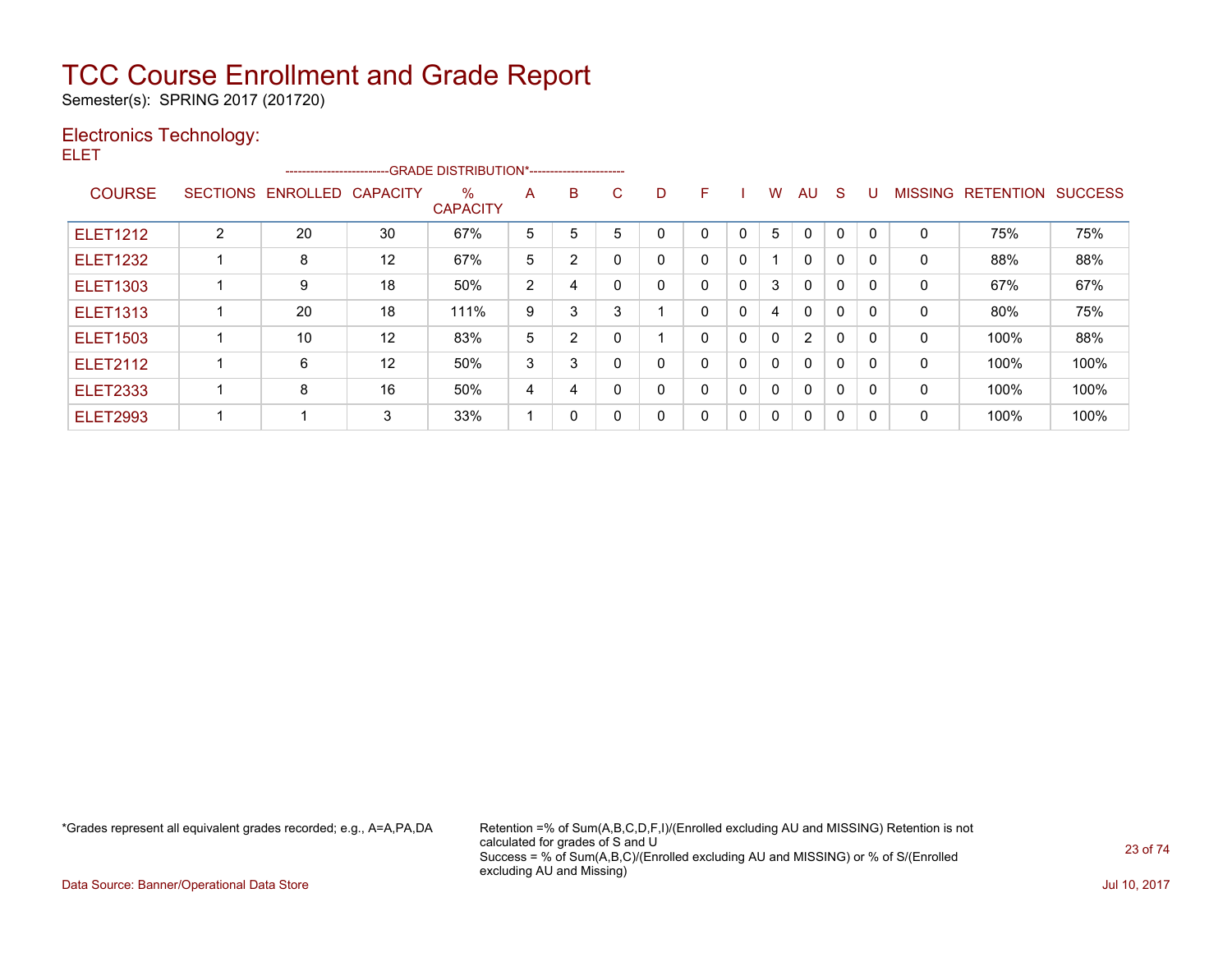Semester(s): SPRING 2017 (201720)

### Electronics Technology: ELET

|                 |   | ------------------------GRADE DISTRIBUTION*----------------------- |    |                      |   |                |             |              |              |              |   |                |              |   |              |                           |      |
|-----------------|---|--------------------------------------------------------------------|----|----------------------|---|----------------|-------------|--------------|--------------|--------------|---|----------------|--------------|---|--------------|---------------------------|------|
| <b>COURSE</b>   |   | SECTIONS ENROLLED CAPACITY                                         |    | ℅<br><b>CAPACITY</b> | A | в              | C           | D            | F.           |              | W | AU             | <sub>S</sub> | U |              | MISSING RETENTION SUCCESS |      |
| <b>ELET1212</b> | 2 | 20                                                                 | 30 | 67%                  | 5 | 5              | 5           | 0            | $\Omega$     | 0            | 5 | $\mathbf{0}$   | C            | 0 | 0            | 75%                       | 75%  |
| <b>ELET1232</b> |   | 8                                                                  | 12 | 67%                  | 5 | 2              | $\Omega$    | $\mathbf{0}$ | $\Omega$     | $\mathbf{0}$ |   | $\mathbf{0}$   | $\Omega$     | 0 | 0            | 88%                       | 88%  |
| <b>ELET1303</b> |   | 9                                                                  | 18 | 50%                  | 2 | 4              | $\mathbf 0$ | 0            | $\Omega$     | $\mathbf{0}$ | 3 | $\mathbf{0}$   | $\mathbf{0}$ | 0 | 0            | 67%                       | 67%  |
| <b>ELET1313</b> |   | 20                                                                 | 18 | 111%                 | 9 | 3              | 3           |              | $\Omega$     | 0            | 4 | $\mathbf{0}$   | $\mathbf{0}$ | 0 | 0            | 80%                       | 75%  |
| <b>ELET1503</b> |   | 10                                                                 | 12 | 83%                  | 5 | $\overline{2}$ | 0           |              | $\Omega$     | 0            | 0 | $\overline{2}$ | $\mathbf{0}$ | 0 | $\mathbf{0}$ | 100%                      | 88%  |
| <b>ELET2112</b> |   | 6                                                                  | 12 | 50%                  | 3 | 3              | $\mathbf 0$ | 0            | $\Omega$     | $\mathbf{0}$ | 0 | $\mathbf{0}$   | $\mathbf{0}$ | 0 | 0            | 100%                      | 100% |
| <b>ELET2333</b> |   | 8                                                                  | 16 | 50%                  | 4 | 4              | $\Omega$    | $\mathbf{0}$ |              | $\mathbf{0}$ | 0 | $\mathbf{0}$   | $\Omega$     | 0 | 0            | 100%                      | 100% |
| <b>ELET2993</b> |   |                                                                    | 3  | 33%                  |   | 0              | 0           | 0            | $\mathbf{0}$ | 0            | 0 | $\Omega$       | $\mathbf{0}$ | 0 | 0            | 100%                      | 100% |

\*Grades represent all equivalent grades recorded; e.g., A=A,PA,DA Retention =% of Sum(A,B,C,D,F,I)/(Enrolled excluding AU and MISSING) Retention is not calculated for grades of S and U Success = % of Sum(A,B,C)/(Enrolled excluding AU and MISSING) or % of S/(Enrolled excluding AU and Missing)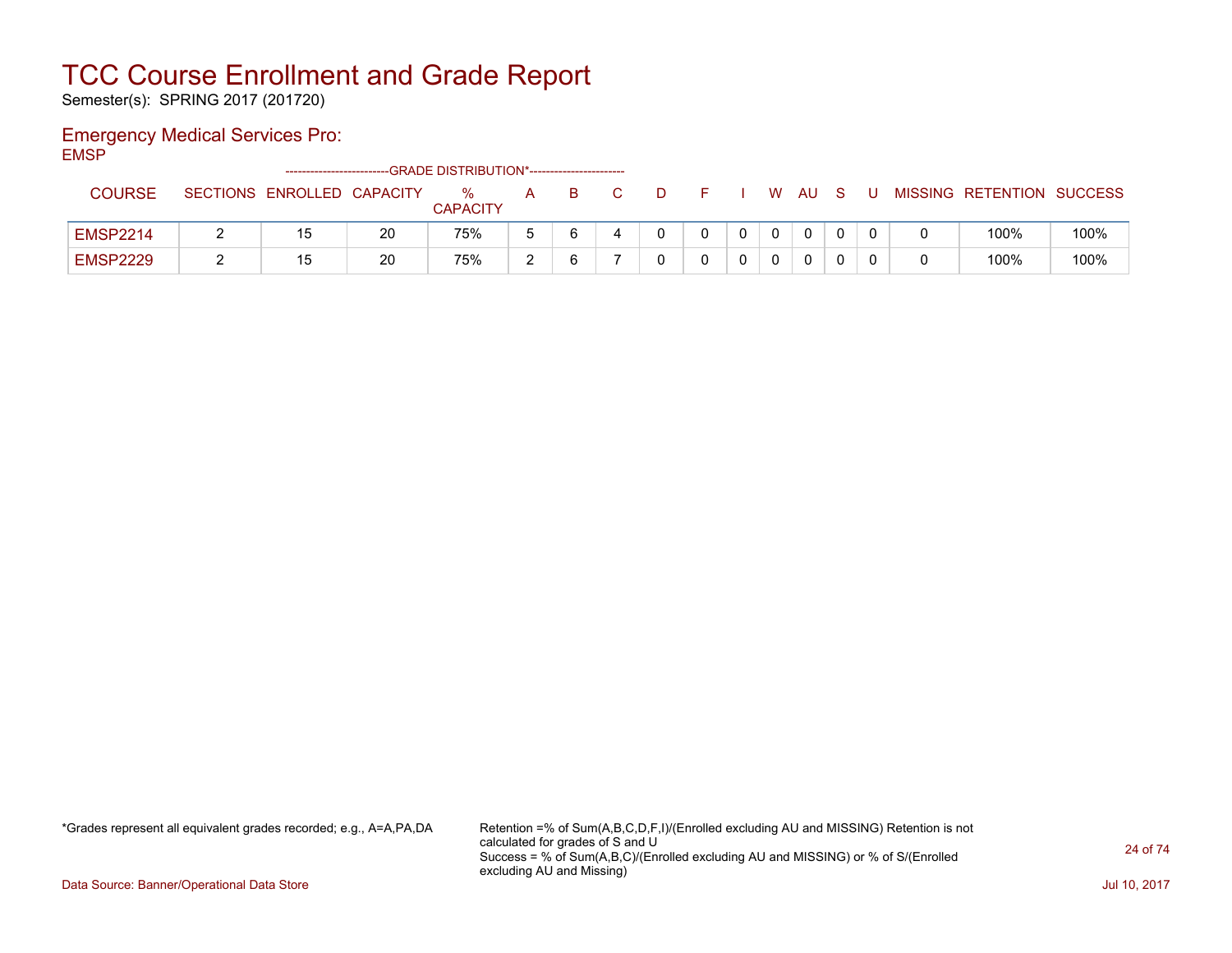Semester(s): SPRING 2017 (201720)

### Emergency Medical Services Pro:

EMSP

|                 | -------------------------- |    | --GRADE DISTRIBUTION*----------------------- |        |    |  |  |              |              |  |                           |      |
|-----------------|----------------------------|----|----------------------------------------------|--------|----|--|--|--------------|--------------|--|---------------------------|------|
| <b>COURSE</b>   | SECTIONS ENROLLED CAPACITY |    | $\%$<br><b>CAPACITY</b>                      | A      | B. |  |  | W.           | AU           |  | MISSING RETENTION SUCCESS |      |
| <b>EMSP2214</b> | 15                         | 20 | 75%                                          | 5      |    |  |  | $\mathbf{0}$ | $\mathbf{0}$ |  | 100%                      | 100% |
| <b>EMSP2229</b> | 15                         | 20 | 75%                                          | $\sim$ |    |  |  |              | $\Omega$     |  | 100%                      | 100% |

\*Grades represent all equivalent grades recorded; e.g., A=A,PA,DA Retention =% of Sum(A,B,C,D,F,I)/(Enrolled excluding AU and MISSING) Retention is not calculated for grades of S and U Success = % of Sum(A,B,C)/(Enrolled excluding AU and MISSING) or % of S/(Enrolled excluding AU and Missing)

Data Source: Banner/Operational Data Store Jul 10, 2017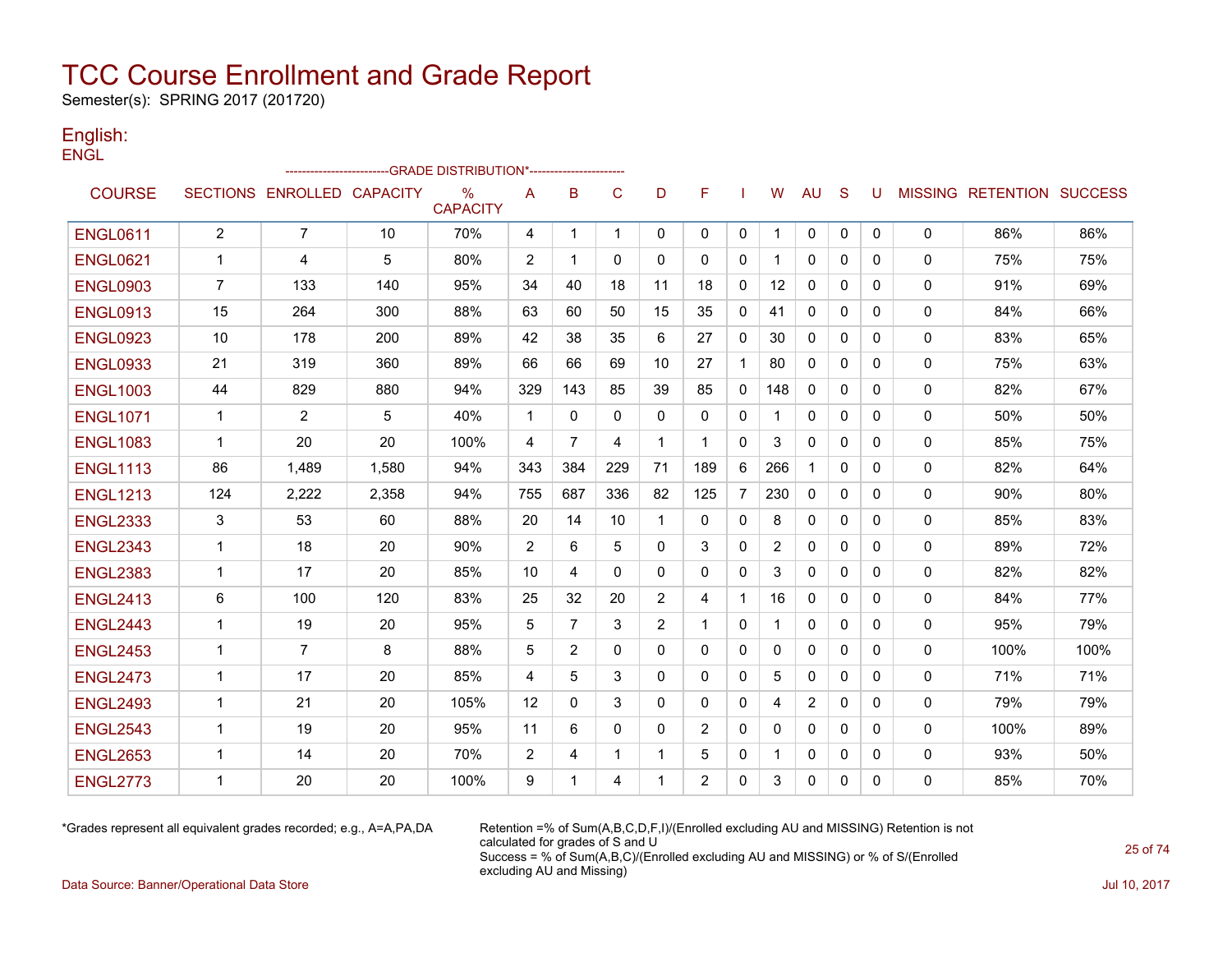Semester(s): SPRING 2017 (201720)

### English: **ENGL**

|                 |                |                            |       | -GRADE DISTRIBUTION*---------------------- |              |                |              |              |                |                |          |              |              |              |              |                           |      |
|-----------------|----------------|----------------------------|-------|--------------------------------------------|--------------|----------------|--------------|--------------|----------------|----------------|----------|--------------|--------------|--------------|--------------|---------------------------|------|
| <b>COURSE</b>   |                | SECTIONS ENROLLED CAPACITY |       | %<br><b>CAPACITY</b>                       | A            | B              | C            | D            | F              |                | W        | AU           | S            | U            |              | MISSING RETENTION SUCCESS |      |
| <b>ENGL0611</b> | $\overline{2}$ | $\overline{7}$             | 10    | 70%                                        | 4            | $\mathbf{1}$   | $\mathbf{1}$ | $\mathbf{0}$ | 0              | $\mathbf{0}$   | 1        | $\mathbf{0}$ | $\mathbf{0}$ | $\mathbf{0}$ | $\mathbf{0}$ | 86%                       | 86%  |
| <b>ENGL0621</b> | 1              | 4                          | 5     | 80%                                        | 2            | 1              | $\Omega$     | 0            | 0              | 0              |          | 0            | 0            | 0            | 0            | 75%                       | 75%  |
| <b>ENGL0903</b> | $\overline{7}$ | 133                        | 140   | 95%                                        | 34           | 40             | 18           | 11           | 18             | $\mathbf{0}$   | 12       | $\mathbf{0}$ | 0            | $\Omega$     | 0            | 91%                       | 69%  |
| <b>ENGL0913</b> | 15             | 264                        | 300   | 88%                                        | 63           | 60             | 50           | 15           | 35             | $\mathbf{0}$   | 41       | $\Omega$     | $\Omega$     | $\Omega$     | $\Omega$     | 84%                       | 66%  |
| <b>ENGL0923</b> | 10             | 178                        | 200   | 89%                                        | 42           | 38             | 35           | 6            | 27             | 0              | 30       | $\Omega$     | $\Omega$     | $\mathbf{0}$ | 0            | 83%                       | 65%  |
| <b>ENGL0933</b> | 21             | 319                        | 360   | 89%                                        | 66           | 66             | 69           | 10           | 27             | $\mathbf{1}$   | 80       | $\Omega$     | $\mathbf{0}$ | $\Omega$     | 0            | 75%                       | 63%  |
| <b>ENGL1003</b> | 44             | 829                        | 880   | 94%                                        | 329          | 143            | 85           | 39           | 85             | $\mathbf{0}$   | 148      | $\Omega$     | $\mathbf{0}$ | $\Omega$     | 0            | 82%                       | 67%  |
| <b>ENGL1071</b> | $\mathbf{1}$   | $\overline{2}$             | 5     | 40%                                        | $\mathbf{1}$ | $\mathbf{0}$   | $\mathbf{0}$ | $\Omega$     | $\Omega$       | $\mathbf{0}$   |          | $\Omega$     | $\Omega$     | $\Omega$     | $\Omega$     | 50%                       | 50%  |
| <b>ENGL1083</b> | $\mathbf{1}$   | 20                         | 20    | 100%                                       | 4            | $\overline{7}$ | 4            | 1            | $\mathbf 1$    | 0              | 3        | $\Omega$     | $\mathbf{0}$ | $\Omega$     | 0            | 85%                       | 75%  |
| <b>ENGL1113</b> | 86             | 1,489                      | 1,580 | 94%                                        | 343          | 384            | 229          | 71           | 189            | 6              | 266      | 1            | $\Omega$     | $\Omega$     | 0            | 82%                       | 64%  |
| <b>ENGL1213</b> | 124            | 2,222                      | 2,358 | 94%                                        | 755          | 687            | 336          | 82           | 125            | $\overline{7}$ | 230      | $\mathbf{0}$ | $\mathbf{0}$ | $\Omega$     | 0            | 90%                       | 80%  |
| <b>ENGL2333</b> | 3              | 53                         | 60    | 88%                                        | 20           | 14             | 10           | 1            | $\Omega$       | $\mathbf{0}$   | 8        | $\mathbf{0}$ | $\mathbf{0}$ | $\Omega$     | $\mathbf{0}$ | 85%                       | 83%  |
| <b>ENGL2343</b> | 1              | 18                         | 20    | 90%                                        | 2            | 6              | 5            | $\mathbf{0}$ | 3              | $\mathbf{0}$   | 2        | 0            | $\mathbf{0}$ | $\mathbf{0}$ | 0            | 89%                       | 72%  |
| <b>ENGL2383</b> | $\mathbf{1}$   | 17                         | 20    | 85%                                        | 10           | 4              | $\Omega$     | 0            | 0              | 0              | 3        | 0            | 0            | 0            | 0            | 82%                       | 82%  |
| <b>ENGL2413</b> | 6              | 100                        | 120   | 83%                                        | 25           | 32             | 20           | 2            | 4              | $\mathbf{1}$   | 16       | $\Omega$     | $\Omega$     | $\Omega$     | $\mathbf{0}$ | 84%                       | 77%  |
| <b>ENGL2443</b> | $\mathbf{1}$   | 19                         | 20    | 95%                                        | 5            | $\overline{7}$ | 3            | 2            | $\mathbf{1}$   | $\mathbf{0}$   | 1        | $\mathbf{0}$ | $\mathbf{0}$ | $\Omega$     | $\mathbf{0}$ | 95%                       | 79%  |
| <b>ENGL2453</b> | $\mathbf 1$    | $\overline{7}$             | 8     | 88%                                        | 5            | 2              | $\Omega$     | $\mathbf{0}$ | $\Omega$       | $\mathbf{0}$   | $\Omega$ | $\Omega$     | $\mathbf{0}$ | $\Omega$     | 0            | 100%                      | 100% |
| <b>ENGL2473</b> | $\mathbf 1$    | 17                         | 20    | 85%                                        | 4            | 5              | 3            | 0            | $\mathbf{0}$   | $\mathbf{0}$   | 5        | $\mathbf{0}$ | $\mathbf{0}$ | $\Omega$     | 0            | 71%                       | 71%  |
| <b>ENGL2493</b> | $\mathbf 1$    | 21                         | 20    | 105%                                       | 12           | $\Omega$       | 3            | $\Omega$     | $\Omega$       | $\mathbf{0}$   | 4        | 2            | $\Omega$     | $\Omega$     | 0            | 79%                       | 79%  |
| <b>ENGL2543</b> | $\mathbf{1}$   | 19                         | 20    | 95%                                        | 11           | 6              | $\mathbf 0$  | 0            | 2              | 0              | $\Omega$ | $\Omega$     | $\mathbf{0}$ | $\Omega$     | 0            | 100%                      | 89%  |
| <b>ENGL2653</b> | $\mathbf{1}$   | 14                         | 20    | 70%                                        | 2            | 4              | $\mathbf{1}$ | 1            | 5              | 0              |          | $\mathbf{0}$ | $\mathbf{0}$ | 0            | 0            | 93%                       | 50%  |
| <b>ENGL2773</b> | 1              | 20                         | 20    | 100%                                       | 9            | 1              | 4            | 1            | $\overline{2}$ | $\mathbf{0}$   | 3        | $\Omega$     | $\Omega$     | $\Omega$     | 0            | 85%                       | 70%  |

\*Grades represent all equivalent grades recorded; e.g., A=A,PA,DA Retention =% of Sum(A,B,C,D,F,I)/(Enrolled excluding AU and MISSING) Retention is not calculated for grades of S and U Success = % of Sum(A,B,C)/(Enrolled excluding AU and MISSING) or % of S/(Enrolled excluding AU and Missing)

Data Source: Banner/Operational Data Store Jul 10, 2017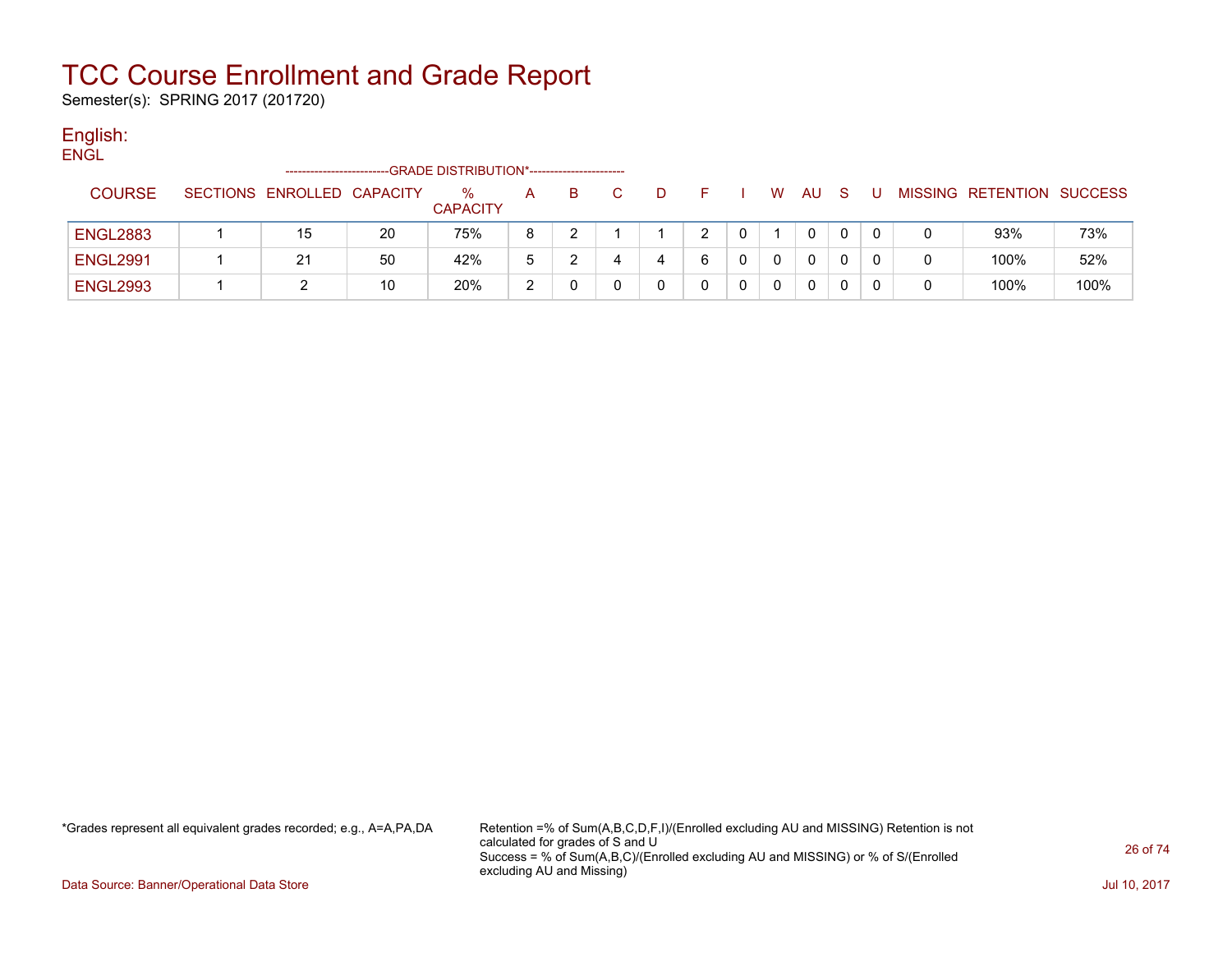Semester(s): SPRING 2017 (201720)

#### English: ENGL

| ----            |  | ------------------------   |    | -GRADE DISTRIBUTION*----------------------- |   |    |   |   |   |              |    |  |                           |      |
|-----------------|--|----------------------------|----|---------------------------------------------|---|----|---|---|---|--------------|----|--|---------------------------|------|
| <b>COURSE</b>   |  | SECTIONS ENROLLED CAPACITY |    | $\%$<br><b>CAPACITY</b>                     | A | B. | D |   | W | AU.          | -S |  | MISSING RETENTION SUCCESS |      |
| <b>ENGL2883</b> |  | 15                         | 20 | 75%                                         | 8 |    |   |   |   | 0            |    |  | 93%                       | 73%  |
| <b>ENGL2991</b> |  | 21                         | 50 | 42%                                         | 5 |    |   | 6 |   | $\mathbf{0}$ |    |  | 100%                      | 52%  |
| <b>ENGL2993</b> |  |                            | 10 | 20%                                         | ◠ |    |   |   |   | 0            |    |  | 100%                      | 100% |

\*Grades represent all equivalent grades recorded; e.g., A=A,PA,DA Retention =% of Sum(A,B,C,D,F,I)/(Enrolled excluding AU and MISSING) Retention is not calculated for grades of S and U Success = % of Sum(A,B,C)/(Enrolled excluding AU and MISSING) or % of S/(Enrolled excluding AU and Missing)

Data Source: Banner/Operational Data Store Jul 10, 2017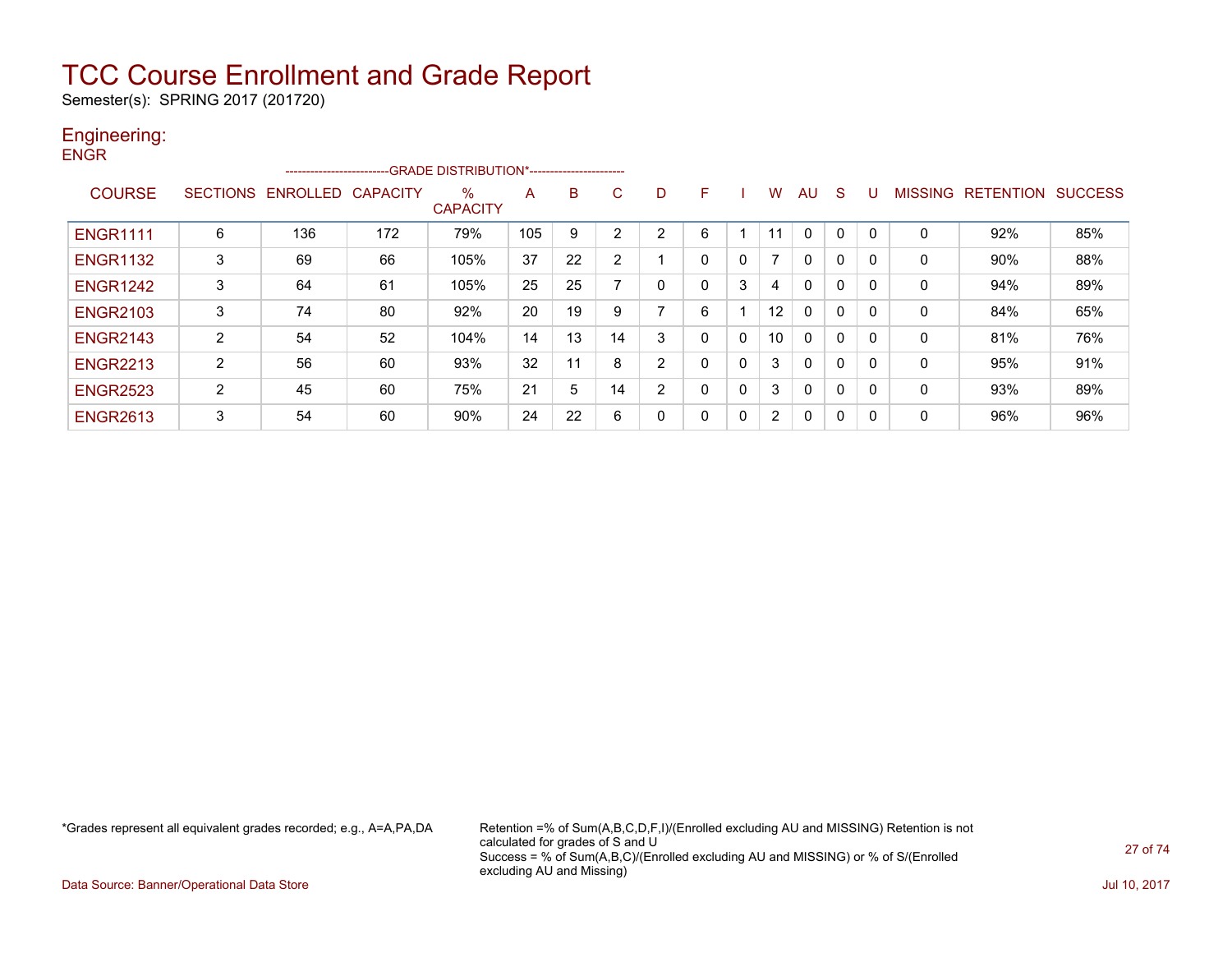Semester(s): SPRING 2017 (201720)

### Engineering: **ENGR**

|                 |                 |                 |                 | ------------------------GRADE DISTRIBUTION*----------------------- |     |    |        |                |   |              |                |              |   |              |                |                            |                |
|-----------------|-----------------|-----------------|-----------------|--------------------------------------------------------------------|-----|----|--------|----------------|---|--------------|----------------|--------------|---|--------------|----------------|----------------------------|----------------|
| <b>COURSE</b>   | <b>SECTIONS</b> | <b>ENROLLED</b> | <b>CAPACITY</b> | %<br><b>CAPACITY</b>                                               | A   | B  | C.     | D              | F |              | w              | AU           | S |              | <b>MISSING</b> | RE <sub>1</sub><br>TENTION | <b>SUCCESS</b> |
| <b>ENGR1111</b> | 6               | 136             | 172             | 79%                                                                | 105 | 9  | $\sim$ | $\overline{2}$ | 6 |              | 11             | $\Omega$     | 0 |              | 0              | 92%                        | 85%            |
| <b>ENGR1132</b> | 3               | 69              | 66              | 105%                                                               | 37  | 22 |        |                | 0 | 0            |                | $\mathbf{0}$ | 0 |              | 0              | 90%                        | 88%            |
| <b>ENGR1242</b> | 3               | 64              | 61              | 105%                                                               | 25  | 25 |        |                | 0 | 3            | 4              | $\Omega$     | 0 |              | 0              | 94%                        | 89%            |
| <b>ENGR2103</b> | 3               | 74              | 80              | 92%                                                                | 20  | 19 | 9      | ⇁              | 6 |              | 12             | 0            | 0 | $\Omega$     | 0              | 84%                        | 65%            |
| <b>ENGR2143</b> | 2               | 54              | 52              | 104%                                                               | 14  | 13 | 14     | 3              | 0 | $\mathbf{0}$ | 10             | $\Omega$     | 0 |              | 0              | 81%                        | 76%            |
| <b>ENGR2213</b> | 2               | 56              | 60              | 93%                                                                | 32  | 11 | 8      | 2              | 0 | 0            | 3              | $\mathbf{0}$ | 0 |              | 0              | 95%                        | 91%            |
| <b>ENGR2523</b> | 2               | 45              | 60              | 75%                                                                | 21  | 5  | 14     | 2              |   | 0            | 3              | $\Omega$     | 0 |              | 0              | 93%                        | 89%            |
| <b>ENGR2613</b> | 3               | 54              | 60              | 90%                                                                | 24  | 22 | 6      |                | 0 | 0            | $\overline{2}$ | $\Omega$     | 0 | $\mathbf{0}$ | 0              | 96%                        | 96%            |

\*Grades represent all equivalent grades recorded; e.g., A=A,PA,DA Retention =% of Sum(A,B,C,D,F,I)/(Enrolled excluding AU and MISSING) Retention is not calculated for grades of S and U Success = % of Sum(A,B,C)/(Enrolled excluding AU and MISSING) or % of S/(Enrolled excluding AU and Missing)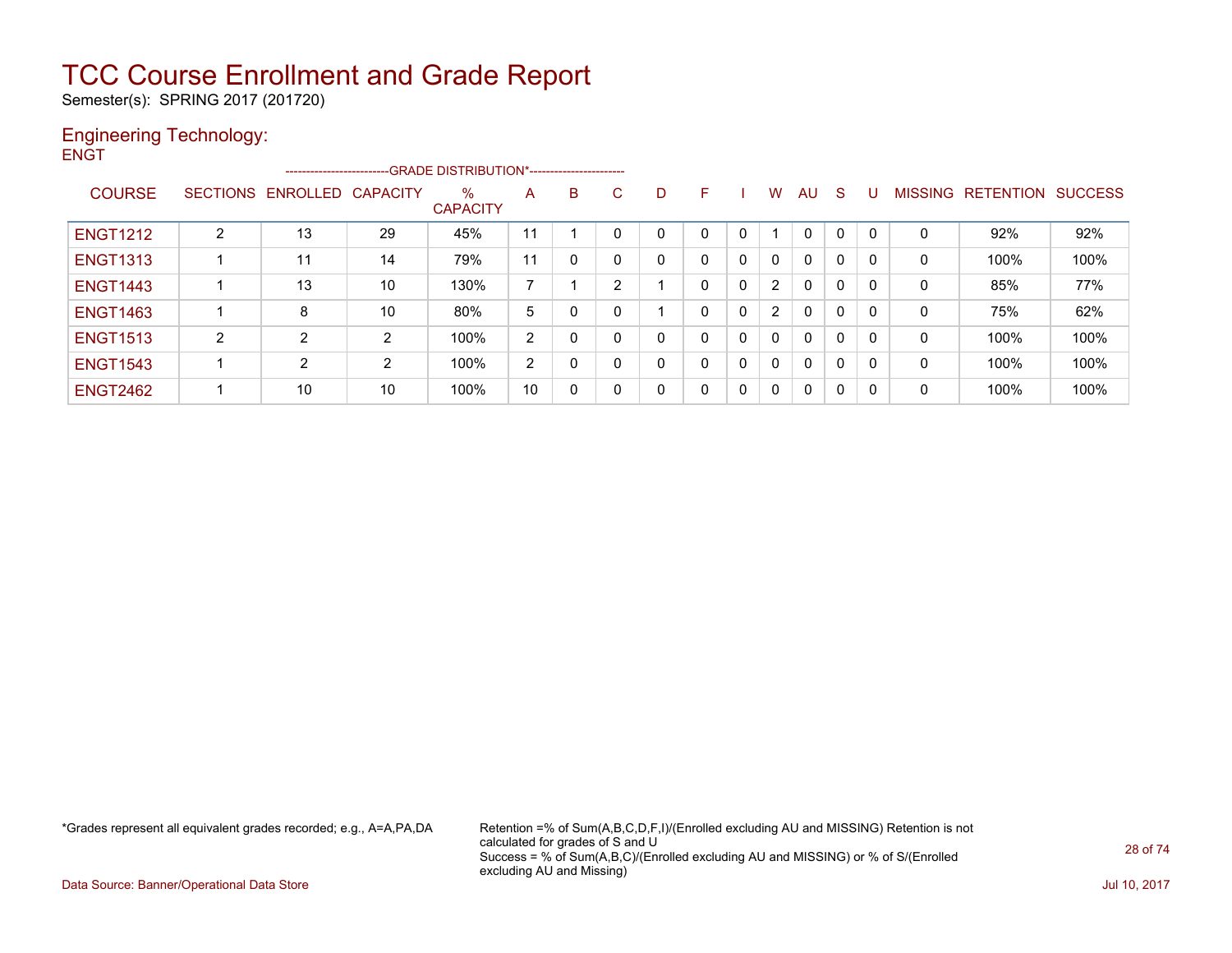Semester(s): SPRING 2017 (201720)

### Engineering Technology: **ENGT**

|                 |                |                            | --------------------------GRADE DISTRIBUTION*----------------------- |                      |    |   |    |   |    |              |                |    |              |          |   |                   |                |
|-----------------|----------------|----------------------------|----------------------------------------------------------------------|----------------------|----|---|----|---|----|--------------|----------------|----|--------------|----------|---|-------------------|----------------|
| <b>COURSE</b>   |                | SECTIONS ENROLLED CAPACITY |                                                                      | %<br><b>CAPACITY</b> | A  | B | C. | D | F. |              | W              | AU | <sub>S</sub> | U        |   | MISSING RETENTION | <b>SUCCESS</b> |
| <b>ENGT1212</b> | $\overline{2}$ | 13                         | 29                                                                   | 45%                  | 11 |   |    |   |    |              |                | 0  | 0            | $\Omega$ |   | 92%               | 92%            |
| <b>ENGT1313</b> |                | 11                         | 14                                                                   | 79%                  | 11 | 0 | 0  |   |    | $\mathbf 0$  | $\mathbf{0}$   | 0  | 0            | 0        | 0 | 100%              | 100%           |
| <b>ENGT1443</b> |                | 13                         | 10                                                                   | 130%                 | 7  |   | 2  |   | 0  | $\Omega$     | $\overline{2}$ | 0  | 0            | 0        | 0 | 85%               | 77%            |
| <b>ENGT1463</b> |                | 8                          | 10                                                                   | 80%                  | 5  | 0 | 0  |   | 0  | $\mathbf{0}$ | $\overline{2}$ | 0  | 0            | 0        | 0 | 75%               | 62%            |
| <b>ENGT1513</b> | $\overline{2}$ | $\overline{2}$             | 2                                                                    | 100%                 | 2  | 0 | 0  |   | 0  | $\mathbf{0}$ | $\Omega$       | 0  | 0            | 0        | 0 | 100%              | 100%           |
| <b>ENGT1543</b> |                | $\overline{2}$             | 2                                                                    | 100%                 | 2  | 0 | 0  | 0 |    | $\mathbf{0}$ | $\Omega$       | 0  | 0            | 0        | 0 | 100%              | 100%           |
| <b>ENGT2462</b> |                | 10                         | 10                                                                   | 100%                 | 10 | 0 | 0  | 0 | 0  | $\Omega$     | 0              | 0  | 0            | 0        | 0 | 100%              | 100%           |

\*Grades represent all equivalent grades recorded; e.g., A=A,PA,DA Retention =% of Sum(A,B,C,D,F,I)/(Enrolled excluding AU and MISSING) Retention is not calculated for grades of S and U Success = % of Sum(A,B,C)/(Enrolled excluding AU and MISSING) or % of S/(Enrolled excluding AU and Missing)

Data Source: Banner/Operational Data Store Jul 10, 2017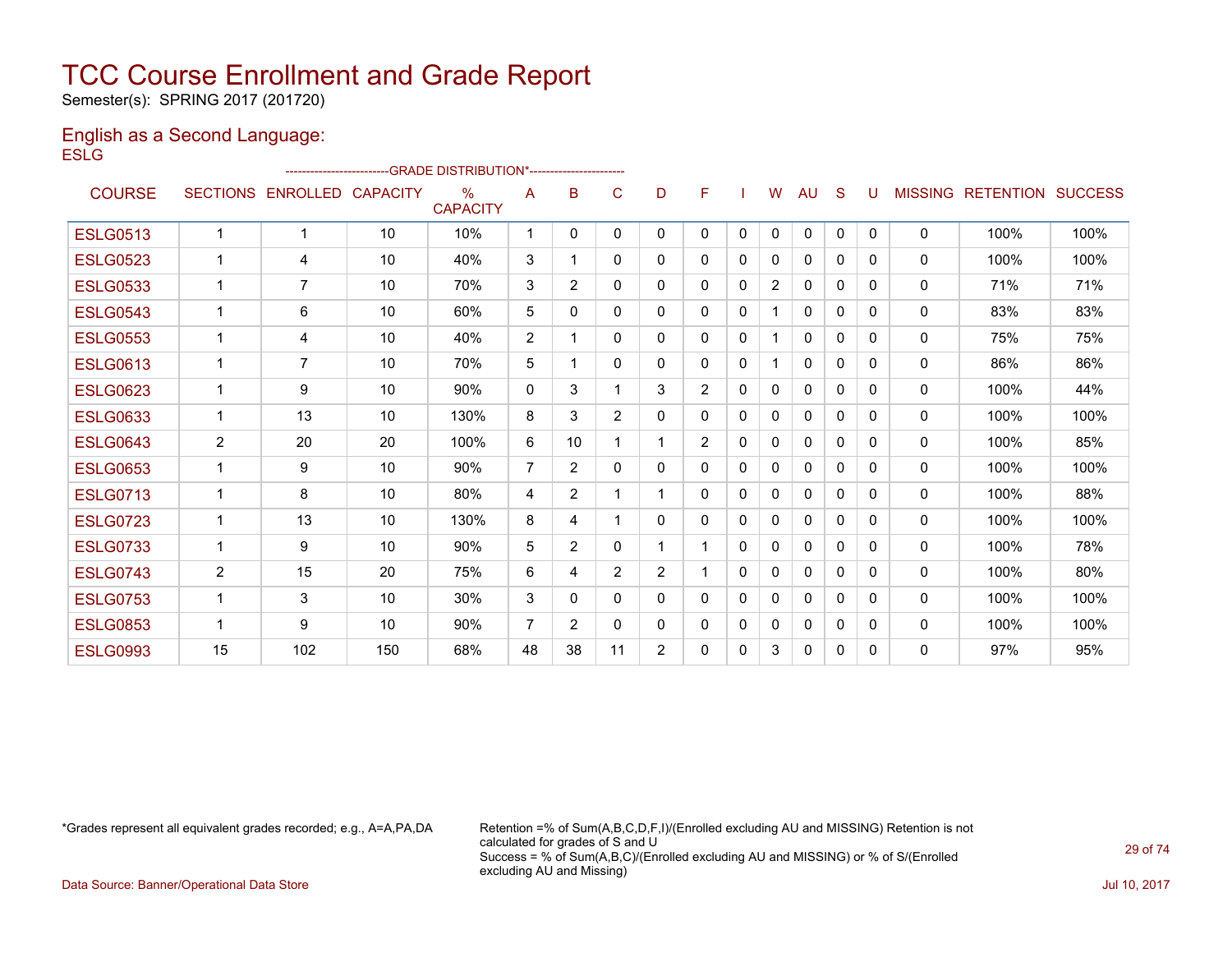Semester(s): SPRING 2017 (201720)

### English as a Second Language: **ESLG**

|                 |                 |                 |                 | ------------------------GRADE                DISTRIBUTION*---------------------- |                |                |                |                |                |              |                |              |              |          |                |                  |                |
|-----------------|-----------------|-----------------|-----------------|----------------------------------------------------------------------------------|----------------|----------------|----------------|----------------|----------------|--------------|----------------|--------------|--------------|----------|----------------|------------------|----------------|
| <b>COURSE</b>   | <b>SECTIONS</b> | <b>ENROLLED</b> | <b>CAPACITY</b> | $\frac{0}{0}$<br><b>CAPACITY</b>                                                 | A              | B              | C              | D              | F              |              | W              | AU           | S            | U        | <b>MISSING</b> | <b>RETENTION</b> | <b>SUCCESS</b> |
| <b>ESLG0513</b> | 1               | 1               | 10              | 10%                                                                              | -1             | $\Omega$       | $\mathbf{0}$   | $\mathbf{0}$   | 0              | $\mathbf{0}$ | $\mathbf{0}$   | $\mathbf{0}$ | $\Omega$     | $\Omega$ | $\mathbf{0}$   | 100%             | 100%           |
| <b>ESLG0523</b> | $\mathbf{1}$    | 4               | 10              | 40%                                                                              | 3              |                | $\Omega$       | $\Omega$       | 0              | $\Omega$     | 0              | $\Omega$     | $\Omega$     | 0        | $\mathbf{0}$   | 100%             | 100%           |
| <b>ESLG0533</b> | $\mathbf{1}$    | 7               | 10              | 70%                                                                              | 3              | $\overline{2}$ | 0              | $\mathbf{0}$   | 0              | $\mathbf{0}$ | $\overline{2}$ | 0            | $\mathbf{0}$ | 0        | $\mathbf{0}$   | 71%              | 71%            |
| <b>ESLG0543</b> | $\mathbf 1$     | 6               | 10              | 60%                                                                              | 5              | 0              | 0              | $\mathbf{0}$   | 0              | 0            | 1              | $\mathbf{0}$ | $\Omega$     | 0        | 0              | 83%              | 83%            |
| <b>ESLG0553</b> | $\mathbf 1$     | 4               | 10              | 40%                                                                              | $\overline{2}$ |                | 0              | $\Omega$       | $\Omega$       | 0            | 1              | $\Omega$     | 0            | 0        | 0              | 75%              | 75%            |
| <b>ESLG0613</b> | $\mathbf 1$     | $\overline{7}$  | 10              | 70%                                                                              | 5              |                | $\Omega$       | 0              | $\Omega$       | 0            | 1              | $\Omega$     | 0            | 0        | 0              | 86%              | 86%            |
| <b>ESLG0623</b> | $\mathbf{1}$    | 9               | 10              | 90%                                                                              | $\mathbf{0}$   | 3              |                | 3              | $\overline{2}$ | $\Omega$     | 0              | $\mathbf{0}$ | 0            | 0        | $\mathbf{0}$   | 100%             | 44%            |
| <b>ESLG0633</b> | $\mathbf{1}$    | 13              | 10              | 130%                                                                             | 8              | 3              | $\overline{2}$ | 0              | 0              | $\Omega$     | 0              | $\mathbf{0}$ | 0            | $\Omega$ | 0              | 100%             | 100%           |
| <b>ESLG0643</b> | 2               | 20              | 20              | 100%                                                                             | 6              | 10             |                |                | $\overline{2}$ | $\Omega$     | 0              | $\mathbf{0}$ | $\Omega$     | 0        | $\mathbf{0}$   | 100%             | 85%            |
| <b>ESLG0653</b> | 1               | 9               | 10              | 90%                                                                              | $\overline{7}$ | $\overline{2}$ | $\Omega$       | 0              | 0              | $\Omega$     | 0              | 0            | 0            | 0        | $\mathbf{0}$   | 100%             | 100%           |
| <b>ESLG0713</b> | 1               | 8               | 10              | 80%                                                                              | 4              | $\overline{2}$ |                |                | 0              | 0            | 0              | $\mathbf{0}$ | 0            | 0        | $\mathbf{0}$   | 100%             | 88%            |
| <b>ESLG0723</b> | 1               | 13              | 10              | 130%                                                                             | 8              | 4              |                | 0              | 0              | 0            | 0              | $\mathbf{0}$ | $\Omega$     | 0        | $\mathbf{0}$   | 100%             | 100%           |
| <b>ESLG0733</b> | $\mathbf{1}$    | 9               | 10              | 90%                                                                              | 5              | $\overline{2}$ | 0              |                |                | $\Omega$     | 0              | 0            | 0            | 0        | 0              | 100%             | 78%            |
| <b>ESLG0743</b> | 2               | 15              | 20              | 75%                                                                              | 6              | 4              | 2              | $\overline{2}$ |                | 0            | 0              | $\mathbf{0}$ | 0            | 0        | $\mathbf{0}$   | 100%             | 80%            |
| <b>ESLG0753</b> | $\mathbf 1$     | 3               | 10              | 30%                                                                              | 3              | 0              | 0              | 0              | 0              | 0            | 0              | 0            | 0            | 0        | $\mathbf{0}$   | 100%             | 100%           |
| <b>ESLG0853</b> | 1               | 9               | 10              | 90%                                                                              | $\overline{7}$ | $\overline{2}$ | 0              | 0              | 0              | 0            | 0              | 0            | 0            | 0        | 0              | 100%             | 100%           |
| <b>ESLG0993</b> | 15              | 102             | 150             | 68%                                                                              | 48             | 38             | 11             | $\overline{2}$ | 0              | $\Omega$     | 3              | $\Omega$     | $\Omega$     | 0        | $\Omega$       | 97%              | 95%            |
|                 |                 |                 |                 |                                                                                  |                |                |                |                |                |              |                |              |              |          |                |                  |                |

\*Grades represent all equivalent grades recorded; e.g., A=A,PA,DA Retention =% of Sum(A,B,C,D,F,I)/(Enrolled excluding AU and MISSING) Retention is not calculated for grades of S and U Success = % of Sum(A,B,C)/(Enrolled excluding AU and MISSING) or % of S/(Enrolled excluding AU and Missing)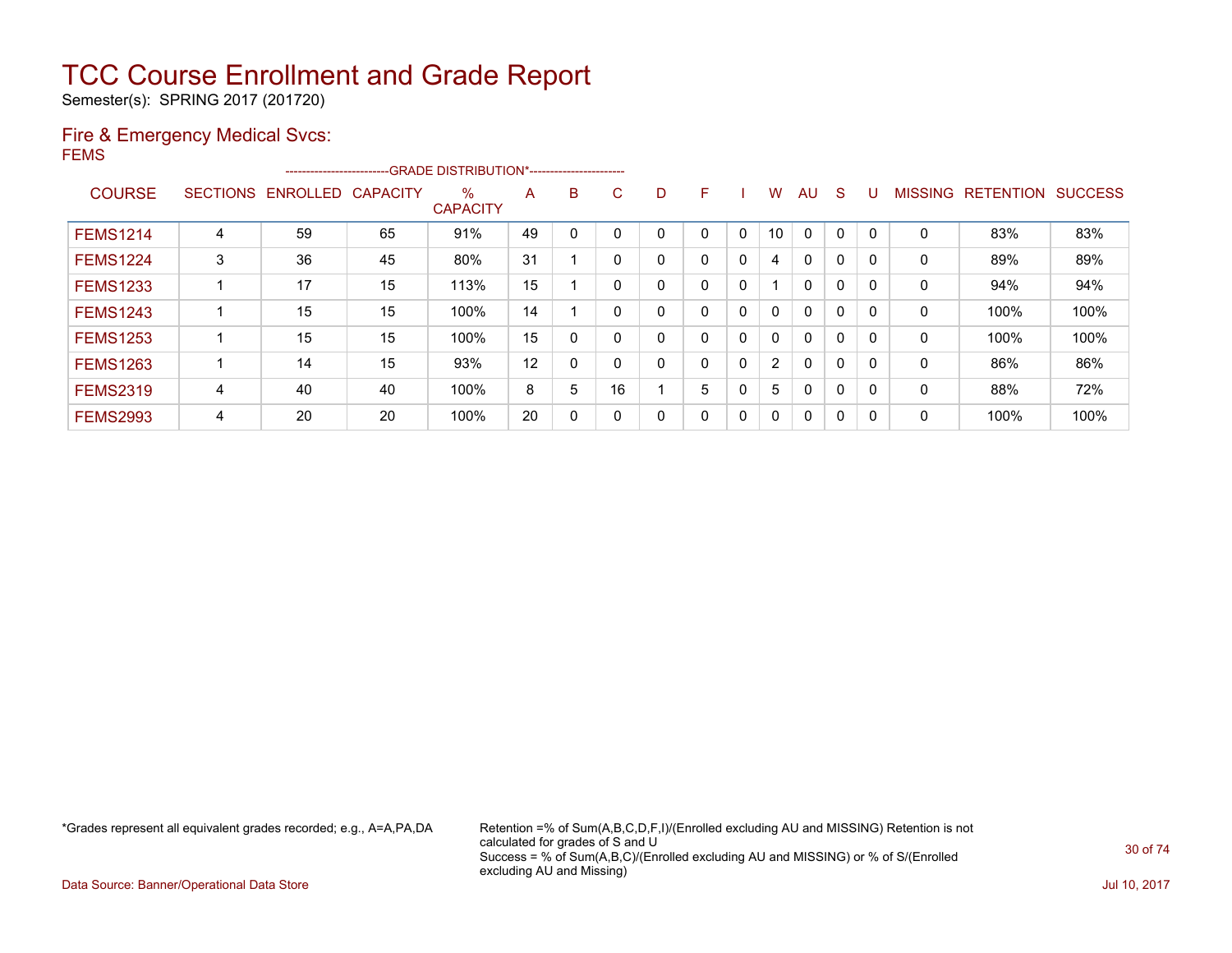Semester(s): SPRING 2017 (201720)

### Fire & Emergency Medical Svcs:

FEMS

|                 |                 | ------------------------ |                 | -- GRADE DISTRIBUTION*------------------------ |    |   |              |   |   |              |                       |              |              |              |                |                  |                |
|-----------------|-----------------|--------------------------|-----------------|------------------------------------------------|----|---|--------------|---|---|--------------|-----------------------|--------------|--------------|--------------|----------------|------------------|----------------|
| <b>COURSE</b>   | <b>SECTIONS</b> | ENROLLED                 | <b>CAPACITY</b> | %<br><b>CAPACITY</b>                           | A  | B | C.           | D | F |              | w                     | AU           | S            |              | <b>MISSING</b> | <b>RETENTION</b> | <b>SUCCESS</b> |
| <b>FEMS1214</b> | 4               | 59                       | 65              | 91%                                            | 49 |   |              |   | 0 | 0            | 10                    | $\mathbf{0}$ | 0            | 0            | $\Omega$       | 83%              | 83%            |
| <b>FEMS1224</b> | 3               | 36                       | 45              | 80%                                            | 31 |   |              | 0 | 0 | 0            | 4                     | 0            | 0            |              | 0              | 89%              | 89%            |
| <b>FEMS1233</b> |                 | 17                       | 15              | 113%                                           | 15 |   |              |   | 0 | 0            |                       | $\mathbf 0$  | $\mathbf{0}$ | $\mathbf{0}$ | 0              | 94%              | 94%            |
| <b>FEMS1243</b> |                 | 15                       | 15              | 100%                                           | 14 |   |              |   | 0 | 0            | $\mathbf{0}$          | 0            | 0            | 0            | 0              | 100%             | 100%           |
| <b>FEMS1253</b> |                 | 15                       | 15              | 100%                                           | 15 | 0 | $\mathbf{0}$ | 0 | 0 | 0            | 0                     | $\mathbf{0}$ | 0            | $\Omega$     | $\mathbf{0}$   | 100%             | 100%           |
| <b>FEMS1263</b> |                 | 14                       | 15              | 93%                                            | 12 | 0 |              |   | 0 | $\mathbf 0$  | $\mathbf{2}^{\prime}$ | 0            | $\mathbf{0}$ | 0            | 0              | 86%              | 86%            |
| <b>FEMS2319</b> | 4               | 40                       | 40              | 100%                                           | 8  | 5 | 16           |   | 5 | C            | 5                     | 0            | 0            |              | 0              | 88%              | 72%            |
| <b>FEMS2993</b> | 4               | 20                       | 20              | 100%                                           | 20 | 0 | $\Omega$     |   | 0 | $\mathbf{0}$ | 0                     | 0            | 0            |              | $\mathbf{0}$   | 100%             | 100%           |

\*Grades represent all equivalent grades recorded; e.g., A=A,PA,DA Retention =% of Sum(A,B,C,D,F,I)/(Enrolled excluding AU and MISSING) Retention is not calculated for grades of S and U Success = % of Sum(A,B,C)/(Enrolled excluding AU and MISSING) or % of S/(Enrolled excluding AU and Missing)

Data Source: Banner/Operational Data Store Jul 10, 2017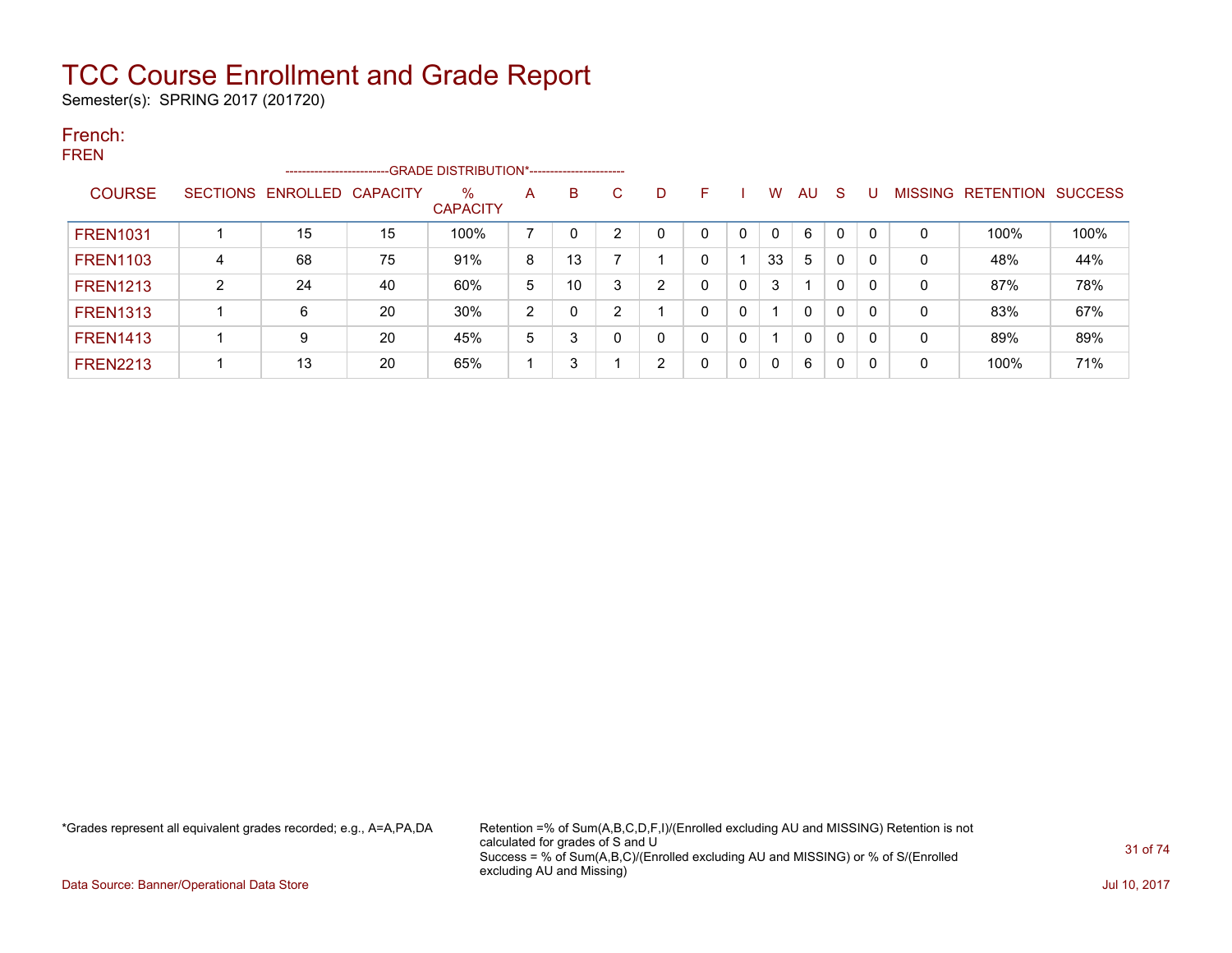Semester(s): SPRING 2017 (201720)

#### French: **EDEN**

| . <b>.</b>      |                | -----------------------    |    | -GRADE DISTRIBUTION*----------------------- |   |    |    |    |    |              |              |              |              |   |             |                   |                |
|-----------------|----------------|----------------------------|----|---------------------------------------------|---|----|----|----|----|--------------|--------------|--------------|--------------|---|-------------|-------------------|----------------|
| <b>COURSE</b>   |                | SECTIONS ENROLLED CAPACITY |    | $\%$<br><b>CAPACITY</b>                     | A | B  | C. | D. | F. |              | W            | AU.          | -S           |   |             | MISSING RETENTION | <b>SUCCESS</b> |
| <b>FREN1031</b> |                | 15                         | 15 | 100%                                        |   | 0  |    |    |    | 0            | $\mathbf{0}$ | 6            | 0            | 0 | 0           | 100%              | 100%           |
| <b>FREN1103</b> | 4              | 68                         | 75 | 91%                                         | 8 | 13 |    |    | 0  |              | 33           | 5            | $\mathbf{0}$ |   | 0           | 48%               | 44%            |
| <b>FREN1213</b> | $\overline{2}$ | 24                         | 40 | 60%                                         | 5 | 10 |    | 2  |    | 0            | 3            |              | $\mathbf{0}$ |   | 0           | 87%               | 78%            |
| <b>FREN1313</b> |                | 6                          | 20 | 30%                                         | 2 | 0  |    |    | 0  | 0            |              | $\mathbf{0}$ | $\mathbf{0}$ |   | $\mathbf 0$ | 83%               | 67%            |
| <b>FREN1413</b> |                | 9                          | 20 | 45%                                         | 5 | 3  |    | ი  | 0  | 0            |              | $\mathbf{0}$ | $\mathbf{0}$ |   | 0           | 89%               | 89%            |
| <b>FREN2213</b> |                | 13                         | 20 | 65%                                         |   | 3  |    | 2  | 0  | $\mathbf{0}$ | 0            | 6            | $\mathbf{0}$ |   | 0           | 100%              | 71%            |

\*Grades represent all equivalent grades recorded; e.g., A=A,PA,DA Retention =% of Sum(A,B,C,D,F,I)/(Enrolled excluding AU and MISSING) Retention is not calculated for grades of S and U Success = % of Sum(A,B,C)/(Enrolled excluding AU and MISSING) or % of S/(Enrolled excluding AU and Missing)

Data Source: Banner/Operational Data Store Jul 10, 2017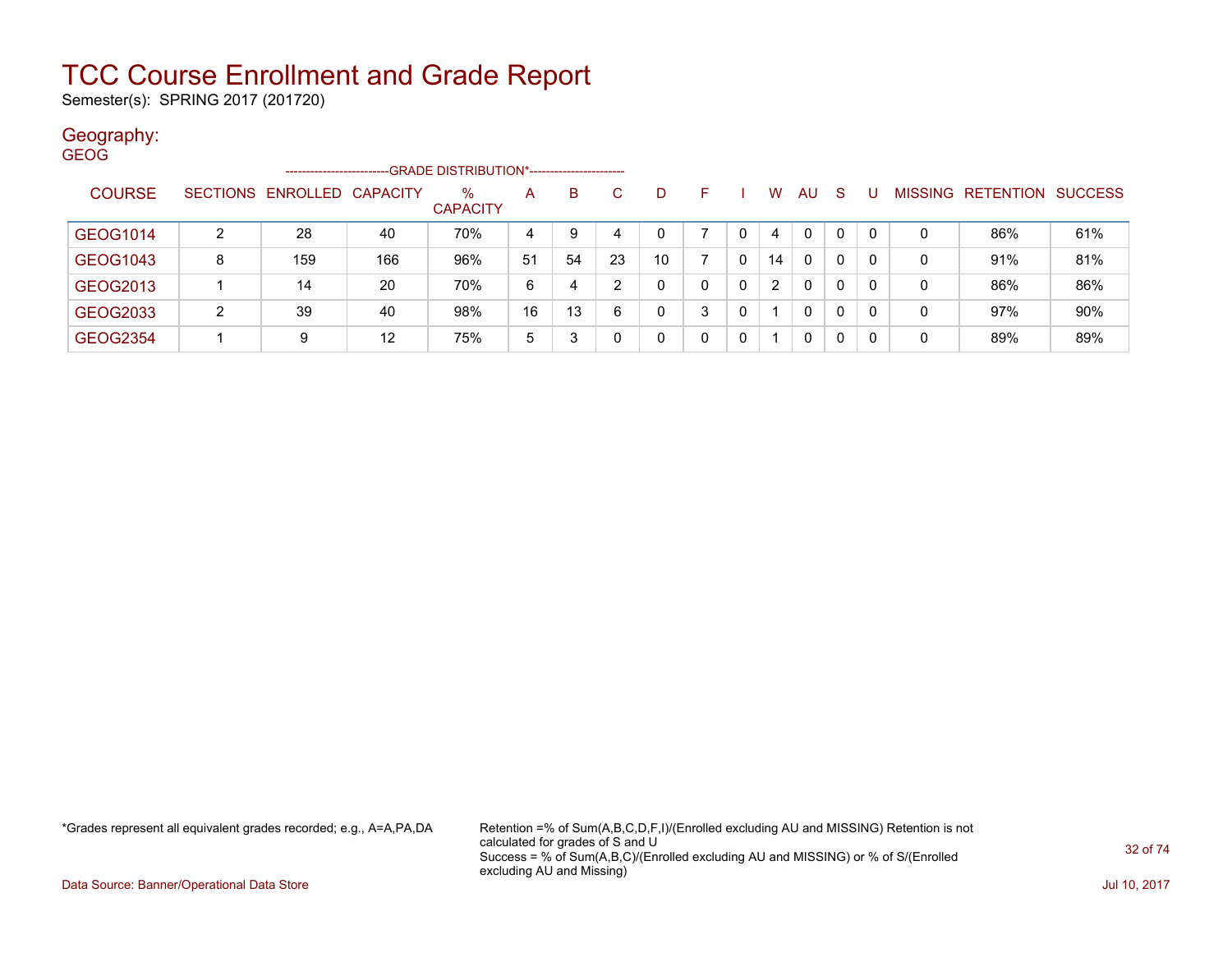Semester(s): SPRING 2017 (201720)

### Geography:

| <b>GEOG</b>     |   |                            |     |                                             |    |    |    |    |   |   |                |              |              |    |   |                                  |     |
|-----------------|---|----------------------------|-----|---------------------------------------------|----|----|----|----|---|---|----------------|--------------|--------------|----|---|----------------------------------|-----|
|                 |   | -------------------        |     | -GRADE DISTRIBUTION*----------------------- |    |    |    |    |   |   |                |              |              |    |   |                                  |     |
| <b>COURSE</b>   |   | SECTIONS ENROLLED CAPACITY |     | $\%$<br><b>CAPACITY</b>                     | A  | B  | C. | D  | F |   | W              | <b>AU</b>    | <sub>S</sub> |    |   | <b>MISSING RETENTION SUCCESS</b> |     |
| GEOG1014        | າ | 28                         | 40  | 70%                                         | 4  | 9  |    | 0  |   |   | 4              | $\mathbf{0}$ | $\mathbf 0$  |    | 0 | 86%                              | 61% |
| GEOG1043        | 8 | 159                        | 166 | 96%                                         | 51 | 54 | 23 | 10 |   | 0 | 14             | $\mathbf{0}$ | 0            | 0  | 0 | 91%                              | 81% |
| GEOG2013        |   | 14                         | 20  | 70%                                         | 6  | 4  | ົ  | 0  | 0 | 0 | $\overline{2}$ | $\mathbf{0}$ | 0            | 0  | 0 | 86%                              | 86% |
| GEOG2033        | 2 | 39                         | 40  | 98%                                         | 16 | 13 | 6  | 0  | 3 | 0 |                | $\mathbf{0}$ | 0            | 0  | 0 | 97%                              | 90% |
| <b>GEOG2354</b> |   | 9                          | 12  | 75%                                         | 5  |    |    | 0  | 0 | 0 |                | $\mathbf{0}$ | 0            | -0 | 0 | 89%                              | 89% |

\*Grades represent all equivalent grades recorded; e.g., A=A,PA,DA Retention =% of Sum(A,B,C,D,F,I)/(Enrolled excluding AU and MISSING) Retention is not calculated for grades of S and U Success = % of Sum(A,B,C)/(Enrolled excluding AU and MISSING) or % of S/(Enrolled excluding AU and Missing)

Data Source: Banner/Operational Data Store Jul 10, 2017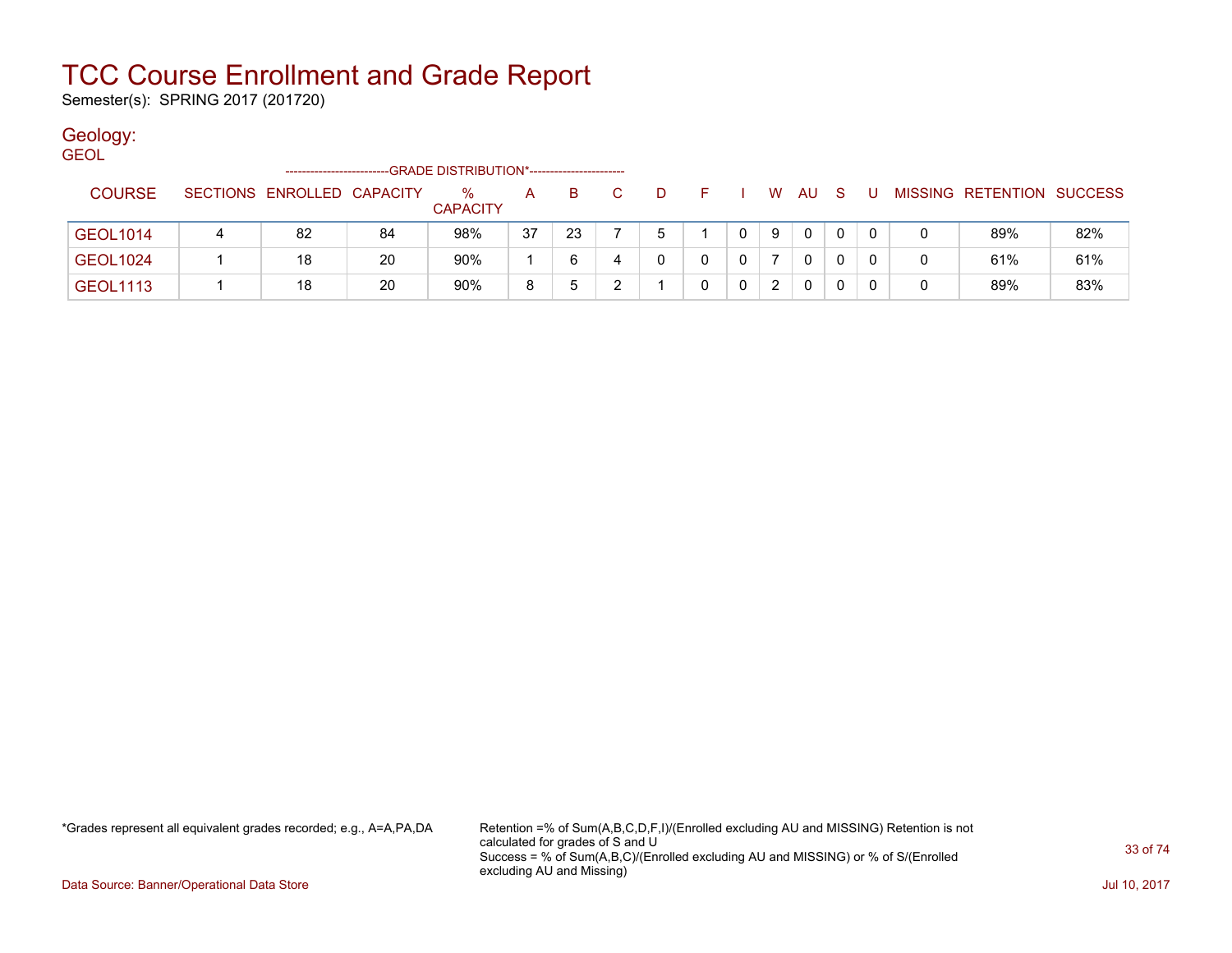Semester(s): SPRING 2017 (201720)

### Geology:

GEOL

|                 |   | ----------------------     |    | -GRADE DISTRIBUTION*----------------------- |    |    |   |  |               |              |   |   |   |                           |     |
|-----------------|---|----------------------------|----|---------------------------------------------|----|----|---|--|---------------|--------------|---|---|---|---------------------------|-----|
| <b>COURSE</b>   |   | SECTIONS ENROLLED CAPACITY |    | %<br><b>CAPACITY</b>                        | А  | в  |   |  | W             | AU           | S | U |   | MISSING RETENTION SUCCESS |     |
| <b>GEOL1014</b> | 4 | 82                         | 84 | 98%                                         | 37 | 23 |   |  | 9             | 0            |   |   | 0 | 89%                       | 82% |
| <b>GEOL1024</b> |   | 18                         | 20 | 90%                                         |    | 6  | 4 |  |               | 0            |   |   | 0 | 61%                       | 61% |
| <b>GEOL1113</b> |   | 18                         | 20 | 90%                                         | 8  |    |   |  | $\mathcal{P}$ | $\mathbf{0}$ |   |   | 0 | 89%                       | 83% |

\*Grades represent all equivalent grades recorded; e.g., A=A,PA,DA Retention =% of Sum(A,B,C,D,F,I)/(Enrolled excluding AU and MISSING) Retention is not calculated for grades of S and U Success = % of Sum(A,B,C)/(Enrolled excluding AU and MISSING) or % of S/(Enrolled excluding AU and Missing)

Data Source: Banner/Operational Data Store Jul 10, 2017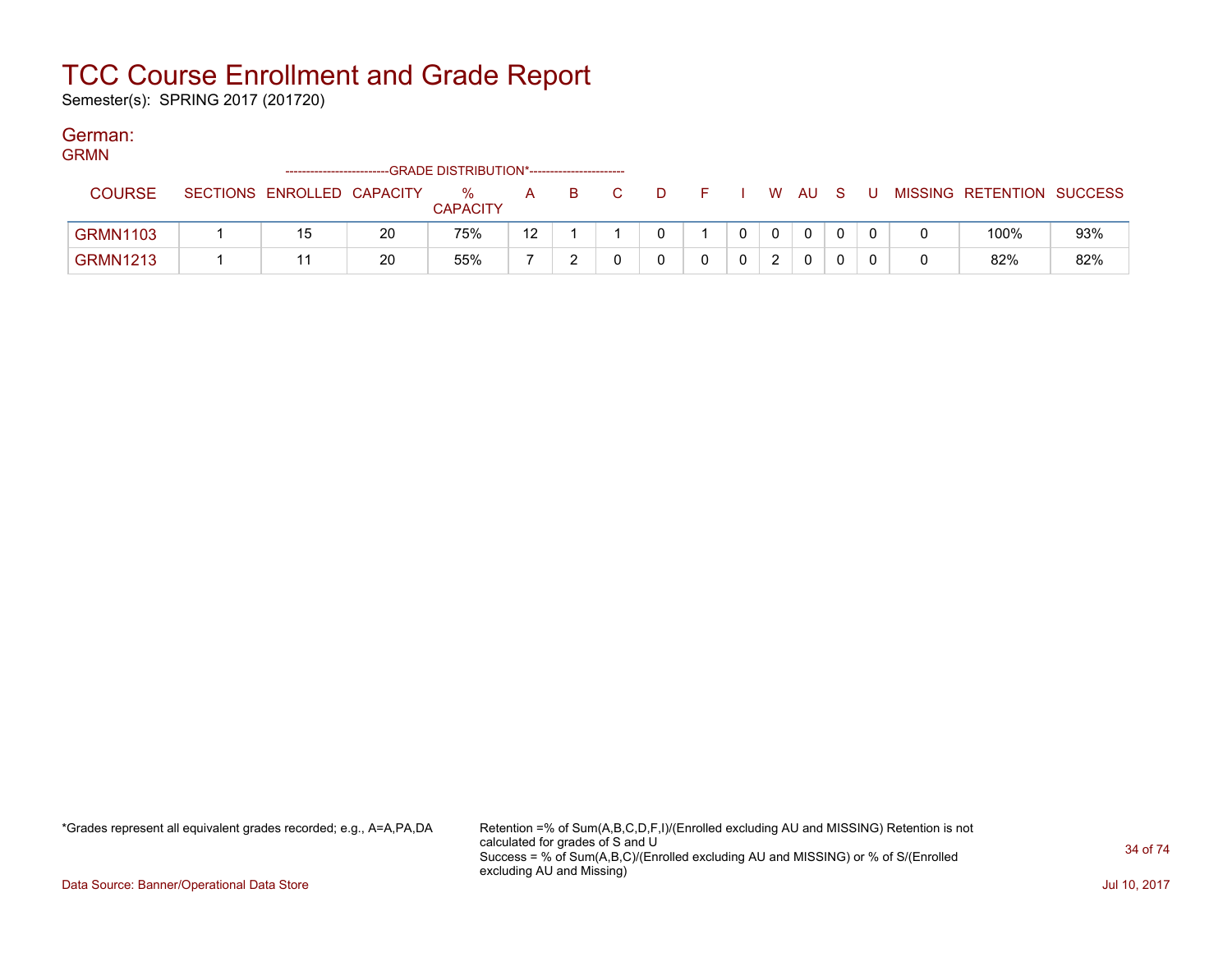Semester(s): SPRING 2017 (201720)

### German:

GRMN

| _ _ _ _ _ _     | -------------------------  |    | -GRADE DISTRIBUTION*----------------------- |    |     |     |       |  |        |  |                           |     |
|-----------------|----------------------------|----|---------------------------------------------|----|-----|-----|-------|--|--------|--|---------------------------|-----|
| <b>COURSE</b>   | SECTIONS ENROLLED CAPACITY |    | %<br><b>CAPACITY</b>                        | A  | - B | D D | - F - |  | . WAUS |  | MISSING RETENTION SUCCESS |     |
| <b>GRMN1103</b> |                            | 20 | 75%                                         | 12 |     |     |       |  |        |  | 100%                      | 93% |
| <b>GRMN1213</b> |                            | 20 | 55%                                         |    |     |     |       |  |        |  | 82%                       | 82% |

\*Grades represent all equivalent grades recorded; e.g., A=A,PA,DA Retention =% of Sum(A,B,C,D,F,I)/(Enrolled excluding AU and MISSING) Retention is not calculated for grades of S and U Success = % of Sum(A,B,C)/(Enrolled excluding AU and MISSING) or % of S/(Enrolled excluding AU and Missing)

Data Source: Banner/Operational Data Store **July 10, 2017 Contract Store July 10, 2017**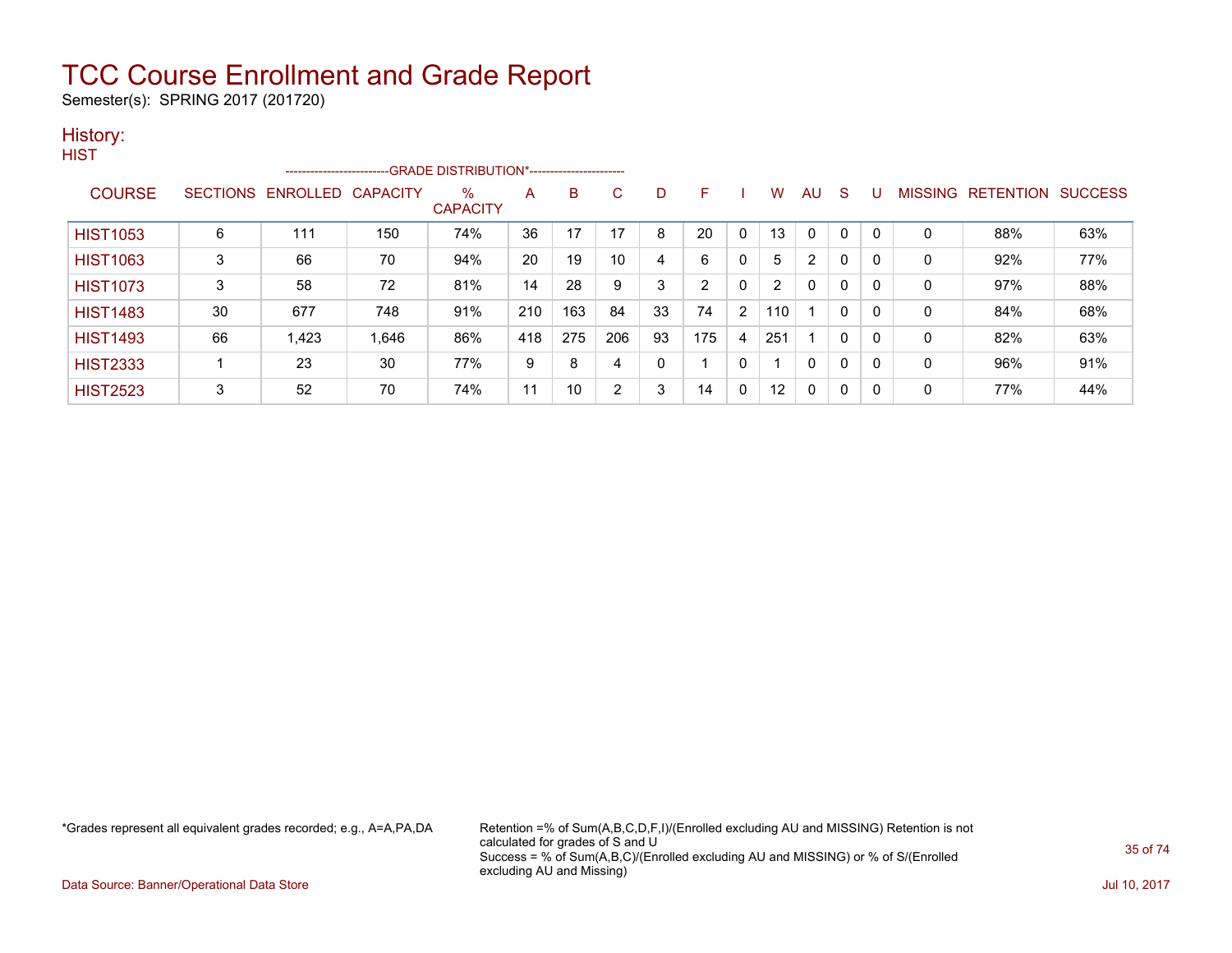Semester(s): SPRING 2017 (201720)

#### History: **HIST**

| .               |    | ----------------------- |                 | -GRADE DISTRIBUTION*----------------------- |     |     |              |    |     |              |                   |                |              |          |         |                  |                |
|-----------------|----|-------------------------|-----------------|---------------------------------------------|-----|-----|--------------|----|-----|--------------|-------------------|----------------|--------------|----------|---------|------------------|----------------|
| <b>COURSE</b>   |    | SECTIONS ENROLLED       | <b>CAPACITY</b> | %<br><b>CAPACITY</b>                        | Α   | B   | $\mathbf{C}$ | D  | F   |              | W                 | AU             | <sub>S</sub> |          | MISSING | <b>RETENTION</b> | <b>SUCCESS</b> |
| <b>HIST1053</b> | 6  | 111                     | 150             | 74%                                         | 36  | 17  | 17           | 8  | 20  | $\Omega$     | 13                | $\Omega$       | $\Omega$     | $\Omega$ | 0       | 88%              | 63%            |
| <b>HIST1063</b> | 3  | 66                      | 70              | 94%                                         | 20  | 19  | 10           | 4  | 6   | 0            | 5                 | $\overline{2}$ | 0            | $\Omega$ | 0       | 92%              | 77%            |
| <b>HIST1073</b> | 3  | 58                      | 72              | 81%                                         | 14  | 28  | 9            | 3  | ົ   | $\mathbf{0}$ | $\overline{2}$    | $\Omega$       | 0            | $\Omega$ | 0       | 97%              | 88%            |
| <b>HIST1483</b> | 30 | 677                     | 748             | 91%                                         | 210 | 163 | 84           | 33 | 74  | 2            | 110               |                | 0            | 0        | 0       | 84%              | 68%            |
| <b>HIST1493</b> | 66 | 1,423                   | 1,646           | 86%                                         | 418 | 275 | 206          | 93 | 175 | 4            | 251               | и              | 0            | $\Omega$ | 0       | 82%              | 63%            |
| <b>HIST2333</b> |    | 23                      | 30              | 77%                                         | 9   | 8   | 4            | 0  |     | $\mathbf{0}$ |                   | $\Omega$       | 0            | $\Omega$ | 0       | 96%              | 91%            |
| <b>HIST2523</b> | 3  | 52                      | 70              | 74%                                         | 11  | 10  | 2            | 3  | 14  | 0            | $12 \overline{ }$ | 0              | 0            | 0        | 0       | 77%              | 44%            |

\*Grades represent all equivalent grades recorded; e.g., A=A,PA,DA Retention =% of Sum(A,B,C,D,F,I)/(Enrolled excluding AU and MISSING) Retention is not calculated for grades of S and U Success = % of Sum(A,B,C)/(Enrolled excluding AU and MISSING) or % of S/(Enrolled excluding AU and Missing)

Data Source: Banner/Operational Data Store Jul 10, 2017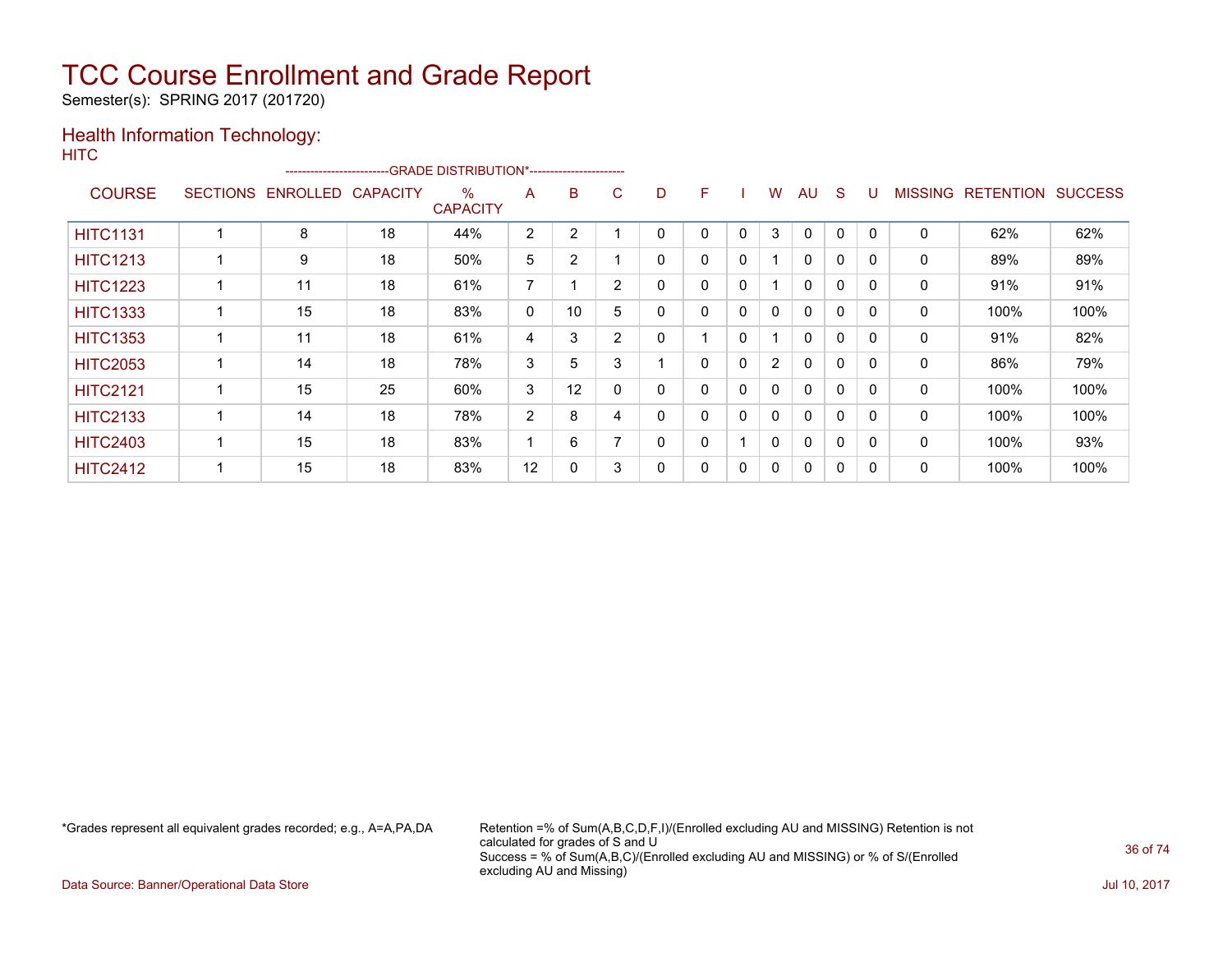Semester(s): SPRING 2017 (201720)

### Health Information Technology: **HITC**

| ------------------------GRADE                DISTRIBUTION*---------------------- |                 |                 |                 |                         |                |                |                |          |   |          |                |              |          |              |                |                  |                |
|----------------------------------------------------------------------------------|-----------------|-----------------|-----------------|-------------------------|----------------|----------------|----------------|----------|---|----------|----------------|--------------|----------|--------------|----------------|------------------|----------------|
| <b>COURSE</b>                                                                    | <b>SECTIONS</b> | <b>ENROLLED</b> | <b>CAPACITY</b> | $\%$<br><b>CAPACITY</b> | A              | B              | C              | D        | F |          | W              | AU           | S        |              | <b>MISSING</b> | <b>RETENTION</b> | <b>SUCCESS</b> |
| <b>HITC1131</b>                                                                  |                 | 8               | 18              | 44%                     | $\overline{2}$ | 2              |                | $\Omega$ | 0 | $\Omega$ | 3              | $\Omega$     | $\Omega$ | $\mathbf{0}$ | 0              | 62%              | 62%            |
| <b>HITC1213</b>                                                                  |                 | 9               | 18              | 50%                     | 5              | $\overline{2}$ |                | 0        | 0 | 0        |                | 0            | 0        | 0            | 0              | 89%              | 89%            |
| <b>HITC1223</b>                                                                  |                 | 11              | 18              | 61%                     | $\overline{ }$ |                | $\overline{2}$ | 0        | 0 | 0        |                | $\mathbf{0}$ | 0        | $\Omega$     | 0              | 91%              | 91%            |
| <b>HITC1333</b>                                                                  |                 | 15              | 18              | 83%                     | 0              | 10             | 5              | 0        | 0 | 0        | 0              | $\Omega$     | $\Omega$ | $\Omega$     | 0              | 100%             | 100%           |
| <b>HITC1353</b>                                                                  |                 | 11              | 18              | 61%                     | 4              | 3              | $\overline{2}$ | 0        |   | 0        |                | $\mathbf{0}$ | 0        | $\Omega$     | 0              | 91%              | 82%            |
| <b>HITC2053</b>                                                                  |                 | 14              | 18              | 78%                     | 3              | 5              | 3              |          | 0 | $\Omega$ | $\overline{2}$ | $\Omega$     | $\Omega$ | $\Omega$     | 0              | 86%              | 79%            |
| <b>HITC2121</b>                                                                  |                 | 15              | 25              | 60%                     | 3              | 12             | 0              | $\Omega$ | 0 | 0        | 0              | $\mathbf{0}$ | $\Omega$ | 0            | 0              | 100%             | 100%           |
| <b>HITC2133</b>                                                                  |                 | 14              | 18              | 78%                     | 2              | 8              | 4              | $\Omega$ | 0 | 0        | 0              | $\mathbf{0}$ | $\Omega$ | 0            | 0              | 100%             | 100%           |
| <b>HITC2403</b>                                                                  |                 | 15              | 18              | 83%                     |                | 6              |                | 0        | 0 |          | 0              | $\mathbf{0}$ | 0        | 0            | 0              | 100%             | 93%            |
| <b>HITC2412</b>                                                                  |                 | 15              | 18              | 83%                     | 12             | 0              | 3              | 0        | 0 | 0        | 0              | 0            | 0        | 0            | 0              | 100%             | 100%           |

\*Grades represent all equivalent grades recorded; e.g., A=A,PA,DA Retention =% of Sum(A,B,C,D,F,I)/(Enrolled excluding AU and MISSING) Retention is not calculated for grades of S and U Success = % of Sum(A,B,C)/(Enrolled excluding AU and MISSING) or % of S/(Enrolled excluding AU and Missing)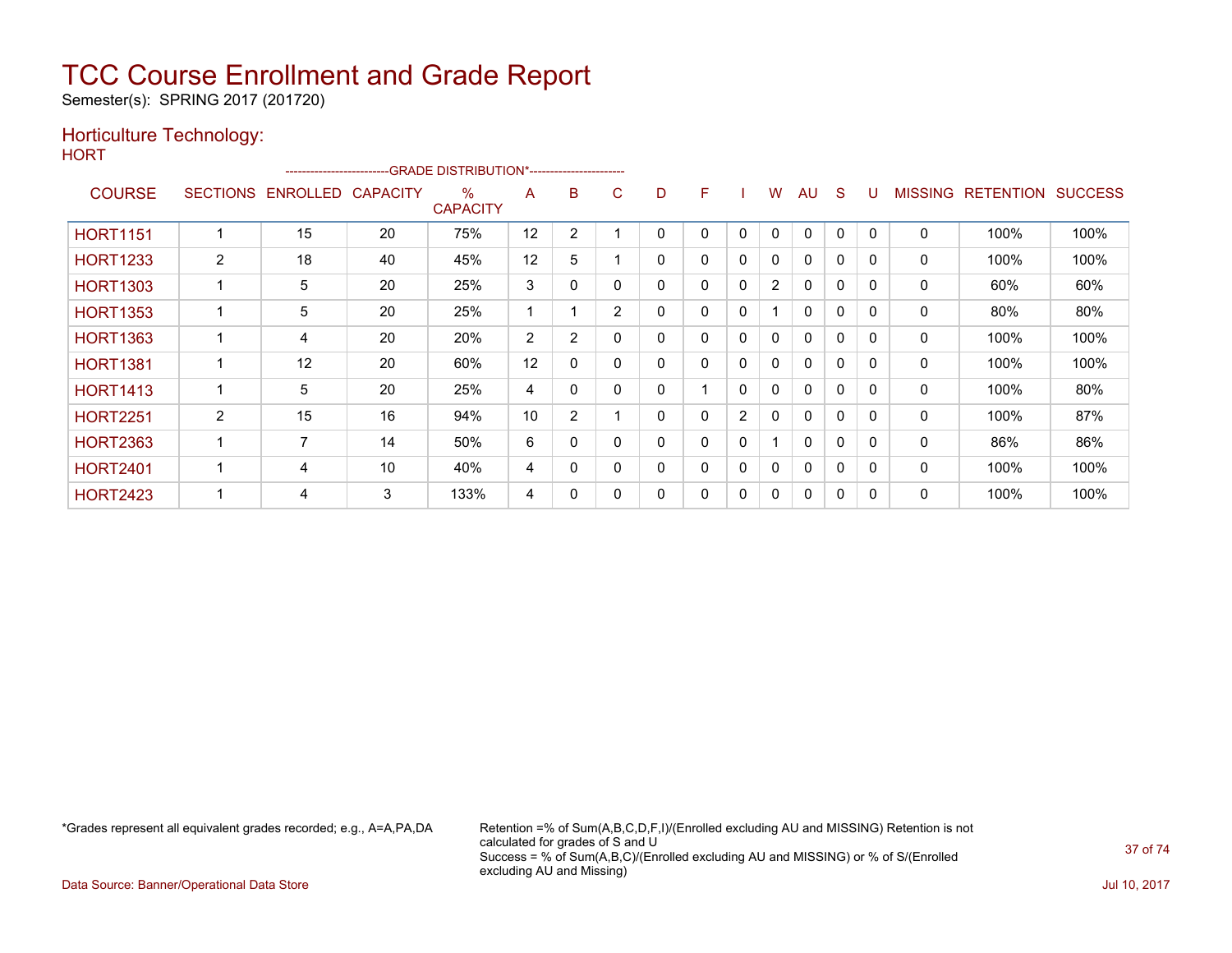Semester(s): SPRING 2017 (201720)

### Horticulture Technology:

| M.<br>۰. |  |
|----------|--|

|                 |   |                   |                 | -------------------------GRADE DISTRIBUTION*----------------------- |    |                |                |   |   |              |                |              |              |          |                |                  |                |
|-----------------|---|-------------------|-----------------|---------------------------------------------------------------------|----|----------------|----------------|---|---|--------------|----------------|--------------|--------------|----------|----------------|------------------|----------------|
| <b>COURSE</b>   |   | SECTIONS ENROLLED | <b>CAPACITY</b> | $\%$<br><b>CAPACITY</b>                                             | A  | B              | C              | D | F |              | w              | AU           | <sub>S</sub> | U        | <b>MISSING</b> | <b>RETENTION</b> | <b>SUCCESS</b> |
| <b>HORT1151</b> |   | 15                | 20              | 75%                                                                 | 12 | 2              |                | 0 | 0 | 0            | 0              | $\Omega$     | 0            |          | 0              | 100%             | 100%           |
| <b>HORT1233</b> | 2 | 18                | 40              | 45%                                                                 | 12 | 5              |                | 0 | 0 | 0            | 0              | $\mathbf{0}$ | $\mathbf{0}$ | $\Omega$ | 0              | 100%             | 100%           |
| <b>HORT1303</b> |   | 5                 | 20              | 25%                                                                 | 3  | $\Omega$       |                | 0 | 0 | 0            | $\overline{2}$ | $\mathbf{0}$ | $\mathbf{0}$ | $\Omega$ | $\mathbf{0}$   | 60%              | 60%            |
| <b>HORT1353</b> |   | 5                 | 20              | 25%                                                                 |    |                | $\overline{2}$ | 0 | 0 | 0            |                | $\mathbf{0}$ | $\mathbf{0}$ | $\Omega$ | 0              | 80%              | 80%            |
| <b>HORT1363</b> |   | 4                 | 20              | 20%                                                                 | 2  | 2              |                | 0 | 0 | 0            | 0              | $\mathbf{0}$ | $\mathbf{0}$ | $\Omega$ | 0              | 100%             | 100%           |
| <b>HORT1381</b> |   | 12                | 20              | 60%                                                                 | 12 | 0              |                | 0 | 0 | 0            | 0              | $\mathbf{0}$ | 0            |          | 0              | 100%             | 100%           |
| <b>HORT1413</b> |   | 5                 | 20              | 25%                                                                 | 4  | 0              |                | 0 |   | 0            | 0              | $\mathbf{0}$ | 0            | $\Omega$ | 0              | 100%             | 80%            |
| <b>HORT2251</b> | 2 | 15                | 16              | 94%                                                                 | 10 | $\overline{2}$ |                | 0 | 0 | 2            | 0              | $\mathbf{0}$ | $\Omega$     |          | $\Omega$       | 100%             | 87%            |
| <b>HORT2363</b> |   | 7                 | 14              | 50%                                                                 | 6  | 0              |                | 0 | 0 | $\mathbf{0}$ |                | $\mathbf{0}$ | $\mathbf{0}$ | $\Omega$ | 0              | 86%              | 86%            |
| <b>HORT2401</b> |   | 4                 | 10              | 40%                                                                 | 4  | $\Omega$       |                | 0 | 0 | 0            | $\mathbf{0}$   | $\mathbf{0}$ | $\mathbf{0}$ | $\Omega$ | $\mathbf{0}$   | 100%             | 100%           |
| <b>HORT2423</b> |   | 4                 | 3               | 133%                                                                | 4  | 0              |                | 0 | 0 | 0            | 0              | $\mathbf{0}$ | 0            |          | 0              | 100%             | 100%           |

\*Grades represent all equivalent grades recorded; e.g., A=A,PA,DA Retention =% of Sum(A,B,C,D,F,I)/(Enrolled excluding AU and MISSING) Retention is not calculated for grades of S and U Success = % of Sum(A,B,C)/(Enrolled excluding AU and MISSING) or % of S/(Enrolled excluding AU and Missing)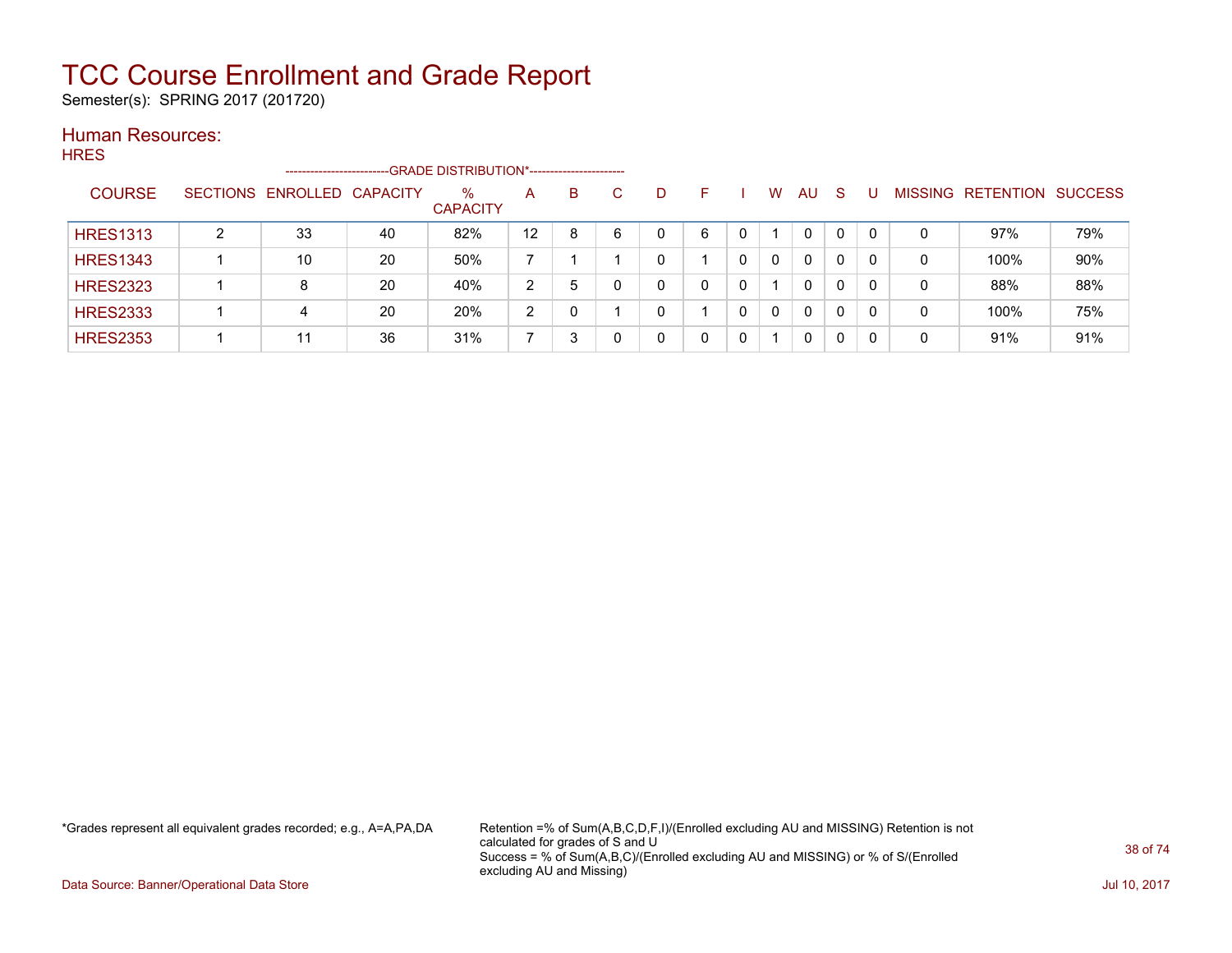Semester(s): SPRING 2017 (201720)

#### Human Resources: HRES

| סבאד            |   | -----------------------    |    | -GRADE DISTRIBUTION*----------------------- |                   |   |              |              |    |              |          |              |              |   |   |                           |     |
|-----------------|---|----------------------------|----|---------------------------------------------|-------------------|---|--------------|--------------|----|--------------|----------|--------------|--------------|---|---|---------------------------|-----|
| <b>COURSE</b>   |   | SECTIONS ENROLLED CAPACITY |    | %<br><b>CAPACITY</b>                        | A                 | B | $\mathbf{C}$ | D            | F. |              | W        | AU           | -S           | U |   | MISSING RETENTION SUCCESS |     |
| <b>HRES1313</b> | 2 | 33                         | 40 | 82%                                         | $12 \overline{ }$ | 8 | 6            | 0            | 6  | 0            |          | $\mathbf{0}$ | $\mathbf{0}$ | 0 | 0 | 97%                       | 79% |
| <b>HRES1343</b> |   | 10                         | 20 | 50%                                         | 7                 |   |              | 0            |    | $\mathbf{0}$ | $\Omega$ | $\mathbf{0}$ | $\Omega$     | 0 | 0 | 100%                      | 90% |
| <b>HRES2323</b> |   | 8                          | 20 | 40%                                         | 2                 | 5 | $\Omega$     | $\mathbf{0}$ |    | $\mathbf{0}$ |          | $\Omega$     | $\mathbf{0}$ | 0 | 0 | 88%                       | 88% |
| <b>HRES2333</b> |   | 4                          | 20 | 20%                                         | 2                 |   |              | 0            |    | $\mathbf{0}$ | $\Omega$ | $\mathbf{0}$ | $\Omega$     | 0 | 0 | 100%                      | 75% |
| <b>HRES2353</b> |   | 11                         | 36 | 31%                                         |                   | 3 | 0            | 0            |    | 0            |          | 0            | 0            | 0 | 0 | 91%                       | 91% |

\*Grades represent all equivalent grades recorded; e.g., A=A,PA,DA Retention =% of Sum(A,B,C,D,F,I)/(Enrolled excluding AU and MISSING) Retention is not calculated for grades of S and U Success = % of Sum(A,B,C)/(Enrolled excluding AU and MISSING) or % of S/(Enrolled excluding AU and Missing)

Data Source: Banner/Operational Data Store Jul 10, 2017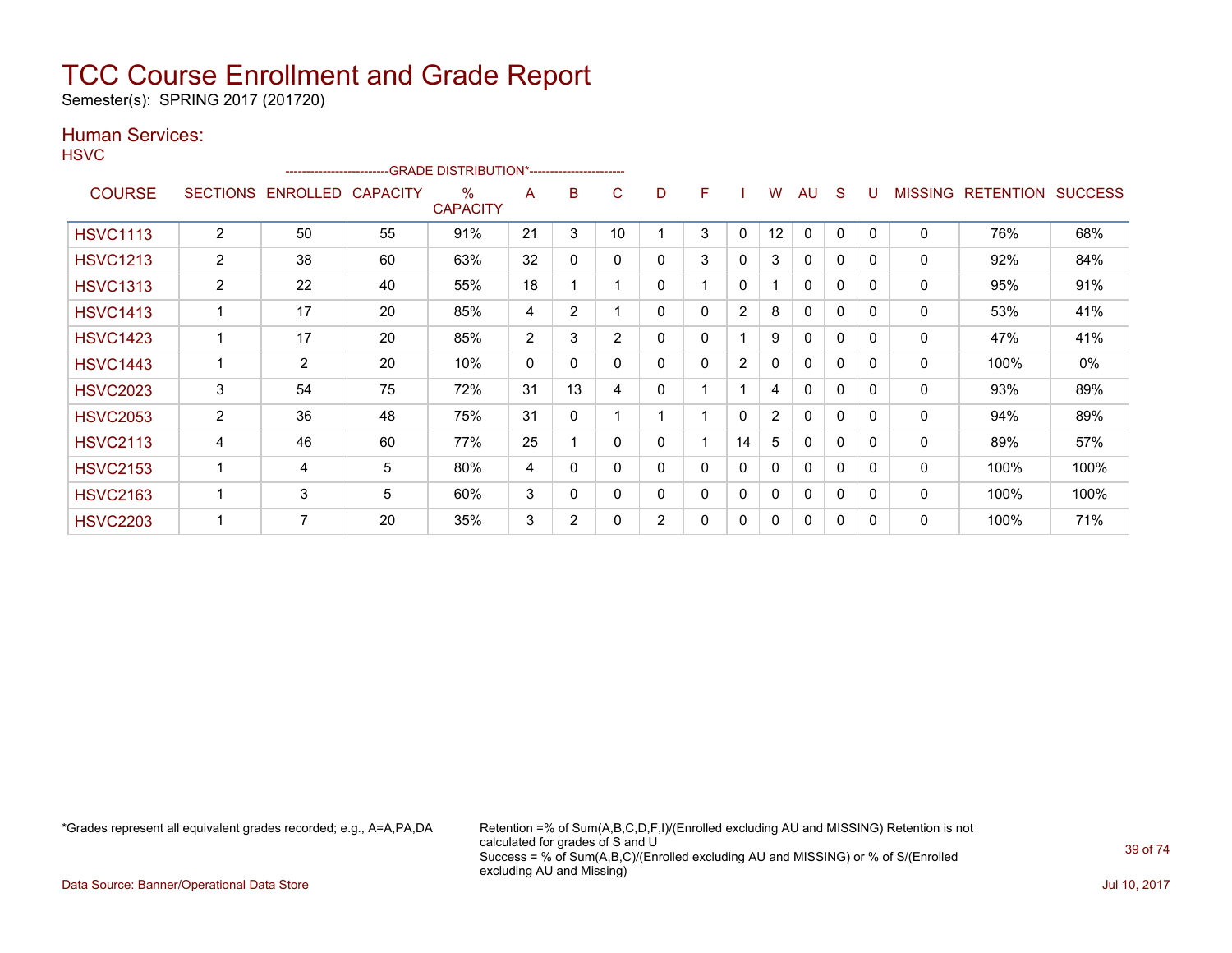Semester(s): SPRING 2017 (201720)

### Human Services:

| ×<br>٠<br>۰. |
|--------------|
|--------------|

|                 | -------------------------GRADE DISTRIBUTION*----------------------- |                       |                 |                      |                |                |          |                |   |              |                |              |              |          |                |                  |                |
|-----------------|---------------------------------------------------------------------|-----------------------|-----------------|----------------------|----------------|----------------|----------|----------------|---|--------------|----------------|--------------|--------------|----------|----------------|------------------|----------------|
| <b>COURSE</b>   |                                                                     | SECTIONS ENROLLED     | <b>CAPACITY</b> | %<br><b>CAPACITY</b> | A              | B              | C        | D              | F |              | W              | AU           | <sub>S</sub> | U        | <b>MISSING</b> | <b>RETENTION</b> | <b>SUCCESS</b> |
| <b>HSVC1113</b> | 2                                                                   | 50                    | 55              | 91%                  | 21             | 3              | 10       |                | 3 | 0            | 12             | $\mathbf{0}$ | $\mathbf{0}$ | $\Omega$ | $\mathbf 0$    | 76%              | 68%            |
| <b>HSVC1213</b> | $\overline{2}$                                                      | 38                    | 60              | 63%                  | 32             | $\mathbf{0}$   | 0        | 0              | 3 | 0            | 3              | $\mathbf{0}$ | 0            | $\Omega$ | 0              | 92%              | 84%            |
| <b>HSVC1313</b> | $\overline{2}$                                                      | 22                    | 40              | 55%                  | 18             |                |          | 0              |   | $\mathbf{0}$ |                | $\mathbf{0}$ | $\mathbf{0}$ | $\Omega$ | 0              | 95%              | 91%            |
| <b>HSVC1413</b> |                                                                     | 17                    | 20              | 85%                  | 4              | $\overline{2}$ |          | 0              | 0 | 2            | 8              | $\mathbf{0}$ | $\mathbf{0}$ | $\Omega$ | 0              | 53%              | 41%            |
| <b>HSVC1423</b> |                                                                     | 17                    | 20              | 85%                  | $\overline{2}$ | 3              | 2        | 0              | 0 |              | 9              | $\mathbf{0}$ | $\mathbf{0}$ | $\Omega$ | 0              | 47%              | 41%            |
| <b>HSVC1443</b> |                                                                     | $\mathbf{2}^{\prime}$ | 20              | 10%                  | 0              | 0              |          | 0              | 0 | 2            | 0              | $\mathbf{0}$ | $\mathbf{0}$ | $\Omega$ | 0              | 100%             | 0%             |
| <b>HSVC2023</b> | 3                                                                   | 54                    | 75              | 72%                  | 31             | 13             | 4        | 0              |   |              | 4              | $\mathbf{0}$ | $\mathbf{0}$ | $\Omega$ | $\mathbf 0$    | 93%              | 89%            |
| <b>HSVC2053</b> | $\overline{2}$                                                      | 36                    | 48              | 75%                  | 31             | $\mathbf{0}$   |          |                |   | $\mathbf{0}$ | $\overline{2}$ | $\mathbf{0}$ | $\mathbf{0}$ | $\Omega$ | 0              | 94%              | 89%            |
| <b>HSVC2113</b> | 4                                                                   | 46                    | 60              | 77%                  | 25             |                | $\Omega$ | 0              |   | 14           | 5              | $\mathbf{0}$ | $\mathbf{0}$ | $\Omega$ | $\mathbf 0$    | 89%              | 57%            |
| <b>HSVC2153</b> |                                                                     | 4                     | 5               | 80%                  | 4              | 0              |          | 0              | 0 | 0            | $\mathbf{0}$   | $\mathbf{0}$ | $\mathbf{0}$ | $\Omega$ | 0              | 100%             | 100%           |
| <b>HSVC2163</b> |                                                                     | 3                     | 5               | 60%                  | 3              | 0              | 0        | 0              | 0 | 0            | 0              | $\mathbf{0}$ | 0            | $\Omega$ | 0              | 100%             | 100%           |
| <b>HSVC2203</b> |                                                                     | 7                     | 20              | 35%                  | 3              | $\overline{2}$ |          | $\overline{2}$ | 0 | 0            | 0              | $\mathbf{0}$ | $\mathbf{0}$ | $\Omega$ | 0              | 100%             | 71%            |

\*Grades represent all equivalent grades recorded; e.g., A=A,PA,DA Retention =% of Sum(A,B,C,D,F,I)/(Enrolled excluding AU and MISSING) Retention is not calculated for grades of S and U Success = % of Sum(A,B,C)/(Enrolled excluding AU and MISSING) or % of S/(Enrolled excluding AU and Missing)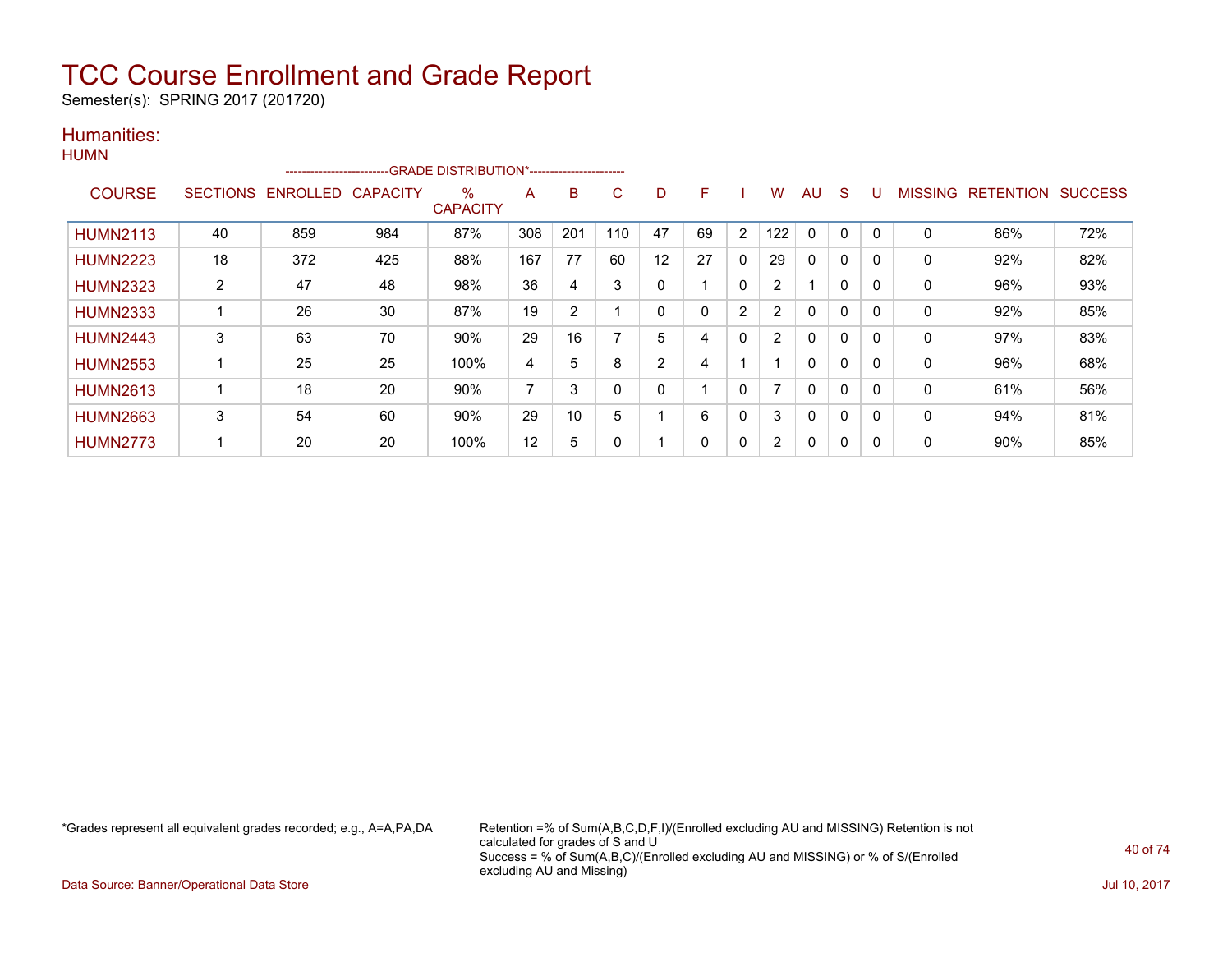Semester(s): SPRING 2017 (201720)

#### Humanities: **HUMN**

| .               |                 | ------------------------ |                 | -GRADE DISTRIBUTION*----------------------- |     |                |          |          |              |                |                |              |             |              |                |                  |                |
|-----------------|-----------------|--------------------------|-----------------|---------------------------------------------|-----|----------------|----------|----------|--------------|----------------|----------------|--------------|-------------|--------------|----------------|------------------|----------------|
| <b>COURSE</b>   | <b>SECTIONS</b> | ENROLLED                 | <b>CAPACITY</b> | $\%$<br><b>CAPACITY</b>                     | A   | B              | C        | D        | F            |                | W              | AU           | S           |              | <b>MISSING</b> | <b>RETENTION</b> | <b>SUCCESS</b> |
| <b>HUMN2113</b> | 40              | 859                      | 984             | 87%                                         | 308 | 201            | 110      | 47       | 69           | $\overline{2}$ | 122            | $\mathbf 0$  | $\mathbf 0$ | $\Omega$     | 0              | 86%              | 72%            |
| <b>HUMN2223</b> | 18              | 372                      | 425             | 88%                                         | 167 | 77             | 60       | 12       | 27           | $\mathbf{0}$   | 29             | 0            | 0           |              | 0              | 92%              | 82%            |
| <b>HUMN2323</b> | $\overline{2}$  | 47                       | 48              | 98%                                         | 36  | 4              | 3        | 0        |              | 0              | $\overline{2}$ |              | $\mathbf 0$ | $\Omega$     | 0              | 96%              | 93%            |
| <b>HUMN2333</b> |                 | 26                       | 30              | 87%                                         | 19  | $\overline{2}$ |          | $\Omega$ | $\Omega$     | 2              | 2              | $\Omega$     | $\Omega$    | $\Omega$     | $\mathbf{0}$   | 92%              | 85%            |
| <b>HUMN2443</b> | 3               | 63                       | 70              | 90%                                         | 29  | 16             |          | 5        | 4            | 0              | $\overline{2}$ | 0            | 0           |              | 0              | 97%              | 83%            |
| <b>HUMN2553</b> |                 | 25                       | 25              | 100%                                        | 4   | 5              | 8        | 2        | 4            |                |                | $\mathbf{0}$ | 0           | $\Omega$     | 0              | 96%              | 68%            |
| <b>HUMN2613</b> |                 | 18                       | 20              | 90%                                         | 7   | 3              | $\Omega$ | 0        |              | 0              |                | $\Omega$     | $\mathbf 0$ | $\Omega$     | 0              | 61%              | 56%            |
| <b>HUMN2663</b> | 3               | 54                       | 60              | 90%                                         | 29  | 10             | 5        |          | 6            | $\mathbf{0}$   | 3              | 0            | $\Omega$    | <sup>0</sup> | 0              | 94%              | 81%            |
| <b>HUMN2773</b> |                 | 20                       | 20              | 100%                                        | 12  | 5              | 0        |          | $\mathbf{0}$ | 0              | $\overline{2}$ | $\Omega$     | 0           | $\Omega$     | 0              | 90%              | 85%            |

\*Grades represent all equivalent grades recorded; e.g., A=A,PA,DA Retention =% of Sum(A,B,C,D,F,I)/(Enrolled excluding AU and MISSING) Retention is not calculated for grades of S and U Success = % of Sum(A,B,C)/(Enrolled excluding AU and MISSING) or % of S/(Enrolled excluding AU and Missing)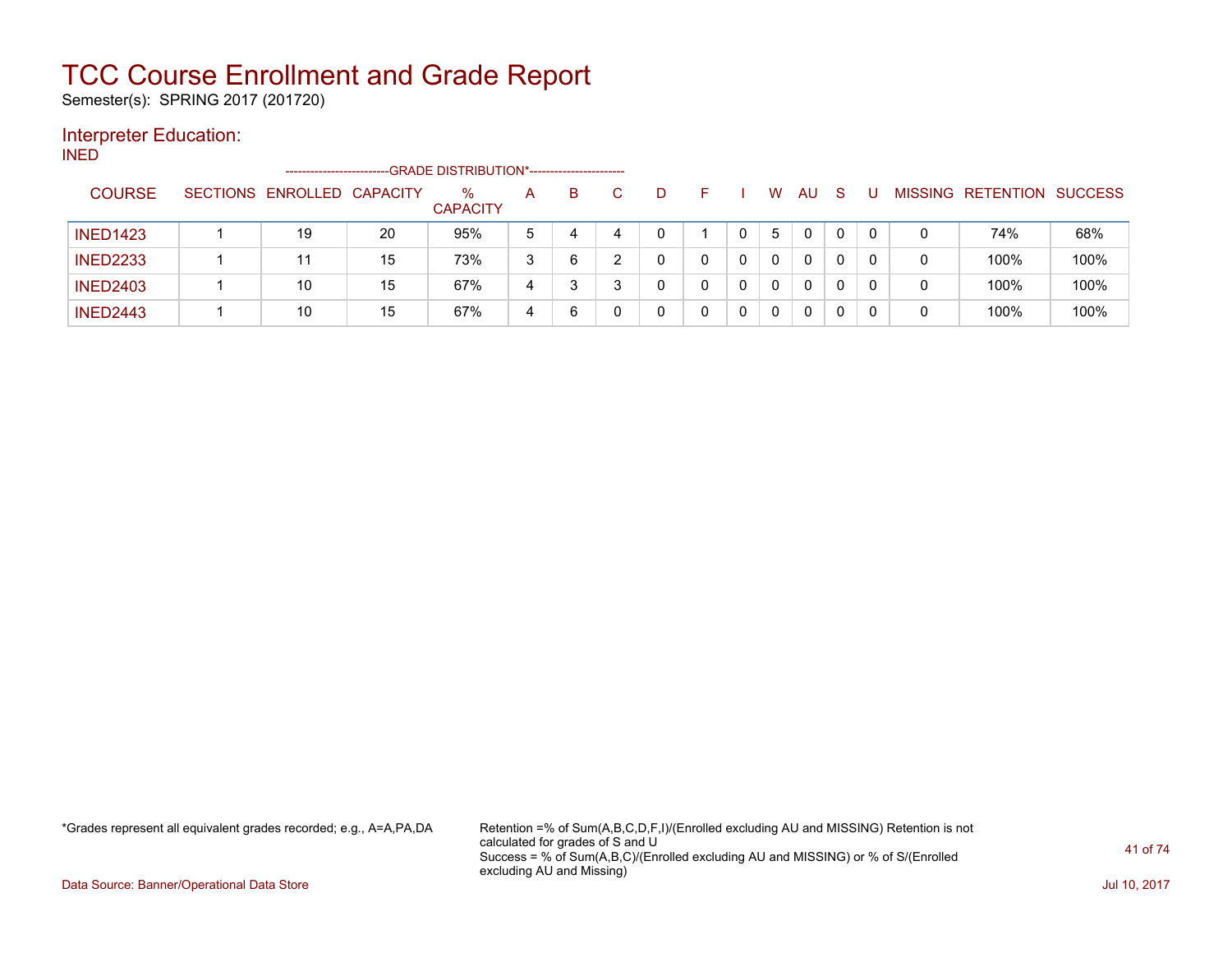Semester(s): SPRING 2017 (201720)

### Interpreter Education:

INED

|                 | ------------------------   |    |                         |   |   |    |  |   |    |              |   |                   |                |
|-----------------|----------------------------|----|-------------------------|---|---|----|--|---|----|--------------|---|-------------------|----------------|
| <b>COURSE</b>   | SECTIONS ENROLLED CAPACITY |    | $\%$<br><b>CAPACITY</b> | A | B | D. |  | W | AU | <sub>S</sub> |   | MISSING RETENTION | <b>SUCCESS</b> |
| <b>INED1423</b> | 19                         | 20 | 95%                     | 5 | 4 | 0  |  | b | 0  |              | 0 | 74%               | 68%            |
| <b>INED2233</b> |                            | 15 | 73%                     | 3 | 6 |    |  | 0 | 0  |              | 0 | 100%              | 100%           |
| <b>INED2403</b> | 10                         | 15 | 67%                     | 4 |   |    |  | 0 | 0  |              | 0 | 100%              | 100%           |
| <b>INED2443</b> | 10                         | 15 | 67%                     | 4 | 6 |    |  |   | 0  |              | 0 | 100%              | 100%           |

\*Grades represent all equivalent grades recorded; e.g., A=A,PA,DA Retention =% of Sum(A,B,C,D,F,I)/(Enrolled excluding AU and MISSING) Retention is not calculated for grades of S and U Success = % of Sum(A,B,C)/(Enrolled excluding AU and MISSING) or % of S/(Enrolled excluding AU and Missing)

Data Source: Banner/Operational Data Store Jul 10, 2017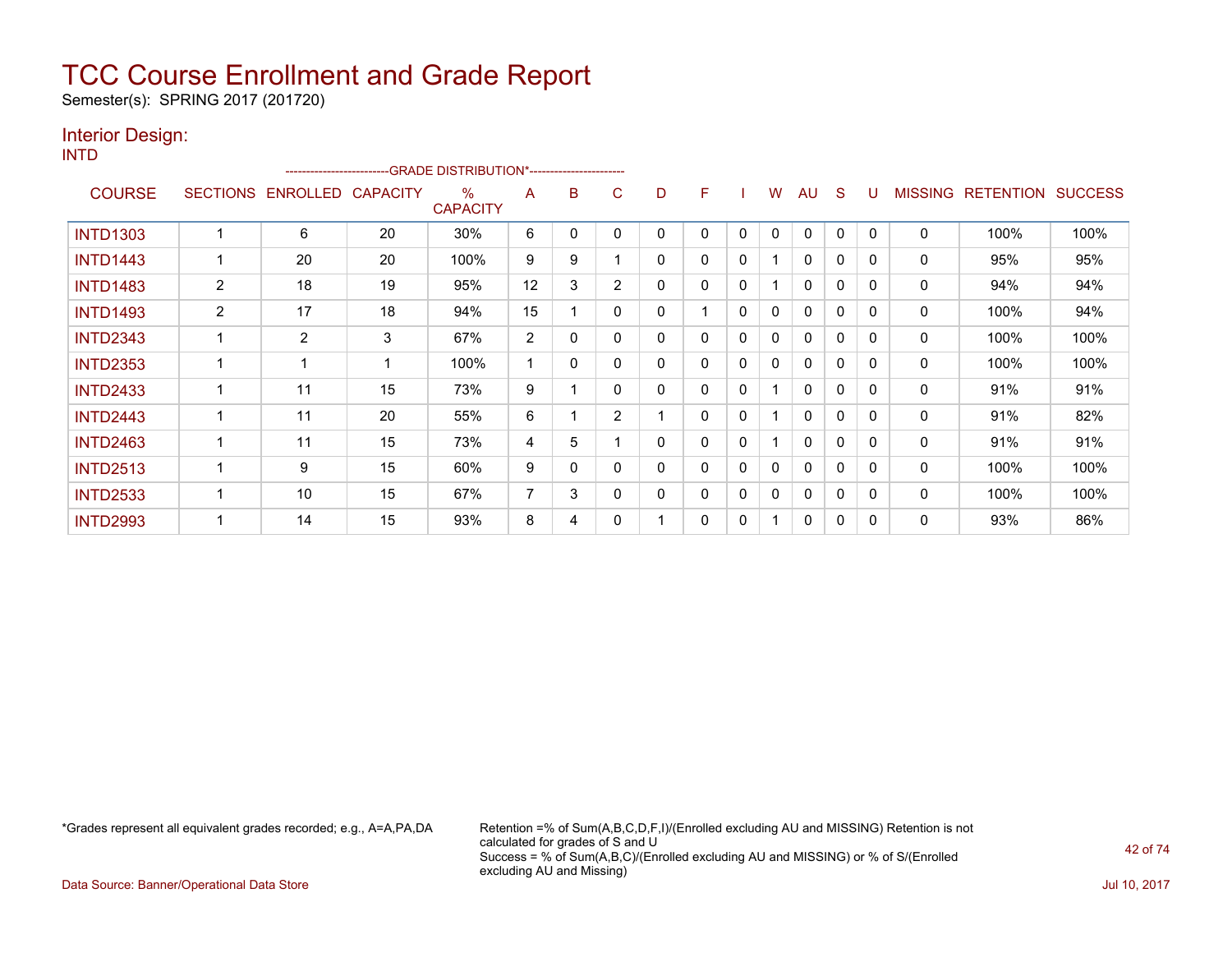Semester(s): SPRING 2017 (201720)

#### Interior Design: INTD

|                 | -GRADE DISTRIBUTION*----------------------- |                   |    |                         |    |              |                |              |   |              |              |              |              |              |                |                  |                |
|-----------------|---------------------------------------------|-------------------|----|-------------------------|----|--------------|----------------|--------------|---|--------------|--------------|--------------|--------------|--------------|----------------|------------------|----------------|
| <b>COURSE</b>   | <b>SECTIONS</b>                             | ENROLLED CAPACITY |    | $\%$<br><b>CAPACITY</b> | A  | B            | C              | D            | F |              | W            | AU           | S            | U            | <b>MISSING</b> | <b>RETENTION</b> | <b>SUCCESS</b> |
| <b>INTD1303</b> |                                             | 6                 | 20 | 30%                     | 6  | 0            | 0              | $\Omega$     | 0 | 0            | $\mathbf{0}$ | $\mathbf{0}$ | $\mathbf{0}$ | $\mathbf{0}$ | $\mathbf 0$    | 100%             | 100%           |
| <b>INTD1443</b> |                                             | 20                | 20 | 100%                    | 9  | 9            |                | $\Omega$     | 0 | 0            |              | 0            | $\mathbf{0}$ | 0            | $\mathbf{0}$   | 95%              | 95%            |
| <b>INTD1483</b> | $\overline{2}$                              | 18                | 19 | 95%                     | 12 | 3            | $\overline{2}$ | 0            | 0 | 0            |              | 0            | 0            | 0            | 0              | 94%              | 94%            |
| <b>INTD1493</b> | $\overline{2}$                              | 17                | 18 | 94%                     | 15 |              | $\mathbf{0}$   | $\mathbf{0}$ |   | $\mathbf{0}$ | 0            | $\mathbf 0$  | 0            | 0            | $\mathbf 0$    | 100%             | 94%            |
| <b>INTD2343</b> |                                             | 2                 | 3  | 67%                     | 2  | 0            | 0              | 0            | 0 | 0            | 0            | 0            | 0            | 0            | 0              | 100%             | 100%           |
| <b>INTD2353</b> | 4                                           |                   | 1  | 100%                    |    | $\mathbf{0}$ | $\mathbf{0}$   | $\Omega$     | 0 | $\Omega$     | 0            | $\mathbf 0$  | $\mathbf{0}$ | $\Omega$     | 0              | 100%             | 100%           |
| <b>INTD2433</b> |                                             | 11                | 15 | 73%                     | 9  |              | $\mathbf{0}$   | 0            | 0 | $\mathbf{0}$ |              | 0            | 0            | 0            | 0              | 91%              | 91%            |
| <b>INTD2443</b> |                                             | 11                | 20 | 55%                     | 6  |              | $\overline{2}$ |              | 0 | 0            |              | 0            | 0            | 0            | 0              | 91%              | 82%            |
| <b>INTD2463</b> |                                             | 11                | 15 | 73%                     | 4  | 5            |                | 0            | 0 | 0            |              | $\mathbf{0}$ | $\mathbf{0}$ | 0            | 0              | 91%              | 91%            |
| <b>INTD2513</b> |                                             | 9                 | 15 | 60%                     | 9  | 0            | $\Omega$       | 0            | 0 | 0            | 0            | 0            | $\mathbf{0}$ | 0            | 0              | 100%             | 100%           |
| <b>INTD2533</b> |                                             | 10                | 15 | 67%                     | 7  | 3            | $\Omega$       | $\Omega$     | 0 | 0            | 0            | $\mathbf{0}$ | $\mathbf{0}$ | 0            | $\mathbf{0}$   | 100%             | 100%           |
| <b>INTD2993</b> |                                             | 14                | 15 | 93%                     | 8  | 4            | 0              |              | 0 | 0            |              | 0            | 0            | 0            | 0              | 93%              | 86%            |

\*Grades represent all equivalent grades recorded; e.g., A=A,PA,DA Retention =% of Sum(A,B,C,D,F,I)/(Enrolled excluding AU and MISSING) Retention is not calculated for grades of S and U Success = % of Sum(A,B,C)/(Enrolled excluding AU and MISSING) or % of S/(Enrolled excluding AU and Missing)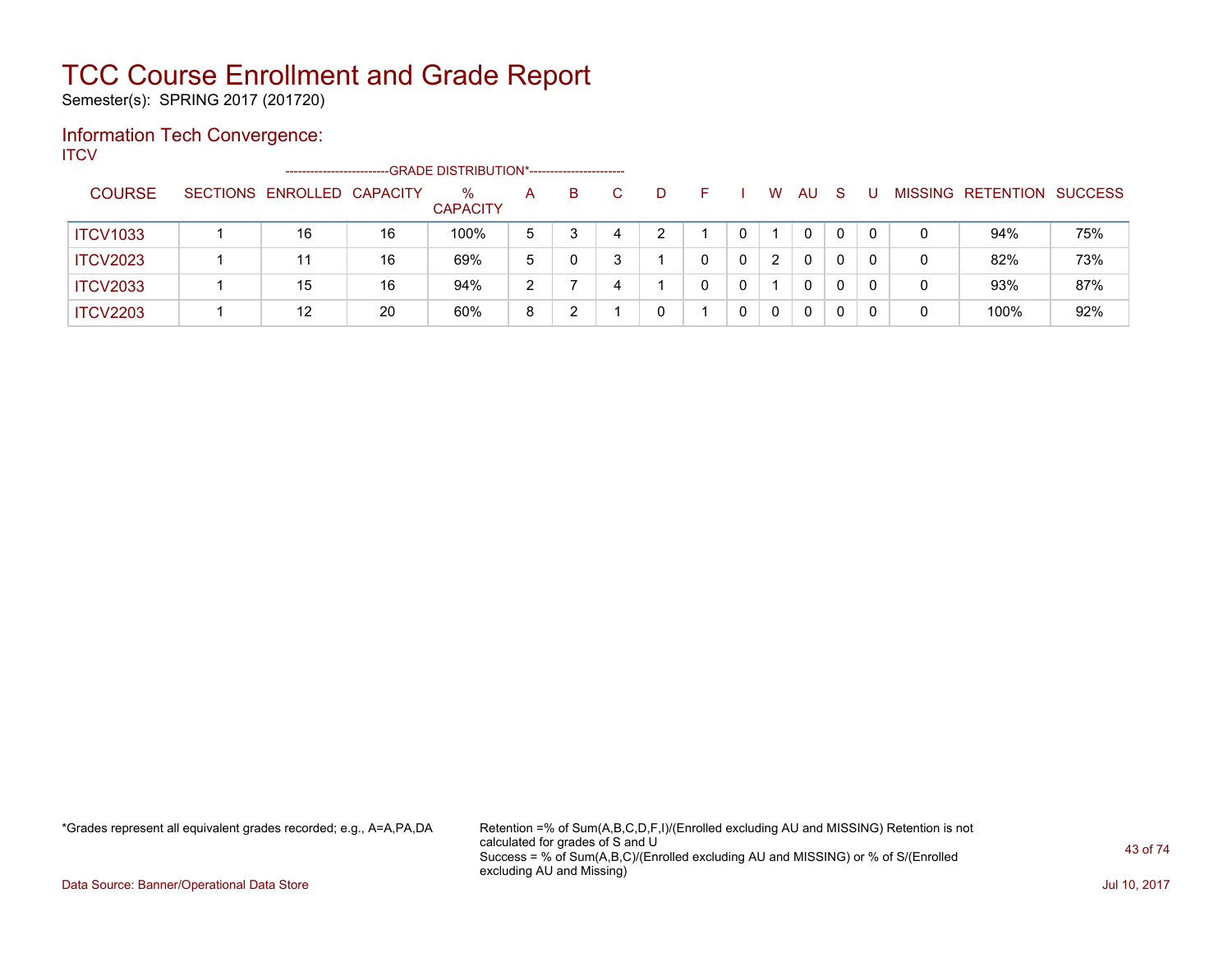Semester(s): SPRING 2017 (201720)

### Information Tech Convergence:

**ITCV** 

|                 | --------------------       |    |                      |   |   |   |   |   |          |    |              |   |                          |                |
|-----------------|----------------------------|----|----------------------|---|---|---|---|---|----------|----|--------------|---|--------------------------|----------------|
| <b>COURSE</b>   | SECTIONS ENROLLED CAPACITY |    | %<br><b>CAPACITY</b> | A | в | D |   | W | AU       | -S |              |   | <b>MISSING RETENTION</b> | <b>SUCCESS</b> |
| <b>ITCV1033</b> | 16                         | 16 | 100%                 | 5 |   | ົ | 0 |   | $\Omega$ |    | $\mathbf{0}$ | 0 | 94%                      | 75%            |
| <b>ITCV2023</b> | 11                         | 16 | 69%                  | 5 |   |   | 0 | 2 | 0        |    | 0            | 0 | 82%                      | 73%            |
| <b>ITCV2033</b> | 15                         | 16 | 94%                  | າ |   |   | 0 |   | 0        |    | 0            | 0 | 93%                      | 87%            |
| <b>ITCV2203</b> | 12                         | 20 | 60%                  | 8 |   | 0 | 0 | 0 | $\Omega$ |    |              | 0 | 100%                     | 92%            |

\*Grades represent all equivalent grades recorded; e.g., A=A,PA,DA Retention =% of Sum(A,B,C,D,F,I)/(Enrolled excluding AU and MISSING) Retention is not calculated for grades of S and U Success = % of Sum(A,B,C)/(Enrolled excluding AU and MISSING) or % of S/(Enrolled excluding AU and Missing)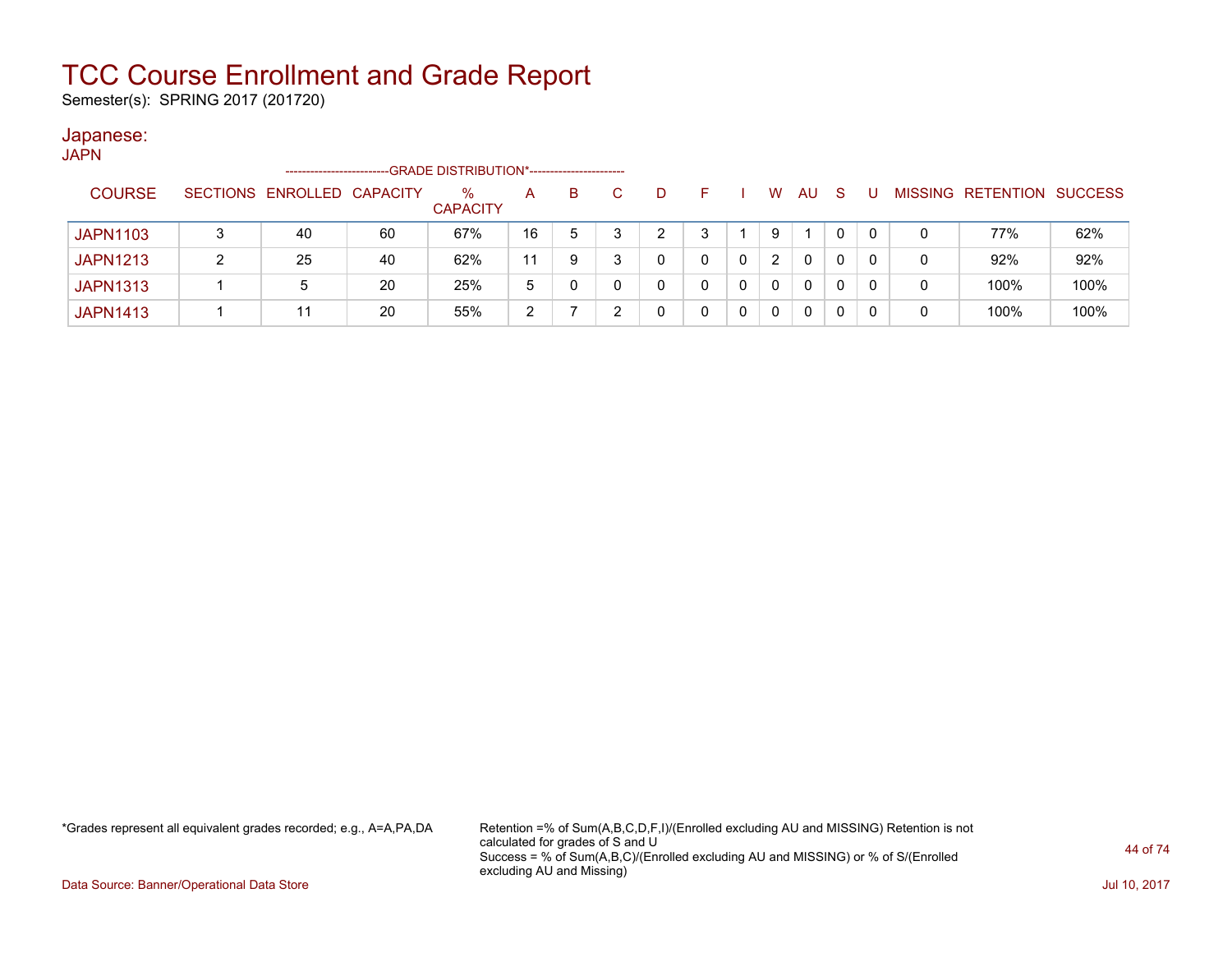Semester(s): SPRING 2017 (201720)

### Japanese:

| JAPN |                 |   |                            |    |                                            |    |   |   |    |   |              |              |   |   |                           |      |
|------|-----------------|---|----------------------------|----|--------------------------------------------|----|---|---|----|---|--------------|--------------|---|---|---------------------------|------|
|      |                 |   | --------------------       |    | -GRADE DISTRIBUTION*---------------------- |    |   |   |    |   |              |              |   |   |                           |      |
|      | <b>COURSE</b>   |   | SECTIONS ENROLLED CAPACITY |    | $\%$<br><b>CAPACITY</b>                    | A  | B | D | F. | W | AU.          | <sub>S</sub> |   |   | MISSING RETENTION SUCCESS |      |
|      | <b>JAPN1103</b> |   | 40                         | 60 | 67%                                        | 16 | 5 |   | 3  | 9 |              | 0            | 0 |   | 77%                       | 62%  |
|      | <b>JAPN1213</b> | າ | 25                         | 40 | 62%                                        | 11 | 9 |   |    | 2 | $\mathbf{0}$ | 0            | 0 | 0 | 92%                       | 92%  |
|      | <b>JAPN1313</b> |   | 5                          | 20 | 25%                                        | 5  | 0 |   | 0  | 0 | $\mathbf{0}$ | 0            | 0 | 0 | 100%                      | 100% |
|      | <b>JAPN1413</b> |   | 11                         | 20 | 55%                                        | 2  |   |   |    | 0 | 0            | 0            |   | 0 | 100%                      | 100% |

\*Grades represent all equivalent grades recorded; e.g., A=A,PA,DA Retention =% of Sum(A,B,C,D,F,I)/(Enrolled excluding AU and MISSING) Retention is not calculated for grades of S and U Success = % of Sum(A,B,C)/(Enrolled excluding AU and MISSING) or % of S/(Enrolled excluding AU and Missing)

Data Source: Banner/Operational Data Store Jul 10, 2017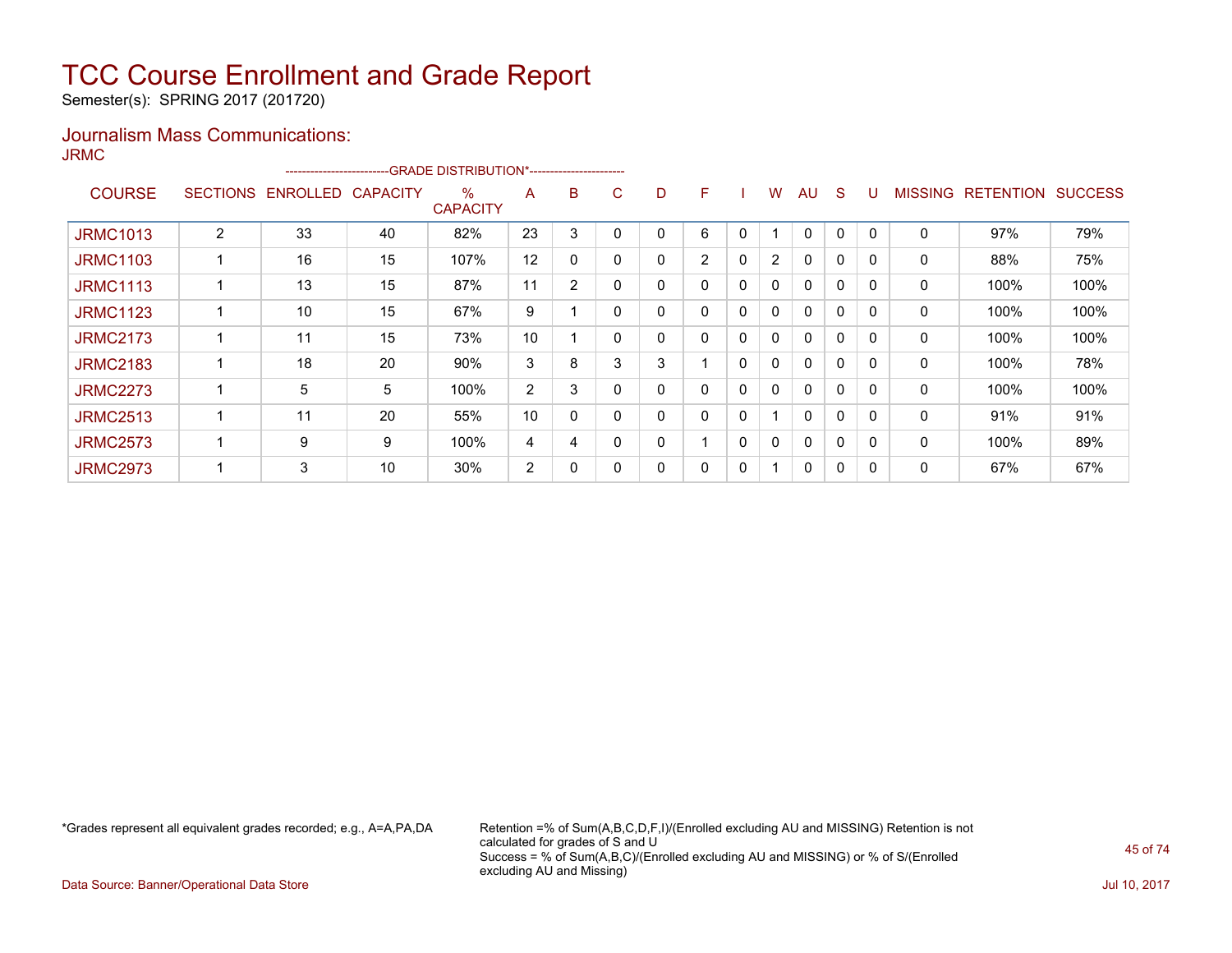Semester(s): SPRING 2017 (201720)

### Journalism Mass Communications:

JRMC

|                 |   | ------------------------- |                 |                      |                |                |   |   |                |              |                |              |              |          |                |                  |                |
|-----------------|---|---------------------------|-----------------|----------------------|----------------|----------------|---|---|----------------|--------------|----------------|--------------|--------------|----------|----------------|------------------|----------------|
| <b>COURSE</b>   |   | SECTIONS ENROLLED         | <b>CAPACITY</b> | %<br><b>CAPACITY</b> | A              | B              | C | D | F              |              | w              | <b>AU</b>    | <sub>S</sub> |          | <b>MISSING</b> | <b>RETENTION</b> | <b>SUCCESS</b> |
| <b>JRMC1013</b> | 2 | 33                        | 40              | 82%                  | 23             | 3              |   |   | 6              | 0            |                | 0            | 0            |          | 0              | 97%              | 79%            |
| <b>JRMC1103</b> |   | 16                        | 15              | 107%                 | 12             | 0              |   | 0 | $\overline{2}$ | $\mathbf{0}$ | $\overline{2}$ | $\mathbf{0}$ | $\mathbf{0}$ | $\Omega$ | 0              | 88%              | 75%            |
| <b>JRMC1113</b> |   | 13                        | 15              | 87%                  | 11             | $\overline{2}$ |   | 0 | 0              | $\mathbf{0}$ | $\mathbf{0}$   | $\mathbf{0}$ | $\mathbf{0}$ | $\Omega$ | $\mathbf{0}$   | 100%             | 100%           |
| <b>JRMC1123</b> |   | 10                        | 15              | 67%                  | 9              |                |   |   | 0              | 0            | 0              | $\mathbf{0}$ | 0            |          | 0              | 100%             | 100%           |
| <b>JRMC2173</b> |   | 11                        | 15              | 73%                  | 10             |                |   | 0 | 0              | 0            | 0              | $\mathbf{0}$ | 0            | $\Omega$ | 0              | 100%             | 100%           |
| <b>JRMC2183</b> |   | 18                        | 20              | 90%                  | 3              | 8              | 3 | 3 |                | 0            | 0              | $\mathbf{0}$ | 0            | $\Omega$ | 0              | 100%             | 78%            |
| <b>JRMC2273</b> |   | 5                         | 5               | 100%                 | $\overline{2}$ | 3              |   | 0 | 0              | 0            | 0              | $\mathbf{0}$ | 0            |          | 0              | 100%             | 100%           |
| <b>JRMC2513</b> |   | 11                        | 20              | 55%                  | 10             | 0              |   | 0 | 0              | 0            |                | 0            | 0            |          | 0              | 91%              | 91%            |
| <b>JRMC2573</b> |   | 9                         | 9               | 100%                 | 4              | 4              |   | 0 |                | 0            | 0              | $\mathbf{0}$ | 0            |          | 0              | 100%             | 89%            |
| <b>JRMC2973</b> |   | 3                         | 10              | 30%                  | 2              | 0              |   | 0 | 0              | 0            |                | $\mathbf{0}$ | 0            |          | 0              | 67%              | 67%            |

\*Grades represent all equivalent grades recorded; e.g., A=A,PA,DA Retention =% of Sum(A,B,C,D,F,I)/(Enrolled excluding AU and MISSING) Retention is not calculated for grades of S and U Success = % of Sum(A,B,C)/(Enrolled excluding AU and MISSING) or % of S/(Enrolled excluding AU and Missing)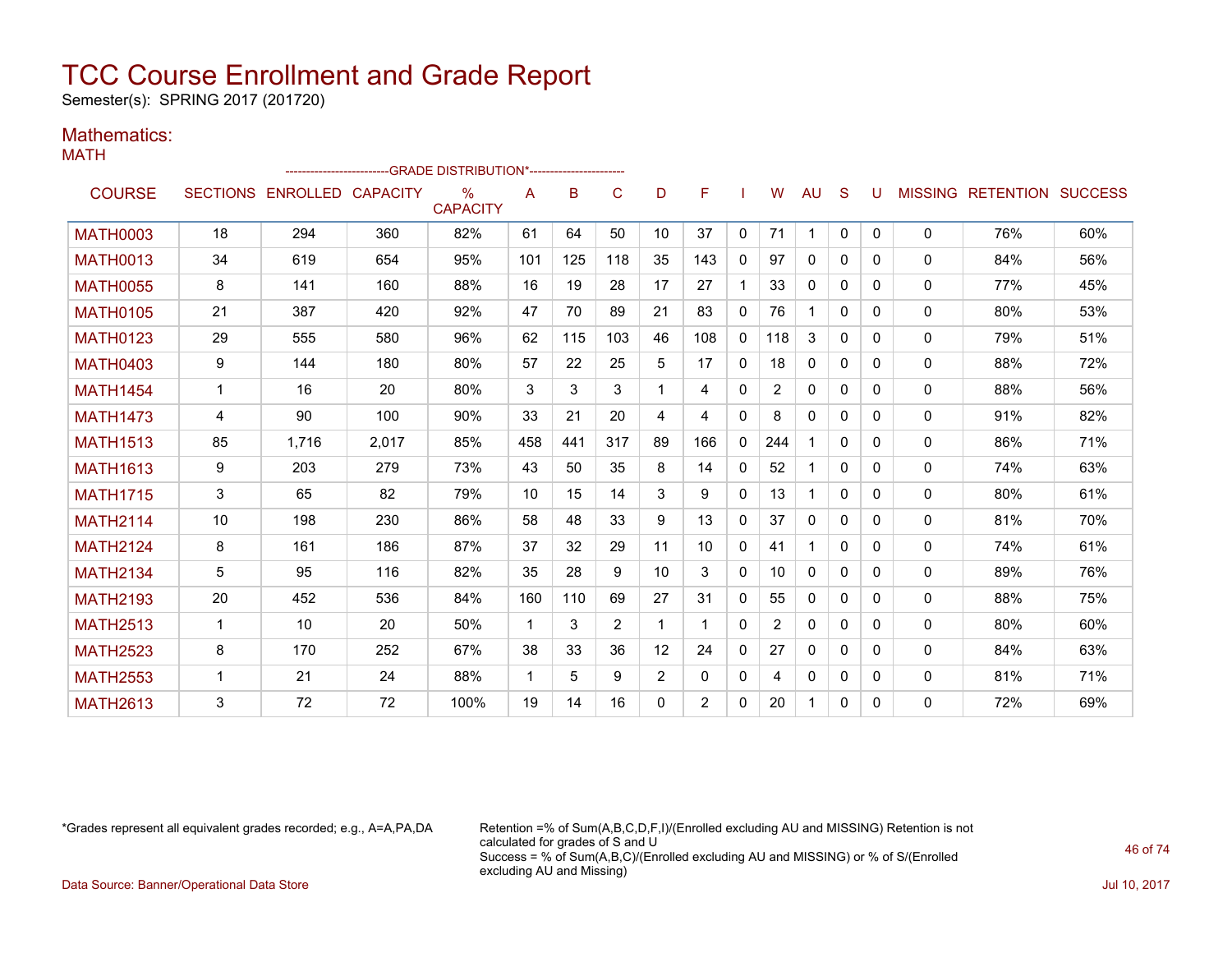Semester(s): SPRING 2017 (201720)

#### Mathematics: MATH

|                 |              |                            |       | -GRADE DISTRIBUTION*---------------------- |              |     |     |          |              |              |                 |              |              |   |              |                                  |     |
|-----------------|--------------|----------------------------|-------|--------------------------------------------|--------------|-----|-----|----------|--------------|--------------|-----------------|--------------|--------------|---|--------------|----------------------------------|-----|
| <b>COURSE</b>   |              | SECTIONS ENROLLED CAPACITY |       | %<br><b>CAPACITY</b>                       | Α            | B   | C   | D        | F            |              | W               | AU           | S            | U |              | <b>MISSING RETENTION SUCCESS</b> |     |
| <b>MATH0003</b> | 18           | 294                        | 360   | 82%                                        | 61           | 64  | 50  | 10       | 37           | $\mathbf{0}$ | 71              | $\mathbf 1$  | $\mathbf{0}$ | 0 | $\Omega$     | 76%                              | 60% |
| <b>MATH0013</b> | 34           | 619                        | 654   | 95%                                        | 101          | 125 | 118 | 35       | 143          | 0            | 97              | $\mathbf{0}$ | $\Omega$     | 0 | $\mathbf{0}$ | 84%                              | 56% |
| <b>MATH0055</b> | 8            | 141                        | 160   | 88%                                        | 16           | 19  | 28  | 17       | 27           | $\mathbf 1$  | 33              | 0            | 0            | 0 | 0            | 77%                              | 45% |
| <b>MATH0105</b> | 21           | 387                        | 420   | 92%                                        | 47           | 70  | 89  | 21       | 83           | $\mathbf{0}$ | 76              |              | $\Omega$     | 0 | 0            | 80%                              | 53% |
| <b>MATH0123</b> | 29           | 555                        | 580   | 96%                                        | 62           | 115 | 103 | 46       | 108          | 0            | 118             | 3            | $\Omega$     | 0 | 0            | 79%                              | 51% |
| <b>MATH0403</b> | 9            | 144                        | 180   | 80%                                        | 57           | 22  | 25  | 5        | 17           | 0            | 18              | $\mathbf{0}$ | $\Omega$     | 0 | 0            | 88%                              | 72% |
| <b>MATH1454</b> | $\mathbf{1}$ | 16                         | 20    | 80%                                        | 3            | 3   | 3   | 1        | 4            | 0            | $\overline{2}$  | $\mathbf{0}$ | $\mathbf{0}$ | 0 | 0            | 88%                              | 56% |
| <b>MATH1473</b> | 4            | 90                         | 100   | 90%                                        | 33           | 21  | 20  | 4        | 4            | 0            | 8               | $\Omega$     | $\Omega$     | 0 | 0            | 91%                              | 82% |
| <b>MATH1513</b> | 85           | 1.716                      | 2,017 | 85%                                        | 458          | 441 | 317 | 89       | 166          | $\mathbf{0}$ | 244             | 1            | $\Omega$     | 0 | 0            | 86%                              | 71% |
| <b>MATH1613</b> | 9            | 203                        | 279   | 73%                                        | 43           | 50  | 35  | 8        | 14           | 0            | 52              |              | $\mathbf{0}$ | 0 | 0            | 74%                              | 63% |
| <b>MATH1715</b> | 3            | 65                         | 82    | 79%                                        | 10           | 15  | 14  | 3        | 9            | $\Omega$     | 13              | 1            | $\Omega$     | 0 | $\Omega$     | 80%                              | 61% |
| <b>MATH2114</b> | 10           | 198                        | 230   | 86%                                        | 58           | 48  | 33  | 9        | 13           | $\Omega$     | 37              | 0            | $\Omega$     | 0 | 0            | 81%                              | 70% |
| <b>MATH2124</b> | 8            | 161                        | 186   | 87%                                        | 37           | 32  | 29  | 11       | 10           | 0            | 41              | $\mathbf{1}$ | $\Omega$     | 0 | 0            | 74%                              | 61% |
| <b>MATH2134</b> | 5            | 95                         | 116   | 82%                                        | 35           | 28  | 9   | 10       | 3            | $\mathbf{0}$ | 10 <sup>1</sup> | $\mathbf{0}$ | $\Omega$     | 0 | 0            | 89%                              | 76% |
| <b>MATH2193</b> | 20           | 452                        | 536   | 84%                                        | 160          | 110 | 69  | 27       | 31           | 0            | 55              | $\mathbf{0}$ | 0            | 0 | $\mathbf{0}$ | 88%                              | 75% |
| <b>MATH2513</b> | $\mathbf 1$  | 10                         | 20    | 50%                                        | $\mathbf{1}$ | 3   | 2   | 1        |              | 0            | 2               | 0            | 0            | 0 | $\mathbf{0}$ | 80%                              | 60% |
| <b>MATH2523</b> | 8            | 170                        | 252   | 67%                                        | 38           | 33  | 36  | 12       | 24           | 0            | 27              | $\mathbf{0}$ | $\Omega$     | 0 | 0            | 84%                              | 63% |
| <b>MATH2553</b> | 1            | 21                         | 24    | 88%                                        | $\mathbf{1}$ | 5   | 9   | 2        | $\mathbf{0}$ | $\mathbf{0}$ | 4               | 0            | 0            | 0 | 0            | 81%                              | 71% |
| <b>MATH2613</b> | 3            | 72                         | 72    | 100%                                       | 19           | 14  | 16  | $\Omega$ | 2            | 0            | 20              | 1            | 0            | 0 | 0            | 72%                              | 69% |

\*Grades represent all equivalent grades recorded; e.g., A=A,PA,DA Retention =% of Sum(A,B,C,D,F,I)/(Enrolled excluding AU and MISSING) Retention is not calculated for grades of S and U Success = % of Sum(A,B,C)/(Enrolled excluding AU and MISSING) or % of S/(Enrolled excluding AU and Missing)

Data Source: Banner/Operational Data Store Jul 10, 2017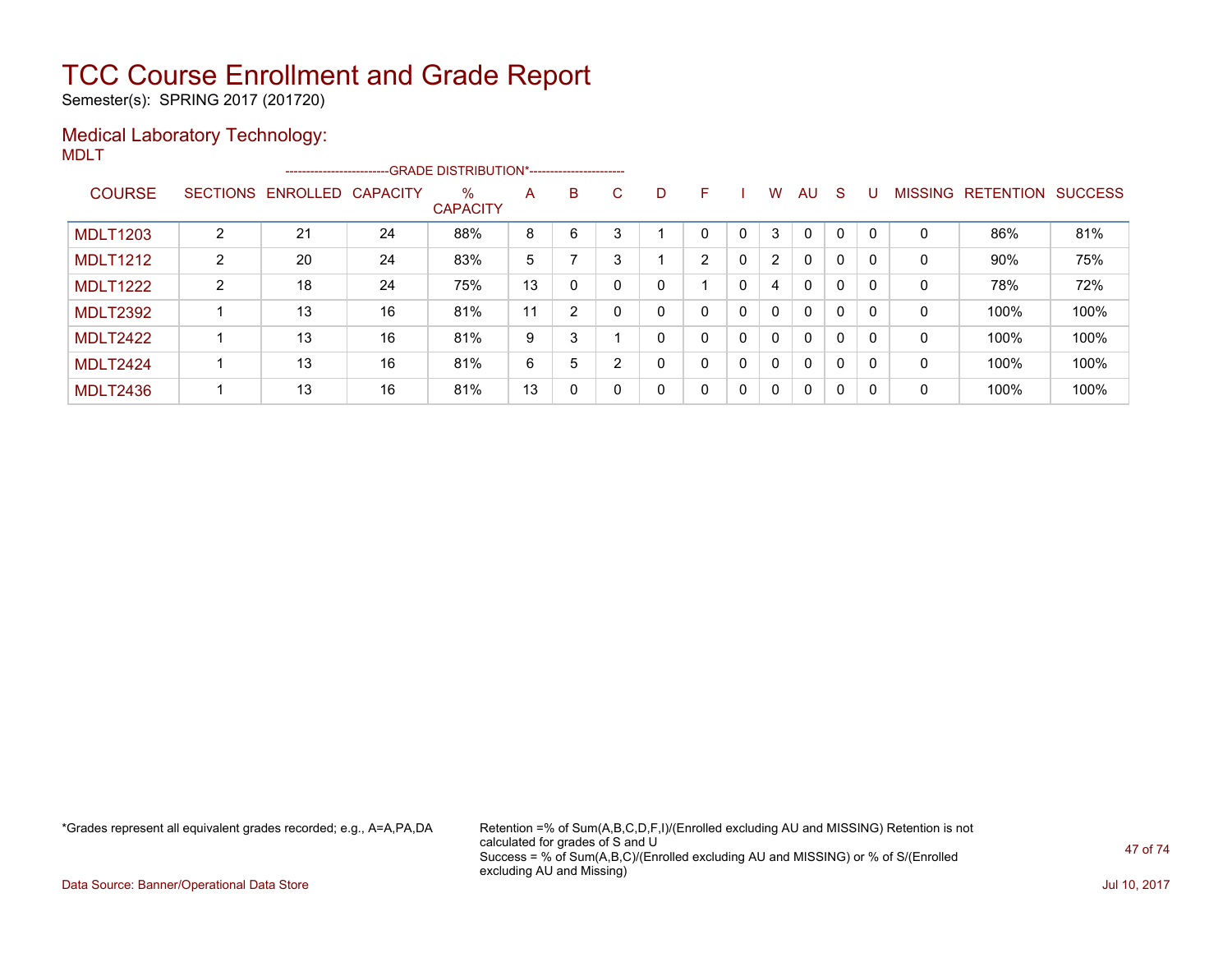Semester(s): SPRING 2017 (201720)

### Medical Laboratory Technology:

MDLT

|                 |                |                            | --------------------------GRADE DISTRIBUTION*---------------------- |                         |    |                |    |              |   |              |                |              |              |          |                |           |                |
|-----------------|----------------|----------------------------|---------------------------------------------------------------------|-------------------------|----|----------------|----|--------------|---|--------------|----------------|--------------|--------------|----------|----------------|-----------|----------------|
| <b>COURSE</b>   |                | SECTIONS ENROLLED CAPACITY |                                                                     | $\%$<br><b>CAPACITY</b> | A  | B              | C. | D            | F |              | W              | AU           | <sub>S</sub> | U        | <b>MISSING</b> | RETENTION | <b>SUCCESS</b> |
| <b>MDLT1203</b> | າ              | 21                         | 24                                                                  | 88%                     | 8  | 6              | 3  |              | 0 | $\Omega$     | 3              | 0            | $\mathbf 0$  |          | 0              | 86%       | 81%            |
| <b>MDLT1212</b> | $\overline{2}$ | 20                         | 24                                                                  | 83%                     | 5  |                | 3  |              | 2 | $\mathbf{0}$ | $\overline{2}$ | 0            | $\mathbf 0$  |          | 0              | 90%       | 75%            |
| <b>MDLT1222</b> | $\overline{2}$ | 18                         | 24                                                                  | 75%                     | 13 | $\mathbf{0}$   | 0  | 0            |   | 0            | 4              | $\mathbf{0}$ | 0            | 0        | 0              | 78%       | 72%            |
| <b>MDLT2392</b> |                | 13                         | 16                                                                  | 81%                     | 11 | $\overline{2}$ |    | $\mathbf{0}$ | 0 | $\Omega$     | $\Omega$       | $\mathbf{0}$ | 0            | $\Omega$ | 0              | 100%      | 100%           |
| <b>MDLT2422</b> |                | 13                         | 16                                                                  | 81%                     | 9  | 3              |    | 0            | 0 | 0            | $\Omega$       | $\mathbf{0}$ | 0            | $\Omega$ | 0              | 100%      | 100%           |
| <b>MDLT2424</b> |                | 13                         | 16                                                                  | 81%                     | 6  | 5              | ົ  | 0            | 0 | 0            | $\Omega$       | $\mathbf{0}$ | 0            | $\Omega$ | 0              | 100%      | 100%           |
| <b>MDLT2436</b> |                | 13                         | 16                                                                  | 81%                     | 13 | $\Omega$       |    | 0            | 0 | 0            | $\mathbf{0}$   | 0            | $\mathbf{0}$ | 0        | 0              | 100%      | 100%           |

\*Grades represent all equivalent grades recorded; e.g., A=A,PA,DA Retention =% of Sum(A,B,C,D,F,I)/(Enrolled excluding AU and MISSING) Retention is not calculated for grades of S and U Success = % of Sum(A,B,C)/(Enrolled excluding AU and MISSING) or % of S/(Enrolled excluding AU and Missing)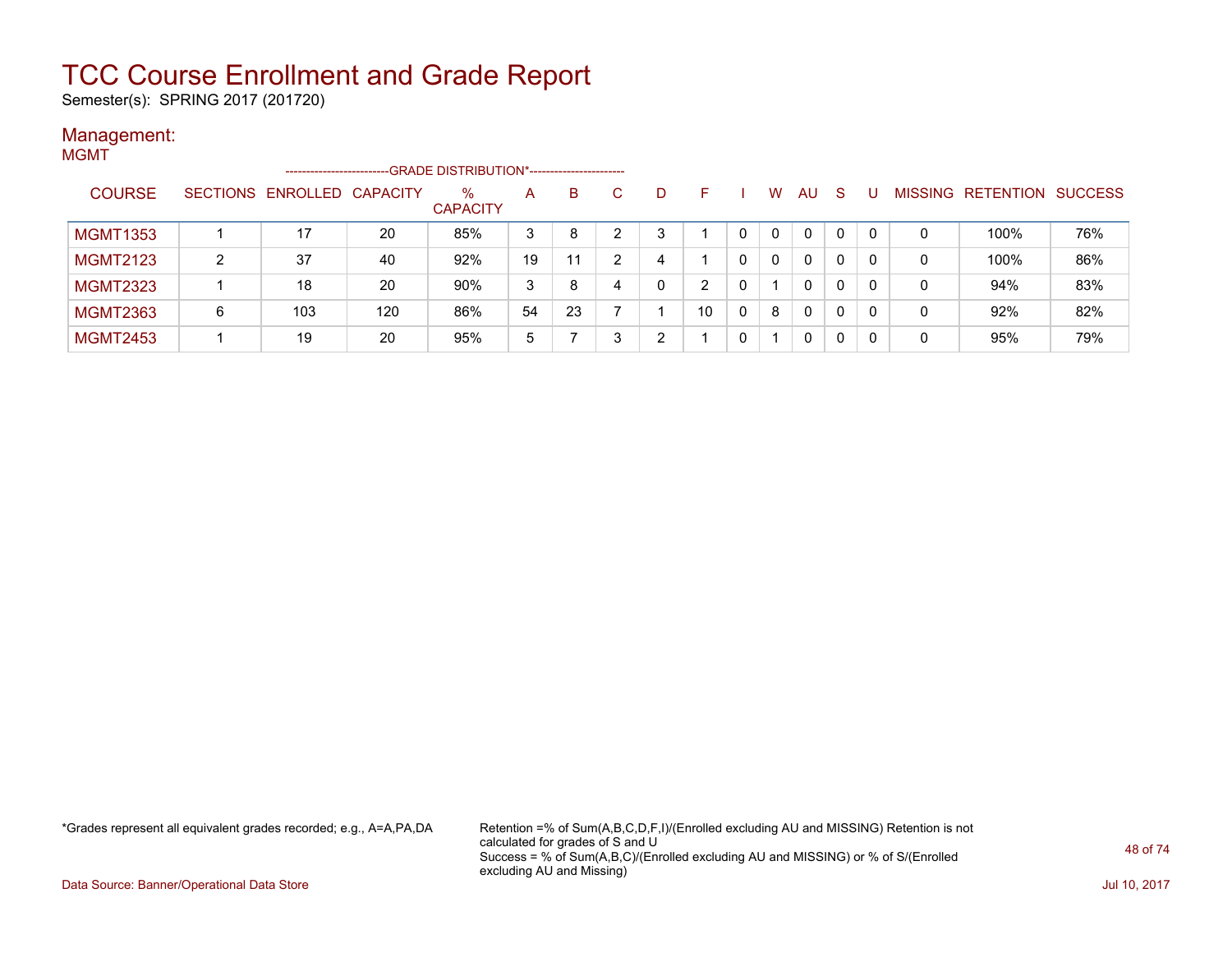Semester(s): SPRING 2017 (201720)

### Management:

| <b>MGMT</b>     |                 |                      |     |                                             |    |    |    |   |    |   |          |              |              |   |   |                           |     |
|-----------------|-----------------|----------------------|-----|---------------------------------------------|----|----|----|---|----|---|----------|--------------|--------------|---|---|---------------------------|-----|
|                 |                 | -------------------- |     | -GRADE DISTRIBUTION*----------------------- |    |    |    |   |    |   |          |              |              |   |   |                           |     |
| <b>COURSE</b>   | <b>SECTIONS</b> | ENROLLED CAPACITY    |     | $\%$<br><b>CAPACITY</b>                     | A  | B. | C. | D | F  |   | W        | AU.          | <sub>S</sub> |   |   | MISSING RETENTION SUCCESS |     |
| <b>MGMT1353</b> |                 | 17                   | 20  | 85%                                         | 3  | 8  | ົ  | 3 |    |   | $\Omega$ | 0            | 0            |   | 0 | 100%                      | 76% |
| <b>MGMT2123</b> | $\overline{2}$  | 37                   | 40  | 92%                                         | 19 | 11 | ົ  | 4 |    |   | $\Omega$ | $\mathbf{0}$ | 0            | 0 | 0 | 100%                      | 86% |
| <b>MGMT2323</b> |                 | 18                   | 20  | 90%                                         | 3  | 8  |    | 0 | ົ  |   |          | 0            | 0            | 0 | 0 | 94%                       | 83% |
| <b>MGMT2363</b> | 6               | 103                  | 120 | 86%                                         | 54 | 23 |    |   | 10 | 0 | 8        | 0            | 0            | 0 | 0 | 92%                       | 82% |
| <b>MGMT2453</b> |                 | 19                   | 20  | 95%                                         | 5  |    |    | ົ |    |   |          | 0            | 0            |   | 0 | 95%                       | 79% |

\*Grades represent all equivalent grades recorded; e.g., A=A,PA,DA Retention =% of Sum(A,B,C,D,F,I)/(Enrolled excluding AU and MISSING) Retention is not calculated for grades of S and U Success = % of Sum(A,B,C)/(Enrolled excluding AU and MISSING) or % of S/(Enrolled excluding AU and Missing)

Data Source: Banner/Operational Data Store Jul 10, 2017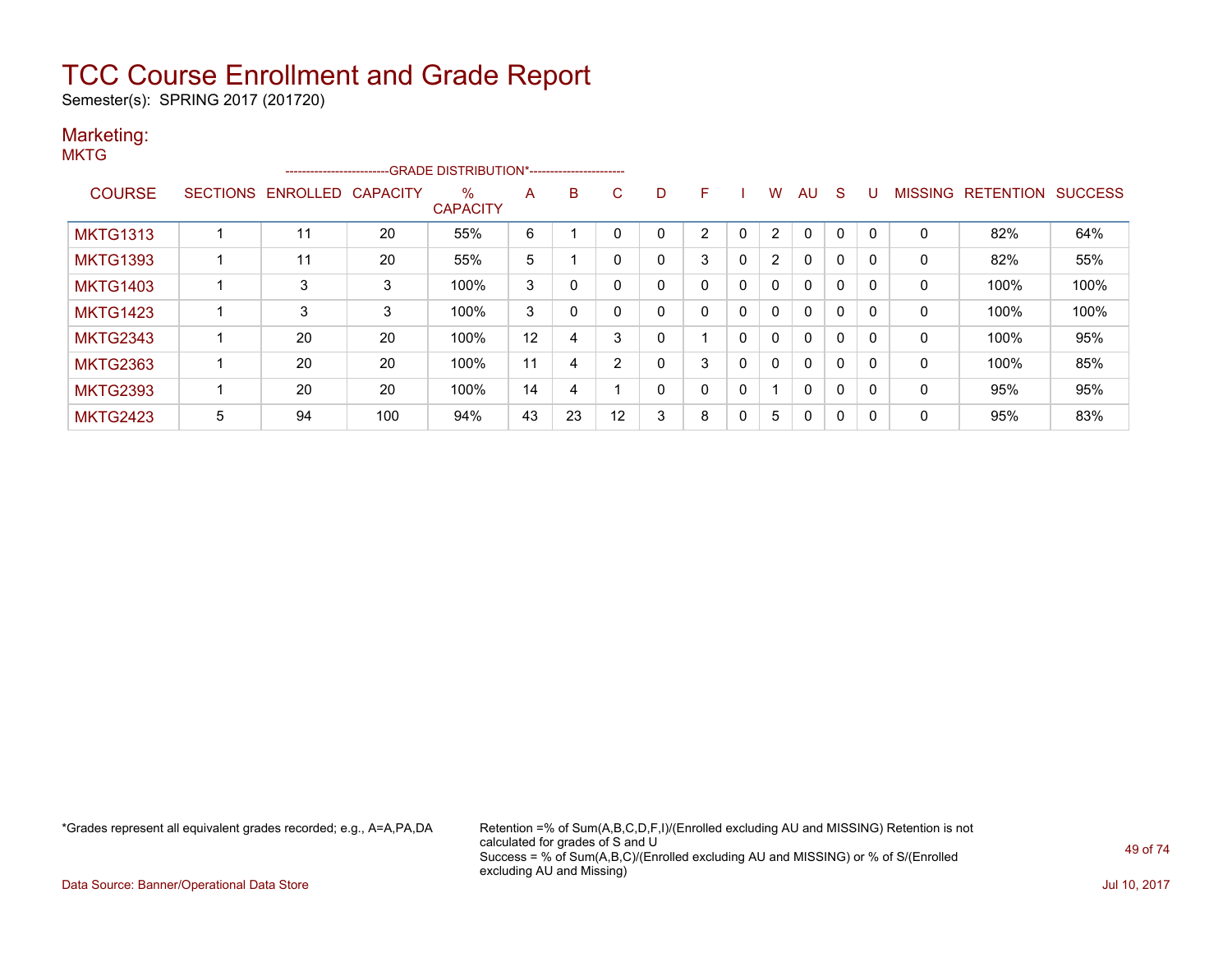Semester(s): SPRING 2017 (201720)

#### Marketing: **MKTG**

|                 |   |                   |                 | ------------------------GRADE DISTRIBUTION*----------------------- |    |    |                |          |   |              |                |          |              |   |              |                  |                |
|-----------------|---|-------------------|-----------------|--------------------------------------------------------------------|----|----|----------------|----------|---|--------------|----------------|----------|--------------|---|--------------|------------------|----------------|
| <b>COURSE</b>   |   | SECTIONS ENROLLED | <b>CAPACITY</b> | $\%$<br><b>CAPACITY</b>                                            | Α  | B  | C              | D        | F |              | w              | AU       | S            | U | MISSING      | <b>RETENTION</b> | <b>SUCCESS</b> |
| <b>MKTG1313</b> |   | 11                | 20              | 55%                                                                | 6  |    | 0              |          | ົ | $\Omega$     | $\overline{2}$ | $\Omega$ | $\Omega$     | 0 | $\Omega$     | 82%              | 64%            |
| <b>MKTG1393</b> |   | 11                | 20              | 55%                                                                | 5  |    | 0              | $\Omega$ | 3 | 0            | $\overline{2}$ | 0        | $\Omega$     | 0 | $\mathbf{0}$ | 82%              | 55%            |
| <b>MKTG1403</b> |   | 3                 | 3               | 100%                                                               | 3  | 0  |                |          |   | $\mathbf 0$  | $\Omega$       | 0        | 0            | 0 | 0            | 100%             | 100%           |
| <b>MKTG1423</b> |   | 3                 | 3               | 100%                                                               | 3  | 0  | 0              |          |   | 0            | 0              | 0        | $\Omega$     | 0 | $\Omega$     | 100%             | 100%           |
| <b>MKTG2343</b> |   | 20                | 20              | 100%                                                               | 12 | 4  | 3              |          |   | 0            | 0              | 0        | 0            | 0 | 0            | 100%             | 95%            |
| <b>MKTG2363</b> |   | 20                | 20              | 100%                                                               | 11 | 4  | $\overline{2}$ |          | 3 | 0            | 0              | 0        | 0            | 0 | 0            | 100%             | 85%            |
| <b>MKTG2393</b> |   | 20                | 20              | 100%                                                               | 14 | 4  |                | $\Omega$ | n | $\mathbf{0}$ |                | 0        | $\mathbf{0}$ | 0 | 0            | 95%              | 95%            |
| <b>MKTG2423</b> | 5 | 94                | 100             | 94%                                                                | 43 | 23 | 12             | 3        | 8 | 0            | 5              | 0        | 0            | 0 | 0            | 95%              | 83%            |

\*Grades represent all equivalent grades recorded; e.g., A=A,PA,DA Retention =% of Sum(A,B,C,D,F,I)/(Enrolled excluding AU and MISSING) Retention is not calculated for grades of S and U Success = % of Sum(A,B,C)/(Enrolled excluding AU and MISSING) or % of S/(Enrolled excluding AU and Missing)

Data Source: Banner/Operational Data Store Jul 10, 2017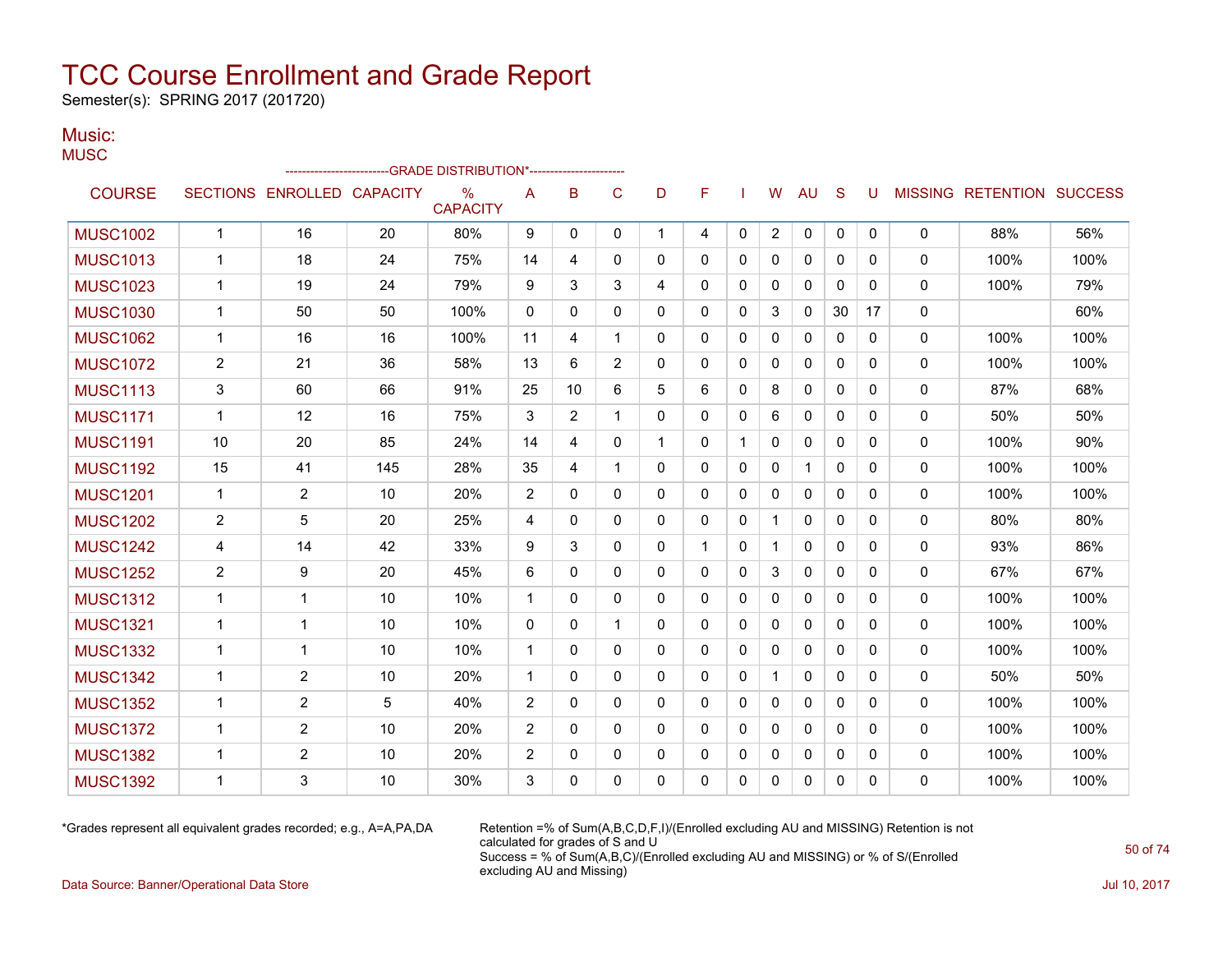Semester(s): SPRING 2017 (201720)

#### Music: **MUSC**

|                 |                |                            |     | -GRADE DISTRIBUTION*----------------------- |                |                |                |              |             |              |                |              |              |             |              |                   |                |
|-----------------|----------------|----------------------------|-----|---------------------------------------------|----------------|----------------|----------------|--------------|-------------|--------------|----------------|--------------|--------------|-------------|--------------|-------------------|----------------|
| <b>COURSE</b>   |                | SECTIONS ENROLLED CAPACITY |     | $\%$<br><b>CAPACITY</b>                     | A              | B              | C              | D            | F           |              | W              | AU           | S            | U           |              | MISSING RETENTION | <b>SUCCESS</b> |
| <b>MUSC1002</b> | $\mathbf{1}$   | 16                         | 20  | 80%                                         | 9              | 0              | 0              | $\mathbf{1}$ | 4           | $\mathbf{0}$ | $\overline{2}$ | $\mathbf 0$  | 0            | $\mathbf 0$ | $\mathbf{0}$ | 88%               | 56%            |
| <b>MUSC1013</b> | $\mathbf 1$    | 18                         | 24  | 75%                                         | 14             | 4              | 0              | $\mathbf{0}$ | $\Omega$    | $\mathbf{0}$ | 0              | 0            | 0            | 0           | $\mathbf{0}$ | 100%              | 100%           |
| <b>MUSC1023</b> | $\mathbf{1}$   | 19                         | 24  | 79%                                         | 9              | 3              | 3              | 4            | 0           | 0            | 0              | $\mathbf{0}$ | 0            | 0           | $\mathbf{0}$ | 100%              | 79%            |
| <b>MUSC1030</b> | $\mathbf{1}$   | 50                         | 50  | 100%                                        | $\mathbf{0}$   | 0              | $\Omega$       | $\mathbf{0}$ | $\Omega$    | $\Omega$     | 3              | $\mathbf{0}$ | 30           | 17          | $\mathbf{0}$ |                   | 60%            |
| <b>MUSC1062</b> | $\mathbf 1$    | 16                         | 16  | 100%                                        | 11             | 4              | $\mathbf{1}$   | $\mathbf{0}$ | 0           | $\Omega$     | 0              | $\Omega$     | $\Omega$     | $\Omega$    | $\mathbf{0}$ | 100%              | 100%           |
| <b>MUSC1072</b> | $\overline{2}$ | 21                         | 36  | 58%                                         | 13             | 6              | $\overline{2}$ | $\Omega$     | 0           | $\Omega$     | 0              | $\mathbf 0$  | $\Omega$     | $\Omega$    | $\mathbf 0$  | 100%              | 100%           |
| <b>MUSC1113</b> | 3              | 60                         | 66  | 91%                                         | 25             | 10             | 6              | 5            | 6           | 0            | 8              | 0            | 0            | 0           | 0            | 87%               | 68%            |
| <b>MUSC1171</b> | $\mathbf{1}$   | 12                         | 16  | 75%                                         | 3              | $\overline{2}$ | $\mathbf 1$    | $\mathbf{0}$ | 0           | $\Omega$     | 6              | $\mathbf{0}$ | $\Omega$     | $\Omega$    | $\mathbf{0}$ | 50%               | 50%            |
| <b>MUSC1191</b> | 10             | 20                         | 85  | 24%                                         | 14             | 4              | $\Omega$       | 1            | $\Omega$    |              | 0              | $\mathbf{0}$ | $\Omega$     | $\Omega$    | $\mathbf{0}$ | 100%              | 90%            |
| <b>MUSC1192</b> | 15             | 41                         | 145 | 28%                                         | 35             | 4              | 1              | $\mathbf{0}$ | 0           | 0            | 0              | 1            | 0            | 0           | 0            | 100%              | 100%           |
| <b>MUSC1201</b> | $\mathbf 1$    | $\overline{2}$             | 10  | 20%                                         | 2              | 0              | 0              | $\mathbf{0}$ | 0           | 0            | 0              | $\mathbf{0}$ | 0            | 0           | $\mathbf{0}$ | 100%              | 100%           |
| <b>MUSC1202</b> | $\overline{2}$ | 5                          | 20  | 25%                                         | $\overline{4}$ | 0              | 0              | $\mathbf{0}$ | 0           | 0            | $\mathbf 1$    | $\mathbf{0}$ | 0            | 0           | $\mathbf{0}$ | 80%               | 80%            |
| <b>MUSC1242</b> | 4              | 14                         | 42  | 33%                                         | 9              | 3              | $\Omega$       | $\Omega$     | $\mathbf 1$ | $\mathbf{0}$ | $\mathbf{1}$   | $\mathbf{0}$ | $\Omega$     | 0           | $\mathbf{0}$ | 93%               | 86%            |
| <b>MUSC1252</b> | 2              | 9                          | 20  | 45%                                         | 6              | 0              | 0              | 0            | 0           | $\mathbf{0}$ | 3              | $\mathbf{0}$ | 0            | 0           | $\mathbf{0}$ | 67%               | 67%            |
| <b>MUSC1312</b> | $\mathbf{1}$   | 1                          | 10  | 10%                                         | $\overline{1}$ | $\Omega$       | $\Omega$       | $\Omega$     | $\Omega$    | $\mathbf{0}$ | 0              | $\mathbf{0}$ | 0            | $\Omega$    | $\mathbf 0$  | 100%              | 100%           |
| <b>MUSC1321</b> | $\mathbf 1$    | 1                          | 10  | 10%                                         | $\mathbf{0}$   | 0              | $\mathbf 1$    | $\mathbf{0}$ | 0           | $\Omega$     | $\mathbf{0}$   | $\mathbf{0}$ | $\Omega$     | $\Omega$    | $\mathbf{0}$ | 100%              | 100%           |
| <b>MUSC1332</b> | $\mathbf{1}$   | 1                          | 10  | 10%                                         | $\mathbf{1}$   | 0              | $\Omega$       | $\Omega$     | 0           | $\mathbf{0}$ | 0              | 0            | $\mathbf{0}$ | $\Omega$    | $\mathbf 0$  | 100%              | 100%           |
| <b>MUSC1342</b> | $\mathbf 1$    | 2                          | 10  | 20%                                         | $\mathbf 1$    | 0              | 0              | $\mathbf{0}$ | 0           | 0            | $\mathbf 1$    | 0            | $\Omega$     | 0           | 0            | 50%               | 50%            |
| <b>MUSC1352</b> | $\mathbf{1}$   | $\overline{2}$             | 5   | 40%                                         | 2              | $\Omega$       | 0              | $\mathbf{0}$ | 0           | $\mathbf{0}$ | 0              | $\mathbf{0}$ | 0            | 0           | $\mathbf{0}$ | 100%              | 100%           |
| <b>MUSC1372</b> | $\mathbf{1}$   | $\overline{2}$             | 10  | 20%                                         | 2              | $\Omega$       | $\Omega$       | $\Omega$     | $\Omega$    | $\Omega$     | $\Omega$       | $\Omega$     | $\Omega$     | $\Omega$    | $\mathbf{0}$ | 100%              | 100%           |
| <b>MUSC1382</b> | $\mathbf{1}$   | 2                          | 10  | 20%                                         | 2              | 0              | 0              | 0            | 0           | 0            | 0              | 0            | 0            | 0           | 0            | 100%              | 100%           |
| <b>MUSC1392</b> | 1              | 3                          | 10  | 30%                                         | 3              | 0              | 0              | 0            | 0           | 0            | 0              | 0            | 0            | 0           | $\mathbf{0}$ | 100%              | 100%           |

\*Grades represent all equivalent grades recorded; e.g., A=A,PA,DA Retention =% of Sum(A,B,C,D,F,I)/(Enrolled excluding AU and MISSING) Retention is not calculated for grades of S and U Success = % of Sum(A,B,C)/(Enrolled excluding AU and MISSING) or % of S/(Enrolled excluding AU and Missing)

Data Source: Banner/Operational Data Store Jul 10, 2017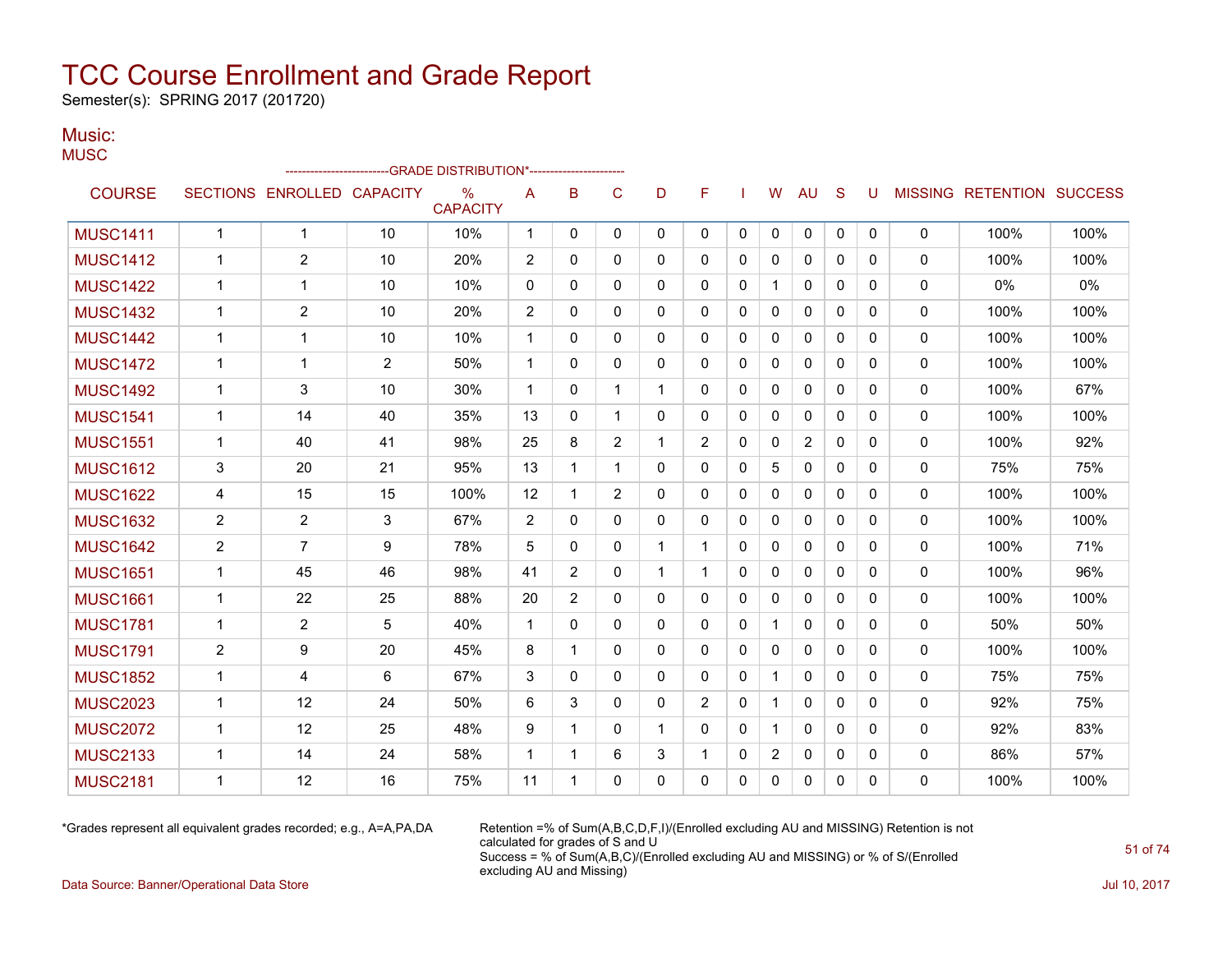Semester(s): SPRING 2017 (201720)

#### Music: **MUSC**

| $\cdots$        |                |                            |    | ------------------------GRADE                DISTRIBUTION*---------------------- |              |                |                |              |                |              |                |                |              |          |              |                          |                |
|-----------------|----------------|----------------------------|----|----------------------------------------------------------------------------------|--------------|----------------|----------------|--------------|----------------|--------------|----------------|----------------|--------------|----------|--------------|--------------------------|----------------|
| <b>COURSE</b>   |                | SECTIONS ENROLLED CAPACITY |    | $\frac{0}{0}$<br><b>CAPACITY</b>                                                 | A            | в              | C              | D            | F              |              | W              | <b>AU</b>      | S            | U        |              | <b>MISSING RETENTION</b> | <b>SUCCESS</b> |
| <b>MUSC1411</b> | $\mathbf{1}$   | $\mathbf{1}$               | 10 | 10%                                                                              | $\mathbf{1}$ | $\mathbf 0$    | 0              | 0            | 0              | $\mathbf 0$  | 0              | 0              | $\mathbf 0$  | 0        | $\mathbf 0$  | 100%                     | 100%           |
| <b>MUSC1412</b> | 1              | $\overline{2}$             | 10 | 20%                                                                              | 2            | $\Omega$       | $\Omega$       | $\Omega$     | $\Omega$       | $\mathbf{0}$ | $\mathbf{0}$   | $\Omega$       | $\Omega$     | $\Omega$ | $\mathbf{0}$ | 100%                     | 100%           |
| <b>MUSC1422</b> | 1              | $\mathbf{1}$               | 10 | 10%                                                                              | 0            | $\mathbf{0}$   | 0              | 0            | 0              | $\mathbf{0}$ | $\mathbf{1}$   | 0              | $\Omega$     | 0        | $\mathbf 0$  | $0\%$                    | 0%             |
| <b>MUSC1432</b> | 1              | 2                          | 10 | 20%                                                                              | 2            | $\Omega$       | $\Omega$       | $\Omega$     | $\Omega$       | $\Omega$     | $\Omega$       | $\mathbf{0}$   | $\Omega$     | $\Omega$ | $\mathbf{0}$ | 100%                     | 100%           |
| <b>MUSC1442</b> | 1              | $\mathbf 1$                | 10 | 10%                                                                              | $\mathbf{1}$ | $\mathbf{0}$   | $\Omega$       | 0            | 0              | $\mathbf{0}$ | $\Omega$       | $\mathbf{0}$   | $\Omega$     | 0        | $\mathbf 0$  | 100%                     | 100%           |
| <b>MUSC1472</b> | 1              | $\mathbf{1}$               | 2  | 50%                                                                              | $\mathbf 1$  | $\Omega$       | $\Omega$       | 0            | 0              | $\Omega$     | $\mathbf{0}$   | $\mathbf{0}$   | $\Omega$     | $\Omega$ | $\mathbf{0}$ | 100%                     | 100%           |
| <b>MUSC1492</b> | 1              | 3                          | 10 | 30%                                                                              | $\mathbf{1}$ | $\mathbf{0}$   | 1              | $\mathbf 1$  | 0              | $\mathbf{0}$ | 0              | 0              | $\Omega$     | 0        | 0            | 100%                     | 67%            |
| <b>MUSC1541</b> | $\mathbf 1$    | 14                         | 40 | 35%                                                                              | 13           | $\Omega$       | 1              | $\Omega$     | $\Omega$       | $\mathbf{0}$ | 0              | $\mathbf{0}$   | $\Omega$     | $\Omega$ | $\mathbf{0}$ | 100%                     | 100%           |
| <b>MUSC1551</b> | 1              | 40                         | 41 | 98%                                                                              | 25           | 8              | $\overline{2}$ |              | $\overline{2}$ | $\mathbf{0}$ | 0              | $\overline{2}$ | $\Omega$     | 0        | $\mathbf 0$  | 100%                     | 92%            |
| <b>MUSC1612</b> | 3              | 20                         | 21 | 95%                                                                              | 13           | 1              | 1              | 0            | 0              | 0            | 5              | 0              | 0            | 0        | $\mathbf{0}$ | 75%                      | 75%            |
| <b>MUSC1622</b> | 4              | 15                         | 15 | 100%                                                                             | 12           | 1              | $\overline{2}$ | 0            | 0              | $\mathbf{0}$ | $\mathbf{0}$   | 0              | $\mathbf{0}$ | 0        | 0            | 100%                     | 100%           |
| <b>MUSC1632</b> | $\overline{2}$ | $\overline{2}$             | 3  | 67%                                                                              | 2            | $\mathbf{0}$   | 0              | 0            | 0              | $\mathbf{0}$ | $\Omega$       | 0              | $\Omega$     | 0        | $\mathbf{0}$ | 100%                     | 100%           |
| <b>MUSC1642</b> | $\overline{2}$ | $\overline{7}$             | 9  | 78%                                                                              | 5            | $\mathbf{0}$   | $\mathbf{0}$   | $\mathbf{1}$ | $\mathbf{1}$   | $\mathbf{0}$ | $\mathbf{0}$   | $\mathbf{0}$   | $\Omega$     | 0        | $\mathbf{0}$ | 100%                     | 71%            |
| <b>MUSC1651</b> | $\mathbf{1}$   | 45                         | 46 | 98%                                                                              | 41           | 2              | $\mathbf{0}$   | $\mathbf 1$  | $\mathbf{1}$   | 0            | $\Omega$       | $\mathbf{0}$   | $\Omega$     | 0        | $\mathbf{0}$ | 100%                     | 96%            |
| <b>MUSC1661</b> | $\mathbf{1}$   | 22                         | 25 | 88%                                                                              | 20           | $\overline{2}$ | $\Omega$       | $\Omega$     | $\Omega$       | $\Omega$     | $\mathbf{0}$   | $\Omega$       | $\Omega$     | $\Omega$ | $\mathbf{0}$ | 100%                     | 100%           |
| <b>MUSC1781</b> | 1              | 2                          | 5  | 40%                                                                              | $\mathbf 1$  | 0              | $\mathbf{0}$   | 0            | 0              | 0            | $\mathbf 1$    | 0              | $\mathbf{0}$ | 0        | 0            | 50%                      | 50%            |
| <b>MUSC1791</b> | 2              | 9                          | 20 | 45%                                                                              | 8            | 1              | $\Omega$       | 0            | $\Omega$       | $\mathbf{0}$ | $\mathbf{0}$   | 0              | $\Omega$     | 0        | $\mathbf 0$  | 100%                     | 100%           |
| <b>MUSC1852</b> | 1              | 4                          | 6  | 67%                                                                              | 3            | $\Omega$       | $\mathbf{0}$   | 0            | 0              | $\mathbf{0}$ | $\mathbf 1$    | $\mathbf{0}$   | $\Omega$     | 0        | $\mathbf{0}$ | 75%                      | 75%            |
| <b>MUSC2023</b> | $\mathbf 1$    | 12                         | 24 | 50%                                                                              | 6            | 3              | $\mathbf{0}$   | $\Omega$     | $\overline{2}$ | $\Omega$     | $\mathbf{1}$   | $\mathbf{0}$   | $\Omega$     | 0        | $\mathbf{0}$ | 92%                      | 75%            |
| <b>MUSC2072</b> | 1              | 12                         | 25 | 48%                                                                              | 9            | 1              | $\mathbf{0}$   | $\mathbf 1$  | 0              | $\mathbf{0}$ | $\mathbf 1$    | $\mathbf{0}$   | $\Omega$     | 0        | $\mathbf{0}$ | 92%                      | 83%            |
| <b>MUSC2133</b> | $\mathbf 1$    | 14                         | 24 | 58%                                                                              | $\mathbf 1$  | 1              | 6              | 3            | $\mathbf{1}$   | $\mathbf{0}$ | $\overline{2}$ | $\mathbf{0}$   | $\Omega$     | 0        | $\mathbf{0}$ | 86%                      | 57%            |
| <b>MUSC2181</b> | 1              | 12                         | 16 | 75%                                                                              | 11           | 1              | $\mathbf{0}$   | 0            | 0              | $\Omega$     | 0              | $\Omega$       | $\mathbf{0}$ | $\Omega$ | $\mathbf{0}$ | 100%                     | 100%           |

\*Grades represent all equivalent grades recorded; e.g., A=A,PA,DA Retention =% of Sum(A,B,C,D,F,I)/(Enrolled excluding AU and MISSING) Retention is not calculated for grades of S and U Success = % of Sum(A,B,C)/(Enrolled excluding AU and MISSING) or % of S/(Enrolled excluding AU and Missing)

Data Source: Banner/Operational Data Store Jul 10, 2017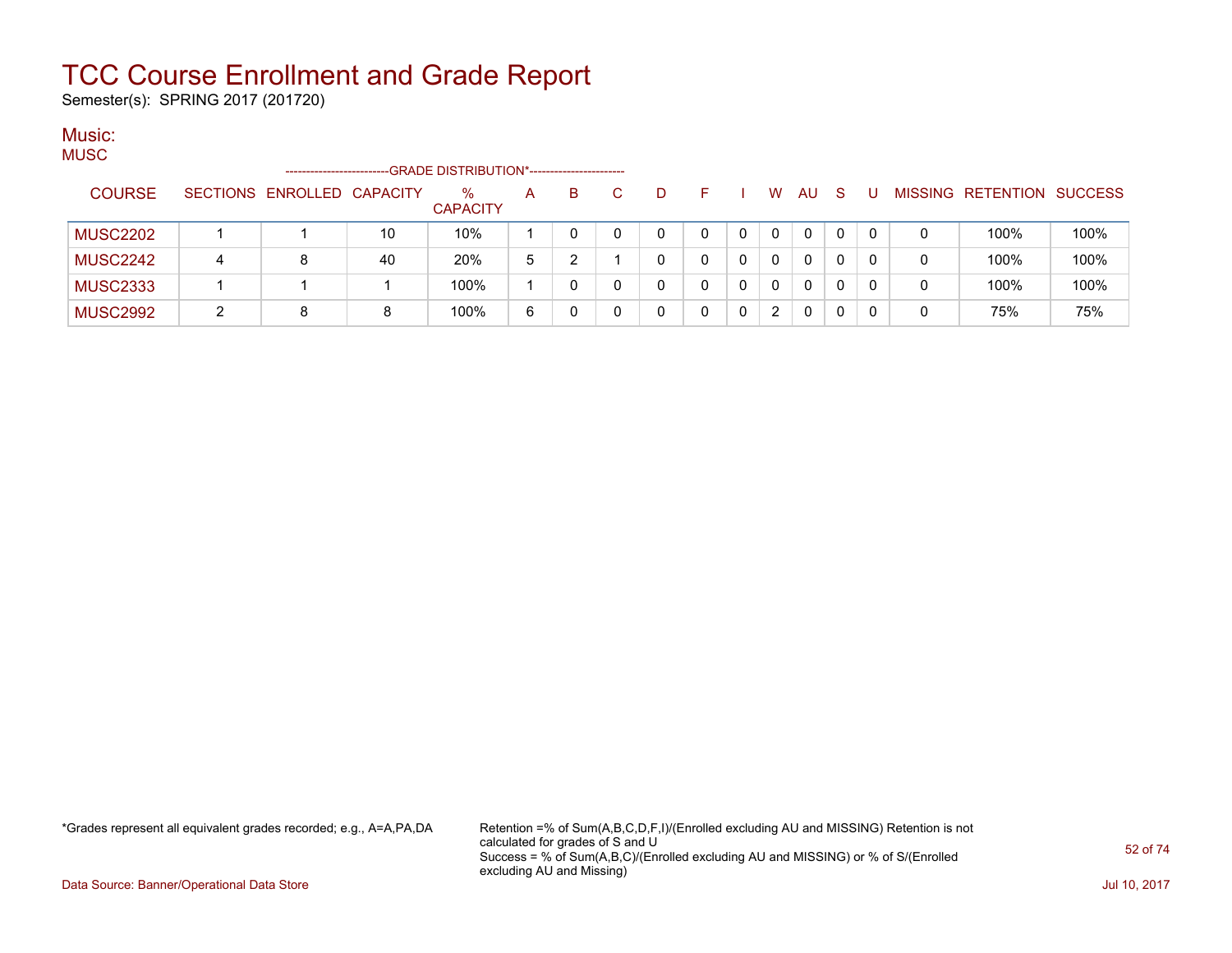Semester(s): SPRING 2017 (201720)

#### Music: MUSC

| wooc            |   | -----------------------    |    | -GRADE DISTRIBUTION*---------------------- |   |    |    |   |   |   |          |              |              |          |   |                           |      |
|-----------------|---|----------------------------|----|--------------------------------------------|---|----|----|---|---|---|----------|--------------|--------------|----------|---|---------------------------|------|
| <b>COURSE</b>   |   | SECTIONS ENROLLED CAPACITY |    | $\%$<br><b>CAPACITY</b>                    | A | B. | C. | D |   |   | W.       | AU           | <sub>S</sub> | U        |   | MISSING RETENTION SUCCESS |      |
| <b>MUSC2202</b> |   |                            | 10 | 10%                                        |   |    |    | 0 | 0 | 0 | $\Omega$ | $\mathbf{0}$ | $\Omega$     | $\Omega$ | 0 | 100%                      | 100% |
| <b>MUSC2242</b> | 4 |                            | 40 | 20%                                        | 5 |    |    | 0 |   |   | 0        | 0            | 0            |          | 0 | 100%                      | 100% |
| <b>MUSC2333</b> |   |                            |    | 100%                                       |   |    |    | 0 |   |   | 0        | $\mathbf{0}$ | 0            |          | 0 | 100%                      | 100% |
| <b>MUSC2992</b> |   |                            | 8  | 100%                                       | 6 |    |    |   |   |   | 2        | $\mathbf{0}$ | 0            |          | 0 | 75%                       | 75%  |

\*Grades represent all equivalent grades recorded; e.g., A=A,PA,DA Retention =% of Sum(A,B,C,D,F,I)/(Enrolled excluding AU and MISSING) Retention is not calculated for grades of S and U Success = % of Sum(A,B,C)/(Enrolled excluding AU and MISSING) or % of S/(Enrolled excluding AU and Missing)

Data Source: Banner/Operational Data Store Jul 10, 2017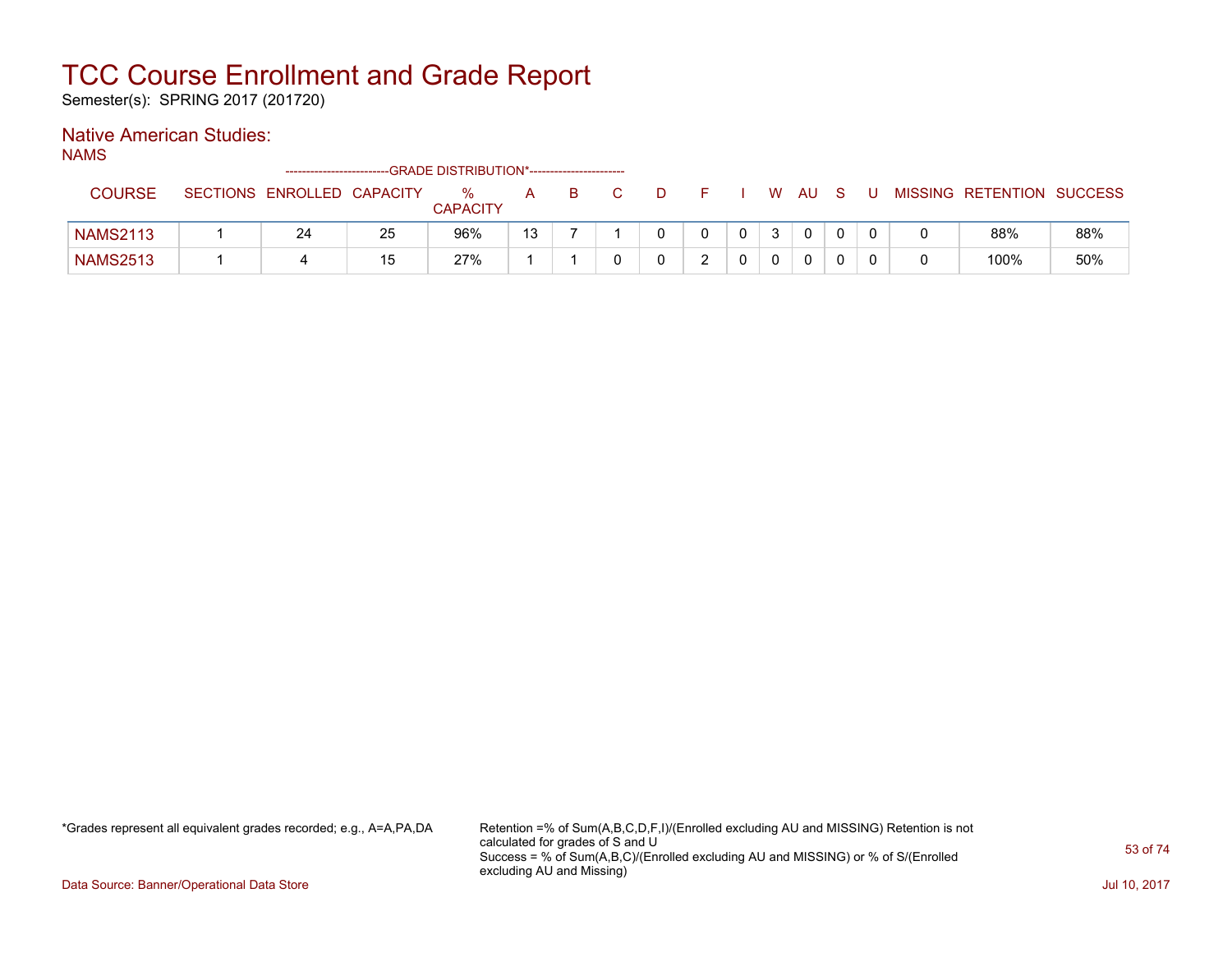Semester(s): SPRING 2017 (201720)

### Native American Studies:

NAMS

|                 |                            |    | -GRADE DISTRIBUTION*----------------------- |    |  |  |   |             |   |   |                           |     |
|-----------------|----------------------------|----|---------------------------------------------|----|--|--|---|-------------|---|---|---------------------------|-----|
| <b>COURSE</b>   | SECTIONS ENROLLED CAPACITY |    | ℅<br><b>CAPACITY</b>                        | А  |  |  | W | AU          | S | U | MISSING RETENTION SUCCESS |     |
| <b>NAMS2113</b> | 24                         | 25 | 96%                                         | 13 |  |  |   | $\mathbf 0$ |   |   | 88%                       | 88% |
| <b>NAMS2513</b> |                            | 15 | 27%                                         |    |  |  |   | 0           |   |   | 100%                      | 50% |

\*Grades represent all equivalent grades recorded; e.g., A=A,PA,DA Retention =% of Sum(A,B,C,D,F,I)/(Enrolled excluding AU and MISSING) Retention is not calculated for grades of S and U Success = % of Sum(A,B,C)/(Enrolled excluding AU and MISSING) or % of S/(Enrolled excluding AU and Missing)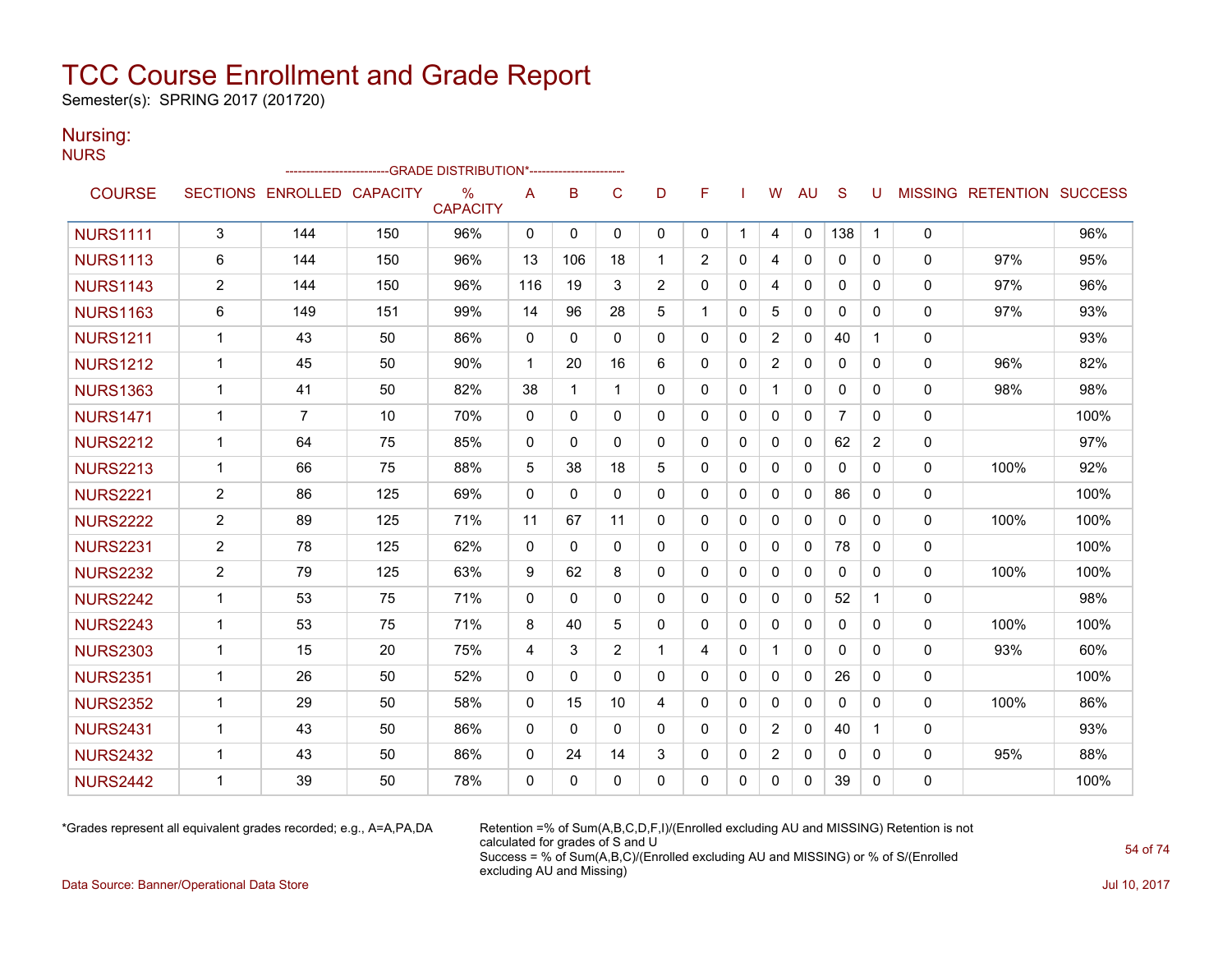Semester(s): SPRING 2017 (201720)

#### Nursing: **NURS**

|                 |                |                            |     | -GRADE DISTRIBUTION*---------------------- |              |              |                |                |                |              |             |              |                |                       |              |                                  |      |
|-----------------|----------------|----------------------------|-----|--------------------------------------------|--------------|--------------|----------------|----------------|----------------|--------------|-------------|--------------|----------------|-----------------------|--------------|----------------------------------|------|
| <b>COURSE</b>   |                | SECTIONS ENROLLED CAPACITY |     | $\%$<br><b>CAPACITY</b>                    | Α            | B            | C              | D              | F              |              | w           | AU           | S              | U                     |              | <b>MISSING RETENTION SUCCESS</b> |      |
| <b>NURS1111</b> | 3              | 144                        | 150 | 96%                                        | 0            | $\mathbf{0}$ | 0              | 0              | 0              | $\mathbf{1}$ | 4           | $\mathbf{0}$ | 138            | $\mathbf 1$           | 0            |                                  | 96%  |
| <b>NURS1113</b> | 6              | 144                        | 150 | 96%                                        | 13           | 106          | 18             | 1              | $\overline{2}$ | 0            | 4           | $\mathbf{0}$ | 0              | 0                     | $\mathbf{0}$ | 97%                              | 95%  |
| <b>NURS1143</b> | $\overline{2}$ | 144                        | 150 | 96%                                        | 116          | 19           | 3              | $\overline{2}$ | 0              | 0            | 4           | 0            | 0              | 0                     | 0            | 97%                              | 96%  |
| <b>NURS1163</b> | 6              | 149                        | 151 | 99%                                        | 14           | 96           | 28             | 5              | 1              | $\mathbf{0}$ | 5           | $\mathbf{0}$ | $\mathbf{0}$   | 0                     | $\mathbf{0}$ | 97%                              | 93%  |
| <b>NURS1211</b> | $\mathbf 1$    | 43                         | 50  | 86%                                        | 0            | $\Omega$     | $\Omega$       | $\Omega$       | $\mathbf{0}$   | $\mathbf{0}$ | 2           | $\mathbf{0}$ | 40             | 1                     | 0            |                                  | 93%  |
| <b>NURS1212</b> | $\mathbf 1$    | 45                         | 50  | 90%                                        | $\mathbf{1}$ | 20           | 16             | 6              | $\mathbf{0}$   | $\mathbf{0}$ | 2           | $\mathbf{0}$ | $\mathbf{0}$   | 0                     | 0            | 96%                              | 82%  |
| <b>NURS1363</b> | $\mathbf{1}$   | 41                         | 50  | 82%                                        | 38           | 1            | $\mathbf 1$    | $\mathbf{0}$   | $\mathbf{0}$   | $\mathbf{0}$ | -1          | $\mathbf{0}$ | $\mathbf{0}$   | 0                     | 0            | 98%                              | 98%  |
| <b>NURS1471</b> | $\mathbf 1$    | $\overline{7}$             | 10  | 70%                                        | 0            | 0            | $\mathbf 0$    | $\Omega$       | $\Omega$       | $\mathbf 0$  | $\Omega$    | $\mathbf{0}$ | $\overline{7}$ | 0                     | 0            |                                  | 100% |
| <b>NURS2212</b> | 1              | 64                         | 75  | 85%                                        | 0            | 0            | $\Omega$       | $\mathbf{0}$   | 0              | 0            | $\Omega$    | 0            | 62             | $\mathbf{2}^{\prime}$ | 0            |                                  | 97%  |
| <b>NURS2213</b> | $\mathbf 1$    | 66                         | 75  | 88%                                        | 5            | 38           | 18             | 5              | $\Omega$       | $\Omega$     | $\Omega$    | $\Omega$     | $\Omega$       | 0                     | $\mathbf{0}$ | 100%                             | 92%  |
| <b>NURS2221</b> | $\overline{2}$ | 86                         | 125 | 69%                                        | 0            | 0            | $\Omega$       | $\mathbf{0}$   | 0              | 0            | $\mathbf 0$ | 0            | 86             | 0                     | 0            |                                  | 100% |
| <b>NURS2222</b> | $\overline{2}$ | 89                         | 125 | 71%                                        | 11           | 67           | 11             | $\Omega$       | 0              | 0            | 0           | 0            | 0              | 0                     | 0            | 100%                             | 100% |
| <b>NURS2231</b> | $\overline{2}$ | 78                         | 125 | 62%                                        | 0            | 0            | 0              | $\Omega$       | $\mathbf{0}$   | $\mathbf 0$  | $\Omega$    | $\mathbf{0}$ | 78             | 0                     | 0            |                                  | 100% |
| <b>NURS2232</b> | 2              | 79                         | 125 | 63%                                        | 9            | 62           | 8              | $\mathbf{0}$   | 0              | $\mathbf{0}$ | 0           | 0            | 0              | 0                     | $\mathbf{0}$ | 100%                             | 100% |
| <b>NURS2242</b> | $\mathbf 1$    | 53                         | 75  | 71%                                        | $\Omega$     | $\Omega$     | $\Omega$       | $\Omega$       | $\Omega$       | $\mathbf 0$  | $\Omega$    | $\mathbf{0}$ | 52             | 1                     | 0            |                                  | 98%  |
| <b>NURS2243</b> | $\mathbf 1$    | 53                         | 75  | 71%                                        | 8            | 40           | 5              | $\Omega$       | $\mathbf{0}$   | 0            | $\Omega$    | $\mathbf{0}$ | $\mathbf{0}$   | 0                     | 0            | 100%                             | 100% |
| <b>NURS2303</b> | $\mathbf{1}$   | 15                         | 20  | 75%                                        | 4            | 3            | $\overline{2}$ | $\mathbf 1$    | 4              | $\Omega$     |             | $\Omega$     | $\Omega$       | 0                     | $\Omega$     | 93%                              | 60%  |
| <b>NURS2351</b> | $\mathbf 1$    | 26                         | 50  | 52%                                        | 0            | $\mathbf{0}$ | $\mathbf 0$    | 0              | 0              | $\mathbf 0$  | $\mathbf 0$ | 0            | 26             | 0                     | 0            |                                  | 100% |
| <b>NURS2352</b> | $\mathbf 1$    | 29                         | 50  | 58%                                        | $\Omega$     | 15           | 10             | 4              | $\Omega$       | $\mathbf{0}$ | $\Omega$    | $\mathbf{0}$ | $\mathbf{0}$   | 0                     | $\mathbf{0}$ | 100%                             | 86%  |
| <b>NURS2431</b> | $\mathbf 1$    | 43                         | 50  | 86%                                        | 0            | $\mathbf{0}$ | $\mathbf{0}$   | $\mathbf{0}$   | $\mathbf{0}$   | $\mathbf{0}$ | 2           | $\Omega$     | 40             | 1                     | $\Omega$     |                                  | 93%  |
| <b>NURS2432</b> | $\mathbf 1$    | 43                         | 50  | 86%                                        | 0            | 24           | 14             | 3              | 0              | 0            | 2           | 0            | 0              | 0                     | 0            | 95%                              | 88%  |
| <b>NURS2442</b> | $\mathbf 1$    | 39                         | 50  | 78%                                        | $\Omega$     | $\mathbf{0}$ | $\Omega$       | $\Omega$       | $\Omega$       | $\Omega$     | $\Omega$    | $\Omega$     | 39             | 0                     | 0            |                                  | 100% |

\*Grades represent all equivalent grades recorded; e.g., A=A,PA,DA Retention =% of Sum(A,B,C,D,F,I)/(Enrolled excluding AU and MISSING) Retention is not calculated for grades of S and U Success = % of Sum(A,B,C)/(Enrolled excluding AU and MISSING) or % of S/(Enrolled excluding AU and Missing)

Data Source: Banner/Operational Data Store Jul 10, 2017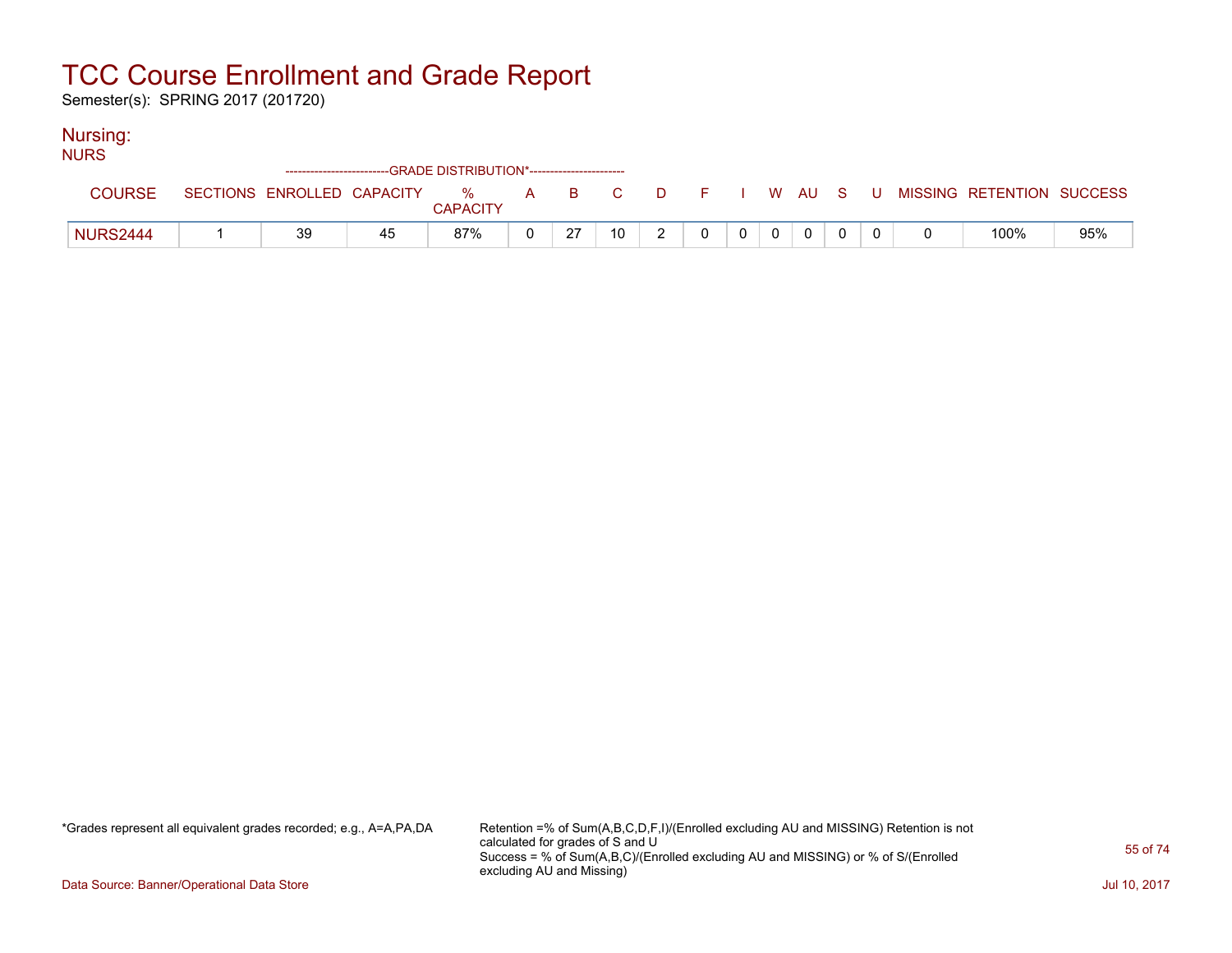Semester(s): SPRING 2017 (201720)

### Nursing:

| <b>NURS</b>     | ------------------------   |    | --GRADE DISTRIBUTION*---------------------- |    |       |          |  |                |  |                           |     |
|-----------------|----------------------------|----|---------------------------------------------|----|-------|----------|--|----------------|--|---------------------------|-----|
|                 |                            |    |                                             |    |       |          |  |                |  |                           |     |
| <b>COURSE</b>   | SECTIONS ENROLLED CAPACITY |    | $\%$<br><b>CAPACITY</b>                     |    | A B C | DFIWAUSU |  |                |  | MISSING RETENTION SUCCESS |     |
| <b>NURS2444</b> | 39                         | 45 | 87%                                         | 27 | 10    |          |  | $\overline{0}$ |  | 100%                      | 95% |

\*Grades represent all equivalent grades recorded; e.g., A=A,PA,DA Retention =% of Sum(A,B,C,D,F,I)/(Enrolled excluding AU and MISSING) Retention is not calculated for grades of S and U Success = % of Sum(A,B,C)/(Enrolled excluding AU and MISSING) or % of S/(Enrolled excluding AU and Missing)

Data Source: Banner/Operational Data Store Jul 10, 2017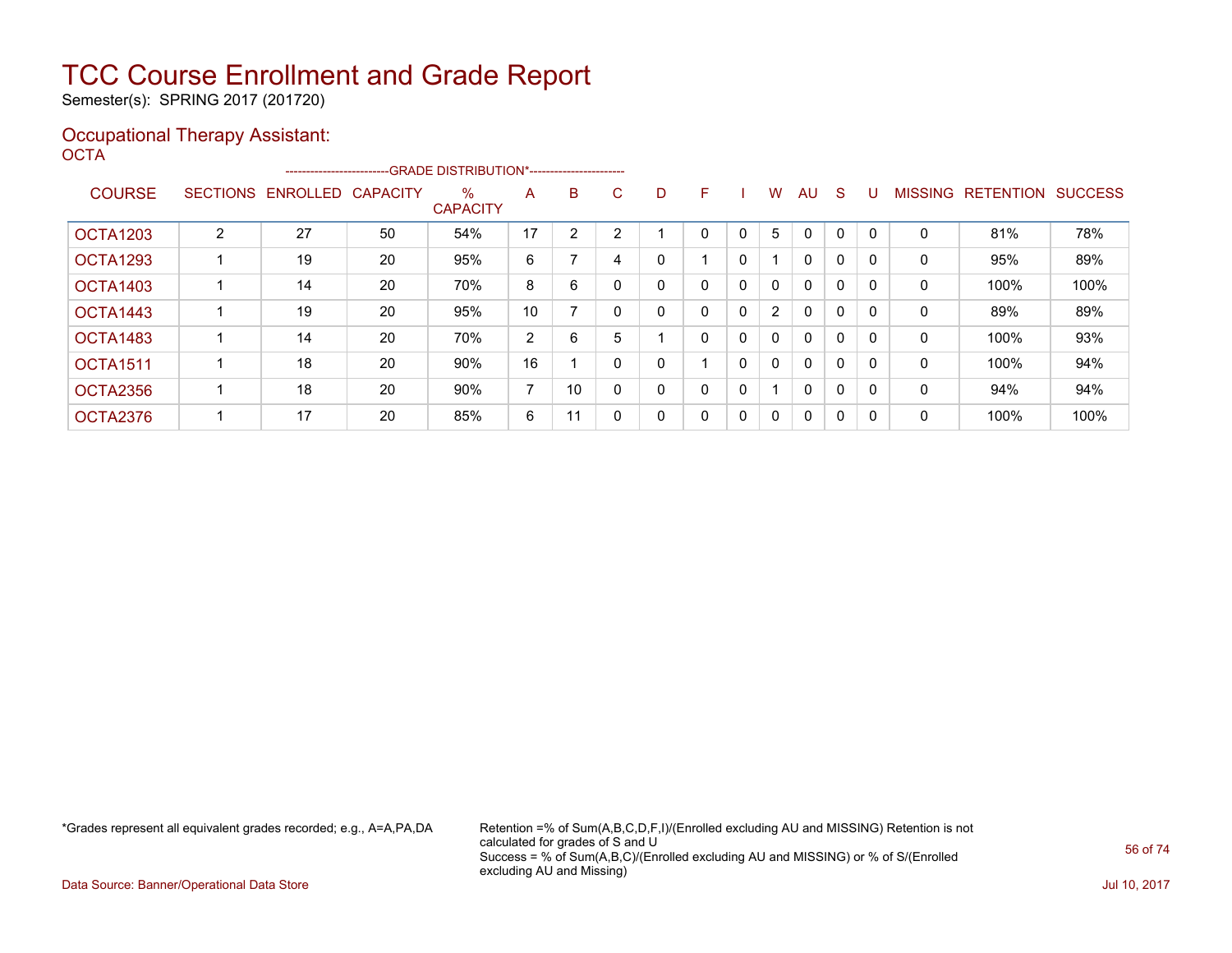Semester(s): SPRING 2017 (201720)

#### Occupational Therapy Assistant: OCTA<sup>'</sup>

|                 |   | ------------------------- |                 | --GRADE DISTRIBUTION*----------------------- |                |    |    |   |   |   |                      |              |              |          |                |                  |                |
|-----------------|---|---------------------------|-----------------|----------------------------------------------|----------------|----|----|---|---|---|----------------------|--------------|--------------|----------|----------------|------------------|----------------|
| <b>COURSE</b>   |   | SECTIONS ENROLLED         | <b>CAPACITY</b> | $\%$<br><b>CAPACITY</b>                      | A              | B  | C. | D | F |   | W                    | AU           | <sub>S</sub> |          | <b>MISSING</b> | <b>RETENTION</b> | <b>SUCCESS</b> |
| <b>OCTA1203</b> | 2 | 27                        | 50              | 54%                                          | 17             | 2  |    |   | 0 | 0 | 5                    | 0            | 0            |          | 0              | 81%              | 78%            |
| OCTA1293        |   | 19                        | 20              | 95%                                          | 6              |    | 4  |   |   | 0 |                      | $\mathbf{0}$ | $\Omega$     | $\Omega$ | 0              | 95%              | 89%            |
| <b>OCTA1403</b> |   | 14                        | 20              | 70%                                          | 8              | 6  |    | 0 | 0 | 0 | $\mathbf{0}$         | $\mathbf{0}$ | $\Omega$     |          | 0              | 100%             | 100%           |
| OCTA1443        |   | 19                        | 20              | 95%                                          | 10             |    |    | 0 | 0 | 0 | $\mathbf{2}^{\circ}$ | $\mathbf{0}$ | 0            |          | 0              | 89%              | 89%            |
| OCTA1483        |   | 14                        | 20              | 70%                                          | 2              | 6  | 5  |   | 0 | 0 | 0                    | $\mathbf{0}$ | $\Omega$     | $\Omega$ | 0              | 100%             | 93%            |
| <b>OCTA1511</b> |   | 18                        | 20              | 90%                                          | 16             |    |    | 0 |   | 0 | 0                    | $\mathbf{0}$ | 0            | $\Omega$ | 0              | 100%             | 94%            |
| OCTA2356        |   | 18                        | 20              | 90%                                          | $\overline{ }$ | 10 |    | 0 | 0 | 0 |                      | $\mathbf{0}$ | $\Omega$     |          | 0              | 94%              | 94%            |
| OCTA2376        |   | 17                        | 20              | 85%                                          | 6              | 11 |    | 0 | 0 | 0 | 0                    | $\mathbf{0}$ | 0            | $\Omega$ | 0              | 100%             | 100%           |

\*Grades represent all equivalent grades recorded; e.g., A=A,PA,DA Retention =% of Sum(A,B,C,D,F,I)/(Enrolled excluding AU and MISSING) Retention is not calculated for grades of S and U Success = % of Sum(A,B,C)/(Enrolled excluding AU and MISSING) or % of S/(Enrolled excluding AU and Missing)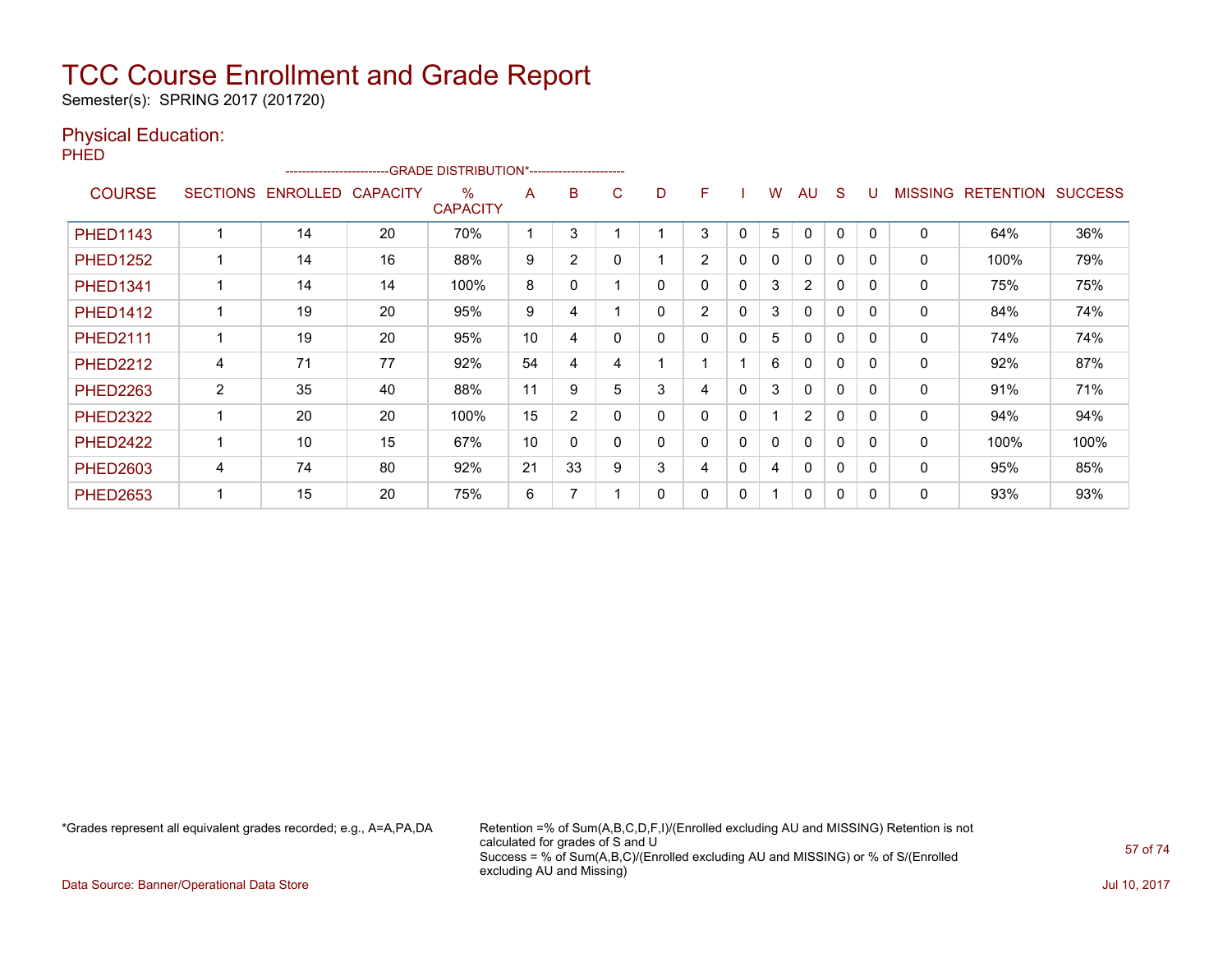Semester(s): SPRING 2017 (201720)

### Physical Education:

PHED

|                 |                 | ------------------------ |                 | --GRADE DISTRIBUTION*------------------------ |    |                |   |   |                |          |   |                |              |          |                |                  |                |
|-----------------|-----------------|--------------------------|-----------------|-----------------------------------------------|----|----------------|---|---|----------------|----------|---|----------------|--------------|----------|----------------|------------------|----------------|
| <b>COURSE</b>   | <b>SECTIONS</b> | <b>ENROLLED</b>          | <b>CAPACITY</b> | $\%$<br><b>CAPACITY</b>                       | A  | B              | C | D | F              |          | W | AU             | S            |          | <b>MISSING</b> | <b>RETENTION</b> | <b>SUCCESS</b> |
| <b>PHED1143</b> |                 | 14                       | 20              | 70%                                           |    | 3              |   |   | 3              | 0        | 5 |                | $\Omega$     | 0        | $\mathbf{0}$   | 64%              | 36%            |
| <b>PHED1252</b> |                 | 14                       | 16              | 88%                                           | 9  | $\overline{2}$ |   |   | $\overline{2}$ | $\Omega$ | 0 | $\Omega$       | $\Omega$     | $\Omega$ | 0              | 100%             | 79%            |
| <b>PHED1341</b> |                 | 14                       | 14              | 100%                                          | 8  | 0              |   | 0 | 0              | $\Omega$ | 3 | $\overline{2}$ | $\Omega$     | $\Omega$ | 0              | 75%              | 75%            |
| <b>PHED1412</b> |                 | 19                       | 20              | 95%                                           | 9  | 4              |   | 0 | $\overline{2}$ | 0        | 3 | $\mathbf{0}$   | $\Omega$     | $\Omega$ | 0              | 84%              | 74%            |
| <b>PHED2111</b> |                 | 19                       | 20              | 95%                                           | 10 | 4              |   | 0 | 0              | 0        | 5 | $\Omega$       | 0            | $\Omega$ | 0              | 74%              | 74%            |
| <b>PHED2212</b> | 4               | 71                       | 77              | 92%                                           | 54 | 4              | 4 |   |                |          | 6 | 0              | 0            | 0        | 0              | 92%              | 87%            |
| <b>PHED2263</b> | $\overline{2}$  | 35                       | 40              | 88%                                           | 11 | 9              | 5 | 3 | 4              | 0        | 3 | $\mathbf{0}$   | 0            | $\Omega$ | 0              | 91%              | 71%            |
| <b>PHED2322</b> |                 | 20                       | 20              | 100%                                          | 15 | $\overline{2}$ |   | 0 | 0              | 0        |   | $\overline{2}$ | $\Omega$     | $\Omega$ | $\mathbf 0$    | 94%              | 94%            |
| <b>PHED2422</b> |                 | 10                       | 15              | 67%                                           | 10 | $\mathbf{0}$   |   | 0 | 0              | 0        | 0 | $\mathbf{0}$   | $\Omega$     | $\Omega$ | 0              | 100%             | 100%           |
| <b>PHED2603</b> | 4               | 74                       | 80              | 92%                                           | 21 | 33             | 9 | 3 | 4              | $\Omega$ | 4 | $\Omega$       | $\Omega$     | $\Omega$ | $\mathbf{0}$   | 95%              | 85%            |
| <b>PHED2653</b> |                 | 15                       | 20              | 75%                                           | 6  | 7              |   | 0 | 0              | 0        |   | $\mathbf{0}$   | $\mathbf{0}$ | $\Omega$ | 0              | 93%              | 93%            |

\*Grades represent all equivalent grades recorded; e.g., A=A,PA,DA Retention =% of Sum(A,B,C,D,F,I)/(Enrolled excluding AU and MISSING) Retention is not calculated for grades of S and U Success = % of Sum(A,B,C)/(Enrolled excluding AU and MISSING) or % of S/(Enrolled excluding AU and Missing)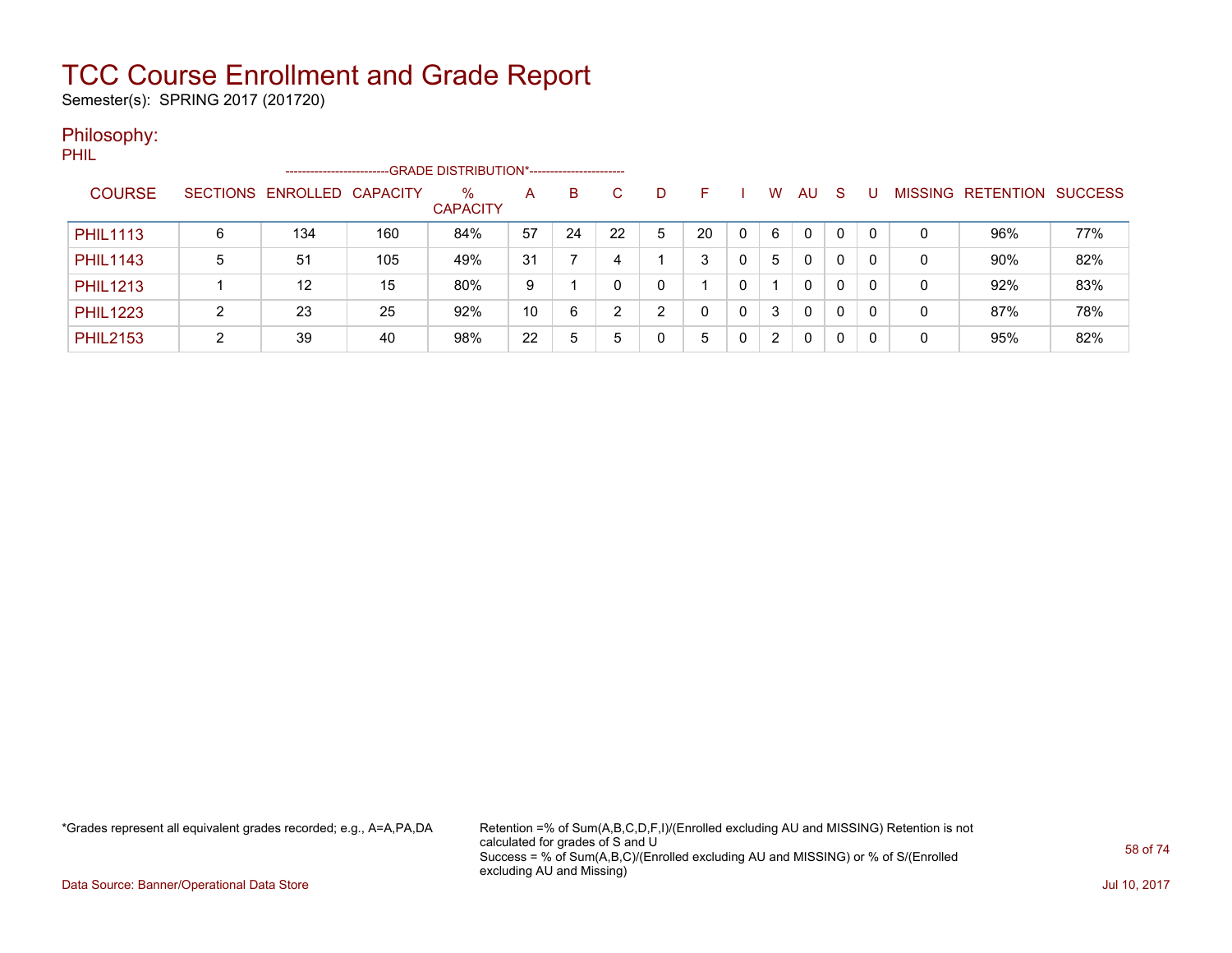Semester(s): SPRING 2017 (201720)

### Philosophy:

PHIL

|                 |   | ------------------------   |     | --GRADE DISTRIBUTION*----------------------- |    |    |    |   |    |   |                      |              |    |   |                |           |                |
|-----------------|---|----------------------------|-----|----------------------------------------------|----|----|----|---|----|---|----------------------|--------------|----|---|----------------|-----------|----------------|
| <b>COURSE</b>   |   | SECTIONS ENROLLED CAPACITY |     | $\%$<br><b>CAPACITY</b>                      | A  | B  | C  | D | н  |   | W                    | AU           | -S |   | <b>MISSING</b> | RETENTION | <b>SUCCESS</b> |
| <b>PHIL1113</b> | 6 | 134                        | 160 | 84%                                          | 57 | 24 | 22 | 5 | 20 | 0 | 6                    | $\mathbf{0}$ | 0  | 0 |                | 96%       | 77%            |
| <b>PHIL1143</b> | 5 | 51                         | 105 | 49%                                          | 31 |    |    |   | 3  |   | 5                    | $\mathbf{0}$ | 0  | 0 | 0              | 90%       | 82%            |
| <b>PHIL1213</b> |   | 12                         | 15  | 80%                                          | 9  |    |    |   |    |   |                      | 0            | 0  |   | 0              | 92%       | 83%            |
| <b>PHIL1223</b> | ົ | 23                         | 25  | 92%                                          | 10 | 6  | ົ  | ົ | 0  | 0 | 3                    | 0            | 0  | 0 | 0              | 87%       | 78%            |
| <b>PHIL2153</b> | ົ | 39                         | 40  | 98%                                          | 22 | 5  |    |   | 5  |   | $\mathbf{2}^{\circ}$ | 0            | 0  |   | 0              | 95%       | 82%            |

\*Grades represent all equivalent grades recorded; e.g., A=A,PA,DA Retention =% of Sum(A,B,C,D,F,I)/(Enrolled excluding AU and MISSING) Retention is not calculated for grades of S and U Success = % of Sum(A,B,C)/(Enrolled excluding AU and MISSING) or % of S/(Enrolled excluding AU and Missing)

Data Source: Banner/Operational Data Store Jul 10, 2017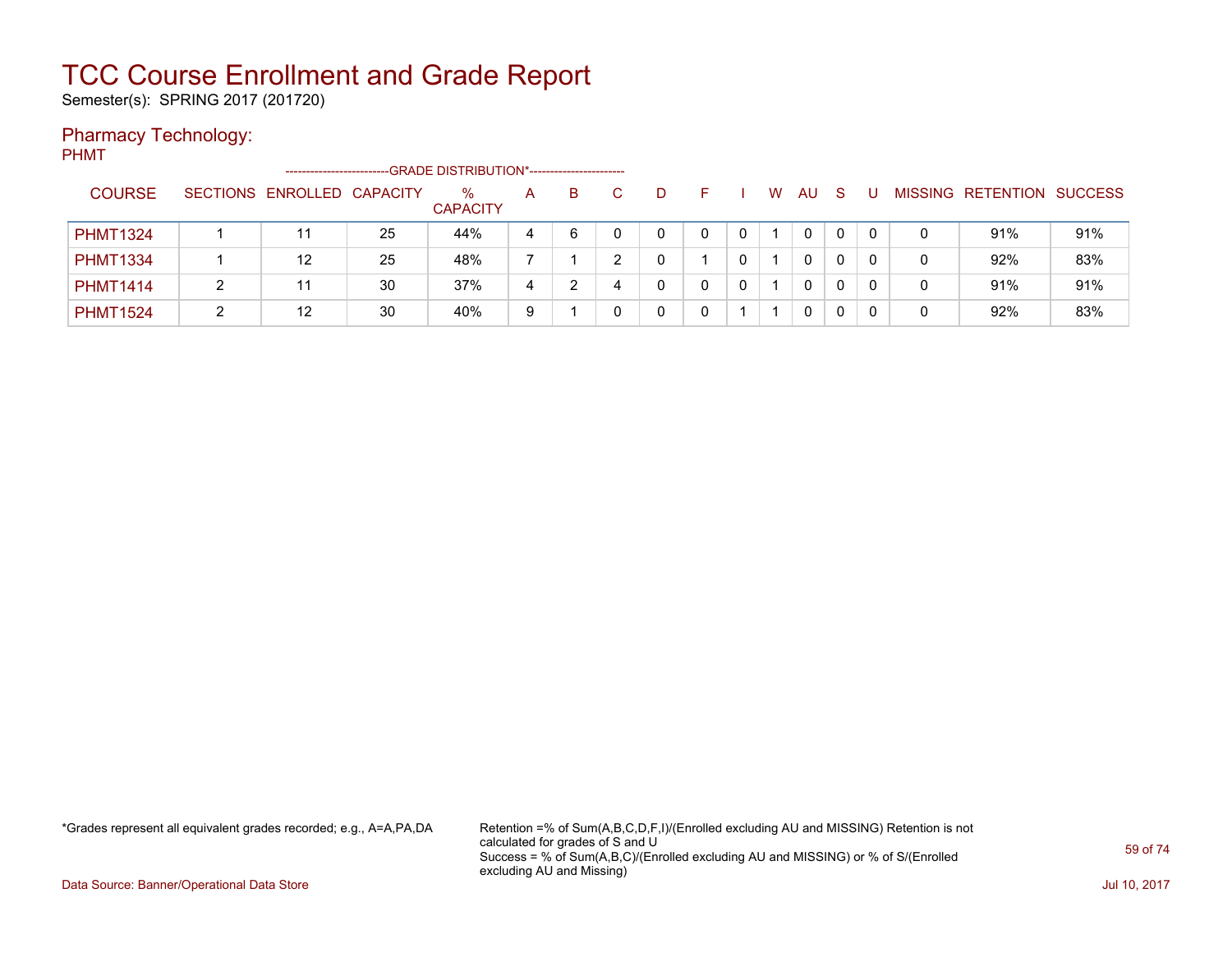Semester(s): SPRING 2017 (201720)

### Pharmacy Technology:

PHMT

|                 |   | ----------------------     |    | -GRADE DISTRIBUTION*----------------------- |   |    |   |   |   |     |    |   |                           |     |
|-----------------|---|----------------------------|----|---------------------------------------------|---|----|---|---|---|-----|----|---|---------------------------|-----|
| <b>COURSE</b>   |   | SECTIONS ENROLLED CAPACITY |    | %<br><b>CAPACITY</b>                        | A | B. | D | - | W | AU. | -S |   | MISSING RETENTION SUCCESS |     |
| <b>PHMT1324</b> |   |                            | 25 | 44%                                         | 4 | 6  |   |   |   | 0   | 0  |   | 91%                       | 91% |
| <b>PHMT1334</b> |   | 12                         | 25 | 48%                                         |   |    |   |   |   | 0   |    |   | 92%                       | 83% |
| <b>PHMT1414</b> | າ |                            | 30 | 37%                                         | 4 |    |   |   |   | 0   | 0  |   | 91%                       | 91% |
| <b>PHMT1524</b> |   | 12                         | 30 | 40%                                         | 9 |    |   |   |   | 0   |    | 0 | 92%                       | 83% |

\*Grades represent all equivalent grades recorded; e.g., A=A,PA,DA Retention =% of Sum(A,B,C,D,F,I)/(Enrolled excluding AU and MISSING) Retention is not calculated for grades of S and U Success = % of Sum(A,B,C)/(Enrolled excluding AU and MISSING) or % of S/(Enrolled excluding AU and Missing)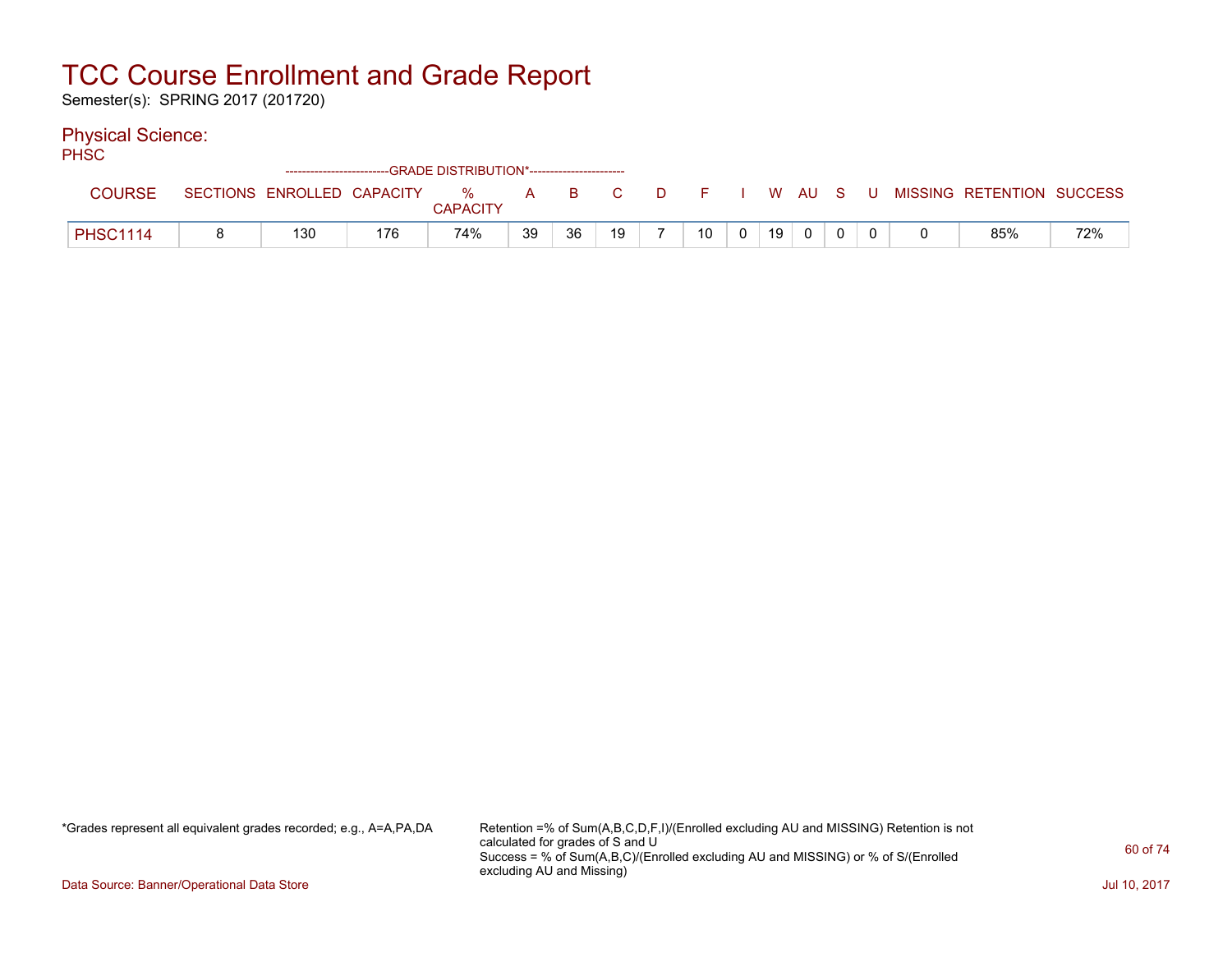Semester(s): SPRING 2017 (201720)

### Physical Science:

PHSC

| .               | -------------------------- |     | -GRADE DISTRIBUTION*---------------------- |    |       |    |     |                 |    |       |   |                           |     |
|-----------------|----------------------------|-----|--------------------------------------------|----|-------|----|-----|-----------------|----|-------|---|---------------------------|-----|
| <b>COURSE</b>   | SECTIONS ENROLLED CAPACITY |     | %<br><b>CAPACITY</b>                       |    | A B C |    | DF. |                 |    | WAUS. | U | MISSING RETENTION SUCCESS |     |
| <b>PHSC1114</b> | 130                        | 176 | 74%                                        | 39 | 36    | 19 |     | 10 <sup>1</sup> | 19 |       |   | 85%                       | 72% |

\*Grades represent all equivalent grades recorded; e.g., A=A,PA,DA Retention =% of Sum(A,B,C,D,F,I)/(Enrolled excluding AU and MISSING) Retention is not calculated for grades of S and U Success = % of Sum(A,B,C)/(Enrolled excluding AU and MISSING) or % of S/(Enrolled excluding AU and Missing)

Data Source: Banner/Operational Data Store Jul 10, 2017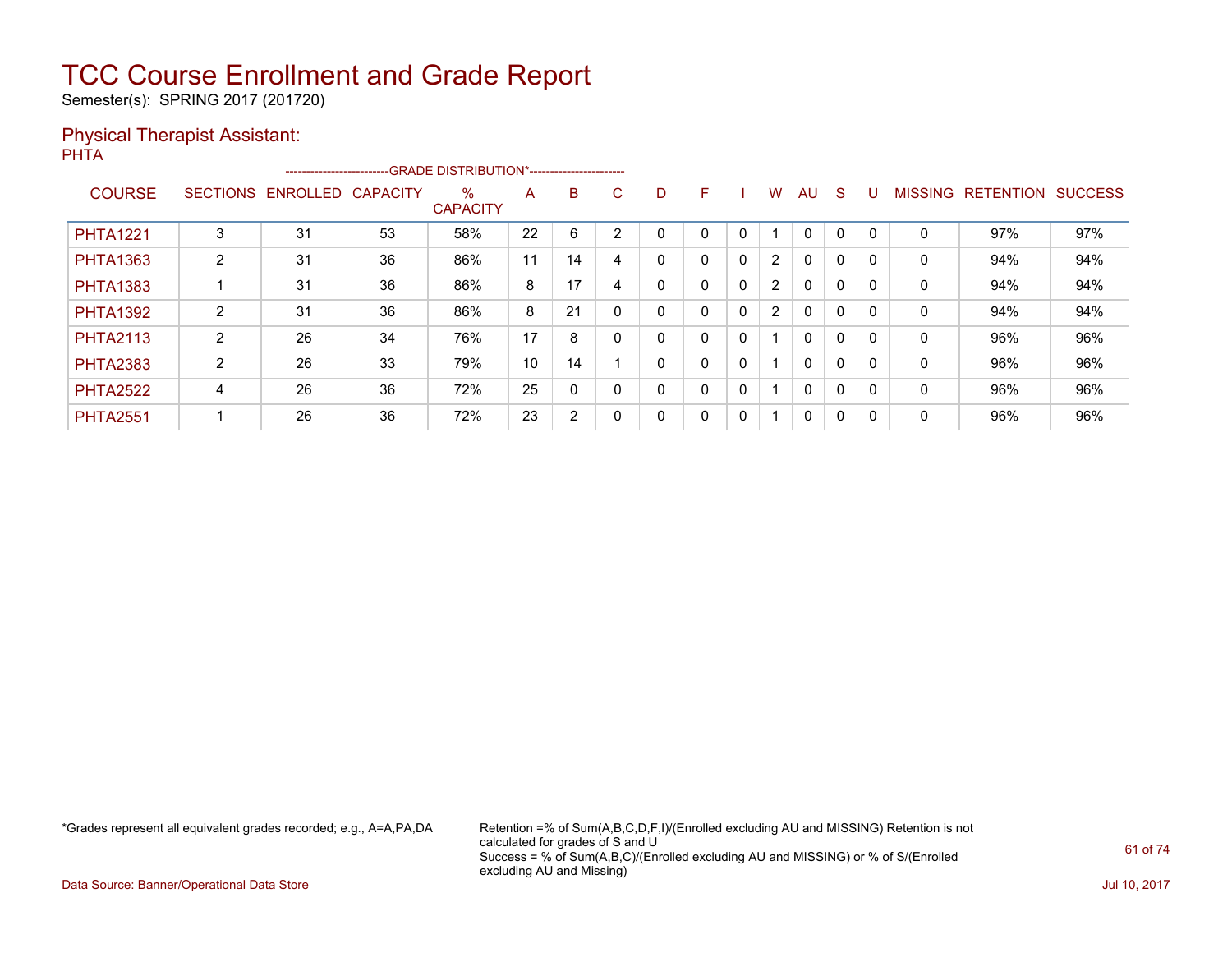Semester(s): SPRING 2017 (201720)

### Physical Therapist Assistant:

| <b>PHTA</b>     |                 |          |                 |                                                                                  |    |                |                |   |              |             |                |          |          |              |                |                          |     |
|-----------------|-----------------|----------|-----------------|----------------------------------------------------------------------------------|----|----------------|----------------|---|--------------|-------------|----------------|----------|----------|--------------|----------------|--------------------------|-----|
|                 |                 |          |                 | ------------------------GRADE                DISTRIBUTION*---------------------- |    |                |                |   |              |             |                |          |          |              |                |                          |     |
| <b>COURSE</b>   | <b>SECTIONS</b> | ENROLLED | <b>CAPACITY</b> | $\%$<br><b>CAPACITY</b>                                                          | A  | B              | C              | D | F            |             | W              | AU       | -S       | U            | <b>MISSING</b> | <b>RETENTION SUCCESS</b> |     |
| <b>PHTA1221</b> | 3               | 31       | 53              | 58%                                                                              | 22 | 6              | $\overline{2}$ | 0 | $\mathbf{0}$ | 0           |                | $\Omega$ | $\Omega$ | $\mathbf{0}$ | $\Omega$       | 97%                      | 97% |
| <b>PHTA1363</b> | $\overline{2}$  | 31       | 36              | 86%                                                                              | 11 | 14             | 4              | 0 | 0            | $\mathbf 0$ | $\overline{2}$ | $\Omega$ | $\Omega$ | $\mathbf{0}$ | $\mathbf{0}$   | 94%                      | 94% |
| <b>PHTA1383</b> |                 | 31       | 36              | 86%                                                                              | 8  | 17             | 4              | 0 | 0            | $\mathbf 0$ | $\overline{2}$ | $\Omega$ | $\Omega$ | $\mathbf{0}$ | 0              | 94%                      | 94% |
| <b>PHTA1392</b> | 2               | 31       | 36              | 86%                                                                              | 8  | 21             | 0              | 0 | $\mathbf{0}$ | 0           | $\overline{2}$ | $\Omega$ | $\Omega$ | $\Omega$     | $\mathbf{0}$   | 94%                      | 94% |
| <b>PHTA2113</b> | $\overline{2}$  | 26       | 34              | 76%                                                                              | 17 | 8              | 0              | 0 | $\Omega$     | 0           | 1              | $\Omega$ | $\Omega$ | $\Omega$     | $\mathbf{0}$   | 96%                      | 96% |
| <b>PHTA2383</b> | $\overline{2}$  | 26       | 33              | 79%                                                                              | 10 | 14             |                | 0 | $\mathbf{0}$ | $\mathbf 0$ | 1              | $\Omega$ | $\Omega$ | 0            | $\mathbf{0}$   | 96%                      | 96% |
| <b>PHTA2522</b> | 4               | 26       | 36              | 72%                                                                              | 25 | 0              | 0              | 0 | $\Omega$     | $\mathbf 0$ | 1              | $\Omega$ | $\Omega$ | $\Omega$     | $\mathbf{0}$   | 96%                      | 96% |
| <b>PHTA2551</b> |                 | 26       | 36              | 72%                                                                              | 23 | $\overline{2}$ | 0              | 0 | 0            | 0           | 1              | 0        | 0        | $\mathbf{0}$ | 0              | 96%                      | 96% |
|                 |                 |          |                 |                                                                                  |    |                |                |   |              |             |                |          |          |              |                |                          |     |

\*Grades represent all equivalent grades recorded; e.g., A=A,PA,DA Retention =% of Sum(A,B,C,D,F,I)/(Enrolled excluding AU and MISSING) Retention is not calculated for grades of S and U Success = % of Sum(A,B,C)/(Enrolled excluding AU and MISSING) or % of S/(Enrolled excluding AU and Missing)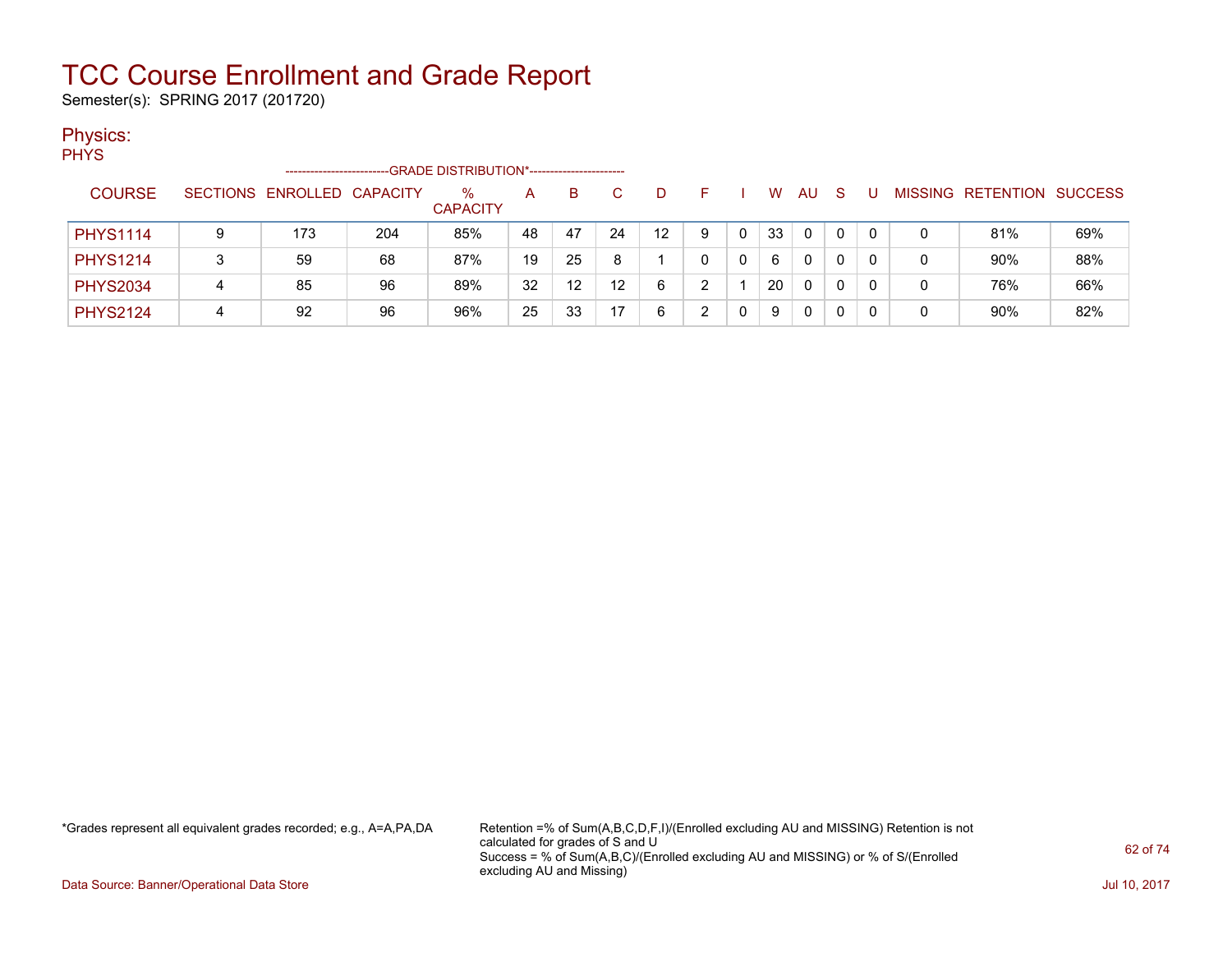Semester(s): SPRING 2017 (201720)

### Physics:

PHYS

|                 |                 | ------------------ |     |                      |    |                   |                   |                 |   |    |    |   |   |                   |                |
|-----------------|-----------------|--------------------|-----|----------------------|----|-------------------|-------------------|-----------------|---|----|----|---|---|-------------------|----------------|
| <b>COURSE</b>   | <b>SECTIONS</b> | ENROLLED CAPACITY  |     | %<br><b>CAPACITY</b> | A  | B                 |                   | D.              |   | w  | AU | S |   | MISSING RETENTION | <b>SUCCESS</b> |
| <b>PHYS1114</b> | 9               | 173                | 204 | 85%                  | 48 | 47                | 24                | 12 <sup>°</sup> | 9 | 33 | 0  | 0 | 0 | 81%               | 69%            |
| <b>PHYS1214</b> |                 | 59                 | 68  | 87%                  | 19 | 25                |                   |                 |   | 6  | 0  | 0 |   | 90%               | 88%            |
| <b>PHYS2034</b> | 4               | 85                 | 96  | 89%                  | 32 | $12 \overline{ }$ | $12 \overline{ }$ | 6               |   | 20 | 0  |   |   | 76%               | 66%            |
| <b>PHYS2124</b> |                 | 92                 | 96  | 96%                  | 25 | 33                | 17                | 6               |   | 9  | 0  |   |   | 90%               | 82%            |

\*Grades represent all equivalent grades recorded; e.g., A=A,PA,DA Retention =% of Sum(A,B,C,D,F,I)/(Enrolled excluding AU and MISSING) Retention is not calculated for grades of S and U Success = % of Sum(A,B,C)/(Enrolled excluding AU and MISSING) or % of S/(Enrolled excluding AU and Missing)

Data Source: Banner/Operational Data Store Jul 10, 2017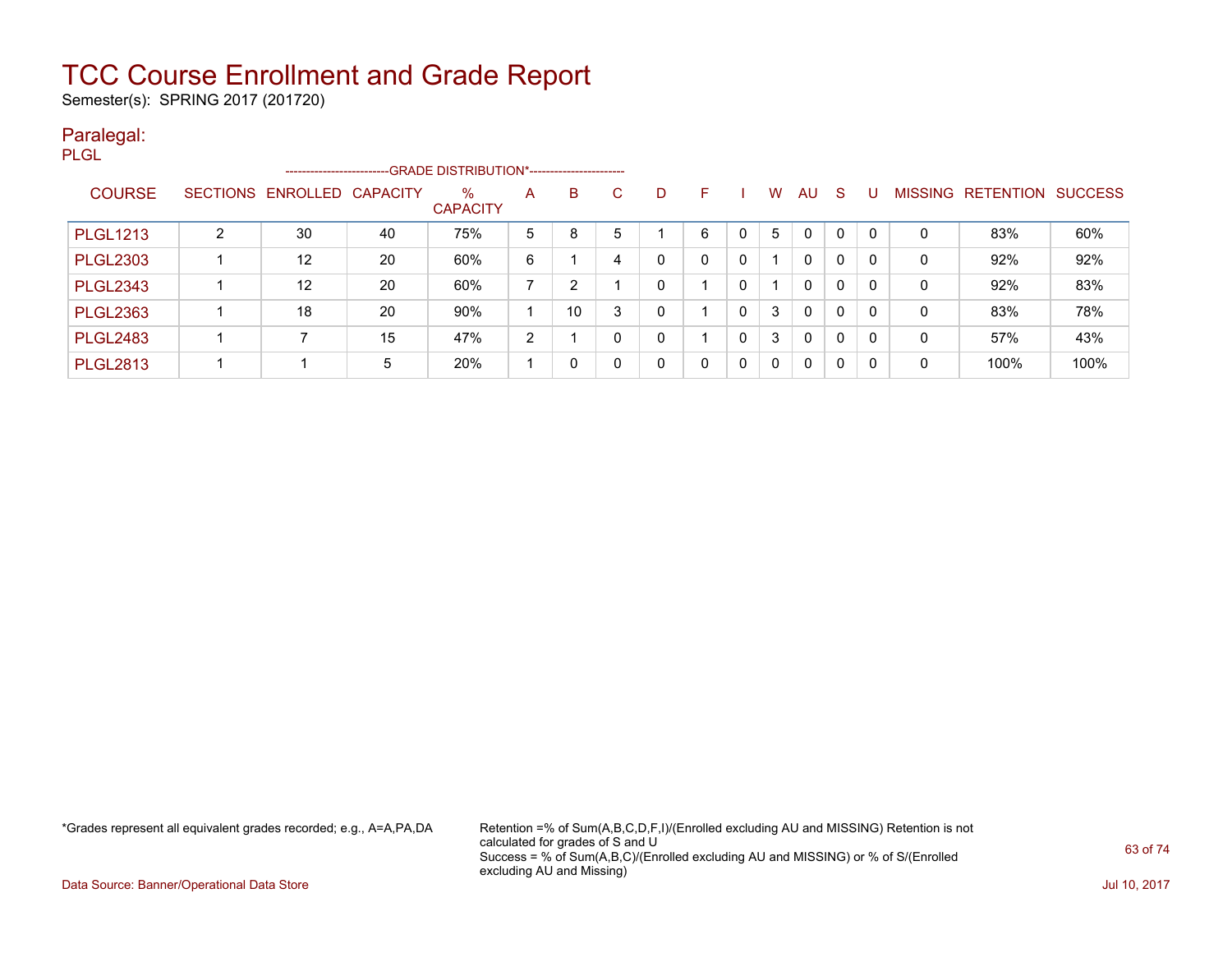Semester(s): SPRING 2017 (201720)

### Paralegal:

| <b>PLGL</b> |                 |   |                            |    |                         |   |          |   |          |   |   |              |              |              |          |                |           |                |
|-------------|-----------------|---|----------------------------|----|-------------------------|---|----------|---|----------|---|---|--------------|--------------|--------------|----------|----------------|-----------|----------------|
|             |                 |   | -----------------------    |    |                         |   |          |   |          |   |   |              |              |              |          |                |           |                |
|             | <b>COURSE</b>   |   | SECTIONS ENROLLED CAPACITY |    | $\%$<br><b>CAPACITY</b> | A | B        | C | D        | F |   | W            | <b>AU</b>    | -S           | U        | <b>MISSING</b> | RETENTION | <b>SUCCESS</b> |
|             | <b>PLGL1213</b> | ົ | 30                         | 40 | 75%                     | 5 | 8        | 5 |          | 6 | 0 | 5            | $\mathbf{0}$ | 0            | -0       | 0              | 83%       | 60%            |
|             | <b>PLGL2303</b> |   | $12 \overline{ }$          | 20 | 60%                     | 6 |          | 4 | 0        | 0 | 0 |              | $\mathbf{0}$ | $\mathbf{0}$ | 0        | 0              | 92%       | 92%            |
|             | <b>PLGL2343</b> |   | 12                         | 20 | 60%                     | ⇁ | 2        |   | 0        |   | 0 | -1           | $\mathbf{0}$ | $\mathbf{0}$ | $\Omega$ | 0              | 92%       | 83%            |
|             | <b>PLGL2363</b> |   | 18                         | 20 | 90%                     |   | 10       | 3 | $\Omega$ |   | 0 | 3            | $\mathbf{0}$ | $\mathbf{0}$ | $\Omega$ | 0              | 83%       | 78%            |
|             | <b>PLGL2483</b> |   |                            | 15 | 47%                     | 2 |          |   | 0        |   | 0 | 3            | $\mathbf{0}$ | 0            | $\Omega$ | 0              | 57%       | 43%            |
|             | <b>PLGL2813</b> |   |                            | 5  | 20%                     |   | $\Omega$ |   | $\Omega$ | 0 | 0 | $\mathbf{0}$ | $\mathbf{0}$ | $\mathbf{0}$ | 0        | 0              | 100%      | 100%           |

\*Grades represent all equivalent grades recorded; e.g., A=A,PA,DA Retention =% of Sum(A,B,C,D,F,I)/(Enrolled excluding AU and MISSING) Retention is not calculated for grades of S and U Success = % of Sum(A,B,C)/(Enrolled excluding AU and MISSING) or % of S/(Enrolled excluding AU and Missing)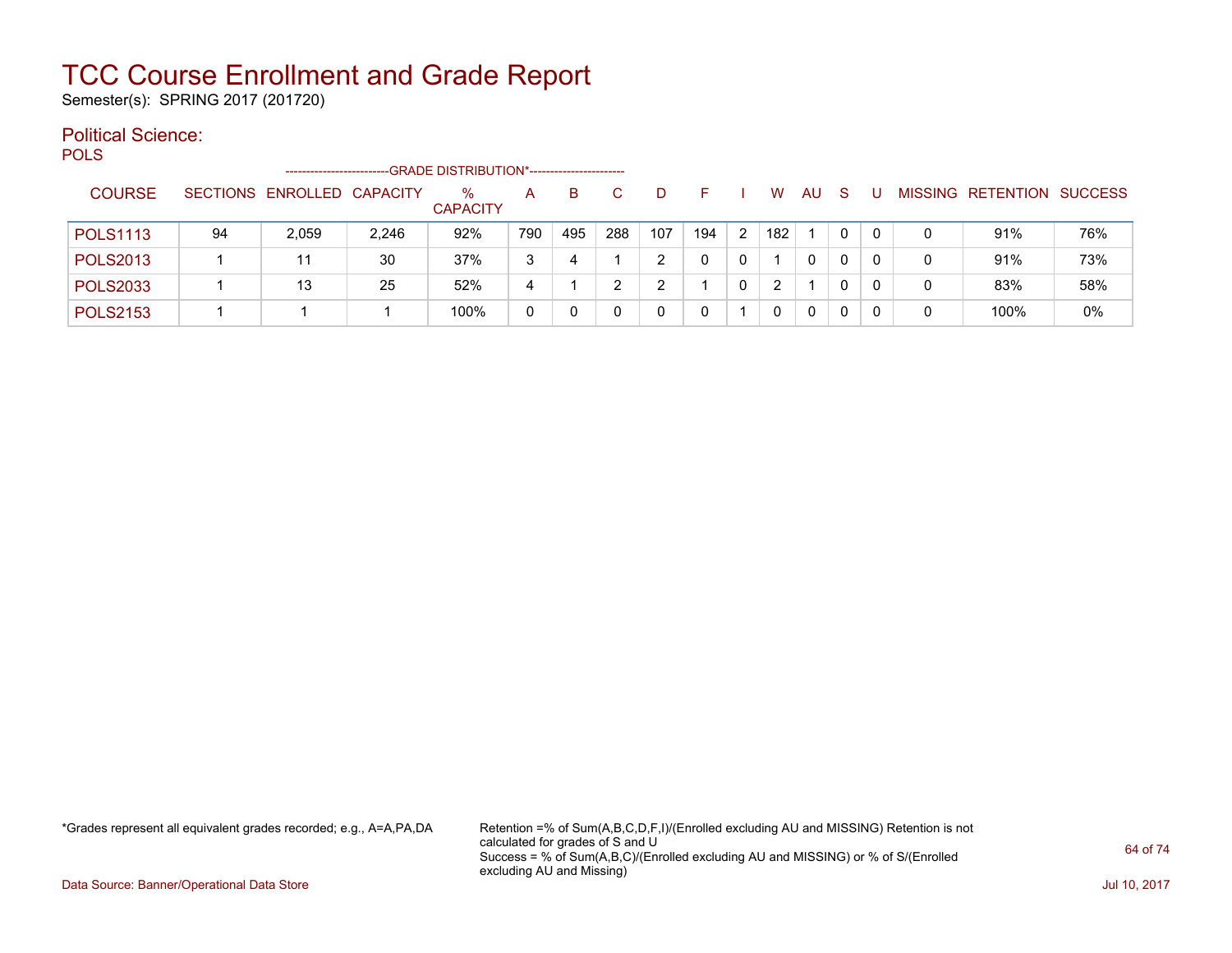Semester(s): SPRING 2017 (201720)

### Political Science:

POLS -------------------------GRADE DISTRIBUTION\*----------------------- COURSE SECTIONS ENROLLED CAPACITY % **CAPACITY** A B C D F I W AU S U MISSING RETENTION SUCCESS POLS1113 94 2,059 2,246 92% 790 495 288 107 194 2 182 1 0 0 0 91% 76% POLS2013 | 1 | 11 | 30 | 37% | 3 | 4 | 1 | 2 | 0 | 0 | 1 | 0 | 0 | 0 | 0 | 91% | 73% POLS2033 | 1 | 13 | 25 | 52% | 4 | 1 | 2 | 2 | 1 | 0 | 2 | 1 | 0 | 0 | 0 | 83% | 58% POLS2153 1 1 1 100% 0 0 0 0 0 1 0 0 0 0 0 100% 0%

\*Grades represent all equivalent grades recorded; e.g., A=A,PA,DA Retention =% of Sum(A,B,C,D,F,I)/(Enrolled excluding AU and MISSING) Retention is not calculated for grades of S and U Success = % of Sum(A,B,C)/(Enrolled excluding AU and MISSING) or % of S/(Enrolled excluding AU and Missing)

Data Source: Banner/Operational Data Store **July 10, 2017 Contract Store July 10, 2017**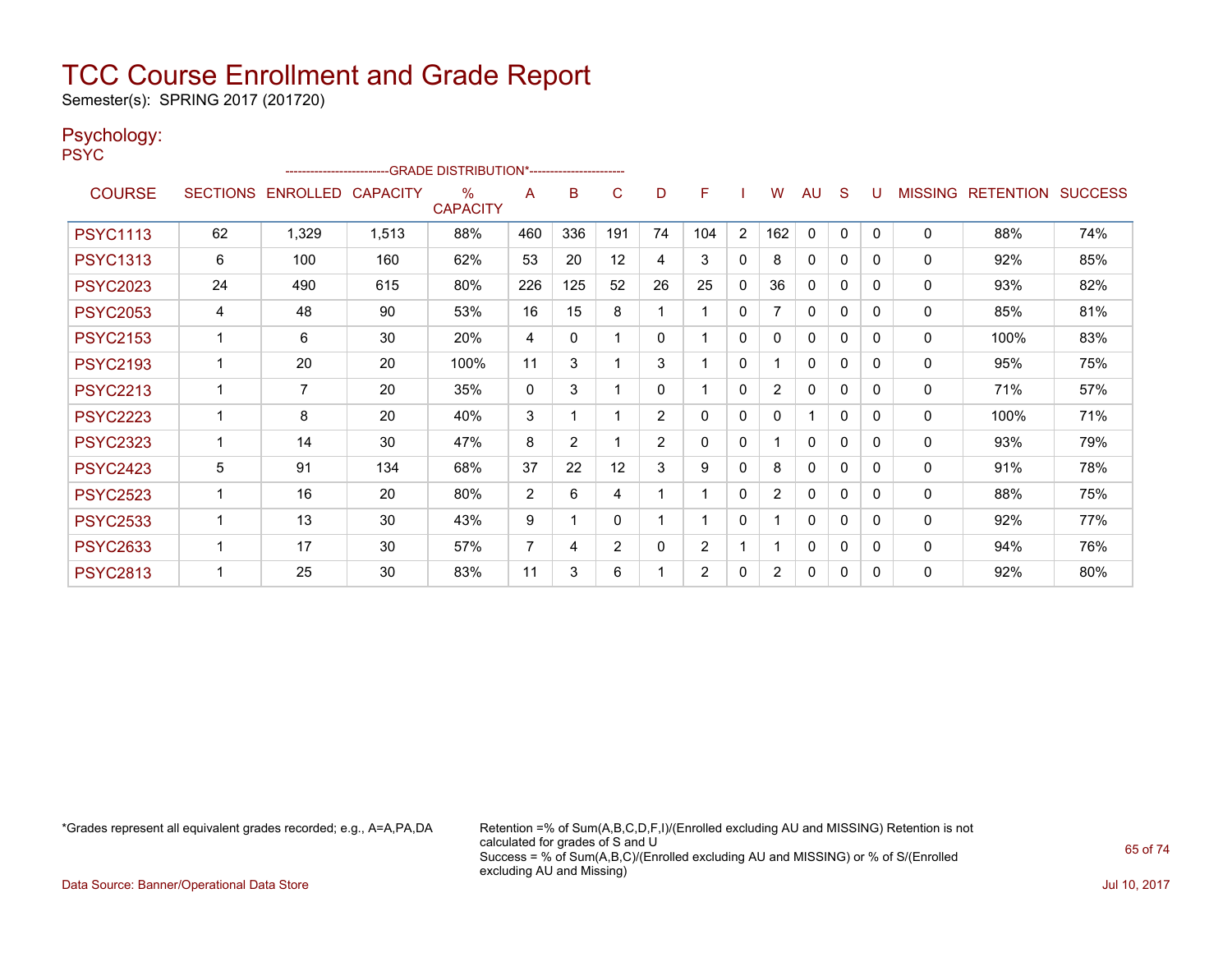Semester(s): SPRING 2017 (201720)

### Psychology:

|      | -- |  |
|------|----|--|
| PSYC |    |  |
|      |    |  |
|      |    |  |

|                 |                          |                            |       | -GRADE DISTRIBUTION*---------------------- |          |                |              |                |                |                |                |              |              |          |                |                          |     |
|-----------------|--------------------------|----------------------------|-------|--------------------------------------------|----------|----------------|--------------|----------------|----------------|----------------|----------------|--------------|--------------|----------|----------------|--------------------------|-----|
| <b>COURSE</b>   |                          | SECTIONS ENROLLED CAPACITY |       | $\%$<br><b>CAPACITY</b>                    | A        | B              | C            | D              | F              |                | W              | AU           | S            | U        | <b>MISSING</b> | <b>RETENTION SUCCESS</b> |     |
| <b>PSYC1113</b> | 62                       | 1,329                      | 1,513 | 88%                                        | 460      | 336            | 191          | 74             | 104            | $\overline{2}$ | 162            | $\mathbf 0$  | $\mathbf{0}$ | $\Omega$ | 0              | 88%                      | 74% |
| <b>PSYC1313</b> | 6                        | 100                        | 160   | 62%                                        | 53       | 20             | 12           | 4              | 3              | $\mathbf{0}$   | 8              | 0            | 0            | 0        | $\mathbf{0}$   | 92%                      | 85% |
| <b>PSYC2023</b> | 24                       | 490                        | 615   | 80%                                        | 226      | 125            | 52           | 26             | 25             | $\mathbf{0}$   | 36             | 0            | $\mathbf{0}$ | 0        | 0              | 93%                      | 82% |
| <b>PSYC2053</b> | 4                        | 48                         | 90    | 53%                                        | 16       | 15             | 8            |                |                | $\mathbf 0$    | 7              | $\mathbf 0$  | $\Omega$     | 0        | 0              | 85%                      | 81% |
| <b>PSYC2153</b> | $\mathbf 1$              | 6                          | 30    | 20%                                        | 4        | 0              | 1            | $\Omega$       |                | $\mathbf{0}$   | 0              | 0            | 0            | 0        | $\mathbf{0}$   | 100%                     | 83% |
| <b>PSYC2193</b> | 1                        | 20                         | 20    | 100%                                       | 11       | 3              |              | 3              |                | $\mathbf{0}$   |                | 0            | 0            | 0        | 0              | 95%                      | 75% |
| <b>PSYC2213</b> | $\mathbf 1$              | $\overline{7}$             | 20    | 35%                                        | $\Omega$ | 3              |              | $\Omega$       |                | $\Omega$       | $\overline{2}$ | $\mathbf{0}$ | $\Omega$     | 0        | 0              | 71%                      | 57% |
| <b>PSYC2223</b> | 1                        | 8                          | 20    | 40%                                        | 3        | 1              |              | 2              | $\mathbf{0}$   | $\mathbf{0}$   | 0              |              | $\mathbf{0}$ | $\Omega$ | 0              | 100%                     | 71% |
| <b>PSYC2323</b> | 1                        | 14                         | 30    | 47%                                        | 8        | $\overline{2}$ |              | $\overline{2}$ | $\mathbf{0}$   | $\mathbf{0}$   |                | 0            | $\Omega$     | 0        | 0              | 93%                      | 79% |
| <b>PSYC2423</b> | 5                        | 91                         | 134   | 68%                                        | 37       | 22             | 12           | 3              | 9              | $\mathbf{0}$   | 8              | $\mathbf{0}$ | 0            | $\Omega$ | $\mathbf{0}$   | 91%                      | 78% |
| <b>PSYC2523</b> | $\mathbf 1$              | 16                         | 20    | 80%                                        | 2        | 6              | 4            |                |                | $\Omega$       | $\overline{2}$ | 0            | $\Omega$     | 0        | $\mathbf{0}$   | 88%                      | 75% |
| <b>PSYC2533</b> | $\overline{\phantom{a}}$ | 13                         | 30    | 43%                                        | 9        |                | $\mathbf{0}$ |                |                | $\mathbf{0}$   |                | 0            | $\Omega$     | 0        | $\Omega$       | 92%                      | 77% |
| <b>PSYC2633</b> | 1                        | 17                         | 30    | 57%                                        | 7        | 4              | 2            | 0              | $\overline{2}$ |                |                | $\mathbf 0$  | $\mathbf{0}$ | 0        | 0              | 94%                      | 76% |
| <b>PSYC2813</b> | 1                        | 25                         | 30    | 83%                                        | 11       | 3              | 6            |                | $\overline{2}$ | 0              | $\overline{2}$ | 0            | 0            | 0        | 0              | 92%                      | 80% |

\*Grades represent all equivalent grades recorded; e.g., A=A,PA,DA Retention =% of Sum(A,B,C,D,F,I)/(Enrolled excluding AU and MISSING) Retention is not calculated for grades of S and U Success = % of Sum(A,B,C)/(Enrolled excluding AU and MISSING) or % of S/(Enrolled excluding AU and Missing)

Data Source: Banner/Operational Data Store Jul 10, 2017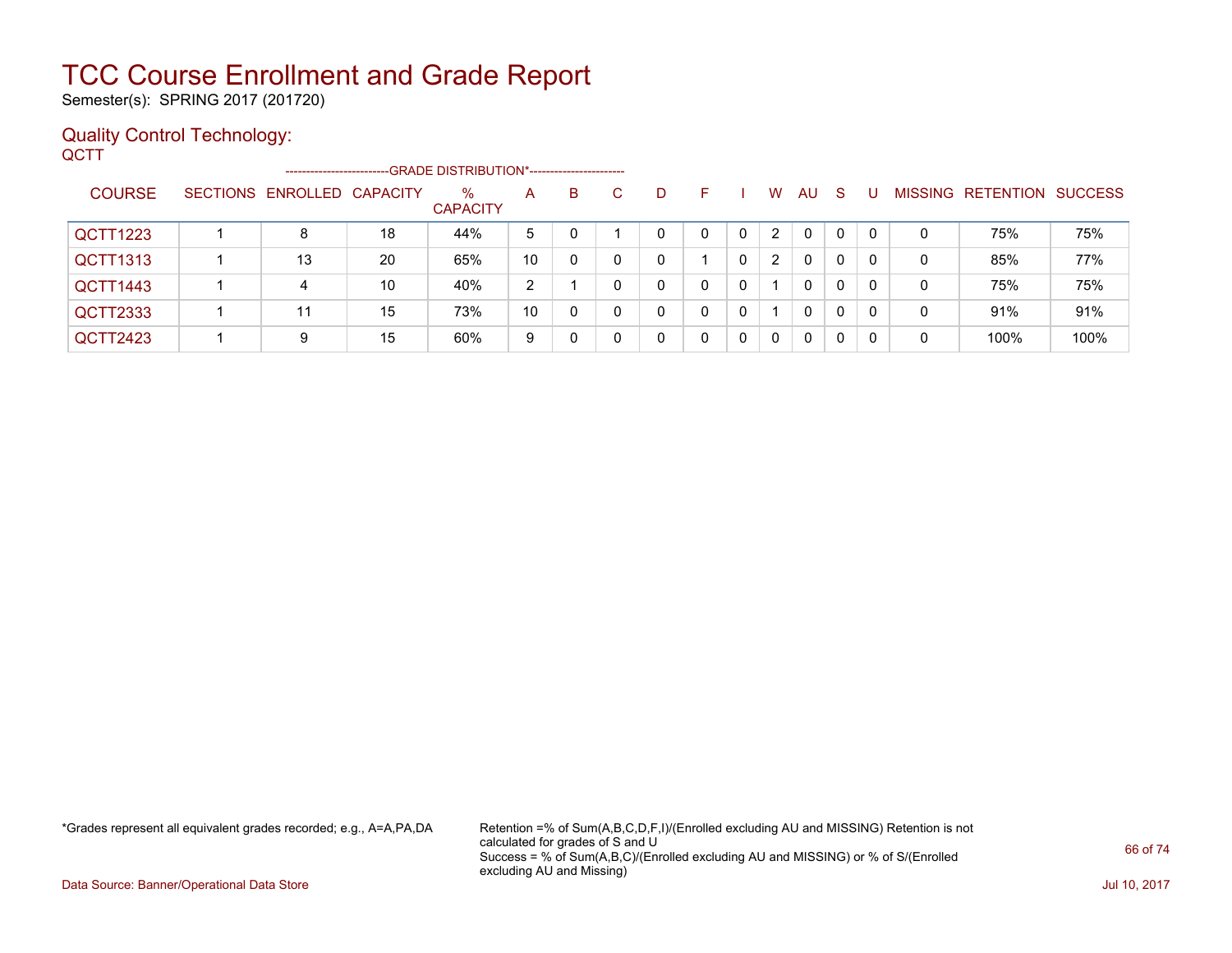Semester(s): SPRING 2017 (201720)

### Quality Control Technology:

**QCTT** 

|               |                            |    | ------------------------GRADE DISTRIBUTION*----------------------- |    |          |    |          |   |   |   |              |              |          |   |                                  |      |
|---------------|----------------------------|----|--------------------------------------------------------------------|----|----------|----|----------|---|---|---|--------------|--------------|----------|---|----------------------------------|------|
| <b>COURSE</b> | SECTIONS ENROLLED CAPACITY |    | $\%$<br><b>CAPACITY</b>                                            | A  | B.       | C. | D        |   |   | W | <b>AU</b>    | <sub>S</sub> |          |   | <b>MISSING RETENTION SUCCESS</b> |      |
| QCTT1223      | 8                          | 18 | 44%                                                                | 5  |          |    | $\Omega$ | 0 | 0 | 2 | $\mathbf{0}$ | 0            | $\Omega$ | 0 | 75%                              | 75%  |
| QCTT1313      | 13                         | 20 | 65%                                                                | 10 | $\Omega$ |    | 0        |   |   | 2 | $\mathbf{0}$ | $\Omega$     | 0        | 0 | 85%                              | 77%  |
| QCTT1443      | 4                          | 10 | 40%                                                                | 2  |          |    | 0        | 0 | 0 |   | $\mathbf{0}$ | 0            | 0        | 0 | 75%                              | 75%  |
| QCTT2333      | 11                         | 15 | 73%                                                                | 10 | $\Omega$ |    | 0        | 0 | 0 |   | $\mathbf{0}$ | 0            | $\Omega$ | 0 | 91%                              | 91%  |
| QCTT2423      | 9                          | 15 | 60%                                                                | 9  |          |    | 0        | 0 | 0 | 0 | 0            | 0            | 0        | 0 | 100%                             | 100% |

\*Grades represent all equivalent grades recorded; e.g., A=A,PA,DA Retention =% of Sum(A,B,C,D,F,I)/(Enrolled excluding AU and MISSING) Retention is not calculated for grades of S and U Success = % of Sum(A,B,C)/(Enrolled excluding AU and MISSING) or % of S/(Enrolled excluding AU and Missing)

Data Source: Banner/Operational Data Store Jul 10, 2017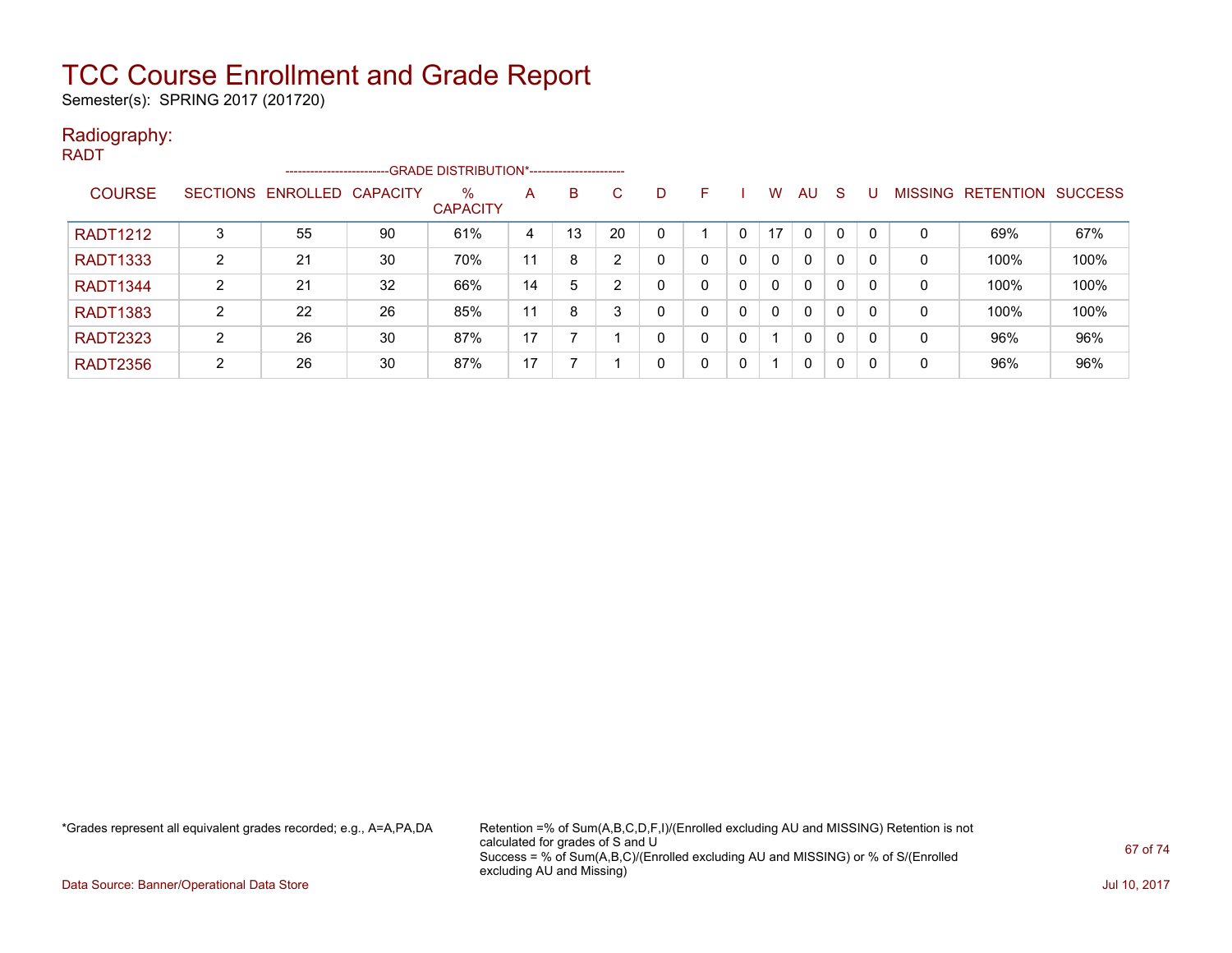Semester(s): SPRING 2017 (201720)

### Radiography:

| <b>RADT</b>     |               |                 | ------------------------ |    | --GRADE DISTRIBUTION*----------------------- |    |    |    |   |   |              |              |              |              |          |                |           |                |
|-----------------|---------------|-----------------|--------------------------|----|----------------------------------------------|----|----|----|---|---|--------------|--------------|--------------|--------------|----------|----------------|-----------|----------------|
|                 | <b>COURSE</b> | <b>SECTIONS</b> | ENROLLED CAPACITY        |    | $\%$<br><b>CAPACITY</b>                      | A  | B. | C  | D | F |              | W            | <b>AU</b>    | <sub>S</sub> |          | <b>MISSING</b> | RETENTION | <b>SUCCESS</b> |
| <b>RADT1212</b> |               | 3               | 55                       | 90 | 61%                                          | 4  | 13 | 20 | 0 |   |              | 17           | $\mathbf{0}$ | 0            |          | 0              | 69%       | 67%            |
| <b>RADT1333</b> |               | 2               | 21                       | 30 | 70%                                          | 11 | 8  | ົ  | 0 | 0 | $\mathbf{0}$ | $\Omega$     | $\mathbf{0}$ | 0            | - 0      | 0              | 100%      | 100%           |
| <b>RADT1344</b> |               | 2               | 21                       | 32 | 66%                                          | 14 | 5  | ົ  | 0 | 0 | $\mathbf{0}$ | $\mathbf{0}$ | $\mathbf{0}$ | 0            | $\Omega$ | 0              | 100%      | 100%           |
| <b>RADT1383</b> |               | 2               | 22                       | 26 | 85%                                          | 11 | 8  | 3  | 0 | 0 | $\mathbf{0}$ | $\Omega$     | $\mathbf{0}$ | $\mathbf{0}$ | - 0      | 0              | 100%      | 100%           |
| <b>RADT2323</b> |               | 2               | 26                       | 30 | 87%                                          | 17 |    |    | 0 | 0 | $\mathbf{0}$ |              | $\mathbf{0}$ | $\mathbf{0}$ | 0        | 0              | 96%       | 96%            |
| <b>RADT2356</b> |               | 2               | 26                       | 30 | 87%                                          | 17 |    |    | 0 | 0 | 0            |              | $\mathbf{0}$ | $\mathbf{0}$ | -0       | 0              | 96%       | 96%            |

\*Grades represent all equivalent grades recorded; e.g., A=A,PA,DA Retention =% of Sum(A,B,C,D,F,I)/(Enrolled excluding AU and MISSING) Retention is not calculated for grades of S and U Success = % of Sum(A,B,C)/(Enrolled excluding AU and MISSING) or % of S/(Enrolled excluding AU and Missing)

Data Source: Banner/Operational Data Store Jul 10, 2017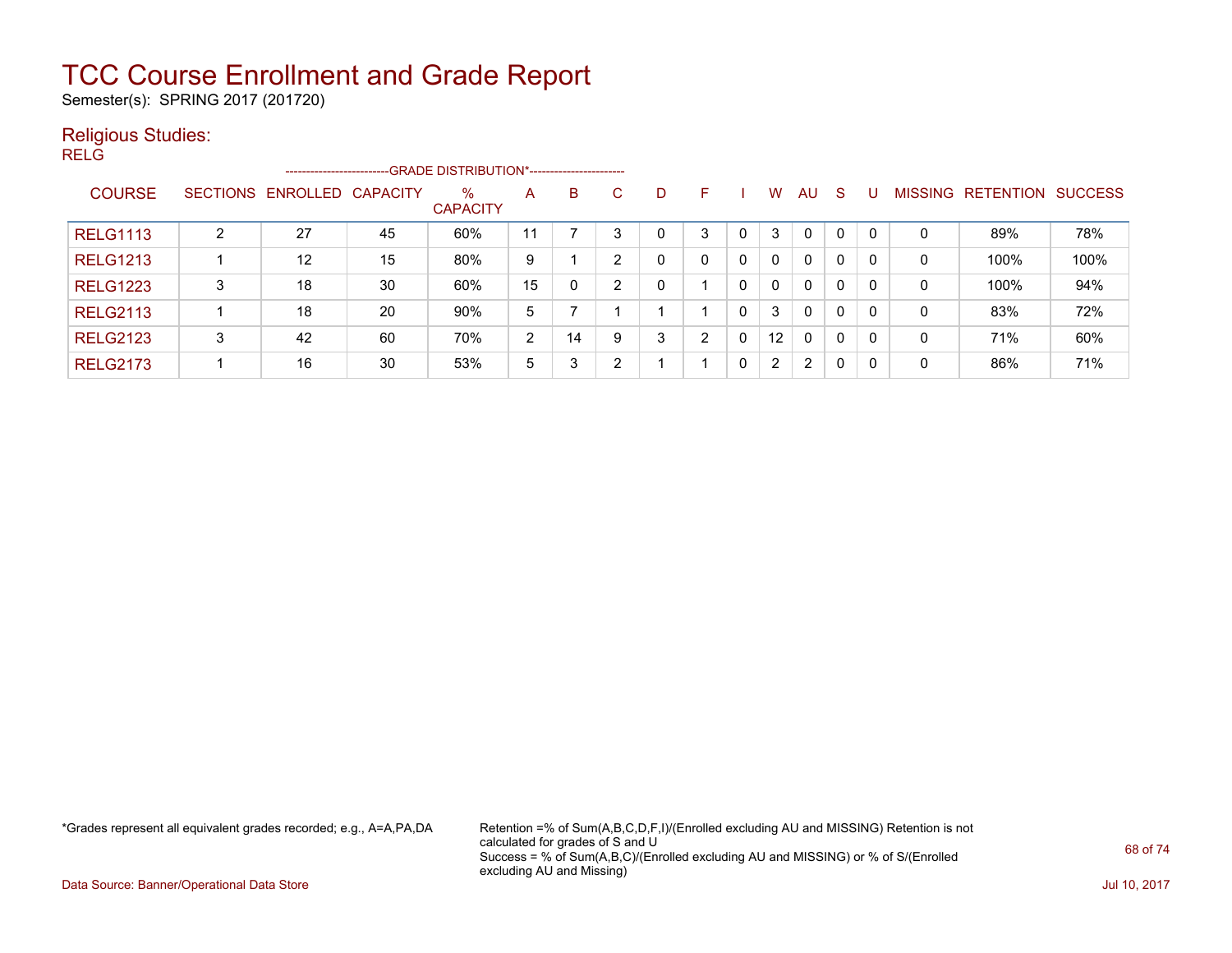Semester(s): SPRING 2017 (201720)

### Religious Studies:

RELG

|                 |   | ------------------------   |    |                         |    |    |   |   |   |   |                |              |              |              |                |                  |                |
|-----------------|---|----------------------------|----|-------------------------|----|----|---|---|---|---|----------------|--------------|--------------|--------------|----------------|------------------|----------------|
| <b>COURSE</b>   |   | SECTIONS ENROLLED CAPACITY |    | $\%$<br><b>CAPACITY</b> | A  | B  | C | D | F |   | W              | AU           | <sub>S</sub> |              | <b>MISSING</b> | <b>RETENTION</b> | <b>SUCCESS</b> |
| <b>RELG1113</b> | C | 27                         | 45 | 60%                     | 11 |    | 3 | 0 | 3 |   | 3              | $\mathbf{0}$ | 0            |              | 0              | 89%              | 78%            |
| <b>RELG1213</b> |   | 12                         | 15 | 80%                     | 9  |    | റ | 0 | 0 | 0 | $\Omega$       | $\mathbf{0}$ | 0            | 0            | 0              | 100%             | 100%           |
| <b>RELG1223</b> | 3 | 18                         | 30 | 60%                     | 15 |    | ົ | 0 |   | 0 | $\mathbf{0}$   | $\mathbf{0}$ | 0            | C            | 0              | 100%             | 94%            |
| <b>RELG2113</b> |   | 18                         | 20 | 90%                     | 5  |    |   |   |   | 0 | 3              | $\mathbf{0}$ | $\mathbf{0}$ | $\mathbf{C}$ | 0              | 83%              | 72%            |
| <b>RELG2123</b> | 3 | 42                         | 60 | 70%                     | 2  | 14 | 9 | 3 | ົ | 0 | 12             | $\mathbf{0}$ | 0            | -0           | $\Omega$       | 71%              | 60%            |
| <b>RELG2173</b> |   | 16                         | 30 | 53%                     | 5  | 3  | ົ |   |   | 0 | $\overline{2}$ | 2            | 0            | C            | 0              | 86%              | 71%            |

\*Grades represent all equivalent grades recorded; e.g., A=A,PA,DA Retention =% of Sum(A,B,C,D,F,I)/(Enrolled excluding AU and MISSING) Retention is not calculated for grades of S and U Success = % of Sum(A,B,C)/(Enrolled excluding AU and MISSING) or % of S/(Enrolled excluding AU and Missing)

Data Source: Banner/Operational Data Store Jul 10, 2017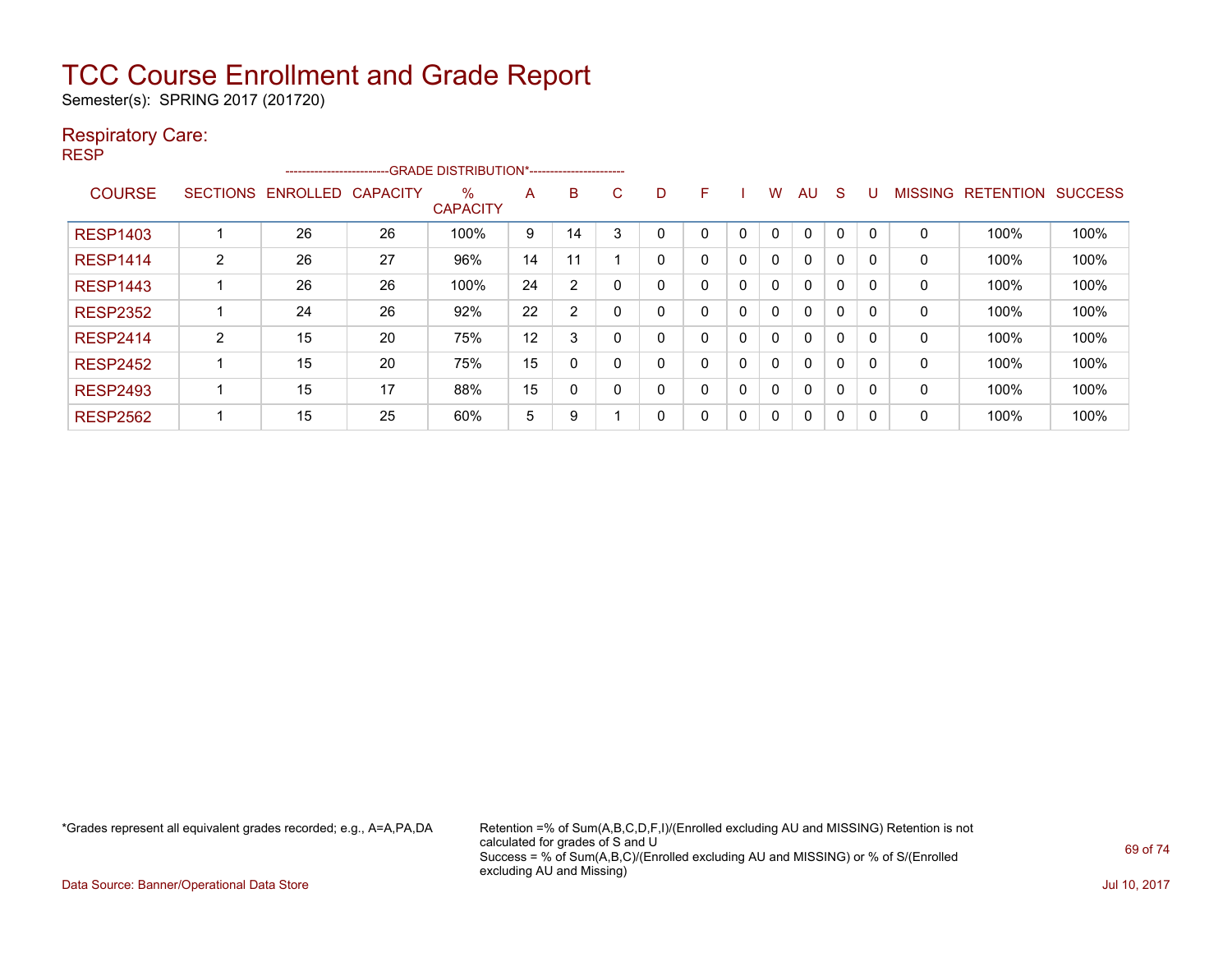Semester(s): SPRING 2017 (201720)

### Respiratory Care:

| --<br>. .<br>۰. |
|-----------------|
|-----------------|

|                 |                 | ------------------------ |                 | --GRADE DISTRIBUTION*------------------------ |    |                |   |   |   |              |              |              |    |          |                |           |                |
|-----------------|-----------------|--------------------------|-----------------|-----------------------------------------------|----|----------------|---|---|---|--------------|--------------|--------------|----|----------|----------------|-----------|----------------|
| <b>COURSE</b>   | <b>SECTIONS</b> | ENROLLED                 | <b>CAPACITY</b> | $\%$<br><b>CAPACITY</b>                       | A  | B              | C | D | F |              | W            | AU           | -S |          | <b>MISSING</b> | RETENTION | <b>SUCCESS</b> |
| <b>RESP1403</b> |                 | 26                       | 26              | 100%                                          | 9  | 14             |   |   | 0 |              | 0            |              | 0  |          | 0              | 100%      | 100%           |
| <b>RESP1414</b> | $\overline{2}$  | 26                       | 27              | 96%                                           | 14 | 11             |   | 0 | 0 | $\mathbf{0}$ | 0            | $\mathbf{0}$ | 0  | $\Omega$ | 0              | 100%      | 100%           |
| <b>RESP1443</b> |                 | 26                       | 26              | 100%                                          | 24 | $\overline{2}$ |   | 0 | 0 | 0            | $\mathbf{0}$ | $\mathbf{0}$ | 0  |          | 0              | 100%      | 100%           |
| <b>RESP2352</b> |                 | 24                       | 26              | 92%                                           | 22 | $\overline{2}$ |   | 0 | 0 | 0            | $\mathbf{0}$ | $\mathbf{0}$ | 0  |          | 0              | 100%      | 100%           |
| <b>RESP2414</b> | 2               | 15                       | 20              | 75%                                           | 12 | 3              |   | 0 | 0 | $\mathbf{0}$ | 0            | $\mathbf{0}$ | 0  |          | 0              | 100%      | 100%           |
| <b>RESP2452</b> |                 | 15                       | 20              | 75%                                           | 15 | 0              |   | 0 | 0 | 0            | 0            | $\mathbf{0}$ | 0  |          | 0              | 100%      | 100%           |
| <b>RESP2493</b> |                 | 15                       | 17              | 88%                                           | 15 | 0              |   | 0 | 0 | 0            | $\Omega$     | $\mathbf{0}$ | 0  |          | 0              | 100%      | 100%           |
| <b>RESP2562</b> |                 | 15                       | 25              | 60%                                           | 5  | 9              |   | 0 | 0 | 0            | 0            | $\mathbf{0}$ | 0  |          | 0              | 100%      | 100%           |

\*Grades represent all equivalent grades recorded; e.g., A=A,PA,DA Retention =% of Sum(A,B,C,D,F,I)/(Enrolled excluding AU and MISSING) Retention is not calculated for grades of S and U Success = % of Sum(A,B,C)/(Enrolled excluding AU and MISSING) or % of S/(Enrolled excluding AU and Missing)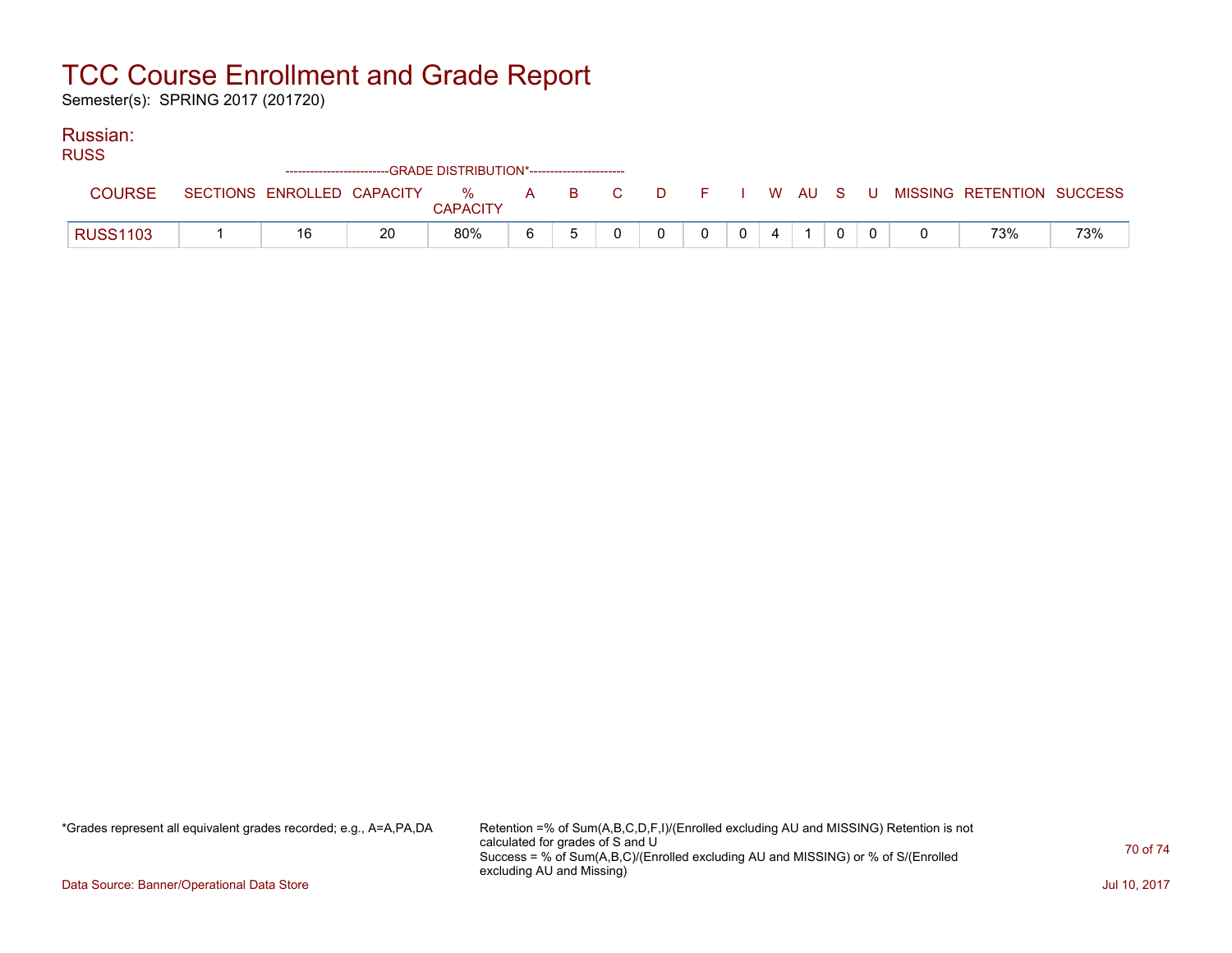Semester(s): SPRING 2017 (201720)

### Russian:

| M<br>×<br>۰.<br>۰.<br>۰. |
|--------------------------|
|--------------------------|

| $\sim$          | ------------------------GRADE DISTRIBUTION*----------------------- |                            |    |                      |     |  |      |  |  |                |  |  |  |  |  |                                          |     |
|-----------------|--------------------------------------------------------------------|----------------------------|----|----------------------|-----|--|------|--|--|----------------|--|--|--|--|--|------------------------------------------|-----|
|                 |                                                                    | SECTIONS ENROLLED CAPACITY |    | %<br><b>CAPACITY</b> | A a |  | BC C |  |  |                |  |  |  |  |  | D F I W AU S U MISSING RETENTION SUCCESS |     |
| <b>RUSS1103</b> |                                                                    |                            | 20 | 80%                  |     |  |      |  |  | $\overline{0}$ |  |  |  |  |  | 73%                                      | 73% |

\*Grades represent all equivalent grades recorded; e.g., A=A,PA,DA Retention =% of Sum(A,B,C,D,F,I)/(Enrolled excluding AU and MISSING) Retention is not calculated for grades of S and U Success = % of Sum(A,B,C)/(Enrolled excluding AU and MISSING) or % of S/(Enrolled excluding AU and Missing)

Data Source: Banner/Operational Data Store Jul 10, 2017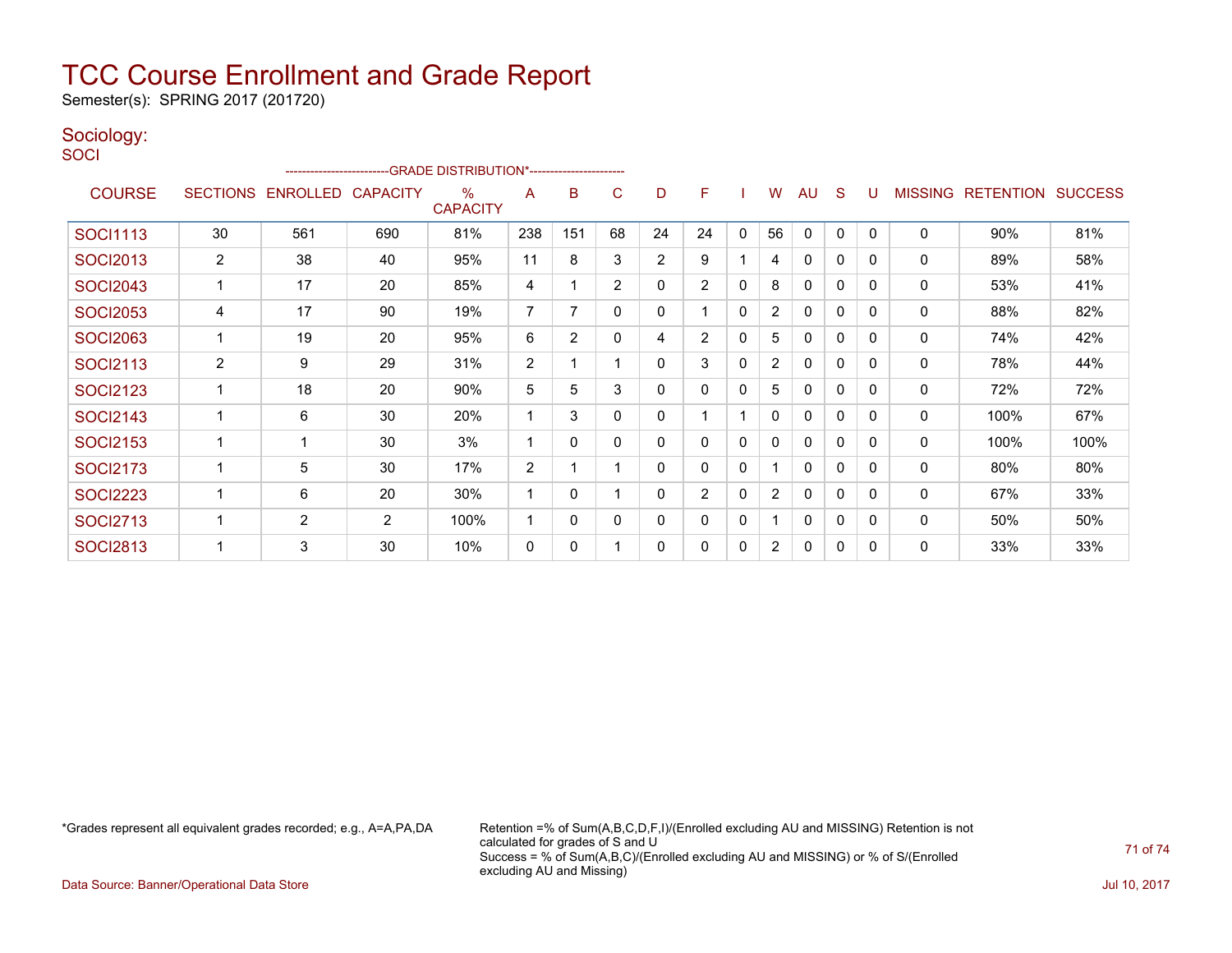Semester(s): SPRING 2017 (201720)

#### Sociology: **SOCI**

| ------------------------GRADE                DISTRIBUTION*---------------------- |                 |                   |     |                         |                |                |                |              |                |              |                       |              |              |             |                |                          |      |
|----------------------------------------------------------------------------------|-----------------|-------------------|-----|-------------------------|----------------|----------------|----------------|--------------|----------------|--------------|-----------------------|--------------|--------------|-------------|----------------|--------------------------|------|
| <b>COURSE</b>                                                                    | <b>SECTIONS</b> | ENROLLED CAPACITY |     | $\%$<br><b>CAPACITY</b> | A              | B              | C              | D            | F              |              | W                     | <b>AU</b>    | S            | U           | <b>MISSING</b> | <b>RETENTION SUCCESS</b> |      |
| <b>SOCI1113</b>                                                                  | 30              | 561               | 690 | 81%                     | 238            | 151            | 68             | 24           | 24             | 0            | 56                    | $\mathbf{0}$ | $\mathbf{0}$ | $\mathbf 0$ | $\mathbf{0}$   | 90%                      | 81%  |
| <b>SOCI2013</b>                                                                  | 2               | 38                | 40  | 95%                     | 11             | 8              | 3              | 2            | 9              | 1            | 4                     | 0            | 0            | 0           | 0              | 89%                      | 58%  |
| <b>SOCI2043</b>                                                                  | 1               | 17                | 20  | 85%                     | 4              | 1              | $\overline{2}$ | 0            | $\overline{2}$ | $\mathbf{0}$ | 8                     | 0            | 0            | 0           | 0              | 53%                      | 41%  |
| <b>SOCI2053</b>                                                                  | 4               | 17                | 90  | 19%                     | 7              | 7              | 0              | $\mathbf{0}$ |                | 0            | $\overline{2}$        | 0            | 0            | $\mathbf 0$ | 0              | 88%                      | 82%  |
| <b>SOCI2063</b>                                                                  | 1               | 19                | 20  | 95%                     | 6              | $\overline{2}$ | $\Omega$       | 4            | $\overline{2}$ | $\mathbf{0}$ | 5                     | $\mathbf{0}$ | $\mathbf 0$  | $\mathbf 0$ | 0              | 74%                      | 42%  |
| <b>SOCI2113</b>                                                                  | $\overline{c}$  | 9                 | 29  | 31%                     | 2              | 1              |                | $\mathbf{0}$ | 3              | $\mathbf{0}$ | $\overline{2}$        | 0            | 0            | $\mathbf 0$ | 0              | 78%                      | 44%  |
| <b>SOCI2123</b>                                                                  | 1               | 18                | 20  | 90%                     | 5              | 5              | 3              | $\mathbf{0}$ | $\mathbf{0}$   | $\mathbf{0}$ | 5                     | 0            | 0            | 0           | 0              | 72%                      | 72%  |
| <b>SOCI2143</b>                                                                  | 1               | 6                 | 30  | 20%                     |                | 3              | $\Omega$       | 0            |                | 1            | 0                     | 0            | $\mathbf{0}$ | 0           | 0              | 100%                     | 67%  |
| <b>SOCI2153</b>                                                                  | 1               | $\mathbf 1$       | 30  | 3%                      | 1              | $\Omega$       | $\Omega$       | 0            | $\mathbf{0}$   | $\mathbf{0}$ | 0                     | $\mathbf{0}$ | $\mathbf{0}$ | $\mathbf 0$ | 0              | 100%                     | 100% |
| <b>SOCI2173</b>                                                                  | $\overline{1}$  | 5                 | 30  | 17%                     | $\overline{2}$ | 1              |                | 0            | $\mathbf{0}$   | $\mathbf{0}$ |                       | 0            | $\mathbf{0}$ | 0           | 0              | 80%                      | 80%  |
| <b>SOCI2223</b>                                                                  | 1               | 6                 | 20  | 30%                     | 1              | 0              |                | 0            | $\overline{2}$ | $\mathbf{0}$ | $\overline{2}$        | 0            | 0            | 0           | $\mathbf 0$    | 67%                      | 33%  |
| <b>SOCI2713</b>                                                                  | 1               | $\overline{2}$    | 2   | 100%                    | 1              | 0              | 0              | 0            | 0              | 0            |                       | 0            | 0            | 0           | 0              | 50%                      | 50%  |
| <b>SOCI2813</b>                                                                  | 1               | 3                 | 30  | 10%                     | 0              | 0              |                | 0            | 0              | 0            | $\mathbf{2}^{\prime}$ | 0            | 0            | 0           | 0              | 33%                      | 33%  |

\*Grades represent all equivalent grades recorded; e.g., A=A,PA,DA Retention =% of Sum(A,B,C,D,F,I)/(Enrolled excluding AU and MISSING) Retention is not calculated for grades of S and U Success = % of Sum(A,B,C)/(Enrolled excluding AU and MISSING) or % of S/(Enrolled excluding AU and Missing)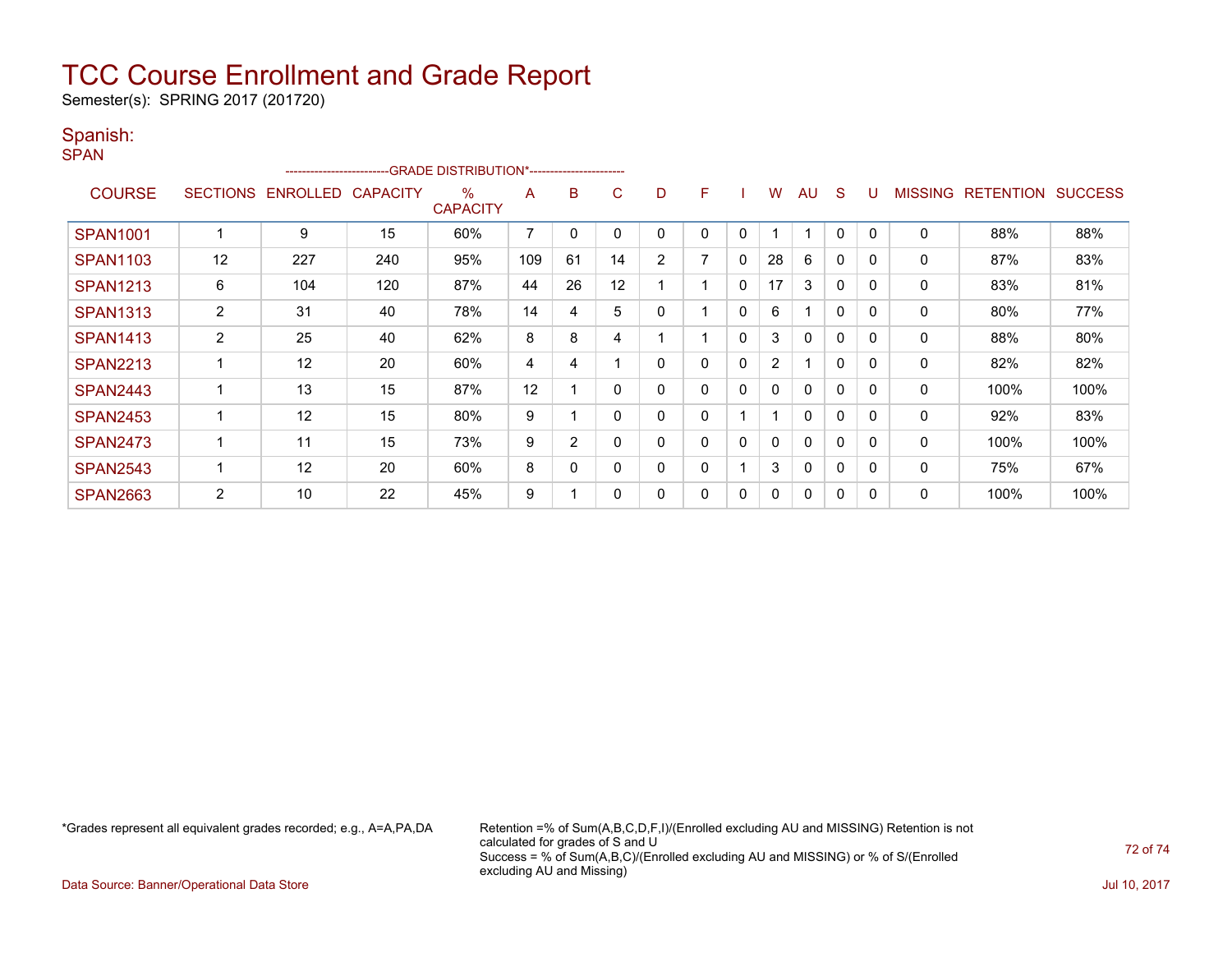Semester(s): SPRING 2017 (201720)

### Spanish:

| <b>SPAN</b>     |                 |          |                 | ------------------------GRADE            DISTRIBUTION*------------------------- |                |                |          |                |   |              |                |              |              |              |                |                  |                |
|-----------------|-----------------|----------|-----------------|---------------------------------------------------------------------------------|----------------|----------------|----------|----------------|---|--------------|----------------|--------------|--------------|--------------|----------------|------------------|----------------|
| <b>COURSE</b>   | <b>SECTIONS</b> | ENROLLED | <b>CAPACITY</b> | $\%$<br><b>CAPACITY</b>                                                         | A              | B              | C        | D              | F |              | w              | <b>AU</b>    | S            | U            | <b>MISSING</b> | <b>RETENTION</b> | <b>SUCCESS</b> |
| <b>SPAN1001</b> |                 | 9        | 15              | 60%                                                                             | $\overline{7}$ | 0              | -0       |                | 0 | $\mathbf{0}$ |                |              | 0            | $\mathbf{0}$ | 0              | 88%              | 88%            |
| <b>SPAN1103</b> | 12              | 227      | 240             | 95%                                                                             | 109            | 61             | 14       | $\overline{2}$ | 7 | $\mathbf{0}$ | 28             | 6            | 0            | $\Omega$     | 0              | 87%              | 83%            |
| <b>SPAN1213</b> | 6               | 104      | 120             | 87%                                                                             | 44             | 26             | 12       |                |   | $\mathbf 0$  | 17             | 3            | $\mathbf{0}$ | $\mathbf{0}$ | 0              | 83%              | 81%            |
| <b>SPAN1313</b> | $\overline{2}$  | 31       | 40              | 78%                                                                             | 14             | 4              | 5        | 0              |   | $\mathbf{0}$ | 6              |              | $\mathbf{0}$ | $\mathbf{0}$ | 0              | 80%              | 77%            |
| <b>SPAN1413</b> | $\overline{2}$  | 25       | 40              | 62%                                                                             | 8              | 8              | 4        |                |   | $\mathbf 0$  | 3              | $\mathbf{0}$ | $\mathbf{0}$ | 0            | 0              | 88%              | 80%            |
| <b>SPAN2213</b> |                 | 12       | 20              | 60%                                                                             | 4              | 4              |          | 0              | 0 | $\mathbf{0}$ | $\overline{2}$ |              | $\mathbf{0}$ | 0            | 0              | 82%              | 82%            |
| <b>SPAN2443</b> |                 | 13       | 15              | 87%                                                                             | 12             |                | $\Omega$ | 0              | 0 | 0            | 0              | $\mathbf{0}$ | $\mathbf{0}$ | $\mathbf{0}$ | 0              | 100%             | 100%           |
| <b>SPAN2453</b> |                 | 12       | 15              | 80%                                                                             | 9              |                | 0        | 0              | 0 |              |                | 0            | 0            | 0            | 0              | 92%              | 83%            |
| <b>SPAN2473</b> |                 | 11       | 15              | 73%                                                                             | 9              | $\overline{2}$ | 0        | 0              | 0 | 0            | 0              | $\mathbf 0$  | 0            | 0            | 0              | 100%             | 100%           |
| <b>SPAN2543</b> |                 | 12       | 20              | 60%                                                                             | 8              | $\Omega$       | $\Omega$ | 0              | 0 |              | 3              | $\mathbf{0}$ | $\mathbf{0}$ | $\Omega$     | 0              | 75%              | 67%            |
| <b>SPAN2663</b> | 2               | 10       | 22              | 45%                                                                             | 9              |                | 0        | 0              | 0 | $\mathbf{0}$ | 0              | 0            | 0            | $\Omega$     | 0              | 100%             | 100%           |

\*Grades represent all equivalent grades recorded; e.g., A=A,PA,DA Retention =% of Sum(A,B,C,D,F,I)/(Enrolled excluding AU and MISSING) Retention is not calculated for grades of S and U Success = % of Sum(A,B,C)/(Enrolled excluding AU and MISSING) or % of S/(Enrolled excluding AU and Missing)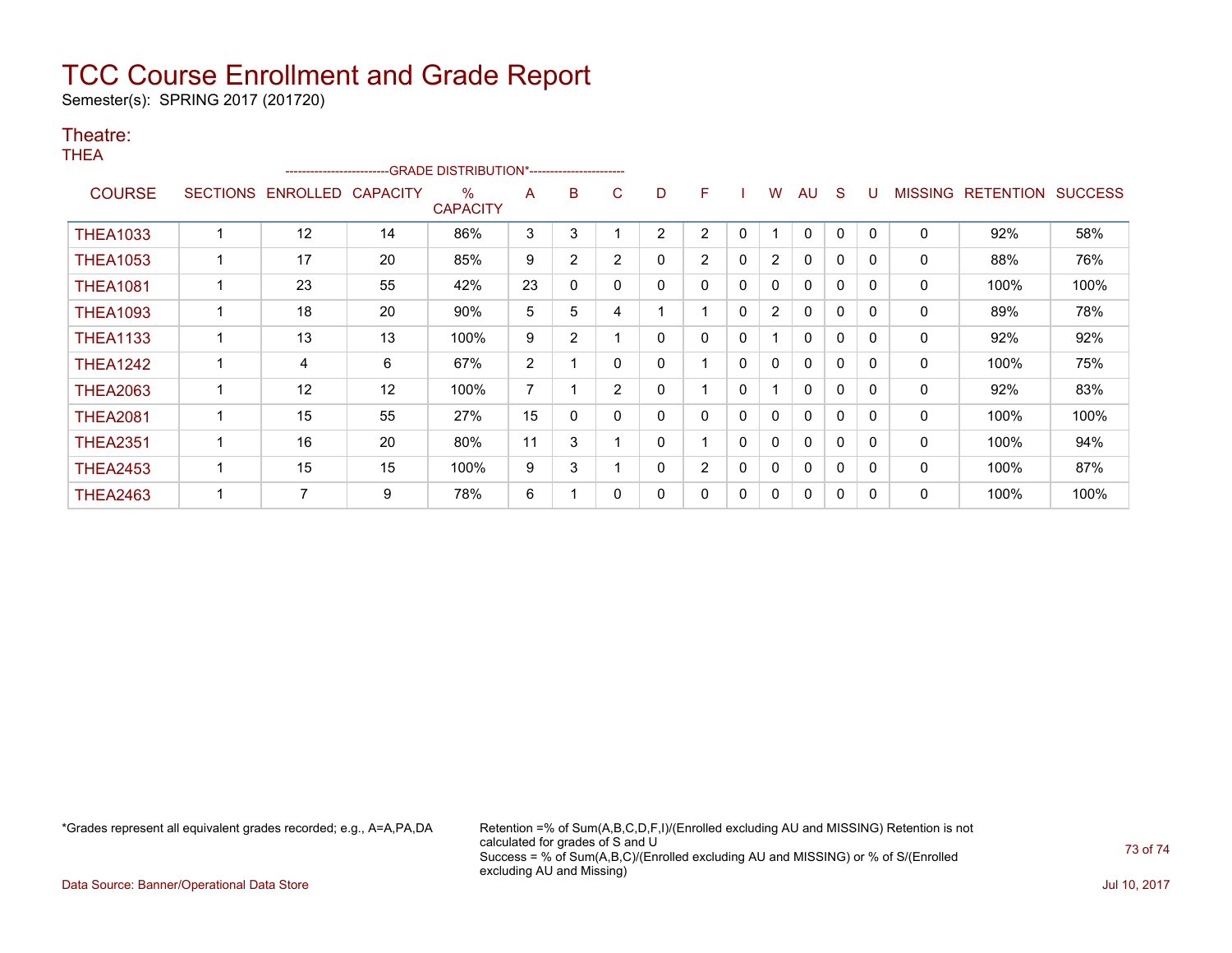## TCC Course Enrollment and Grade Report

Semester(s): SPRING 2017 (201720)

## Theatre:

THEA

|                 | ------------------------GRADE                DISTRIBUTION*---------------------- |                 |                 |                         |    |                |                |                |                |              |                |              |              |              |                |                  |                |
|-----------------|----------------------------------------------------------------------------------|-----------------|-----------------|-------------------------|----|----------------|----------------|----------------|----------------|--------------|----------------|--------------|--------------|--------------|----------------|------------------|----------------|
| <b>COURSE</b>   | <b>SECTIONS</b>                                                                  | <b>ENROLLED</b> | <b>CAPACITY</b> | $\%$<br><b>CAPACITY</b> | A  | B              | C              | D              | F              |              | w              | AU           | S            |              | <b>MISSING</b> | <b>RETENTION</b> | <b>SUCCESS</b> |
| <b>THEA1033</b> |                                                                                  | 12              | 14              | 86%                     | 3  | 3              |                | $\overline{2}$ | $\overline{2}$ | $\Omega$     |                | 0            | 0            | $\Omega$     | 0              | 92%              | 58%            |
| <b>THEA1053</b> |                                                                                  | 17              | 20              | 85%                     | 9  | $\overline{2}$ | $\overline{2}$ | 0              | $\overline{2}$ | 0            | $\overline{2}$ | 0            | 0            |              | $\mathbf 0$    | 88%              | 76%            |
| <b>THEA1081</b> |                                                                                  | 23              | 55              | 42%                     | 23 | 0              | 0              | 0              | 0              | 0            | 0              | $\mathbf{0}$ | $\mathbf{0}$ | $\Omega$     | 0              | 100%             | 100%           |
| <b>THEA1093</b> |                                                                                  | 18              | 20              | 90%                     | 5  | 5              | 4              |                |                | 0            | $\overline{2}$ | $\mathbf{0}$ | $\mathbf 0$  | $\Omega$     | 0              | 89%              | 78%            |
| <b>THEA1133</b> |                                                                                  | 13              | 13              | 100%                    | 9  | $\overline{2}$ |                | 0              | 0              | $\mathbf{0}$ |                | $\mathbf{0}$ | 0            | 0            | 0              | 92%              | 92%            |
| <b>THEA1242</b> |                                                                                  | 4               | 6               | 67%                     | 2  |                | 0              | 0              |                | 0            | 0              | $\mathbf{0}$ | $\mathbf{0}$ | $\mathbf{0}$ | 0              | 100%             | 75%            |
| <b>THEA2063</b> |                                                                                  | 12              | 12              | 100%                    | 7  |                | $\overline{2}$ | 0              |                | 0            |                | 0            | $\mathbf 0$  |              | 0              | 92%              | 83%            |
| <b>THEA2081</b> |                                                                                  | 15              | 55              | 27%                     | 15 | 0              |                | 0              | 0              | 0            | 0              | 0            | 0            | <sup>0</sup> | 0              | 100%             | 100%           |
| <b>THEA2351</b> |                                                                                  | 16              | 20              | 80%                     | 11 | 3              |                | 0              |                | 0            | 0              | $\mathbf{0}$ | $\mathbf{0}$ | $\Omega$     | 0              | 100%             | 94%            |
| <b>THEA2453</b> |                                                                                  | 15              | 15              | 100%                    | 9  | 3              |                | 0              | $\overline{2}$ | 0            | $\mathbf{0}$   | $\mathbf{0}$ | $\mathbf{0}$ | $\Omega$     | 0              | 100%             | 87%            |
| <b>THEA2463</b> |                                                                                  | ⇁               | 9               | 78%                     | 6  |                | 0              | 0              | 0              | $\mathbf{0}$ | 0              | 0            | 0            | $\Omega$     | 0              | 100%             | 100%           |

\*Grades represent all equivalent grades recorded; e.g., A=A,PA,DA Retention =% of Sum(A,B,C,D,F,I)/(Enrolled excluding AU and MISSING) Retention is not calculated for grades of S and U Success = % of Sum(A,B,C)/(Enrolled excluding AU and MISSING) or % of S/(Enrolled excluding AU and Missing)

73 of 74